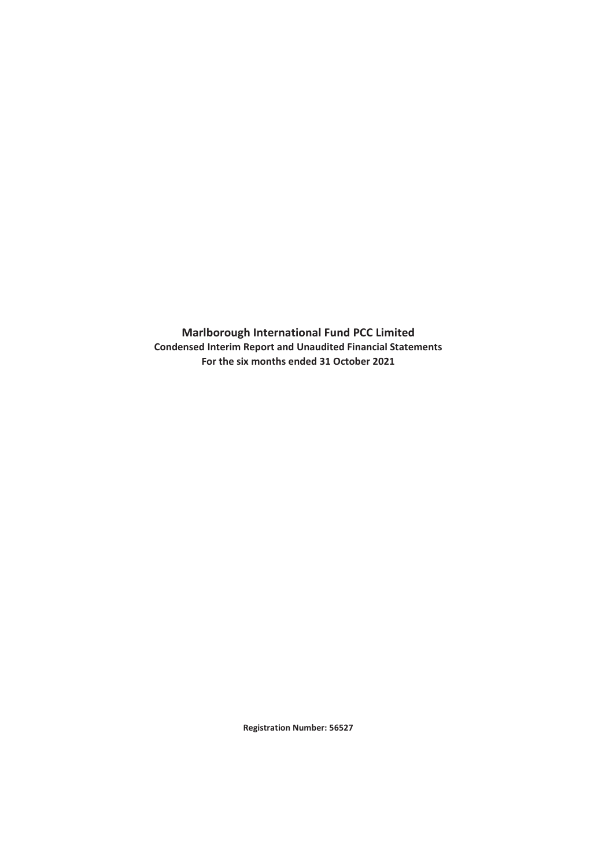**Condensed Interim Report and Unaudited Financial Statements Marlborough International Fund PCC Limited For the six months ended 31 October 2021**

**Registration Number: 56527**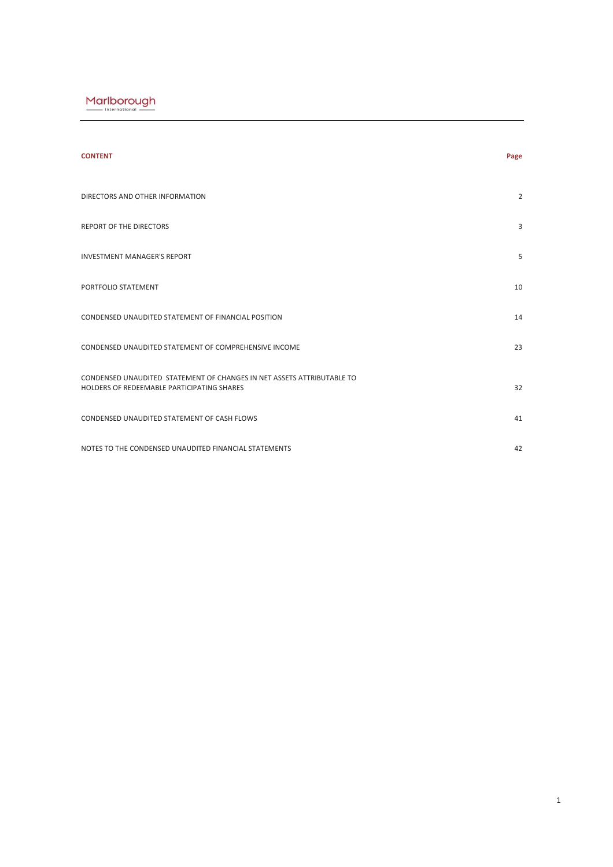| <b>CONTENT</b>                                                                                                       | Page |
|----------------------------------------------------------------------------------------------------------------------|------|
| DIRECTORS AND OTHER INFORMATION                                                                                      | 2    |
| <b>REPORT OF THE DIRECTORS</b>                                                                                       | 3    |
| <b>INVESTMENT MANAGER'S REPORT</b>                                                                                   | 5    |
| PORTFOLIO STATEMENT                                                                                                  | 10   |
| CONDENSED UNAUDITED STATEMENT OF FINANCIAL POSITION                                                                  | 14   |
| CONDENSED UNAUDITED STATEMENT OF COMPREHENSIVE INCOME                                                                | 23   |
| CONDENSED UNAUDITED STATEMENT OF CHANGES IN NET ASSETS ATTRIBUTABLE TO<br>HOLDERS OF REDEEMABLE PARTICIPATING SHARES | 32   |
| CONDENSED UNAUDITED STATEMENT OF CASH FLOWS                                                                          | 41   |
| NOTES TO THE CONDENSED UNAUDITED FINANCIAL STATEMENTS                                                                | 42   |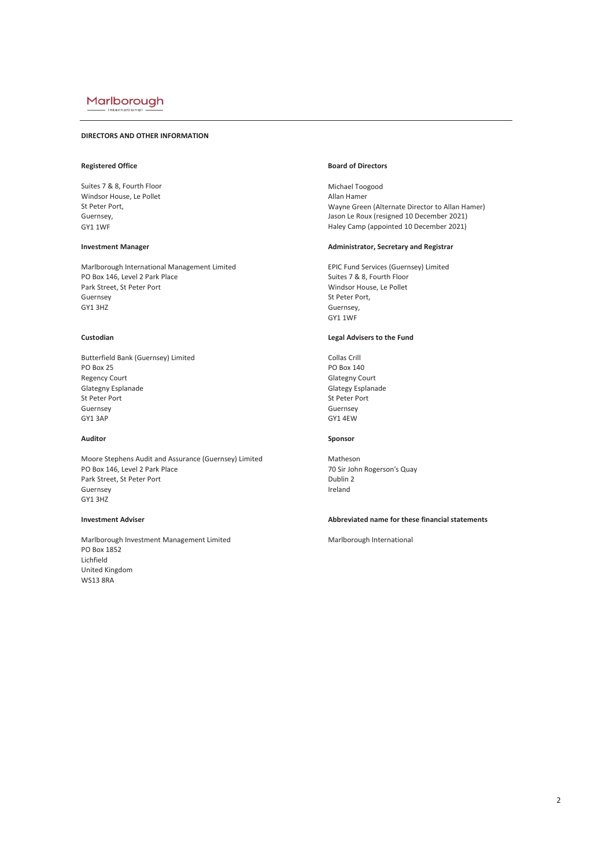Internati

# **DIRECTORS AND OTHER INFORMATION**

Suites 7 & 8, Fourth Floor and Suites 7 & 8, Fourth Floor and Suites 7 & 8, Fourth Floor and Suites 7 & 8, Fourth Floor and Suites 7 & 8, Fourth Floor and Suites 7 & 8, Fourth Floor and Suite 7 & 8, Fourth Floor and Suite Windsor House, Le Pollet<br>St Peter Port.

Marlborough International Management Limited EPIC Fund Services (Guernsey) Limited PO Box 146, Level 2 Park Place Suites 7 & 8, Fourth Floor Park Street, St Peter Port Suites 7 & 8, Fourth Floor<br>Park Street, St Peter Port Suites 8, Suites 7 & 8, Suites 7 & 8, Fourth Floor Park Street, St Peter Port Guernsey St Peter Port, St Peter Port, St Peter Port, St Peter Port, St Peter Port, St Peter Port, St Peter Port, St Peter Port, St Peter Port, St Peter Port, St Peter Port, St Peter Port, St Peter Port, St Peter Port, St

Butterfield Bank (Guernsey) Limited Collas Crill<br>PO Box 25 PO Box 14 Regency Court<br>
Glategny Esplanade<br>
Glategy Esplanade<br>
Glategy Esplanade Glategny Esplanade Glategy Esplanade St Peter Port St Peter Port St Peter Port St Peter Port St Peter Port St Peter Port Guernsey Guernsey GY1 3AP GY1 4EW

Moore Stephens Audit and Assurance (Guernsey) Limited Matheson<br>PO Box 146, Level 2 Park Place Matheson Matheson 70 Sir John Park Street, St Peter Port **Dublin 2**<br>
Guernsey **Dublin 2** Guernsey **Ireland** GY1 3HZ

Marlborough Investment Management Limited Manus Marlborough International PO Box 1852 Lichfield United Kingdom WS13 8RA

# **Registered Office Board of Directors**

Wayne Green (Alternate Director to Allan Hamer) Guernsey, Guernsey, Guernsey, Guernsey, Guernsey, Guernsey, Gason Le Roux (resigned 10 December 2021)<br>GY1 1WF Haley Camp (appointed 10 December 2021)

# **Investment Manager** *Investment Manager* Administrator, Secretary and Registrar

Windsor House, Le Pollet Guernsey, GY1 1WF

# **Custodian Legal Advisers to the Fund**

PO Box 140

# **Auditor Sponsor**

70 Sir John Rogerson's Quay

# **Investment Adviser Abbreviated name for these financial statements**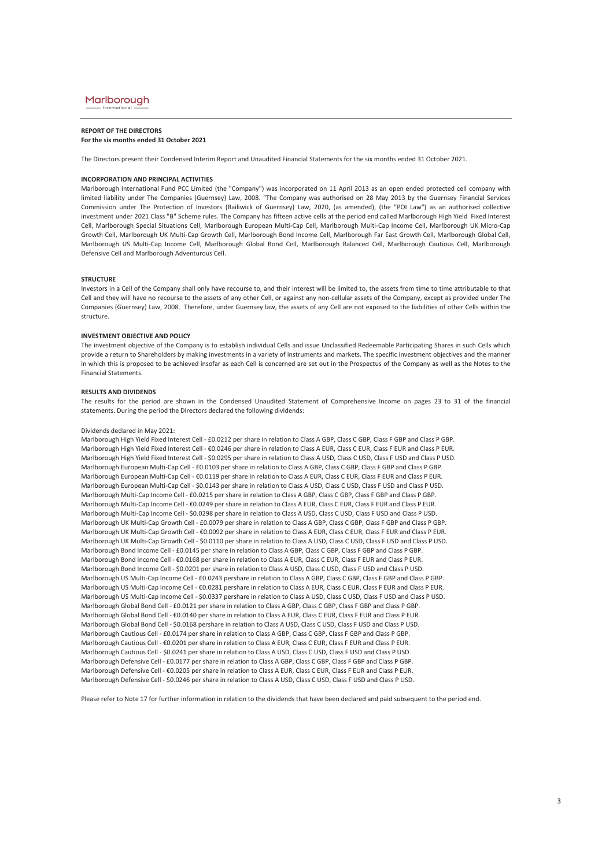# **REPORT OF THE DIRECTORS**

**For the six months ended 31 October 2021**

The Directors present their Condensed Interim Report and Unaudited Financial Statements for the six months ended 31 October 2021.

#### **INCORPORATION AND PRINCIPAL ACTIVITIES**

Marlborough International Fund PCC Limited (the "Company") was incorporated on 11 April 2013 as an open ended protected cell company with limited liability under The Companies (Guernsey) Law, 2008. "The Company was authorised on 28 May 2013 by the Guernsey Financial Services Commission under The Protection of Investors (Bailiwick of Guernsey) Law, 2020, (as amended), (the "POI Law") as an authorised collective investment under 2021 Class "B" Scheme rules. The Company has fifteen active cells at the period end called Marlborough High Yield Fixed Interest Cell, Marlborough Special Situations Cell, Marlborough European Multi-Cap Cell, Marlborough Multi-Cap Income Cell, Marlborough UK Micro-Cap Growth Cell, Marlborough UK Multi-Cap Growth Cell, Marlborough Bond Income Cell, Marlborough Far East Growth Cell, Marlborough Global Cell, Marlborough US Multi-Cap Income Cell, Marlborough Global Bond Cell, Marlborough Balanced Cell, Marlborough Cautious Cell, Marlborough Defensive Cell and Marlborough Adventurous Cell.

#### **STRUCTURE**

Investors in a Cell of the Company shall only have recourse to, and their interest will be limited to, the assets from time to time attributable to that Cell and they will have no recourse to the assets of any other Cell, or against any non-cellular assets of the Company, except as provided under The Companies (Guernsey) Law, 2008. Therefore, under Guernsey law, the assets of any Cell are not exposed to the liabilities of other Cells within the structure.

## **INVESTMENT OBJECTIVE AND POLICY**

The investment objective of the Company is to establish individual Cells and issue Unclassified Redeemable Participating Shares in such Cells which provide a return to Shareholders by making investments in a variety of instruments and markets. The specific investment objectives and the manner in which this is proposed to be achieved insofar as each Cell is concerned are set out in the Prospectus of the Company as well as the Notes to the Financial Statements.

#### **RESULTS AND DIVIDENDS**

The results for the period are shown in the Condensed Unaudited Statement of Comprehensive Income on pages 23 to 31 of the financial statements. During the period the Directors declared the following dividends:

#### Dividends declared in May 2021:

Marlborough Defensive Cell - €0.0205 per share in relation to Class A EUR, Class C EUR, Class F EUR and Class P EUR. Marlborough Defensive Cell - \$0.0246 per share in relation to Class A USD, Class C USD, Class F USD and Class P USD. Marlborough Cautious Cell - \$0.0241 per share in relation to Class A USD, Class C USD, Class F USD and Class P USD. Marlborough Defensive Cell - £0.0177 per share in relation to Class A GBP, Class C GBP, Class F GBP and Class P GBP. Marlborough High Yield Fixed Interest Cell - £0.0212 per share in relation to Class A GBP, Class C GBP, Class F GBP and Class P GBP. Marlborough High Yield Fixed Interest Cell - €0.0246 per share in relation to Class A EUR, Class C EUR, Class F EUR and Class P EUR. Marlborough High Yield Fixed Interest Cell - \$0.0295 per share in relation to Class A USD, Class C USD, Class F USD and Class P USD. Marlborough European Multi-Cap Cell - £0.0103 per share in relation to Class A GBP, Class C GBP, Class F GBP and Class P GBP. Marlborough European Multi-Cap Cell - €0.0119 per share in relation to Class A EUR, Class C EUR, Class F EUR and Class P EUR. Marlborough European Multi-Cap Cell - \$0.0143 per share in relation to Class A USD, Class C USD, Class F USD and Class P USD. Marlborough Multi-Cap Income Cell - £0.0215 per share in relation to Class A GBP, Class C GBP, Class F GBP and Class P GBP. Marlborough Multi-Cap Income Cell - €0.0249 per share in relation to Class A EUR, Class C EUR, Class F EUR and Class P EUR. Marlborough Multi-Cap Income Cell - \$0.0298 per share in relation to Class A USD, Class C USD, Class F USD and Class P USD. Marlborough UK Multi-Cap Growth Cell - £0.0079 per share in relation to Class A GBP, Class C GBP, Class F GBP and Class P GBP. Marlborough UK Multi-Cap Growth Cell - €0.0092 per share in relation to Class A EUR, Class C EUR, Class F EUR and Class P EUR. Marlborough UK Multi-Cap Growth Cell - \$0.0110 per share in relation to Class A USD, Class C USD, Class F USD and Class P USD. Marlborough Bond Income Cell - £0.0145 per share in relation to Class A GBP, Class C GBP, Class F GBP and Class P GBP. Marlborough Bond Income Cell - €0.0168 per share in relation to Class A EUR, Class C EUR, Class F EUR and Class P EUR. Marlborough Bond Income Cell - \$0.0201 per share in relation to Class A USD, Class C USD, Class F USD and Class P USD. Marlborough US Multi-Cap Income Cell - £0.0243 pershare in relation to Class A GBP, Class C GBP, Class F GBP and Class P GBP. Marlborough US Multi-Cap Income Cell - €0.0281 pershare in relation to Class A EUR, Class C EUR, Class F EUR and Class P EUR. Marlborough Cautious Cell - €0.0201 per share in relation to Class A EUR, Class C EUR, Class F EUR and Class P EUR. Marlborough US Multi-Cap Income Cell - \$0.0337 pershare in relation to Class A USD, Class C USD, Class F USD and Class P USD. Marlborough Global Bond Cell - £0.0121 per share in relation to Class A GBP, Class C GBP, Class F GBP and Class P GBP. Marlborough Global Bond Cell - €0.0140 per share in relation to Class A EUR, Class C EUR, Class F EUR and Class P EUR. Marlborough Global Bond Cell - \$0.0168 pershare in relation to Class A USD, Class C USD, Class F USD and Class P USD. Marlborough Cautious Cell - £0.0174 per share in relation to Class A GBP, Class C GBP, Class F GBP and Class P GBP.

Please refer to Note 17 for further information in relation to the dividends that have been declared and paid subsequent to the period end.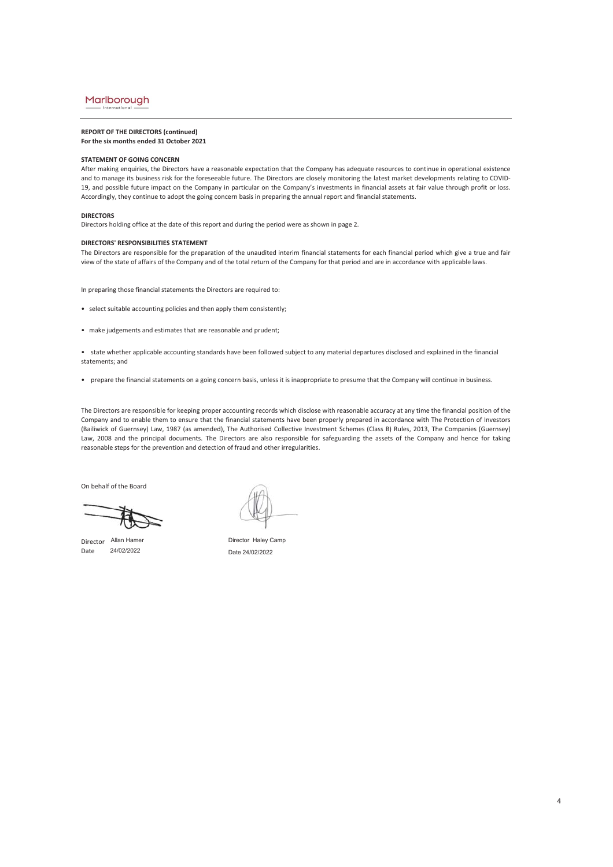# **REPORT OF THE DIRECTORS (continued) For the six months ended 31 October 2021**

### **STATEMENT OF GOING CONCERN**

After making enquiries, the Directors have a reasonable expectation that the Company has adequate resources to continue in operational existence and to manage its business risk for the foreseeable future. The Directors are closely monitoring the latest market developments relating to COVID-19, and possible future impact on the Company in particular on the Company's investments in financial assets at fair value through profit or loss. Accordingly, they continue to adopt the going concern basis in preparing the annual report and financial statements.

#### **DIRECTORS**

Directors holding office at the date of this report and during the period were as shown in page 2.

## **DIRECTORS' RESPONSIBILITIES STATEMENT**

The Directors are responsible for the preparation of the unaudited interim financial statements for each financial period which give a true and fair view of the state of affairs of the Company and of the total return of the Company for that period and are in accordance with applicable laws.

In preparing those financial statements the Directors are required to:

- select suitable accounting policies and then apply them consistently;
- make judgements and estimates that are reasonable and prudent;

• state whether applicable accounting standards have been followed subject to any material departures disclosed and explained in the financial statements; and

• prepare the financial statements on a going concern basis, unless it is inappropriate to presume that the Company will continue in business.

The Directors are responsible for keeping proper accounting records which disclose with reasonable accuracy at any time the financial position of the Company and to enable them to ensure that the financial statements have been properly prepared in accordance with The Protection of Investors (Bailiwick of Guernsey) Law, 1987 (as amended), The Authorised Collective Investment Schemes (Class B) Rules, 2013, The Companies (Guernsey) Law, 2008 and the principal documents. The Directors are also responsible for safeguarding the assets of the Company and hence for taking reasonable steps for the prevention and detection of fraud and other irregularities.

On behalf of the Board

Director Allan Hamer Date 24/02/2022

Director Haley Camp Date 24/02/2022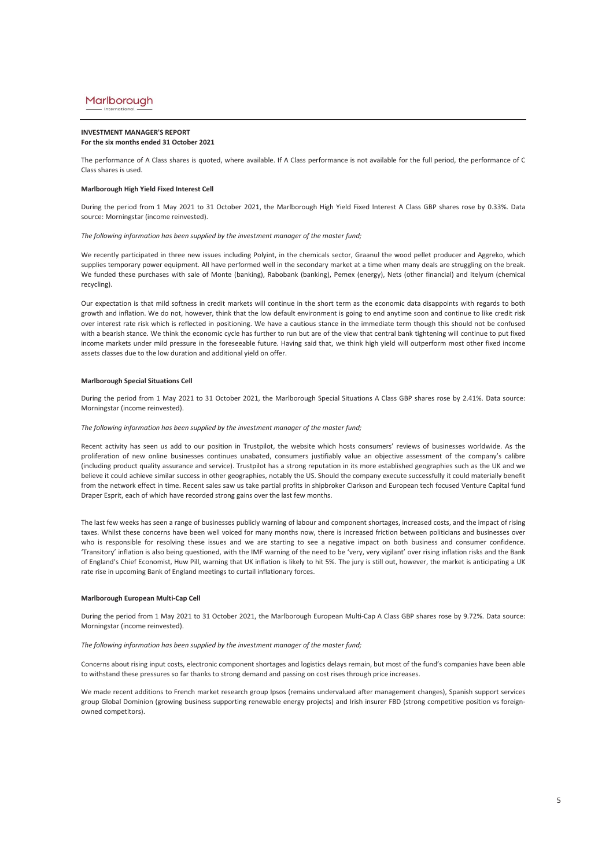### **INVESTMENT MANAGER'S REPORT For the six months ended 31 October 2021**

The performance of A Class shares is quoted, where available. If A Class performance is not available for the full period, the performance of C Class shares is used.

## **Marlborough High Yield Fixed Interest Cell**

During the period from 1 May 2021 to 31 October 2021, the Marlborough High Yield Fixed Interest A Class GBP shares rose by 0.33%. Data source: Morningstar (income reinvested).

#### *The following information has been supplied by the investment manager of the master fund;*

We recently participated in three new issues including Polyint, in the chemicals sector, Graanul the wood pellet producer and Aggreko, which supplies temporary power equipment. All have performed well in the secondary market at a time when many deals are struggling on the break. We funded these purchases with sale of Monte (banking), Rabobank (banking), Pemex (energy), Nets (other financial) and Itelyum (chemical recycling).

Our expectation is that mild softness in credit markets will continue in the short term as the economic data disappoints with regards to both growth and inflation. We do not, however, think that the low default environment is going to end anytime soon and continue to like credit risk over interest rate risk which is reflected in positioning. We have a cautious stance in the immediate term though this should not be confused with a bearish stance. We think the economic cycle has further to run but are of the view that central bank tightening will continue to put fixed income markets under mild pressure in the foreseeable future. Having said that, we think high yield will outperform most other fixed income assets classes due to the low duration and additional yield on offer.

### **Marlborough Special Situations Cell**

During the period from 1 May 2021 to 31 October 2021, the Marlborough Special Situations A Class GBP shares rose by 2.41%. Data source: Morningstar (income reinvested).

### *The following information has been supplied by the investment manager of the master fund;*

Recent activity has seen us add to our position in Trustpilot, the website which hosts consumers' reviews of businesses worldwide. As the proliferation of new online businesses continues unabated, consumers justifiably value an objective assessment of the company's calibre (including product quality assurance and service). Trustpilot has a strong reputation in its more established geographies such as the UK and we believe it could achieve similar success in other geographies, notably the US. Should the company execute successfully it could materially benefit from the network effect in time. Recent sales saw us take partial profits in shipbroker Clarkson and European tech focused Venture Capital fund Draper Esprit, each of which have recorded strong gains over the last few months.

The last few weeks has seen a range of businesses publicly warning of labour and component shortages, increased costs, and the impact of rising taxes. Whilst these concerns have been well voiced for many months now, there is increased friction between politicians and businesses over who is responsible for resolving these issues and we are starting to see a negative impact on both business and consumer confidence. 'Transitory' inflation is also being questioned, with the IMF warning of the need to be 'very, very vigilant' over rising inflation risks and the Bank of England's Chief Economist, Huw Pill, warning that UK inflation is likely to hit 5%. The jury is still out, however, the market is anticipating a UK rate rise in upcoming Bank of England meetings to curtail inflationary forces.

### **Marlborough European Multi-Cap Cell**

During the period from 1 May 2021 to 31 October 2021, the Marlborough European Multi-Cap A Class GBP shares rose by 9.72%. Data source: Morningstar (income reinvested).

### *The following information has been supplied by the investment manager of the master fund;*

Concerns about rising input costs, electronic component shortages and logistics delays remain, but most of the fund's companies have been able to withstand these pressures so far thanks to strong demand and passing on cost rises through price increases.

We made recent additions to French market research group Ipsos (remains undervalued after management changes), Spanish support services group Global Dominion (growing business supporting renewable energy projects) and Irish insurer FBD (strong competitive position vs foreignowned competitors).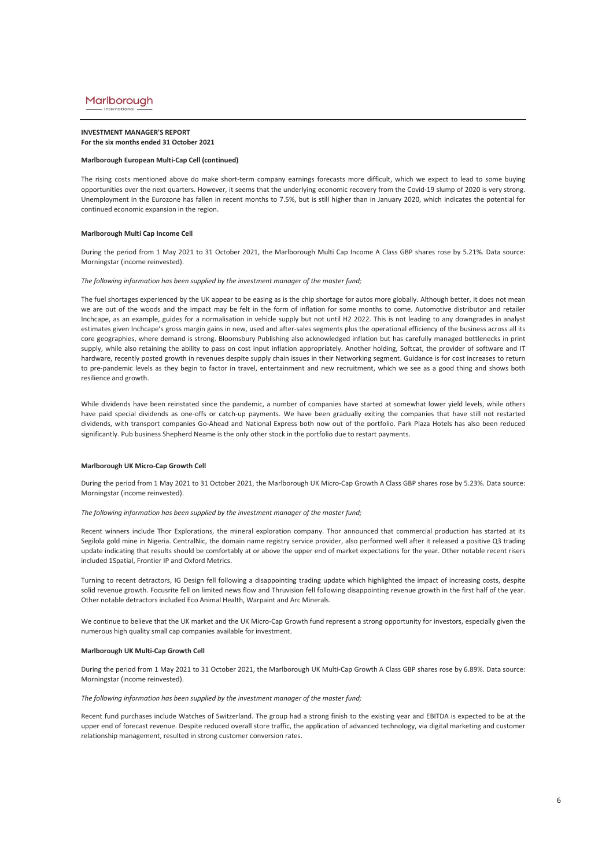### **INVESTMENT MANAGER'S REPORT For the six months ended 31 October 2021**

### **Marlborough European Multi-Cap Cell (continued)**

The rising costs mentioned above do make short-term company earnings forecasts more difficult, which we expect to lead to some buying opportunities over the next quarters. However, it seems that the underlying economic recovery from the Covid-19 slump of 2020 is very strong. Unemployment in the Eurozone has fallen in recent months to 7.5%, but is still higher than in January 2020, which indicates the potential for continued economic expansion in the region.

### **Marlborough Multi Cap Income Cell**

During the period from 1 May 2021 to 31 October 2021, the Marlborough Multi Cap Income A Class GBP shares rose by 5.21%. Data source: Morningstar (income reinvested).

### *The following information has been supplied by the investment manager of the master fund;*

The fuel shortages experienced by the UK appear to be easing as is the chip shortage for autos more globally. Although better, it does not mean we are out of the woods and the impact may be felt in the form of inflation for some months to come. Automotive distributor and retailer Inchcape, as an example, guides for a normalisation in vehicle supply but not until H2 2022. This is not leading to any downgrades in analyst estimates given Inchcape's gross margin gains in new, used and after-sales segments plus the operational efficiency of the business across all its core geographies, where demand is strong. Bloomsbury Publishing also acknowledged inflation but has carefully managed bottlenecks in print supply, while also retaining the ability to pass on cost input inflation appropriately. Another holding, Softcat, the provider of software and IT hardware, recently posted growth in revenues despite supply chain issues in their Networking segment. Guidance is for cost increases to return to pre-pandemic levels as they begin to factor in travel, entertainment and new recruitment, which we see as a good thing and shows both resilience and growth.

While dividends have been reinstated since the pandemic, a number of companies have started at somewhat lower yield levels, while others have paid special dividends as one-offs or catch-up payments. We have been gradually exiting the companies that have still not restarted dividends, with transport companies Go-Ahead and National Express both now out of the portfolio. Park Plaza Hotels has also been reduced significantly. Pub business Shepherd Neame is the only other stock in the portfolio due to restart payments.

### **Marlborough UK Micro-Cap Growth Cell**

During the period from 1 May 2021 to 31 October 2021, the Marlborough UK Micro-Cap Growth A Class GBP shares rose by 5.23%. Data source: Morningstar (income reinvested).

## *The following information has been supplied by the investment manager of the master fund;*

Recent winners include Thor Explorations, the mineral exploration company. Thor announced that commercial production has started at its Segilola gold mine in Nigeria. CentralNic, the domain name registry service provider, also performed well after it released a positive Q3 trading update indicating that results should be comfortably at or above the upper end of market expectations for the year. Other notable recent risers included 1Spatial, Frontier IP and Oxford Metrics.

Turning to recent detractors, IG Design fell following a disappointing trading update which highlighted the impact of increasing costs, despite solid revenue growth. Focusrite fell on limited news flow and Thruvision fell following disappointing revenue growth in the first half of the year. Other notable detractors included Eco Animal Health, Warpaint and Arc Minerals.

We continue to believe that the UK market and the UK Micro-Cap Growth fund represent a strong opportunity for investors, especially given the numerous high quality small cap companies available for investment.

### **Marlborough UK Multi-Cap Growth Cell**

During the period from 1 May 2021 to 31 October 2021, the Marlborough UK Multi-Cap Growth A Class GBP shares rose by 6.89%. Data source: Morningstar (income reinvested).

*The following information has been supplied by the investment manager of the master fund;*

Recent fund purchases include Watches of Switzerland. The group had a strong finish to the existing year and EBITDA is expected to be at the upper end of forecast revenue. Despite reduced overall store traffic, the application of advanced technology, via digital marketing and customer relationship management, resulted in strong customer conversion rates.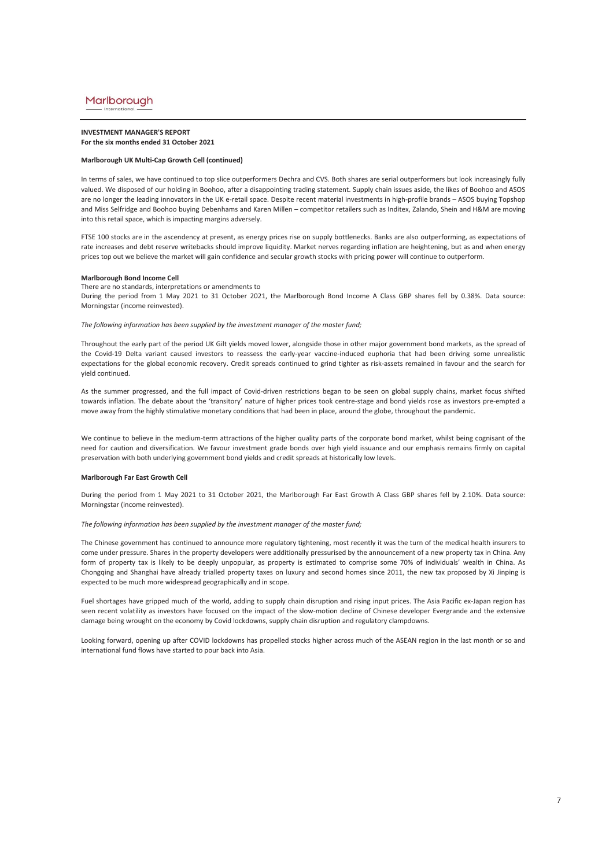### **INVESTMENT MANAGER'S REPORT For the six months ended 31 October 2021**

### **Marlborough UK Multi-Cap Growth Cell (continued)**

In terms of sales, we have continued to top slice outperformers Dechra and CVS. Both shares are serial outperformers but look increasingly fully valued. We disposed of our holding in Boohoo, after a disappointing trading statement. Supply chain issues aside, the likes of Boohoo and ASOS are no longer the leading innovators in the UK e-retail space. Despite recent material investments in high-profile brands – ASOS buying Topshop and Miss Selfridge and Boohoo buying Debenhams and Karen Millen – competitor retailers such as Inditex, Zalando, Shein and H&M are moving into this retail space, which is impacting margins adversely.

FTSE 100 stocks are in the ascendency at present, as energy prices rise on supply bottlenecks. Banks are also outperforming, as expectations of rate increases and debt reserve writebacks should improve liquidity. Market nerves regarding inflation are heightening, but as and when energy prices top out we believe the market will gain confidence and secular growth stocks with pricing power will continue to outperform.

#### **Marlborough Bond Income Cell**

There are no standards, interpretations or amendments to During the period from 1 May 2021 to 31 October 2021, the Marlborough Bond Income A Class GBP shares fell by 0.38%. Data source: Morningstar (income reinvested).

*The following information has been supplied by the investment manager of the master fund;*

Throughout the early part of the period UK Gilt yields moved lower, alongside those in other major government bond markets, as the spread of the Covid-19 Delta variant caused investors to reassess the early-year vaccine-induced euphoria that had been driving some unrealistic expectations for the global economic recovery. Credit spreads continued to grind tighter as risk-assets remained in favour and the search for yield continued.

As the summer progressed, and the full impact of Covid-driven restrictions began to be seen on global supply chains, market focus shifted towards inflation. The debate about the 'transitory' nature of higher prices took centre-stage and bond yields rose as investors pre-empted a move away from the highly stimulative monetary conditions that had been in place, around the globe, throughout the pandemic.

We continue to believe in the medium-term attractions of the higher quality parts of the corporate bond market, whilst being cognisant of the need for caution and diversification. We favour investment grade bonds over high yield issuance and our emphasis remains firmly on capital preservation with both underlying government bond yields and credit spreads at historically low levels.

## **Marlborough Far East Growth Cell**

During the period from 1 May 2021 to 31 October 2021, the Marlborough Far East Growth A Class GBP shares fell by 2.10%. Data source: Morningstar (income reinvested).

## *The following information has been supplied by the investment manager of the master fund;*

The Chinese government has continued to announce more regulatory tightening, most recently it was the turn of the medical health insurers to come under pressure. Shares in the property developers were additionally pressurised by the announcement of a new property tax in China. Any form of property tax is likely to be deeply unpopular, as property is estimated to comprise some 70% of individuals' wealth in China. As Chongqing and Shanghai have already trialled property taxes on luxury and second homes since 2011, the new tax proposed by Xi Jinping is expected to be much more widespread geographically and in scope.

Fuel shortages have gripped much of the world, adding to supply chain disruption and rising input prices. The Asia Pacific ex-Japan region has seen recent volatility as investors have focused on the impact of the slow-motion decline of Chinese developer Evergrande and the extensive damage being wrought on the economy by Covid lockdowns, supply chain disruption and regulatory clampdowns.

Looking forward, opening up after COVID lockdowns has propelled stocks higher across much of the ASEAN region in the last month or so and international fund flows have started to pour back into Asia.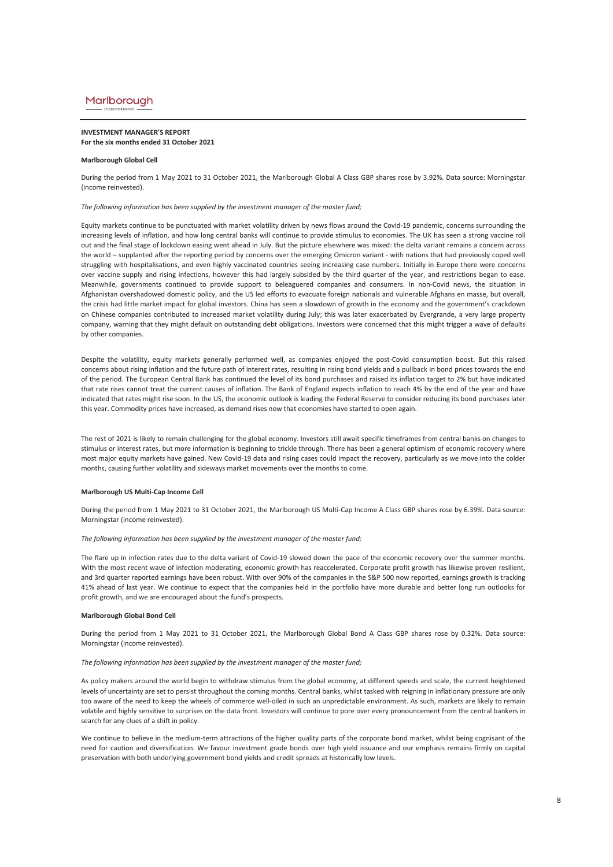### **INVESTMENT MANAGER'S REPORT For the six months ended 31 October 2021**

### **Marlborough Global Cell**

During the period from 1 May 2021 to 31 October 2021, the Marlborough Global A Class GBP shares rose by 3.92%. Data source: Morningstar (income reinvested).

*The following information has been supplied by the investment manager of the master fund;*

Equity markets continue to be punctuated with market volatility driven by news flows around the Covid-19 pandemic, concerns surrounding the increasing levels of inflation, and how long central banks will continue to provide stimulus to economies. The UK has seen a strong vaccine roll out and the final stage of lockdown easing went ahead in July. But the picture elsewhere was mixed: the delta variant remains a concern across the world – supplanted after the reporting period by concerns over the emerging Omicron variant - with nations that had previously coped well struggling with hospitalisations, and even highly vaccinated countries seeing increasing case numbers. Initially in Europe there were concerns over vaccine supply and rising infections, however this had largely subsided by the third quarter of the year, and restrictions began to ease. Meanwhile, governments continued to provide support to beleaguered companies and consumers. In non-Covid news, the situation in Afghanistan overshadowed domestic policy, and the US led efforts to evacuate foreign nationals and vulnerable Afghans en masse, but overall, the crisis had little market impact for global investors. China has seen a slowdown of growth in the economy and the government's crackdown on Chinese companies contributed to increased market volatility during July; this was later exacerbated by Evergrande, a very large property company, warning that they might default on outstanding debt obligations. Investors were concerned that this might trigger a wave of defaults by other companies.

Despite the volatility, equity markets generally performed well, as companies enjoyed the post-Covid consumption boost. But this raised concerns about rising inflation and the future path of interest rates, resulting in rising bond yields and a pullback in bond prices towards the end of the period. The European Central Bank has continued the level of its bond purchases and raised its inflation target to 2% but have indicated that rate rises cannot treat the current causes of inflation. The Bank of England expects inflation to reach 4% by the end of the year and have indicated that rates might rise soon. In the US, the economic outlook is leading the Federal Reserve to consider reducing its bond purchases later this year. Commodity prices have increased, as demand rises now that economies have started to open again.

The rest of 2021 is likely to remain challenging for the global economy. Investors still await specific timeframes from central banks on changes to stimulus or interest rates, but more information is beginning to trickle through. There has been a general optimism of economic recovery where most major equity markets have gained. New Covid-19 data and rising cases could impact the recovery, particularly as we move into the colder months, causing further volatility and sideways market movements over the months to come.

### **Marlborough US Multi-Cap Income Cell**

During the period from 1 May 2021 to 31 October 2021, the Marlborough US Multi-Cap Income A Class GBP shares rose by 6.39%. Data source: Morningstar (income reinvested).

*The following information has been supplied by the investment manager of the master fund;*

The flare up in infection rates due to the delta variant of Covid-19 slowed down the pace of the economic recovery over the summer months. With the most recent wave of infection moderating, economic growth has reaccelerated. Corporate profit growth has likewise proven resilient, and 3rd quarter reported earnings have been robust. With over 90% of the companies in the S&P 500 now reported, earnings growth is tracking 41% ahead of last year. We continue to expect that the companies held in the portfolio have more durable and better long run outlooks for profit growth, and we are encouraged about the fund's prospects.

### **Marlborough Global Bond Cell**

During the period from 1 May 2021 to 31 October 2021, the Marlborough Global Bond A Class GBP shares rose by 0.32%. Data source: Morningstar (income reinvested).

*The following information has been supplied by the investment manager of the master fund;*

As policy makers around the world begin to withdraw stimulus from the global economy, at different speeds and scale, the current heightened levels of uncertainty are set to persist throughout the coming months. Central banks, whilst tasked with reigning in inflationary pressure are only too aware of the need to keep the wheels of commerce well-oiled in such an unpredictable environment. As such, markets are likely to remain volatile and highly sensitive to surprises on the data front. Investors will continue to pore over every pronouncement from the central bankers in search for any clues of a shift in policy.

We continue to believe in the medium-term attractions of the higher quality parts of the corporate bond market, whilst being cognisant of the need for caution and diversification. We favour investment grade bonds over high yield issuance and our emphasis remains firmly on capital preservation with both underlying government bond yields and credit spreads at historically low levels.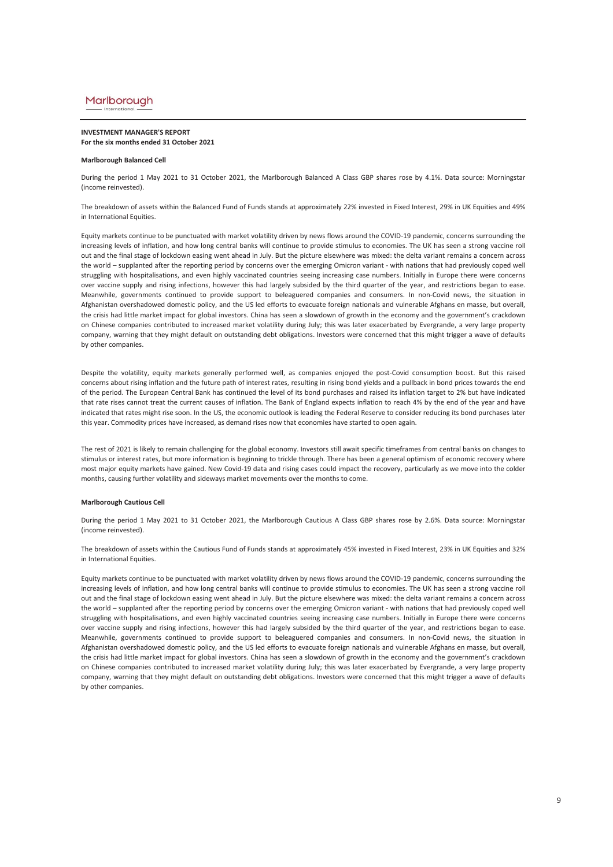### **INVESTMENT MANAGER'S REPORT For the six months ended 31 October 2021**

#### **Marlborough Balanced Cell**

During the period 1 May 2021 to 31 October 2021, the Marlborough Balanced A Class GBP shares rose by 4.1%. Data source: Morningstar (income reinvested).

The breakdown of assets within the Balanced Fund of Funds stands at approximately 22% invested in Fixed Interest, 29% in UK Equities and 49% in International Equities.

Equity markets continue to be punctuated with market volatility driven by news flows around the COVID-19 pandemic, concerns surrounding the increasing levels of inflation, and how long central banks will continue to provide stimulus to economies. The UK has seen a strong vaccine roll out and the final stage of lockdown easing went ahead in July. But the picture elsewhere was mixed: the delta variant remains a concern across the world – supplanted after the reporting period by concerns over the emerging Omicron variant - with nations that had previously coped well struggling with hospitalisations, and even highly vaccinated countries seeing increasing case numbers. Initially in Europe there were concerns over vaccine supply and rising infections, however this had largely subsided by the third quarter of the year, and restrictions began to ease. Meanwhile, governments continued to provide support to beleaguered companies and consumers. In non-Covid news, the situation in Afghanistan overshadowed domestic policy, and the US led efforts to evacuate foreign nationals and vulnerable Afghans en masse, but overall, the crisis had little market impact for global investors. China has seen a slowdown of growth in the economy and the government's crackdown on Chinese companies contributed to increased market volatility during July; this was later exacerbated by Evergrande, a very large property company, warning that they might default on outstanding debt obligations. Investors were concerned that this might trigger a wave of defaults by other companies.

Despite the volatility, equity markets generally performed well, as companies enjoyed the post-Covid consumption boost. But this raised concerns about rising inflation and the future path of interest rates, resulting in rising bond yields and a pullback in bond prices towards the end of the period. The European Central Bank has continued the level of its bond purchases and raised its inflation target to 2% but have indicated that rate rises cannot treat the current causes of inflation. The Bank of England expects inflation to reach 4% by the end of the year and have indicated that rates might rise soon. In the US, the economic outlook is leading the Federal Reserve to consider reducing its bond purchases later this year. Commodity prices have increased, as demand rises now that economies have started to open again.

The rest of 2021 is likely to remain challenging for the global economy. Investors still await specific timeframes from central banks on changes to stimulus or interest rates, but more information is beginning to trickle through. There has been a general optimism of economic recovery where most major equity markets have gained. New Covid-19 data and rising cases could impact the recovery, particularly as we move into the colder months, causing further volatility and sideways market movements over the months to come.

## **Marlborough Cautious Cell**

During the period 1 May 2021 to 31 October 2021, the Marlborough Cautious A Class GBP shares rose by 2.6%. Data source: Morningstar (income reinvested).

The breakdown of assets within the Cautious Fund of Funds stands at approximately 45% invested in Fixed Interest, 23% in UK Equities and 32% in International Equities.

Equity markets continue to be punctuated with market volatility driven by news flows around the COVID-19 pandemic, concerns surrounding the increasing levels of inflation, and how long central banks will continue to provide stimulus to economies. The UK has seen a strong vaccine roll out and the final stage of lockdown easing went ahead in July. But the picture elsewhere was mixed: the delta variant remains a concern across the world – supplanted after the reporting period by concerns over the emerging Omicron variant - with nations that had previously coped well struggling with hospitalisations, and even highly vaccinated countries seeing increasing case numbers. Initially in Europe there were concerns over vaccine supply and rising infections, however this had largely subsided by the third quarter of the year, and restrictions began to ease. Meanwhile, governments continued to provide support to beleaguered companies and consumers. In non-Covid news, the situation in Afghanistan overshadowed domestic policy, and the US led efforts to evacuate foreign nationals and vulnerable Afghans en masse, but overall, the crisis had little market impact for global investors. China has seen a slowdown of growth in the economy and the government's crackdown on Chinese companies contributed to increased market volatility during July; this was later exacerbated by Evergrande, a very large property company, warning that they might default on outstanding debt obligations. Investors were concerned that this might trigger a wave of defaults by other companies.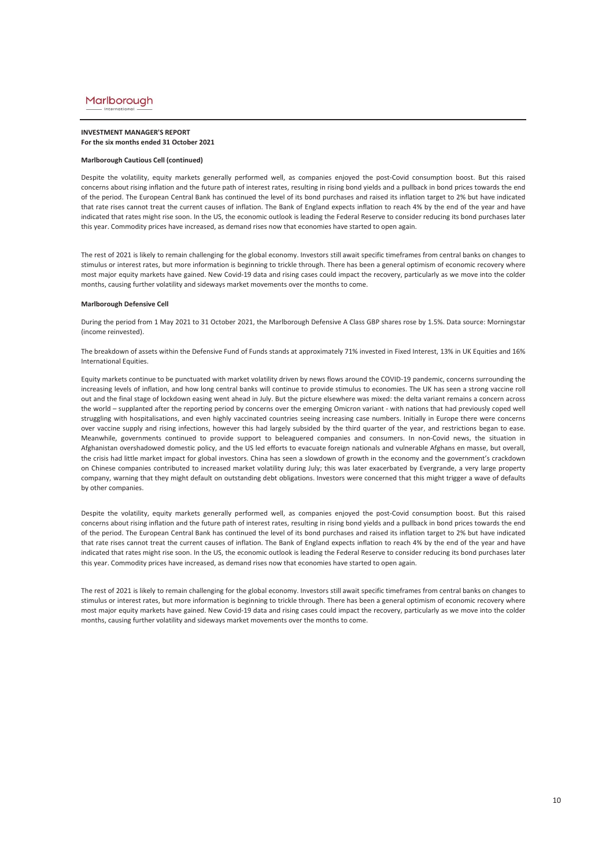### **INVESTMENT MANAGER'S REPORT For the six months ended 31 October 2021**

### **Marlborough Cautious Cell (continued)**

Despite the volatility, equity markets generally performed well, as companies enjoyed the post-Covid consumption boost. But this raised concerns about rising inflation and the future path of interest rates, resulting in rising bond yields and a pullback in bond prices towards the end of the period. The European Central Bank has continued the level of its bond purchases and raised its inflation target to 2% but have indicated that rate rises cannot treat the current causes of inflation. The Bank of England expects inflation to reach 4% by the end of the year and have indicated that rates might rise soon. In the US, the economic outlook is leading the Federal Reserve to consider reducing its bond purchases later this year. Commodity prices have increased, as demand rises now that economies have started to open again.

The rest of 2021 is likely to remain challenging for the global economy. Investors still await specific timeframes from central banks on changes to stimulus or interest rates, but more information is beginning to trickle through. There has been a general optimism of economic recovery where most major equity markets have gained. New Covid-19 data and rising cases could impact the recovery, particularly as we move into the colder months, causing further volatility and sideways market movements over the months to come.

## **Marlborough Defensive Cell**

During the period from 1 May 2021 to 31 October 2021, the Marlborough Defensive A Class GBP shares rose by 1.5%. Data source: Morningstar (income reinvested).

The breakdown of assets within the Defensive Fund of Funds stands at approximately 71% invested in Fixed Interest, 13% in UK Equities and 16% International Equities.

Equity markets continue to be punctuated with market volatility driven by news flows around the COVID-19 pandemic, concerns surrounding the increasing levels of inflation, and how long central banks will continue to provide stimulus to economies. The UK has seen a strong vaccine roll out and the final stage of lockdown easing went ahead in July. But the picture elsewhere was mixed: the delta variant remains a concern across the world – supplanted after the reporting period by concerns over the emerging Omicron variant - with nations that had previously coped well struggling with hospitalisations, and even highly vaccinated countries seeing increasing case numbers. Initially in Europe there were concerns over vaccine supply and rising infections, however this had largely subsided by the third quarter of the year, and restrictions began to ease. Meanwhile, governments continued to provide support to beleaguered companies and consumers. In non-Covid news, the situation in Afghanistan overshadowed domestic policy, and the US led efforts to evacuate foreign nationals and vulnerable Afghans en masse, but overall, the crisis had little market impact for global investors. China has seen a slowdown of growth in the economy and the government's crackdown on Chinese companies contributed to increased market volatility during July; this was later exacerbated by Evergrande, a very large property company, warning that they might default on outstanding debt obligations. Investors were concerned that this might trigger a wave of defaults by other companies.

Despite the volatility, equity markets generally performed well, as companies enjoyed the post-Covid consumption boost. But this raised concerns about rising inflation and the future path of interest rates, resulting in rising bond yields and a pullback in bond prices towards the end of the period. The European Central Bank has continued the level of its bond purchases and raised its inflation target to 2% but have indicated that rate rises cannot treat the current causes of inflation. The Bank of England expects inflation to reach 4% by the end of the year and have indicated that rates might rise soon. In the US, the economic outlook is leading the Federal Reserve to consider reducing its bond purchases later this year. Commodity prices have increased, as demand rises now that economies have started to open again.

The rest of 2021 is likely to remain challenging for the global economy. Investors still await specific timeframes from central banks on changes to stimulus or interest rates, but more information is beginning to trickle through. There has been a general optimism of economic recovery where most major equity markets have gained. New Covid-19 data and rising cases could impact the recovery, particularly as we move into the colder months, causing further volatility and sideways market movements over the months to come.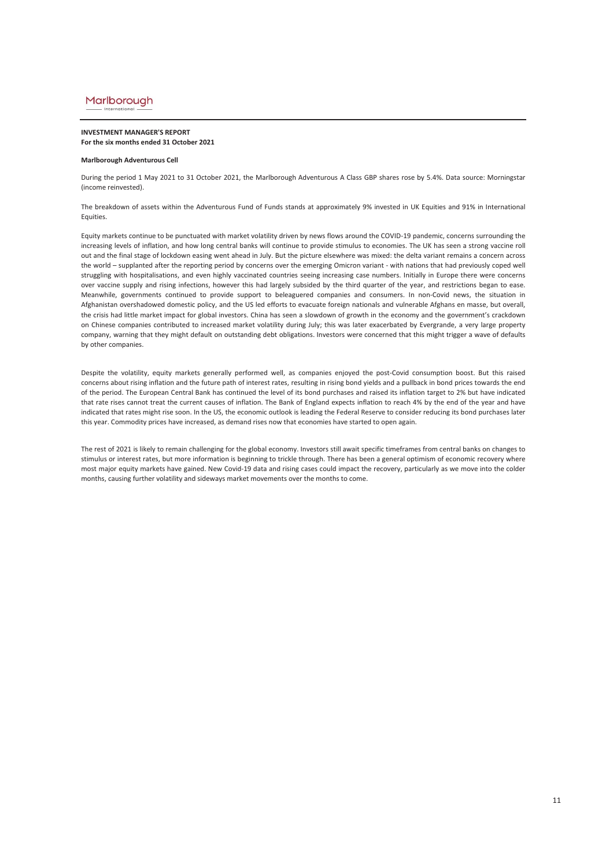### **INVESTMENT MANAGER'S REPORT For the six months ended 31 October 2021**

### **Marlborough Adventurous Cell**

During the period 1 May 2021 to 31 October 2021, the Marlborough Adventurous A Class GBP shares rose by 5.4%. Data source: Morningstar (income reinvested).

The breakdown of assets within the Adventurous Fund of Funds stands at approximately 9% invested in UK Equities and 91% in International Equities.

Equity markets continue to be punctuated with market volatility driven by news flows around the COVID-19 pandemic, concerns surrounding the increasing levels of inflation, and how long central banks will continue to provide stimulus to economies. The UK has seen a strong vaccine roll out and the final stage of lockdown easing went ahead in July. But the picture elsewhere was mixed: the delta variant remains a concern across the world – supplanted after the reporting period by concerns over the emerging Omicron variant - with nations that had previously coped well struggling with hospitalisations, and even highly vaccinated countries seeing increasing case numbers. Initially in Europe there were concerns over vaccine supply and rising infections, however this had largely subsided by the third quarter of the year, and restrictions began to ease. Meanwhile, governments continued to provide support to beleaguered companies and consumers. In non-Covid news, the situation in Afghanistan overshadowed domestic policy, and the US led efforts to evacuate foreign nationals and vulnerable Afghans en masse, but overall, the crisis had little market impact for global investors. China has seen a slowdown of growth in the economy and the government's crackdown on Chinese companies contributed to increased market volatility during July; this was later exacerbated by Evergrande, a very large property company, warning that they might default on outstanding debt obligations. Investors were concerned that this might trigger a wave of defaults by other companies.

Despite the volatility, equity markets generally performed well, as companies enjoyed the post-Covid consumption boost. But this raised concerns about rising inflation and the future path of interest rates, resulting in rising bond yields and a pullback in bond prices towards the end of the period. The European Central Bank has continued the level of its bond purchases and raised its inflation target to 2% but have indicated that rate rises cannot treat the current causes of inflation. The Bank of England expects inflation to reach 4% by the end of the year and have indicated that rates might rise soon. In the US, the economic outlook is leading the Federal Reserve to consider reducing its bond purchases later this year. Commodity prices have increased, as demand rises now that economies have started to open again.

The rest of 2021 is likely to remain challenging for the global economy. Investors still await specific timeframes from central banks on changes to stimulus or interest rates, but more information is beginning to trickle through. There has been a general optimism of economic recovery where most major equity markets have gained. New Covid-19 data and rising cases could impact the recovery, particularly as we move into the colder months, causing further volatility and sideways market movements over the months to come.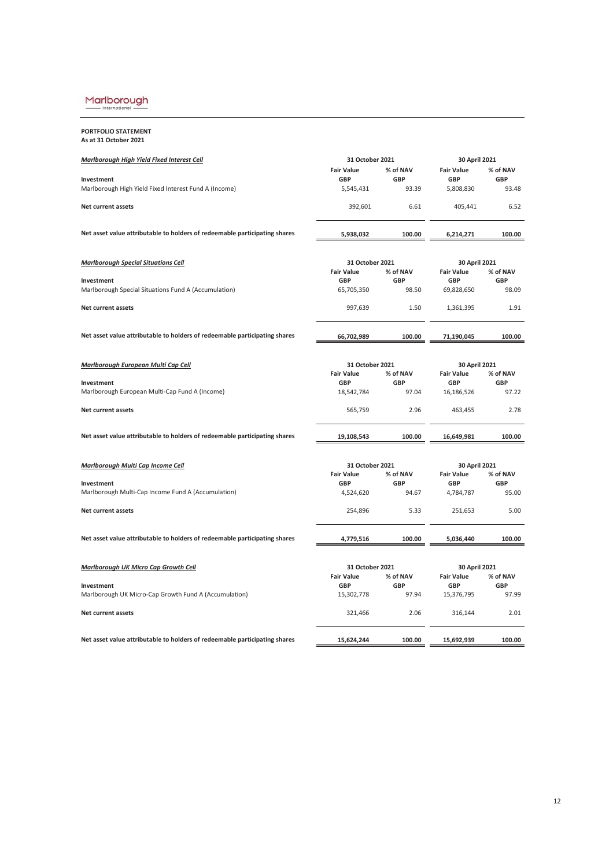# $\underbrace{\text{MarIborough}}_{\text{International}}$

**PORTFOLIO STATEMENT As at 31 October 2021**

| <b>Marlborough High Yield Fixed Interest Cell</b>                          | 31 October 2021          |                     | 30 April 2021            |                     |
|----------------------------------------------------------------------------|--------------------------|---------------------|--------------------------|---------------------|
|                                                                            | <b>Fair Value</b>        | % of NAV            | <b>Fair Value</b>        | % of NAV            |
| Investment<br>Marlborough High Yield Fixed Interest Fund A (Income)        | <b>GBP</b><br>5,545,431  | <b>GBP</b><br>93.39 | <b>GBP</b><br>5,808,830  | <b>GBP</b><br>93.48 |
| Net current assets                                                         | 392,601                  | 6.61                | 405,441                  | 6.52                |
| Net asset value attributable to holders of redeemable participating shares | 5,938,032                | 100.00              | 6,214,271                | 100.00              |
| <b>Marlborough Special Situations Cell</b>                                 | 31 October 2021          |                     | 30 April 2021            |                     |
|                                                                            | <b>Fair Value</b>        | % of NAV            | <b>Fair Value</b>        | % of NAV            |
| Investment<br>Marlborough Special Situations Fund A (Accumulation)         | <b>GBP</b><br>65,705,350 | <b>GBP</b><br>98.50 | <b>GBP</b><br>69,828,650 | <b>GBP</b><br>98.09 |
| Net current assets                                                         | 997,639                  | 1.50                | 1,361,395                | 1.91                |
| Net asset value attributable to holders of redeemable participating shares | 66,702,989               | 100.00              | 71,190,045               | 100.00              |
| Marlborough European Multi Cap Cell                                        | 31 October 2021          |                     | 30 April 2021            |                     |
|                                                                            | <b>Fair Value</b>        | % of NAV            | <b>Fair Value</b>        | % of NAV            |
| Investment<br>Marlborough European Multi-Cap Fund A (Income)               | <b>GBP</b><br>18,542,784 | <b>GBP</b><br>97.04 | <b>GBP</b><br>16,186,526 | <b>GBP</b><br>97.22 |
| Net current assets                                                         | 565,759                  | 2.96                | 463,455                  | 2.78                |
| Net asset value attributable to holders of redeemable participating shares | 19,108,543               | 100.00              | 16,649,981               | 100.00              |
| Marlborough Multi Cap Income Cell                                          | 31 October 2021          |                     | 30 April 2021            |                     |
|                                                                            | <b>Fair Value</b>        | % of NAV            | <b>Fair Value</b>        | % of NAV            |
| Investment<br>Marlborough Multi-Cap Income Fund A (Accumulation)           | <b>GBP</b><br>4,524,620  | <b>GBP</b><br>94.67 | <b>GBP</b><br>4,784,787  | <b>GBP</b><br>95.00 |
| <b>Net current assets</b>                                                  | 254,896                  | 5.33                | 251,653                  | 5.00                |
| Net asset value attributable to holders of redeemable participating shares | 4,779,516                | 100.00              | 5,036,440                | 100.00              |
|                                                                            |                          |                     |                          |                     |
| Marlborough UK Micro Cap Growth Cell                                       | 31 October 2021          |                     | 30 April 2021            |                     |
|                                                                            | <b>Fair Value</b>        | % of NAV            | <b>Fair Value</b>        | % of NAV            |
| Investment<br>Marlborough UK Micro-Cap Growth Fund A (Accumulation)        | <b>GBP</b><br>15,302,778 | <b>GBP</b><br>97.94 | <b>GBP</b><br>15,376,795 | <b>GBP</b><br>97.99 |
| <b>Net current assets</b>                                                  | 321,466                  | 2.06                | 316,144                  | 2.01                |
| Net asset value attributable to holders of redeemable participating shares | 15,624,244               | 100.00              | 15,692,939               | 100.00              |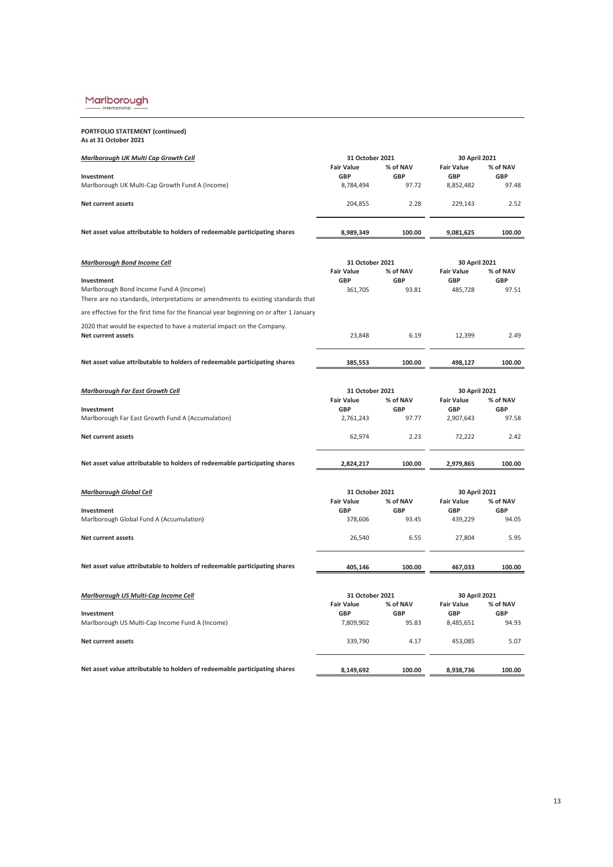International

| PORTFOLIO STATEMENT (continued) |
|---------------------------------|
| As at 31 October 2021           |

| Marlborough UK Multi Cap Growth Cell                                                                                        | 31 October 2021                 |                        | 30 April 2021                   |                        |
|-----------------------------------------------------------------------------------------------------------------------------|---------------------------------|------------------------|---------------------------------|------------------------|
| Investment                                                                                                                  | <b>Fair Value</b><br><b>GBP</b> | % of NAV<br><b>GBP</b> | <b>Fair Value</b><br><b>GBP</b> | % of NAV<br><b>GBP</b> |
| Marlborough UK Multi-Cap Growth Fund A (Income)                                                                             | 8,784,494                       | 97.72                  | 8,852,482                       | 97.48                  |
| <b>Net current assets</b>                                                                                                   | 204,855                         | 2.28                   | 229,143                         | 2.52                   |
| Net asset value attributable to holders of redeemable participating shares                                                  | 8,989,349                       | 100.00                 | 9,081,625                       | 100.00                 |
| <b>Marlborough Bond Income Cell</b>                                                                                         | 31 October 2021                 |                        | 30 April 2021                   |                        |
| Investment                                                                                                                  | <b>Fair Value</b><br>GBP        | % of NAV<br><b>GBP</b> | <b>Fair Value</b><br><b>GBP</b> | % of NAV<br><b>GBP</b> |
| Marlborough Bond Income Fund A (Income)<br>There are no standards, interpretations or amendments to existing standards that | 361,705                         | 93.81                  | 485,728                         | 97.51                  |
| are effective for the first time for the financial year beginning on or after 1 January                                     |                                 |                        |                                 |                        |
| 2020 that would be expected to have a material impact on the Company.<br><b>Net current assets</b>                          | 23,848                          | 6.19                   | 12,399                          | 2.49                   |
| Net asset value attributable to holders of redeemable participating shares                                                  | 385,553                         | 100.00                 | 498,127                         | 100.00                 |
| <b>Marlborough Far East Growth Cell</b>                                                                                     | 31 October 2021                 |                        | 30 April 2021                   |                        |
|                                                                                                                             | <b>Fair Value</b>               | % of NAV               | <b>Fair Value</b>               | % of NAV               |
| Investment<br>Marlborough Far East Growth Fund A (Accumulation)                                                             | <b>GBP</b><br>2,761,243         | <b>GBP</b><br>97.77    | <b>GBP</b><br>2,907,643         | <b>GBP</b><br>97.58    |
| <b>Net current assets</b>                                                                                                   | 62,974                          | 2.23                   | 72,222                          | 2.42                   |
| Net asset value attributable to holders of redeemable participating shares                                                  | 2,824,217                       | 100.00                 | 2,979,865                       | 100.00                 |
| <b>Marlborough Global Cell</b>                                                                                              | 31 October 2021                 |                        | 30 April 2021                   |                        |
| Investment                                                                                                                  | <b>Fair Value</b><br><b>GBP</b> | % of NAV<br><b>GBP</b> | <b>Fair Value</b><br><b>GBP</b> | % of NAV<br><b>GBP</b> |
| Marlborough Global Fund A (Accumulation)                                                                                    | 378,606                         | 93.45                  | 439,229                         | 94.05                  |
| Net current assets                                                                                                          | 26,540                          | 6.55                   | 27,804                          | 5.95                   |
| Net asset value attributable to holders of redeemable participating shares                                                  | 405,146                         | 100.00                 | 467,033                         | 100.00                 |
|                                                                                                                             |                                 |                        |                                 |                        |
| Marlborough US Multi-Cap Income Cell                                                                                        | 31 October 2021                 |                        | 30 April 2021                   |                        |
| Investment                                                                                                                  | <b>Fair Value</b><br>GBP        | % of NAV<br><b>GBP</b> | <b>Fair Value</b><br><b>GBP</b> | % of NAV<br><b>GBP</b> |
| Marlborough US Multi-Cap Income Fund A (Income)                                                                             | 7,809,902                       | 95.83                  | 8,485,651                       | 94.93                  |
| Net current assets                                                                                                          | 339,790                         | 4.17                   | 453,085                         | 5.07                   |
| Net asset value attributable to holders of redeemable participating shares                                                  | 8,149,692                       | 100.00                 | 8,938,736                       | 100.00                 |
|                                                                                                                             |                                 |                        |                                 |                        |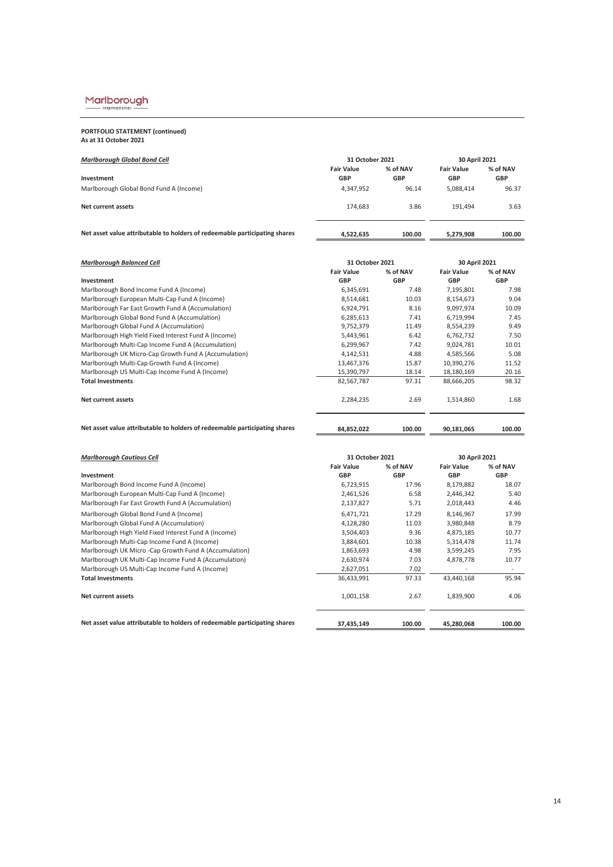# $\underbrace{\text{MarIborough}}_{\text{International}}$

**PORTFOLIO STATEMENT (continued) As at 31 October 2021**

| <b>Marlborough Global Bond Cell</b>                                        | 31 October 2021                 |                        | 30 April 2021                   |                        |
|----------------------------------------------------------------------------|---------------------------------|------------------------|---------------------------------|------------------------|
| Investment                                                                 | <b>Fair Value</b><br><b>GBP</b> | % of NAV<br><b>GBP</b> | <b>Fair Value</b><br><b>GBP</b> | % of NAV<br><b>GBP</b> |
| Marlborough Global Bond Fund A (Income)                                    | 4,347,952                       | 96.14                  | 5,088,414                       | 96.37                  |
| Net current assets                                                         | 174.683                         | 3.86                   | 191.494                         | 3.63                   |
| Net asset value attributable to holders of redeemable participating shares | 4.522.635                       | 100.00                 | 5.279.908                       | 100.00                 |

| <b>Marlborough Balanced Cell</b>                      | 31 October 2021   | 30 April 2021 |                   |            |
|-------------------------------------------------------|-------------------|---------------|-------------------|------------|
|                                                       | <b>Fair Value</b> | % of NAV      | <b>Fair Value</b> | % of NAV   |
| Investment                                            | <b>GBP</b>        | <b>GBP</b>    | <b>GBP</b>        | <b>GBP</b> |
| Marlborough Bond Income Fund A (Income)               | 6,345,691         | 7.48          | 7,195,801         | 7.98       |
| Marlborough European Multi-Cap Fund A (Income)        | 8,514,681         | 10.03         | 8,154,673         | 9.04       |
| Marlborough Far East Growth Fund A (Accumulation)     | 6,924,791         | 8.16          | 9,097,974         | 10.09      |
| Marlborough Global Bond Fund A (Accumulation)         | 6,285,613         | 7.41          | 6,719,994         | 7.45       |
| Marlborough Global Fund A (Accumulation)              | 9,752,379         | 11.49         | 8,554,239         | 9.49       |
| Marlborough High Yield Fixed Interest Fund A (Income) | 5,443,961         | 6.42          | 6,762,732         | 7.50       |
| Marlborough Multi-Cap Income Fund A (Accumulation)    | 6,299,967         | 7.42          | 9,024,781         | 10.01      |
| Marlborough UK Micro-Cap Growth Fund A (Accumulation) | 4,142,531         | 4.88          | 4,585,566         | 5.08       |
| Marlborough Multi-Cap Growth Fund A (Income)          | 13,467,376        | 15.87         | 10,390,276        | 11.52      |
| Marlborough US Multi-Cap Income Fund A (Income)       | 15,390,797        | 18.14         | 18,180,169        | 20.16      |
| <b>Total Investments</b>                              | 82,567,787        | 97.31         | 88,666,205        | 98.32      |
| Net current assets                                    | 2,284,235         | 2.69          | 1,514,860         | 1.68       |
|                                                       |                   |               |                   |            |

Net asset value attributable to holders of redeemable participating shares **108,852,022** 100.00 **90,181,065** 100.00

| <b>Marlborough Cautious Cell</b>                                           |                   | 31 October 2021<br>30 April 2021 |                   |            |
|----------------------------------------------------------------------------|-------------------|----------------------------------|-------------------|------------|
|                                                                            | <b>Fair Value</b> | % of NAV                         | <b>Fair Value</b> | % of NAV   |
| Investment                                                                 | <b>GBP</b>        | <b>GBP</b>                       | <b>GBP</b>        | <b>GBP</b> |
| Marlborough Bond Income Fund A (Income)                                    | 6,723,915         | 17.96                            | 8,179,882         | 18.07      |
| Marlborough European Multi-Cap Fund A (Income)                             | 2,461,526         | 6.58                             | 2,446,342         | 5.40       |
| Marlborough Far East Growth Fund A (Accumulation)                          | 2,137,827         | 5.71                             | 2,018,443         | 4.46       |
| Marlborough Global Bond Fund A (Income)                                    | 6,471,721         | 17.29                            | 8,146,967         | 17.99      |
| Marlborough Global Fund A (Accumulation)                                   | 4,128,280         | 11.03                            | 3,980,848         | 8.79       |
| Marlborough High Yield Fixed Interest Fund A (Income)                      | 3,504,403         | 9.36                             | 4,875,185         | 10.77      |
| Marlborough Multi-Cap Income Fund A (Income)                               | 3,884,601         | 10.38                            | 5,314,478         | 11.74      |
| Marlborough UK Micro - Cap Growth Fund A (Accumulation)                    | 1,863,693         | 4.98                             | 3,599,245         | 7.95       |
| Marlborough UK Multi-Cap Income Fund A (Accumulation)                      | 2,630,974         | 7.03                             | 4,878,778         | 10.77      |
| Marlborough US Multi-Cap Income Fund A (Income)                            | 2,627,051         | 7.02                             |                   | ۰.         |
| <b>Total Investments</b>                                                   | 36,433,991        | 97.33                            | 43,440,168        | 95.94      |
| Net current assets                                                         | 1,001,158         | 2.67                             | 1,839,900         | 4.06       |
| Net asset value attributable to holders of redeemable participating shares | 37,435,149        | 100.00                           | 45,280,068        | 100.00     |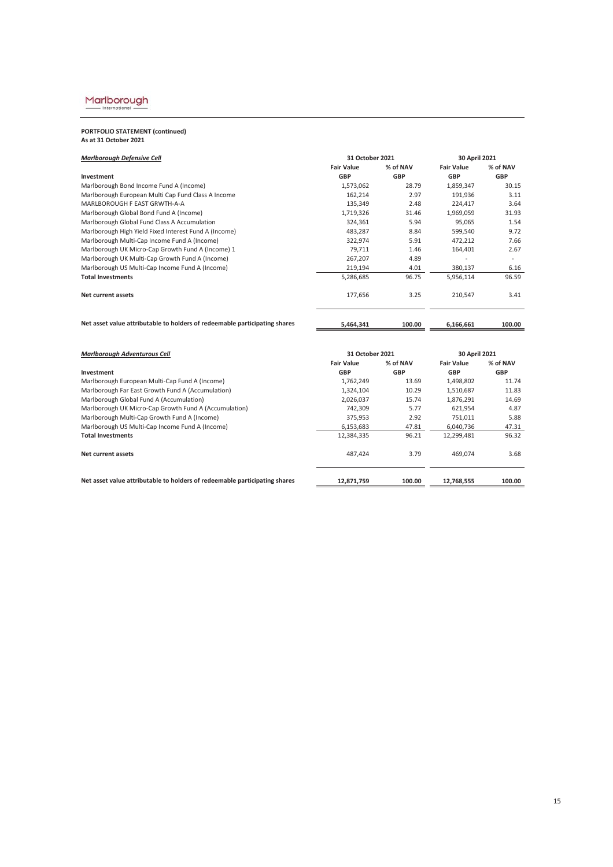# $\underbrace{\text{MarIborough}}_{\text{International}}$

# **PORTFOLIO STATEMENT (continued) As at 31 October 2021**

| <b>Marlborough Defensive Cell</b>                                          | 31 October 2021   |            | 30 April 2021     |            |
|----------------------------------------------------------------------------|-------------------|------------|-------------------|------------|
|                                                                            | <b>Fair Value</b> | % of NAV   | <b>Fair Value</b> | % of NAV   |
| Investment                                                                 | <b>GBP</b>        | <b>GBP</b> | <b>GBP</b>        | <b>GBP</b> |
| Marlborough Bond Income Fund A (Income)                                    | 1,573,062         | 28.79      | 1,859,347         | 30.15      |
| Marlborough European Multi Cap Fund Class A Income                         | 162,214           | 2.97       | 191,936           | 3.11       |
| MARLBOROUGH F EAST GRWTH-A-A                                               | 135,349           | 2.48       | 224,417           | 3.64       |
| Marlborough Global Bond Fund A (Income)                                    | 1,719,326         | 31.46      | 1,969,059         | 31.93      |
| Marlborough Global Fund Class A Accumulation                               | 324,361           | 5.94       | 95,065            | 1.54       |
| Marlborough High Yield Fixed Interest Fund A (Income)                      | 483,287           | 8.84       | 599,540           | 9.72       |
| Marlborough Multi-Cap Income Fund A (Income)                               | 322,974           | 5.91       | 472,212           | 7.66       |
| Marlborough UK Micro-Cap Growth Fund A (Income) 1                          | 79.711            | 1.46       | 164,401           | 2.67       |
| Marlborough UK Multi-Cap Growth Fund A (Income)                            | 267,207           | 4.89       |                   | $\sim$     |
| Marlborough US Multi-Cap Income Fund A (Income)                            | 219,194           | 4.01       | 380,137           | 6.16       |
| <b>Total Investments</b>                                                   | 5,286,685         | 96.75      | 5,956,114         | 96.59      |
| Net current assets                                                         | 177,656           | 3.25       | 210,547           | 3.41       |
| Net asset value attributable to holders of redeemable participating shares | 5,464,341         | 100.00     | 6,166,661         | 100.00     |

| <b>Marlborough Adventurous Cell</b>                                        | 31 October 2021   |            | 30 April 2021     |            |  |
|----------------------------------------------------------------------------|-------------------|------------|-------------------|------------|--|
|                                                                            | <b>Fair Value</b> | % of NAV   | <b>Fair Value</b> | % of NAV   |  |
| Investment                                                                 | <b>GBP</b>        | <b>GBP</b> | <b>GBP</b>        | <b>GBP</b> |  |
| Marlborough European Multi-Cap Fund A (Income)                             | 1,762,249         | 13.69      | 1,498,802         | 11.74      |  |
| Marlborough Far East Growth Fund A (Accumulation)                          | 1,324,104         | 10.29      | 1,510,687         | 11.83      |  |
| Marlborough Global Fund A (Accumulation)                                   | 2.026.037         | 15.74      | 1,876,291         | 14.69      |  |
| Marlborough UK Micro-Cap Growth Fund A (Accumulation)                      | 742.309           | 5.77       | 621,954           | 4.87       |  |
| Marlborough Multi-Cap Growth Fund A (Income)                               | 375.953           | 2.92       | 751.011           | 5.88       |  |
| Marlborough US Multi-Cap Income Fund A (Income)                            | 6,153,683         | 47.81      | 6.040.736         | 47.31      |  |
| <b>Total Investments</b>                                                   | 12,384,335        | 96.21      | 12,299,481        | 96.32      |  |
| Net current assets                                                         | 487.424           | 3.79       | 469.074           | 3.68       |  |
| Net asset value attributable to holders of redeemable participating shares | 12.871.759        | 100.00     | 12,768,555        | 100.00     |  |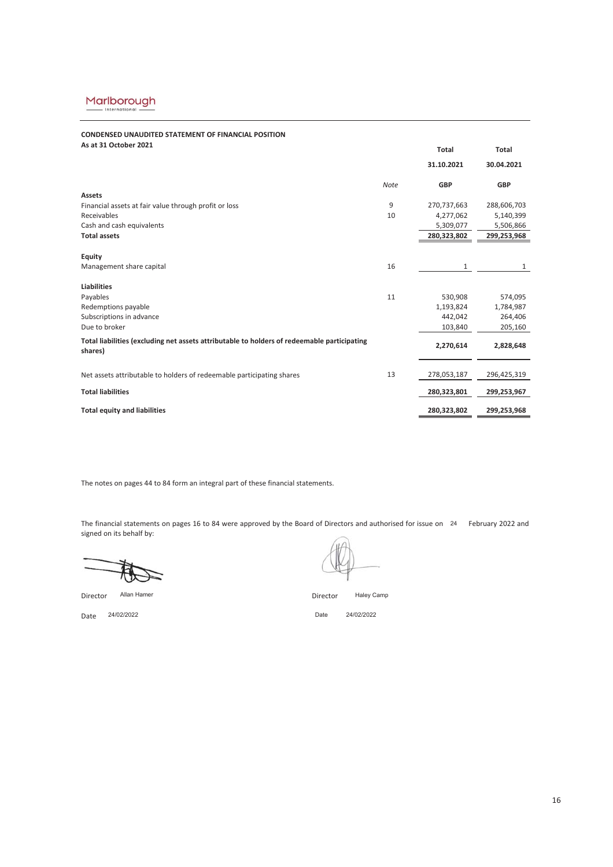# **CONDENSED UNAUDITED STATEMENT OF FINANCIAL POSITION**

| 31.10.2021<br>30.04.2021<br><b>Note</b><br><b>GBP</b><br><b>GBP</b><br><b>Assets</b><br>Financial assets at fair value through profit or loss<br>9<br>270,737,663<br>288,606,703 |           |
|----------------------------------------------------------------------------------------------------------------------------------------------------------------------------------|-----------|
|                                                                                                                                                                                  |           |
|                                                                                                                                                                                  |           |
|                                                                                                                                                                                  |           |
|                                                                                                                                                                                  |           |
| Receivables<br>10<br>4,277,062                                                                                                                                                   | 5,140,399 |
| Cash and cash equivalents<br>5,309,077                                                                                                                                           | 5,506,866 |
| <b>Total assets</b><br>280,323,802<br>299,253,968                                                                                                                                |           |
|                                                                                                                                                                                  |           |
| Equity                                                                                                                                                                           |           |
| Management share capital<br>16<br>1                                                                                                                                              | 1         |
|                                                                                                                                                                                  |           |
| Liabilities                                                                                                                                                                      |           |
| Payables<br>11<br>530,908                                                                                                                                                        | 574,095   |
| Redemptions payable<br>1,193,824                                                                                                                                                 | 1,784,987 |
| Subscriptions in advance<br>442.042                                                                                                                                              | 264,406   |
| Due to broker<br>103,840                                                                                                                                                         | 205,160   |
| Total liabilities (excluding net assets attributable to holders of redeemable participating<br>2,270,614<br>shares)                                                              | 2,828,648 |
| 13<br>Net assets attributable to holders of redeemable participating shares<br>278,053,187<br>296,425,319                                                                        |           |
|                                                                                                                                                                                  |           |
| <b>Total liabilities</b><br>280,323,801<br>299,253,967                                                                                                                           |           |
| <b>Total equity and liabilities</b><br>280,323,802<br>299,253,968                                                                                                                |           |

The notes on pages 44 to 84 form an integral part of these financial statements.

The financial statements on pages 16 to 84 were approved by the Board of Directors and authorised for issue on 24 February 2022 and signed on its behalf by:



Director Director Allan Hamer

Haley Camp

Date 24/02/2022

Date 24/02/2022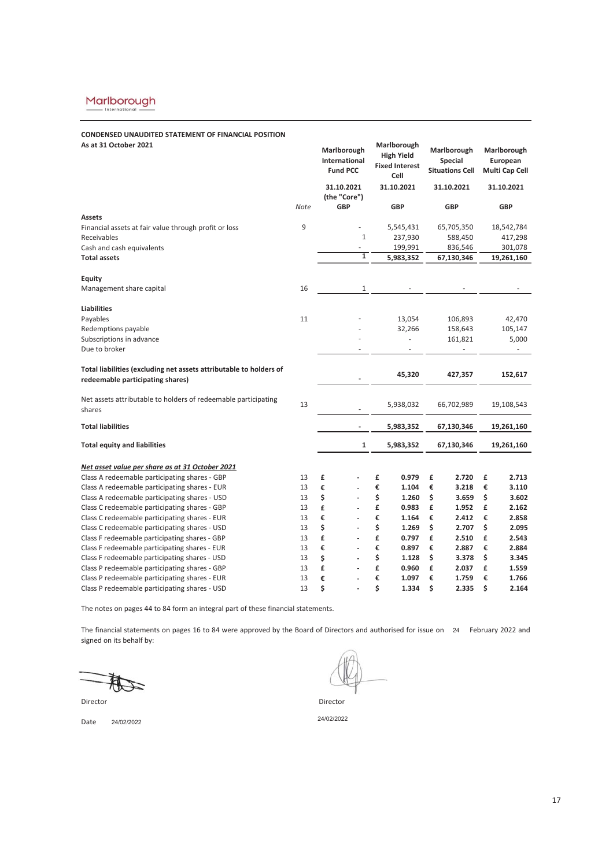# **CONDENSED UNAUDITED STATEMENT OF FINANCIAL POSITION**

| As at 31 October 2021                                              |      | Marlborough<br>International<br><b>Fund PCC</b> | Marlborough<br><b>High Yield</b><br><b>Fixed Interest</b><br>Cell | Marlborough<br><b>Special</b><br><b>Situations Cell</b> | Marlborough<br>European<br>Multi Cap Cell |
|--------------------------------------------------------------------|------|-------------------------------------------------|-------------------------------------------------------------------|---------------------------------------------------------|-------------------------------------------|
|                                                                    |      | 31.10.2021<br>(the "Core")                      | 31.10.2021                                                        | 31.10.2021                                              | 31.10.2021                                |
|                                                                    | Note | <b>GBP</b>                                      | <b>GBP</b>                                                        | <b>GBP</b>                                              | <b>GBP</b>                                |
| <b>Assets</b>                                                      |      |                                                 |                                                                   |                                                         |                                           |
| Financial assets at fair value through profit or loss              | 9    |                                                 | 5,545,431                                                         | 65,705,350                                              | 18,542,784                                |
| Receivables                                                        |      | $\mathbf{1}$                                    | 237,930                                                           | 588,450                                                 | 417,298                                   |
| Cash and cash equivalents                                          |      | $\overline{\phantom{m}}$                        | 199,991                                                           | 836,546                                                 | 301,078                                   |
| <b>Total assets</b>                                                |      | 1                                               | 5,983,352                                                         | 67,130,346                                              | 19,261,160                                |
| Equity                                                             |      |                                                 |                                                                   |                                                         |                                           |
| Management share capital                                           | 16   | 1                                               |                                                                   |                                                         |                                           |
|                                                                    |      |                                                 |                                                                   |                                                         |                                           |
| <b>Liabilities</b>                                                 |      |                                                 |                                                                   |                                                         |                                           |
| Payables                                                           | 11   |                                                 | 13,054                                                            | 106,893                                                 | 42,470                                    |
| Redemptions payable                                                |      |                                                 | 32,266                                                            | 158,643                                                 | 105,147                                   |
| Subscriptions in advance                                           |      |                                                 | ÷,                                                                | 161,821                                                 | 5,000                                     |
| Due to broker                                                      |      |                                                 |                                                                   |                                                         | ۰                                         |
| Total liabilities (excluding net assets attributable to holders of |      |                                                 | 45,320                                                            | 427,357                                                 | 152,617                                   |
| redeemable participating shares)                                   |      |                                                 |                                                                   |                                                         |                                           |
| Net assets attributable to holders of redeemable participating     |      |                                                 |                                                                   |                                                         |                                           |
| shares                                                             | 13   |                                                 | 5,938,032                                                         | 66,702,989                                              | 19,108,543                                |
| <b>Total liabilities</b>                                           |      | ÷,                                              | 5,983,352                                                         | 67,130,346                                              | 19,261,160                                |
|                                                                    |      |                                                 |                                                                   |                                                         |                                           |
| <b>Total equity and liabilities</b>                                |      | 1                                               | 5,983,352                                                         | 67,130,346                                              | 19,261,160                                |
| Net asset value per share as at 31 October 2021                    |      |                                                 |                                                                   |                                                         |                                           |
| Class A redeemable participating shares - GBP                      | 13   | £                                               | £<br>0.979                                                        | £<br>2.720                                              | 2.713<br>£                                |
| Class A redeemable participating shares - EUR                      | 13   | €                                               | €<br>1.104                                                        | €<br>3.218                                              | €<br>3.110                                |
| Class A redeemable participating shares - USD                      | 13   | \$                                              | \$<br>1.260                                                       | \$<br>3.659                                             | \$<br>3.602                               |
| Class C redeemable participating shares - GBP                      | 13   | £<br>÷                                          | £<br>0.983                                                        | £<br>1.952                                              | £<br>2.162                                |
| Class C redeemable participating shares - EUR                      | 13   | €                                               | €<br>1.164                                                        | €<br>2.412                                              | €<br>2.858                                |
| Class C redeemable participating shares - USD                      | 13   | \$                                              | \$<br>1.269                                                       | \$<br>2.707                                             | \$<br>2.095                               |
| Class F redeemable participating shares - GBP                      | 13   | £<br>÷                                          | £<br>0.797                                                        | £<br>2.510                                              | £<br>2.543                                |
| Class F redeemable participating shares - EUR                      | 13   | €                                               | €<br>0.897                                                        | €<br>2.887                                              | €<br>2.884                                |
| Class F redeemable participating shares - USD                      | 13   | \$                                              | \$<br>1.128                                                       | \$<br>3.378                                             | \$<br>3.345                               |
| Class P redeemable participating shares - GBP                      | 13   | £                                               | £<br>0.960                                                        | £<br>2.037                                              | £<br>1.559                                |
| Class P redeemable participating shares - EUR                      | 13   | €                                               | €<br>1.097                                                        | €<br>1.759                                              | €<br>1.766                                |
| Class P redeemable participating shares - USD                      | 13   | \$                                              | \$<br>1.334                                                       | \$<br>2.335                                             | \$<br>2.164                               |

The notes on pages 44 to 84 form an integral part of these financial statements.

The financial statements on pages 16 to 84 were approved by the Board of Directors and authorised for issue on 24 February 2022 and signed on its behalf by:

Director **Director** Director

Date 24/02/2022 24/02/2022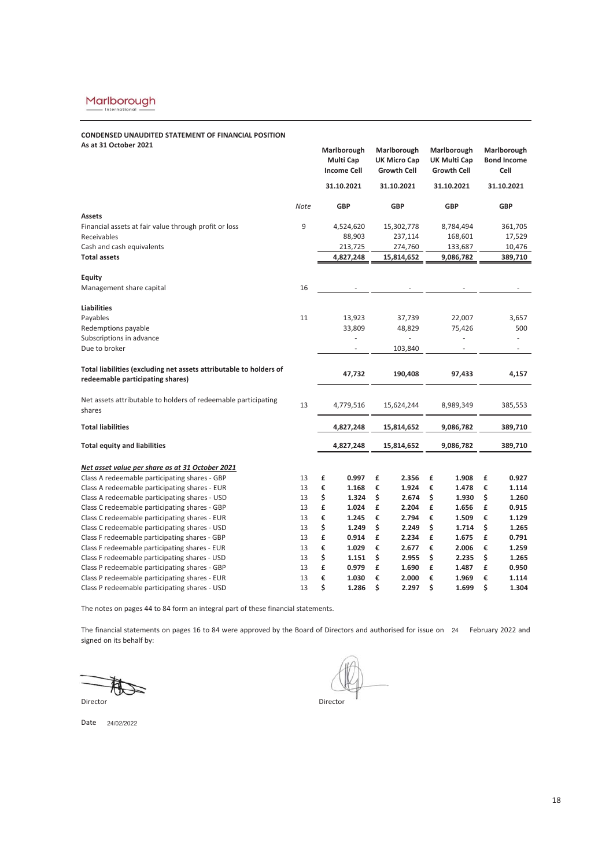# **CONDENSED UNAUDITED STATEMENT OF FINANCIAL POSITION**

| As at 31 October 2021                                              |      | Marlborough<br><b>Multi Cap</b><br><b>Income Cell</b> |                          | Marlborough<br><b>UK Micro Cap</b><br><b>Growth Cell</b> |            |           | Marlborough<br>UK Multi Cap<br><b>Growth Cell</b> |    | Marlborough<br><b>Bond Income</b><br>Cell |
|--------------------------------------------------------------------|------|-------------------------------------------------------|--------------------------|----------------------------------------------------------|------------|-----------|---------------------------------------------------|----|-------------------------------------------|
|                                                                    |      |                                                       | 31.10.2021<br>31.10.2021 |                                                          | 31.10.2021 |           |                                                   |    | 31.10.2021                                |
|                                                                    | Note |                                                       | <b>GBP</b>               | <b>GBP</b>                                               |            |           | <b>GBP</b>                                        |    | <b>GBP</b>                                |
| Assets                                                             |      |                                                       |                          |                                                          |            |           |                                                   |    |                                           |
| Financial assets at fair value through profit or loss              | 9    |                                                       | 4,524,620                |                                                          | 15,302,778 |           | 8,784,494                                         |    | 361,705                                   |
| Receivables                                                        |      |                                                       | 88,903                   |                                                          | 237,114    |           | 168,601                                           |    | 17,529                                    |
| Cash and cash equivalents                                          |      |                                                       | 213,725                  |                                                          | 274,760    |           | 133,687                                           |    | 10,476                                    |
| <b>Total assets</b>                                                |      |                                                       | 4,827,248                |                                                          | 15,814,652 |           | 9,086,782                                         |    | 389,710                                   |
| <b>Equity</b>                                                      |      |                                                       |                          |                                                          |            |           |                                                   |    |                                           |
| Management share capital                                           | 16   |                                                       |                          |                                                          |            |           |                                                   |    |                                           |
| Liabilities                                                        |      |                                                       |                          |                                                          |            |           |                                                   |    |                                           |
| Payables                                                           | 11   |                                                       | 13,923                   |                                                          | 37,739     |           | 22,007                                            |    | 3,657                                     |
| Redemptions payable                                                |      |                                                       | 33,809                   |                                                          | 48,829     |           | 75,426                                            |    | 500                                       |
| Subscriptions in advance                                           |      |                                                       | ÷,                       |                                                          |            |           | ÷,                                                |    | ÷,                                        |
| Due to broker                                                      |      |                                                       | ٠                        |                                                          | 103,840    |           | ä,                                                |    | $\overline{\phantom{a}}$                  |
| Total liabilities (excluding net assets attributable to holders of |      |                                                       | 47,732                   |                                                          | 190,408    |           | 97,433                                            |    | 4,157                                     |
| redeemable participating shares)                                   |      |                                                       |                          |                                                          |            |           |                                                   |    |                                           |
| Net assets attributable to holders of redeemable participating     | 13   |                                                       |                          |                                                          |            |           |                                                   |    |                                           |
| shares                                                             |      |                                                       | 4,779,516                |                                                          | 15,624,244 |           | 8,989,349                                         |    | 385,553                                   |
| <b>Total liabilities</b>                                           |      |                                                       | 4,827,248                |                                                          | 15,814,652 |           | 9,086,782                                         |    | 389,710                                   |
| <b>Total equity and liabilities</b>                                |      |                                                       | 4,827,248                | 15,814,652                                               |            | 9,086,782 |                                                   |    | 389,710                                   |
| Net asset value per share as at 31 October 2021                    |      |                                                       |                          |                                                          |            |           |                                                   |    |                                           |
| Class A redeemable participating shares - GBP                      | 13   | £                                                     | 0.997                    | £                                                        | 2.356      | £         | 1.908                                             | £  | 0.927                                     |
| Class A redeemable participating shares - EUR                      | 13   | €                                                     | 1.168                    | €                                                        | 1.924      | €         | 1.478                                             | €  | 1.114                                     |
| Class A redeemable participating shares - USD                      | 13   | \$                                                    | 1.324                    | \$                                                       | 2.674      | \$        | 1.930                                             | \$ | 1.260                                     |
| Class C redeemable participating shares - GBP                      | 13   | £                                                     | 1.024                    | £                                                        | 2.204      | £         | 1.656                                             | £  | 0.915                                     |
| Class C redeemable participating shares - EUR                      | 13   | €                                                     | 1.245                    | €                                                        | 2.794      | €         | 1.509                                             | €  | 1.129                                     |
| Class C redeemable participating shares - USD                      | 13   | \$                                                    | 1.249                    | \$                                                       | 2.249      | \$        | 1.714                                             | \$ | 1.265                                     |
| Class F redeemable participating shares - GBP                      | 13   | £                                                     | 0.914                    | £                                                        | 2.234      | £         | 1.675                                             | £  | 0.791                                     |
| Class F redeemable participating shares - EUR                      | 13   | €                                                     | 1.029                    | €                                                        | 2.677      | €         | 2.006                                             | €  | 1.259                                     |
| Class F redeemable participating shares - USD                      | 13   | \$                                                    | 1.151                    | \$                                                       | 2.955      | \$        | 2.235                                             | \$ | 1.265                                     |
| Class P redeemable participating shares - GBP                      | 13   | £                                                     | 0.979                    | £                                                        | 1.690      | £         | 1.487                                             | £  | 0.950                                     |
| Class P redeemable participating shares - EUR                      | 13   | €                                                     | 1.030                    | €                                                        | 2.000      | €         | 1.969                                             | €  | 1.114                                     |
| Class P redeemable participating shares - USD                      | 13   | \$                                                    | 1.286                    | \$                                                       | 2.297      | \$        | 1.699                                             | \$ | 1.304                                     |

The notes on pages 44 to 84 form an integral part of these financial statements.

The financial statements on pages 16 to 84 were approved by the Board of Directors and authorised for issue on 24 February 2022 and signed on its behalf by:

Date 24/02/2022

Director Director t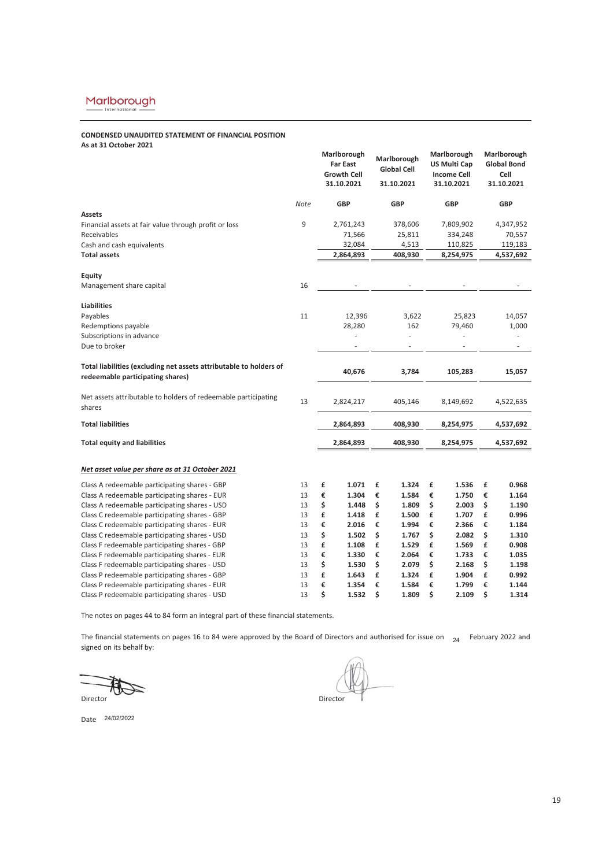# **CONDENSED UNAUDITED STATEMENT OF FINANCIAL POSITION As at 31 October 2021**

|                                                                                                |          | Marlborough<br><b>Far East</b><br><b>Growth Cell</b><br>31.10.2021 | Marlborough<br><b>Global Cell</b><br>31.10.2021 | Marlborough<br><b>US Multi Cap</b><br><b>Income Cell</b><br>31.10.2021 | Marlborough<br><b>Global Bond</b><br>Cell<br>31.10.2021 |
|------------------------------------------------------------------------------------------------|----------|--------------------------------------------------------------------|-------------------------------------------------|------------------------------------------------------------------------|---------------------------------------------------------|
|                                                                                                | Note     | <b>GBP</b>                                                         | <b>GBP</b>                                      | <b>GBP</b>                                                             | <b>GBP</b>                                              |
| <b>Assets</b>                                                                                  |          |                                                                    |                                                 |                                                                        |                                                         |
| Financial assets at fair value through profit or loss                                          | 9        | 2,761,243                                                          | 378,606                                         | 7,809,902                                                              | 4,347,952                                               |
| Receivables                                                                                    |          | 71,566                                                             | 25,811                                          | 334,248                                                                | 70,557                                                  |
| Cash and cash equivalents                                                                      |          | 32,084                                                             | 4,513                                           | 110,825                                                                | 119,183                                                 |
| <b>Total assets</b>                                                                            |          | 2,864,893                                                          | 408,930                                         | 8,254,975                                                              | 4,537,692                                               |
| <b>Equity</b>                                                                                  |          |                                                                    |                                                 |                                                                        |                                                         |
| Management share capital                                                                       | 16       |                                                                    |                                                 |                                                                        |                                                         |
| <b>Liabilities</b>                                                                             |          |                                                                    |                                                 |                                                                        |                                                         |
| Payables                                                                                       | 11       | 12,396                                                             | 3,622                                           | 25,823                                                                 | 14,057                                                  |
| Redemptions payable                                                                            |          | 28,280                                                             | 162                                             | 79,460                                                                 | 1,000                                                   |
| Subscriptions in advance                                                                       |          |                                                                    |                                                 |                                                                        |                                                         |
| Due to broker                                                                                  |          |                                                                    |                                                 |                                                                        |                                                         |
| Total liabilities (excluding net assets attributable to holders of                             |          | 40,676                                                             | 3,784                                           | 105,283                                                                | 15,057                                                  |
| redeemable participating shares)                                                               |          |                                                                    |                                                 |                                                                        |                                                         |
| Net assets attributable to holders of redeemable participating                                 | 13       | 2,824,217                                                          | 405,146                                         | 8,149,692                                                              | 4,522,635                                               |
| shares                                                                                         |          |                                                                    |                                                 |                                                                        |                                                         |
| <b>Total liabilities</b>                                                                       |          | 2,864,893                                                          | 408,930                                         | 8,254,975                                                              | 4,537,692                                               |
| <b>Total equity and liabilities</b>                                                            |          | 2,864,893                                                          | 408,930                                         | 8,254,975                                                              | 4,537,692                                               |
|                                                                                                |          |                                                                    |                                                 |                                                                        |                                                         |
| Net asset value per share as at 31 October 2021                                                |          |                                                                    |                                                 |                                                                        |                                                         |
| Class A redeemable participating shares - GBP                                                  | 13       | £<br>1.071                                                         | £<br>1.324                                      | £<br>1.536                                                             | £<br>0.968                                              |
| Class A redeemable participating shares - EUR                                                  | 13       | €<br>1.304                                                         | €<br>1.584                                      | €<br>1.750                                                             | €<br>1.164                                              |
| Class A redeemable participating shares - USD                                                  | 13       | \$<br>1.448                                                        | \$<br>1.809                                     | \$<br>2.003                                                            | \$<br>1.190                                             |
| Class C redeemable participating shares - GBP                                                  | 13       | £<br>1.418                                                         | £<br>1.500                                      | £<br>1.707                                                             | £<br>0.996                                              |
| Class C redeemable participating shares - EUR                                                  | 13       | €<br>2.016                                                         | €<br>1.994                                      | €<br>2.366                                                             | €<br>1.184<br>\$                                        |
| Class C redeemable participating shares - USD<br>Class F redeemable participating shares - GBP | 13<br>13 | \$<br>1.502<br>£<br>1.108                                          | \$<br>1.767<br>£<br>1.529                       | \$<br>2.082<br>£<br>1.569                                              | 1.310<br>£<br>0.908                                     |
| Class F redeemable participating shares - EUR                                                  | 13       | €<br>1.330                                                         | €<br>2.064                                      | €<br>1.733                                                             | €<br>1.035                                              |
| Class F redeemable participating shares - USD                                                  | 13       | \$<br>1.530                                                        | \$<br>2.079                                     | \$<br>2.168                                                            | \$<br>1.198                                             |
| Class P redeemable participating shares - GBP                                                  |          |                                                                    |                                                 |                                                                        |                                                         |
|                                                                                                |          |                                                                    |                                                 |                                                                        |                                                         |
| Class P redeemable participating shares - EUR                                                  | 13<br>13 | £<br>1.643<br>€<br>1.354                                           | £<br>1.324<br>€<br>1.584                        | £<br>1.904<br>€<br>1.799                                               | £<br>0.992<br>€<br>1.144                                |

The notes on pages 44 to 84 form an integral part of these financial statements.

The financial statements on pages 16 to 84 were approved by the Board of Directors and authorised for issue on  $_{24}$  February 2022 and signed on its behalf by:

Director Director Director Director Director  $\overline{\phantom{a}}$ 

ectors and additionsed for issue on 24

Date 24/02/2022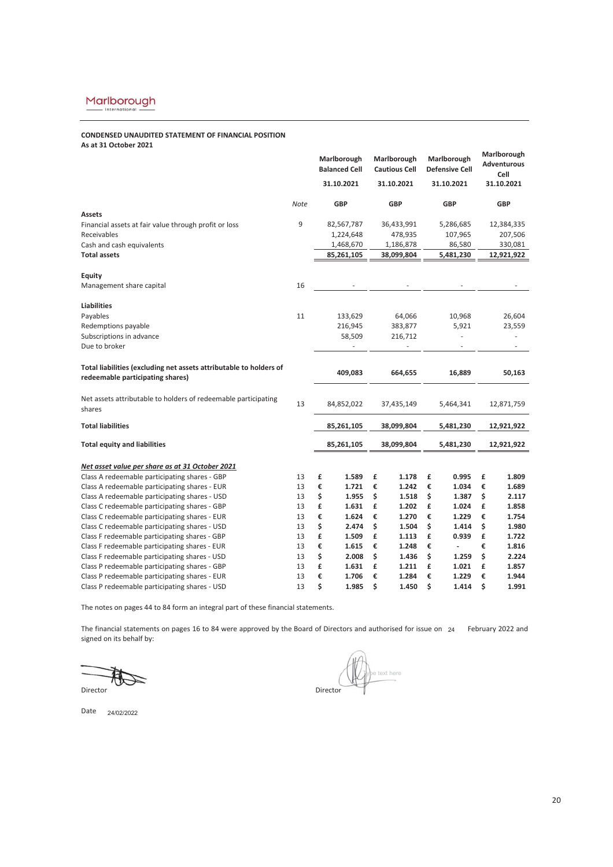# **CONDENSED UNAUDITED STATEMENT OF FINANCIAL POSITION As at 31 October 2021**

|                                                                    |      |    | Marlborough<br><b>Balanced Cell</b> |    | Marlborough<br><b>Cautious Cell</b> |    | Marlborough<br><b>Defensive Cell</b> |    | Marlborough<br><b>Adventurous</b><br>Cell |
|--------------------------------------------------------------------|------|----|-------------------------------------|----|-------------------------------------|----|--------------------------------------|----|-------------------------------------------|
|                                                                    |      |    | 31.10.2021                          |    | 31.10.2021                          |    | 31.10.2021                           |    | 31.10.2021                                |
|                                                                    | Note |    | <b>GBP</b>                          |    | <b>GBP</b>                          |    | <b>GBP</b>                           |    | <b>GBP</b>                                |
| <b>Assets</b>                                                      |      |    |                                     |    |                                     |    |                                      |    |                                           |
| Financial assets at fair value through profit or loss              | 9    |    | 82,567,787                          |    | 36,433,991                          |    | 5,286,685                            |    | 12,384,335                                |
| Receivables                                                        |      |    | 1,224,648                           |    | 478,935                             |    | 107,965                              |    | 207,506                                   |
| Cash and cash equivalents                                          |      |    | 1,468,670                           |    | 1,186,878                           |    | 86,580                               |    | 330,081                                   |
| <b>Total assets</b>                                                |      |    | 85,261,105                          |    | 38,099,804                          |    | 5,481,230                            |    | 12,921,922                                |
| Equity                                                             |      |    |                                     |    |                                     |    |                                      |    |                                           |
| Management share capital                                           | 16   |    |                                     |    |                                     |    |                                      |    |                                           |
| <b>Liabilities</b>                                                 |      |    |                                     |    |                                     |    |                                      |    |                                           |
| Payables                                                           | 11   |    | 133,629                             |    | 64,066                              |    | 10,968                               |    | 26,604                                    |
| Redemptions payable                                                |      |    | 216,945                             |    | 383,877                             |    | 5,921                                |    | 23,559                                    |
| Subscriptions in advance                                           |      |    | 58,509                              |    | 216,712                             |    |                                      |    |                                           |
| Due to broker                                                      |      |    |                                     |    |                                     |    |                                      |    |                                           |
| Total liabilities (excluding net assets attributable to holders of |      |    |                                     |    |                                     |    |                                      |    |                                           |
| redeemable participating shares)                                   |      |    | 409,083                             |    | 664,655                             |    | 16,889                               |    | 50,163                                    |
| Net assets attributable to holders of redeemable participating     |      |    |                                     |    |                                     |    |                                      |    |                                           |
| shares                                                             | 13   |    | 84,852,022                          |    | 37,435,149                          |    | 5,464,341                            |    | 12,871,759                                |
| <b>Total liabilities</b>                                           |      |    | 85,261,105                          |    | 38,099,804                          |    | 5,481,230                            |    | 12,921,922                                |
| <b>Total equity and liabilities</b>                                |      |    | 85,261,105                          |    | 38,099,804                          |    | 5,481,230                            |    | 12,921,922                                |
|                                                                    |      |    |                                     |    |                                     |    |                                      |    |                                           |
| Net asset value per share as at 31 October 2021                    |      |    |                                     |    |                                     |    |                                      |    |                                           |
| Class A redeemable participating shares - GBP                      | 13   | £  | 1.589                               | £  | 1.178                               | £  | 0.995                                | £  | 1.809                                     |
| Class A redeemable participating shares - EUR                      | 13   | €  | 1.721                               | €  | 1.242                               | €  | 1.034                                | €  | 1.689                                     |
| Class A redeemable participating shares - USD                      | 13   | \$ | 1.955                               | \$ | 1.518                               | \$ | 1.387                                | \$ | 2.117                                     |
| Class C redeemable participating shares - GBP                      | 13   | £  | 1.631                               | £  | 1.202                               | £  | 1.024                                | £  | 1.858                                     |
| Class C redeemable participating shares - EUR                      | 13   | €  | 1.624                               | €  | 1.270                               | €  | 1.229                                | €  | 1.754                                     |
| Class C redeemable participating shares - USD                      | 13   | \$ | 2.474                               | \$ | 1.504                               | \$ | 1.414                                | \$ | 1.980                                     |
| Class F redeemable participating shares - GBP                      | 13   | £  | 1.509                               | £  | 1.113                               | £  | 0.939                                | £  | 1.722                                     |
| Class F redeemable participating shares - EUR                      | 13   | €  | 1.615                               | €  | 1.248                               | €  | $\overline{\phantom{a}}$             | €  | 1.816                                     |
| Class F redeemable participating shares - USD                      | 13   | \$ | 2.008                               | \$ | 1.436                               | \$ | 1.259                                | \$ | 2.224                                     |
| Class P redeemable participating shares - GBP                      | 13   | £  | 1.631                               | £  | 1.211                               | £  | 1.021                                | £  | 1.857                                     |
| Class P redeemable participating shares - EUR                      | 13   | €  | 1.706                               | €  | 1.284                               | €  | 1.229                                | €  | 1.944                                     |
| Class P redeemable participating shares - USD                      | 13   | \$ | 1.985                               | \$ | 1.450                               | \$ | 1.414                                | \$ | 1.991                                     |

The notes on pages 44 to 84 form an integral part of these financial statements.

The financial statements on pages 16 to 84 were approved by the Board of Directors and authorised for issue on  $z_4$  February 2022 and signed on its behalf by:

Director **Director** 

Date 24/02/2022

text here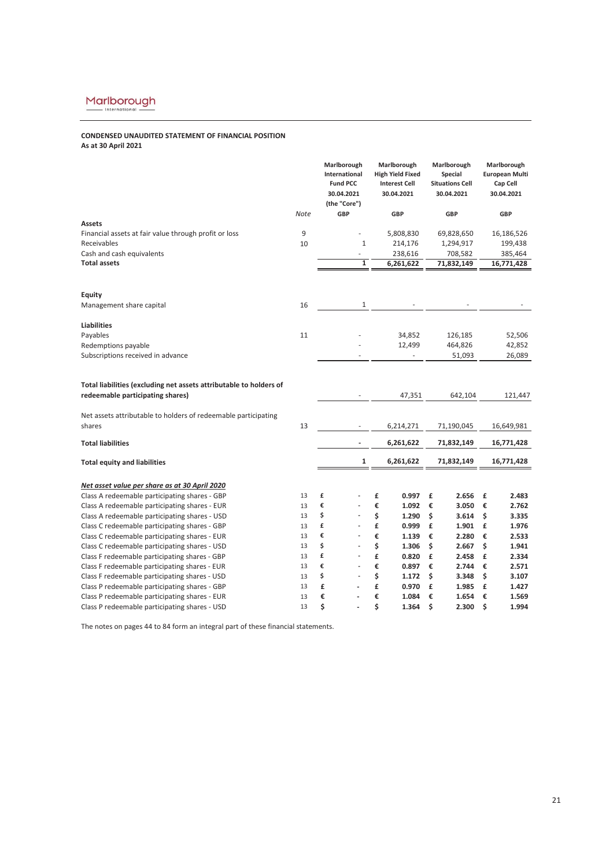# **CONDENSED UNAUDITED STATEMENT OF FINANCIAL POSITION As at 30 April 2021**

|                                                                    |      | Marlborough<br>International<br><b>Fund PCC</b><br>30.04.2021<br>(the "Core") | Marlborough<br><b>High Yield Fixed</b><br><b>Interest Cell</b><br>30.04.2021 | Marlborough<br>Special<br><b>Situations Cell</b><br>30.04.2021 | Marlborough<br><b>European Multi</b><br>Cap Cell<br>30.04.2021 |
|--------------------------------------------------------------------|------|-------------------------------------------------------------------------------|------------------------------------------------------------------------------|----------------------------------------------------------------|----------------------------------------------------------------|
|                                                                    | Note | GBP                                                                           | <b>GBP</b>                                                                   | <b>GBP</b>                                                     | <b>GBP</b>                                                     |
| <b>Assets</b>                                                      |      |                                                                               |                                                                              |                                                                |                                                                |
| Financial assets at fair value through profit or loss              | 9    | ä,                                                                            | 5,808,830                                                                    | 69,828,650                                                     | 16,186,526                                                     |
| Receivables                                                        | 10   | 1                                                                             | 214,176                                                                      | 1,294,917                                                      | 199,438                                                        |
| Cash and cash equivalents                                          |      |                                                                               | 238,616                                                                      | 708,582                                                        | 385,464                                                        |
| <b>Total assets</b>                                                |      | 1                                                                             | 6,261,622                                                                    | 71,832,149                                                     | 16,771,428                                                     |
| Equity                                                             |      |                                                                               |                                                                              |                                                                |                                                                |
| Management share capital                                           | 16   | 1                                                                             |                                                                              |                                                                |                                                                |
| <b>Liabilities</b>                                                 |      |                                                                               |                                                                              |                                                                |                                                                |
| Payables                                                           | 11   |                                                                               | 34,852                                                                       | 126,185                                                        | 52,506                                                         |
| Redemptions payable                                                |      |                                                                               | 12,499                                                                       | 464,826                                                        | 42,852                                                         |
| Subscriptions received in advance                                  |      |                                                                               |                                                                              | 51,093                                                         | 26,089                                                         |
| Total liabilities (excluding net assets attributable to holders of |      |                                                                               |                                                                              |                                                                |                                                                |
| redeemable participating shares)                                   |      |                                                                               | 47,351                                                                       | 642,104                                                        | 121,447                                                        |
| Net assets attributable to holders of redeemable participating     |      |                                                                               |                                                                              |                                                                |                                                                |
| shares                                                             | 13   |                                                                               | 6,214,271                                                                    | 71,190,045                                                     | 16,649,981                                                     |
| <b>Total liabilities</b>                                           |      |                                                                               | 6,261,622                                                                    | 71,832,149                                                     | 16,771,428                                                     |
| <b>Total equity and liabilities</b>                                |      | 1                                                                             | 6,261,622                                                                    | 71,832,149                                                     | 16,771,428                                                     |
| Net asset value per share as at 30 April 2020                      |      |                                                                               |                                                                              |                                                                |                                                                |
| Class A redeemable participating shares - GBP                      | 13   | £                                                                             | £<br>0.997                                                                   | 2.656<br>£                                                     | £<br>2.483                                                     |
| Class A redeemable participating shares - EUR                      | 13   | €                                                                             | €<br>1.092                                                                   | €<br>3.050                                                     | €<br>2.762                                                     |
| Class A redeemable participating shares - USD                      | 13   | \$                                                                            | \$<br>1.290                                                                  | \$<br>3.614                                                    | \$<br>3.335                                                    |
| Class C redeemable participating shares - GBP                      | 13   | £                                                                             | £<br>0.999                                                                   | £<br>1.901                                                     | £<br>1.976                                                     |
| Class C redeemable participating shares - EUR                      | 13   | €                                                                             | €<br>1.139                                                                   | €<br>2.280                                                     | €<br>2.533                                                     |
| Class C redeemable participating shares - USD                      | 13   | \$                                                                            | \$<br>1.306                                                                  | \$<br>2.667                                                    | \$<br>1.941                                                    |
| Class F redeemable participating shares - GBP                      | 13   | £<br>٠                                                                        | £<br>0.820                                                                   | £<br>2.458                                                     | £<br>2.334                                                     |
| Class F redeemable participating shares - EUR                      | 13   | €                                                                             | €<br>0.897                                                                   | €<br>2.744                                                     | €<br>2.571                                                     |
| Class F redeemable participating shares - USD                      | 13   | \$                                                                            | \$<br>1.172                                                                  | \$<br>3.348                                                    | \$<br>3.107                                                    |
| Class P redeemable participating shares - GBP                      | 13   | £                                                                             | £<br>0.970                                                                   | £<br>1.985                                                     | £<br>1.427                                                     |
| Class P redeemable participating shares - EUR                      | 13   | €                                                                             | €<br>1.084                                                                   | €<br>1.654                                                     | €<br>1.569                                                     |
| Class P redeemable participating shares - USD                      | 13   | \$                                                                            | \$<br>1.364                                                                  | \$<br>2.300                                                    | \$<br>1.994                                                    |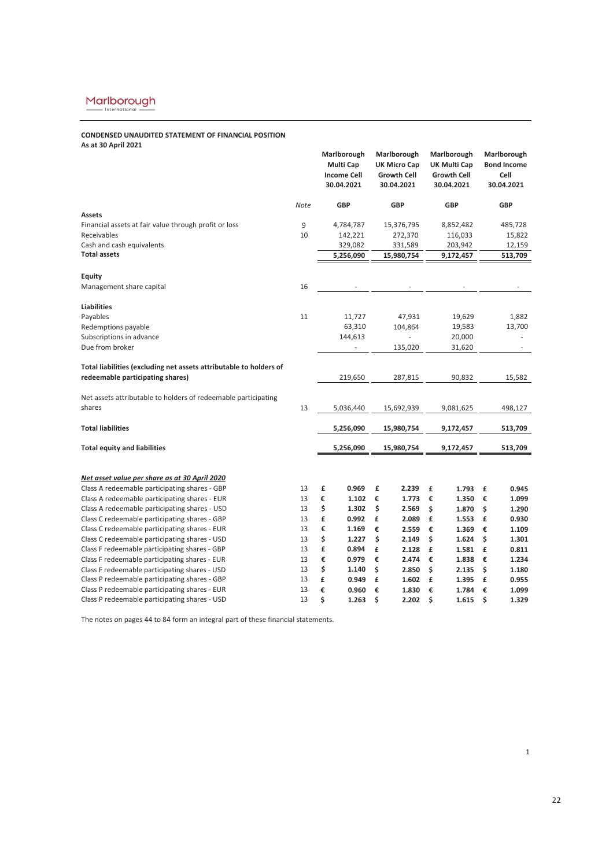# **CONDENSED UNAUDITED STATEMENT OF FINANCIAL POSITION As at 30 April 2021**

|                                                                    |             |    | Marlborough<br>Multi Cap<br><b>Income Cell</b><br>30.04.2021 | Marlborough<br><b>UK Micro Cap</b><br><b>Growth Cell</b><br>30.04.2021 |            |    | Marlborough<br>UK Multi Cap<br><b>Growth Cell</b><br>30.04.2021 |    | Marlborough<br><b>Bond Income</b><br>Cell<br>30.04.2021 |
|--------------------------------------------------------------------|-------------|----|--------------------------------------------------------------|------------------------------------------------------------------------|------------|----|-----------------------------------------------------------------|----|---------------------------------------------------------|
|                                                                    | <b>Note</b> |    | <b>GBP</b>                                                   | <b>GBP</b>                                                             |            |    | <b>GBP</b>                                                      |    | <b>GBP</b>                                              |
| <b>Assets</b>                                                      |             |    |                                                              |                                                                        |            |    |                                                                 |    |                                                         |
| Financial assets at fair value through profit or loss              | 9           |    | 4,784,787                                                    |                                                                        | 15,376,795 |    | 8,852,482                                                       |    | 485,728                                                 |
| Receivables                                                        | 10          |    | 142,221                                                      |                                                                        | 272,370    |    | 116,033                                                         |    | 15,822                                                  |
| Cash and cash equivalents                                          |             |    | 329,082                                                      |                                                                        | 331,589    |    | 203,942                                                         |    | 12,159                                                  |
| <b>Total assets</b>                                                |             |    | 5,256,090                                                    |                                                                        | 15,980,754 |    | 9,172,457                                                       |    | 513,709                                                 |
| Equity                                                             |             |    |                                                              |                                                                        |            |    |                                                                 |    |                                                         |
| Management share capital                                           | 16          |    | $\overline{\phantom{a}}$                                     |                                                                        |            |    |                                                                 |    |                                                         |
| <b>Liabilities</b>                                                 |             |    |                                                              |                                                                        |            |    |                                                                 |    |                                                         |
| Payables                                                           | 11          |    | 11,727                                                       |                                                                        | 47,931     |    | 19,629                                                          |    | 1,882                                                   |
| Redemptions payable                                                |             |    | 63,310                                                       |                                                                        | 104,864    |    | 19,583                                                          |    | 13,700                                                  |
| Subscriptions in advance                                           |             |    | 144,613                                                      |                                                                        |            |    | 20,000                                                          |    |                                                         |
| Due from broker                                                    |             |    | ÷.                                                           |                                                                        | 135,020    |    | 31,620                                                          |    | $\sim$                                                  |
|                                                                    |             |    |                                                              |                                                                        |            |    |                                                                 |    |                                                         |
| Total liabilities (excluding net assets attributable to holders of |             |    |                                                              |                                                                        |            |    |                                                                 |    |                                                         |
| redeemable participating shares)                                   |             |    | 219,650                                                      |                                                                        | 287,815    |    | 90,832                                                          |    | 15,582                                                  |
|                                                                    |             |    |                                                              |                                                                        |            |    |                                                                 |    |                                                         |
| Net assets attributable to holders of redeemable participating     |             |    |                                                              |                                                                        |            |    |                                                                 |    |                                                         |
| shares                                                             | 13          |    | 5,036,440                                                    |                                                                        | 15,692,939 |    | 9,081,625                                                       |    | 498,127                                                 |
|                                                                    |             |    |                                                              |                                                                        |            |    |                                                                 |    |                                                         |
| <b>Total liabilities</b>                                           |             |    | 5,256,090                                                    |                                                                        | 15,980,754 |    | 9,172,457                                                       |    | 513,709                                                 |
| <b>Total equity and liabilities</b>                                |             |    | 5,256,090                                                    |                                                                        | 15,980,754 |    | 9,172,457                                                       |    | 513,709                                                 |
|                                                                    |             |    |                                                              |                                                                        |            |    |                                                                 |    |                                                         |
| Net asset value per share as at 30 April 2020                      |             |    |                                                              |                                                                        |            |    |                                                                 |    |                                                         |
| Class A redeemable participating shares - GBP                      | 13          | £  | 0.969                                                        | £                                                                      | 2.239      | £  | 1.793                                                           | £  | 0.945                                                   |
| Class A redeemable participating shares - EUR                      | 13          | €  | 1.102                                                        | €                                                                      | 1.773      | €  | 1.350                                                           | €  | 1.099                                                   |
| Class A redeemable participating shares - USD                      | 13          | \$ | 1.302                                                        | \$                                                                     | 2.569      | \$ | 1.870                                                           | \$ | 1.290                                                   |
| Class C redeemable participating shares - GBP                      | 13          | £  | 0.992                                                        | £                                                                      | 2.089      | £  | 1.553                                                           | £  | 0.930                                                   |
| Class C redeemable participating shares - EUR                      | 13          | €  | 1.169                                                        | €                                                                      | 2.559      | €  | 1.369                                                           | €  | 1.109                                                   |
| Class C redeemable participating shares - USD                      | 13          | \$ | 1.227                                                        | \$                                                                     | 2.149      | \$ | 1.624                                                           | \$ | 1.301                                                   |
| Class F redeemable participating shares - GBP                      | 13          | £  | 0.894                                                        | £                                                                      | 2.128      | £  | 1.581                                                           | £  | 0.811                                                   |
| Class F redeemable participating shares - EUR                      | 13          | €  | 0.979                                                        | €                                                                      | 2.474      | €  | 1.838                                                           | €  | 1.234                                                   |
| Class F redeemable participating shares - USD                      | 13          | \$ | 1.140                                                        | \$                                                                     | 2.850      | \$ | 2.135                                                           | \$ | 1.180                                                   |
| Class P redeemable participating shares - GBP                      | 13          | £  | 0.949                                                        | £                                                                      | 1.602      | £  | 1.395                                                           | £  | 0.955                                                   |
| Class P redeemable participating shares - EUR                      | 13          | €  | 0.960                                                        | €                                                                      | 1.830      | €  | 1.784                                                           | €  | 1.099                                                   |
| Class P redeemable participating shares - USD                      | 13          | \$ | 1.263                                                        | \$                                                                     | 2.202      | \$ | 1.615                                                           | \$ | 1.329                                                   |

The notes on pages 44 to 84 form an integral part of these financial statements.

1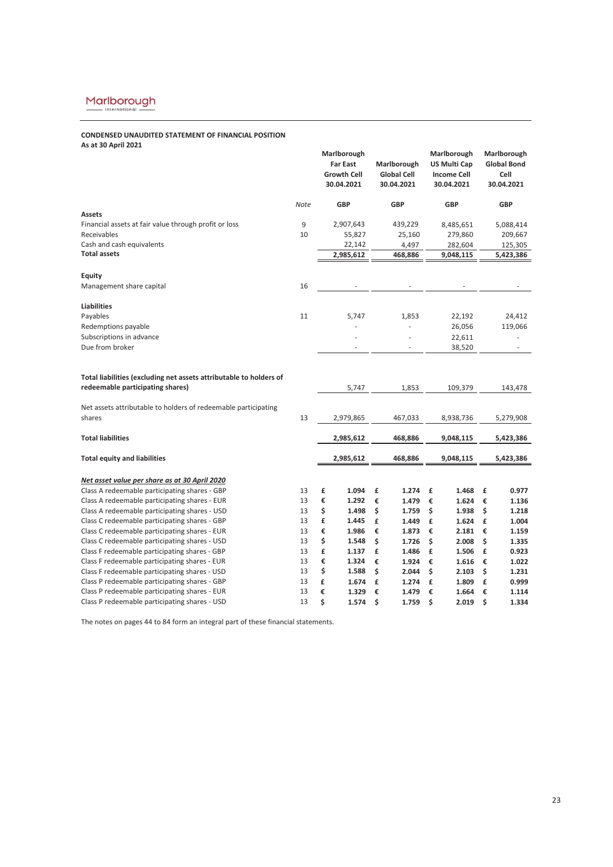# **CONDENSED UNAUDITED STATEMENT OF FINANCIAL POSITION As at 30 April 2021**

| AS AL JU APIII ZUZI                                                                                    |          | Marlborough<br><b>Far East</b><br><b>Growth Cell</b><br>30.04.2021 | Marlborough<br><b>Global Cell</b><br>30.04.2021 | Marlborough<br><b>US Multi Cap</b><br><b>Income Cell</b><br>30.04.2021 | Marlborough<br><b>Global Bond</b><br>Cell<br>30.04.2021 |
|--------------------------------------------------------------------------------------------------------|----------|--------------------------------------------------------------------|-------------------------------------------------|------------------------------------------------------------------------|---------------------------------------------------------|
|                                                                                                        | Note     | <b>GBP</b>                                                         | <b>GBP</b>                                      | <b>GBP</b>                                                             | <b>GBP</b>                                              |
| <b>Assets</b>                                                                                          |          |                                                                    |                                                 |                                                                        |                                                         |
| Financial assets at fair value through profit or loss                                                  | 9        | 2,907,643                                                          | 439,229                                         | 8,485,651                                                              | 5,088,414                                               |
| Receivables                                                                                            | 10       | 55,827                                                             | 25,160                                          | 279,860                                                                | 209,667                                                 |
| Cash and cash equivalents                                                                              |          | 22,142                                                             | 4,497                                           | 282,604                                                                | 125,305                                                 |
| <b>Total assets</b>                                                                                    |          | 2,985,612                                                          | 468,886                                         | 9,048,115                                                              | 5,423,386                                               |
| Equity                                                                                                 |          |                                                                    |                                                 |                                                                        |                                                         |
| Management share capital                                                                               | 16       |                                                                    |                                                 |                                                                        |                                                         |
| <b>Liabilities</b>                                                                                     |          |                                                                    |                                                 |                                                                        |                                                         |
| Payables                                                                                               | 11       | 5,747                                                              | 1,853                                           | 22,192                                                                 | 24,412                                                  |
| Redemptions payable                                                                                    |          |                                                                    |                                                 | 26,056                                                                 | 119,066                                                 |
| Subscriptions in advance                                                                               |          |                                                                    |                                                 | 22,611                                                                 |                                                         |
| Due from broker                                                                                        |          |                                                                    |                                                 | 38,520                                                                 |                                                         |
| Total liabilities (excluding net assets attributable to holders of<br>redeemable participating shares) |          | 5,747                                                              | 1,853                                           | 109,379                                                                | 143,478                                                 |
| Net assets attributable to holders of redeemable participating<br>shares                               | 13       | 2,979,865                                                          | 467,033                                         | 8,938,736                                                              | 5,279,908                                               |
| <b>Total liabilities</b>                                                                               |          | 2,985,612                                                          | 468,886                                         | 9,048,115                                                              | 5,423,386                                               |
| <b>Total equity and liabilities</b>                                                                    |          | 2,985,612                                                          | 468,886                                         | 9,048,115                                                              | 5,423,386                                               |
|                                                                                                        |          |                                                                    |                                                 |                                                                        |                                                         |
| Net asset value per share as at 30 April 2020                                                          |          |                                                                    |                                                 |                                                                        |                                                         |
| Class A redeemable participating shares - GBP                                                          | 13       | 1.094<br>£                                                         | £<br>1.274                                      | £<br>1.468                                                             | £<br>0.977                                              |
| Class A redeemable participating shares - EUR                                                          | 13       | €<br>1.292                                                         | €<br>1.479                                      | €<br>1.624                                                             | €<br>1.136                                              |
| Class A redeemable participating shares - USD                                                          | 13<br>13 | \$<br>1.498<br>£                                                   | \$<br>1.759<br>£                                | \$<br>1.938<br>£                                                       | \$<br>1.218<br>£                                        |
| Class C redeemable participating shares - GBP<br>Class C redeemable participating shares - EUR         | 13       | 1.445<br>€<br>1.986                                                | 1.449<br>€                                      | 1.624                                                                  | 1.004                                                   |
| Class C redeemable participating shares - USD                                                          | 13       | \$<br>1.548                                                        | 1.873<br>\$<br>1.726                            | €<br>2.181<br>\$<br>2.008                                              | €<br>1.159<br>\$<br>1.335                               |
| Class F redeemable participating shares - GBP                                                          | 13       | £<br>1.137                                                         | £<br>1.486                                      | £<br>1.506                                                             | £<br>0.923                                              |
| Class F redeemable participating shares - EUR                                                          | 13       | €<br>1.324                                                         | €<br>1.924                                      | €<br>1.616                                                             | €<br>1.022                                              |
| Class F redeemable participating shares - USD                                                          | 13       | \$<br>1.588                                                        | \$<br>2.044                                     | \$<br>2.103                                                            | \$<br>1.231                                             |
| Class P redeemable participating shares - GBP                                                          | 13       | £<br>1.674                                                         | £<br>1.274                                      | £<br>1.809                                                             | £<br>0.999                                              |
| Class P redeemable participating shares - EUR                                                          | 13       | €<br>1.329                                                         | €<br>1.479                                      | €<br>1.664                                                             | €<br>1.114                                              |
| Class P redeemable participating shares - USD                                                          | 13       | \$<br>1.574                                                        | \$<br>1.759                                     | \$<br>2.019                                                            | \$<br>1.334                                             |
|                                                                                                        |          |                                                                    |                                                 |                                                                        |                                                         |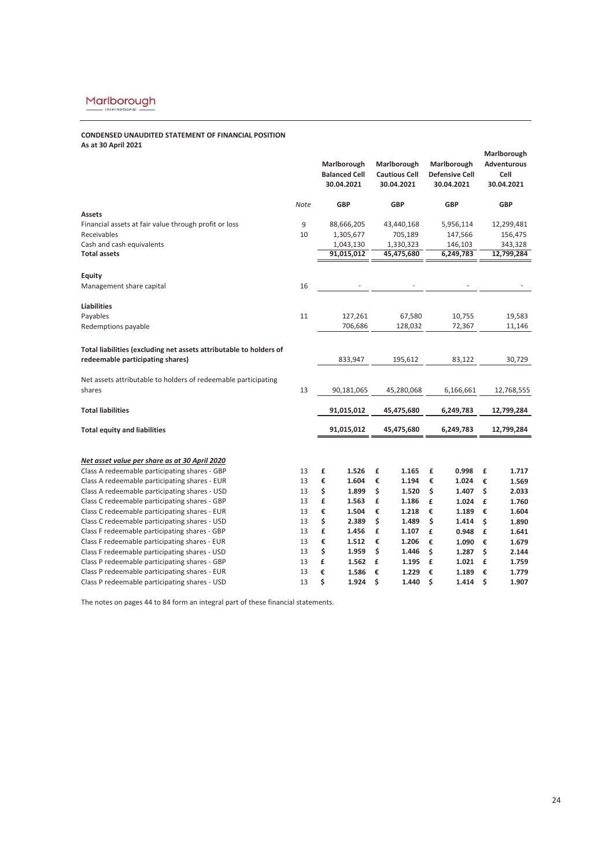# **CONDENSED UNAUDITED STATEMENT OF FINANCIAL POSITION As at 30 April 2021**

|                                                                    |      | Marlborough<br><b>Balanced Cell</b><br>30.04.2021 |    | Marlborough<br><b>Cautious Cell</b><br>30.04.2021 | Marlborough<br><b>Defensive Cell</b><br>30.04.2021 |    | Marlborough<br><b>Adventurous</b><br>Cell<br>30.04.2021 |
|--------------------------------------------------------------------|------|---------------------------------------------------|----|---------------------------------------------------|----------------------------------------------------|----|---------------------------------------------------------|
|                                                                    | Note | <b>GBP</b>                                        |    | <b>GBP</b>                                        | <b>GBP</b>                                         |    | <b>GBP</b>                                              |
| <b>Assets</b>                                                      |      |                                                   |    |                                                   |                                                    |    |                                                         |
| Financial assets at fair value through profit or loss              | 9    | 88,666,205                                        |    | 43,440,168                                        | 5,956,114                                          |    | 12,299,481                                              |
| Receivables                                                        | 10   | 1,305,677                                         |    | 705,189                                           | 147,566                                            |    | 156,475                                                 |
| Cash and cash equivalents<br><b>Total assets</b>                   |      | 1,043,130<br>91,015,012                           |    | 1,330,323<br>45,475,680                           | 146,103<br>6,249,783                               |    | 343,328<br>12,799,284                                   |
| Equity                                                             |      |                                                   |    |                                                   |                                                    |    |                                                         |
| Management share capital                                           | 16   |                                                   |    |                                                   |                                                    |    |                                                         |
| <b>Liabilities</b>                                                 |      |                                                   |    |                                                   |                                                    |    |                                                         |
| Payables                                                           | 11   | 127,261                                           |    | 67,580                                            | 10,755                                             |    | 19,583                                                  |
| Redemptions payable                                                |      | 706,686                                           |    | 128,032                                           | 72,367                                             |    | 11,146                                                  |
| Total liabilities (excluding net assets attributable to holders of |      |                                                   |    |                                                   |                                                    |    |                                                         |
| redeemable participating shares)                                   |      | 833,947                                           |    | 195,612                                           | 83,122                                             |    | 30,729                                                  |
| Net assets attributable to holders of redeemable participating     |      |                                                   |    |                                                   |                                                    |    |                                                         |
| shares                                                             | 13   | 90,181,065                                        |    | 45,280,068                                        | 6,166,661                                          |    | 12,768,555                                              |
| <b>Total liabilities</b>                                           |      | 91,015,012                                        |    | 45,475,680                                        | 6,249,783                                          |    | 12,799,284                                              |
| <b>Total equity and liabilities</b>                                |      | 91,015,012                                        |    | 45,475,680                                        | 6,249,783                                          |    | 12,799,284                                              |
| Net asset value per share as at 30 April 2020                      |      |                                                   |    |                                                   |                                                    |    |                                                         |
| Class A redeemable participating shares - GBP                      | 13   | £<br>1.526                                        | £  | 1.165                                             | £<br>0.998                                         | £  | 1.717                                                   |
| Class A redeemable participating shares - EUR                      | 13   | €<br>1.604                                        | €  | 1.194                                             | €<br>1.024                                         | €  | 1.569                                                   |
| Class A redeemable participating shares - USD                      | 13   | \$<br>1.899                                       | \$ | 1.520                                             | \$<br>1.407                                        | Ś  | 2.033                                                   |
| Class C redeemable participating shares - GBP                      | 13   | £<br>1.563                                        | £  | 1.186                                             | £<br>1.024                                         | £  | 1.760                                                   |
| Class C redeemable participating shares - EUR                      | 13   | €<br>1.504                                        |    | €<br>1.218                                        | €<br>1.189                                         | €  | 1.604                                                   |
| Class C redeemable participating shares - USD                      | 13   | \$<br>2.389                                       | \$ | 1.489                                             | \$<br>1.414                                        | \$ | 1.890                                                   |
| Class F redeemable participating shares - GBP                      | 13   | £<br>1.456                                        | £  | 1.107                                             | £<br>0.948                                         | £  | 1.641                                                   |
| Class F redeemable participating shares - EUR                      | 13   | €<br>1.512                                        |    | €<br>1.206                                        | €<br>1.090                                         | €  | 1.679                                                   |
| Class F redeemable participating shares - USD                      | 13   | \$<br>1.959                                       | \$ | 1.446                                             | \$<br>1.287                                        | Ś  | 2.144                                                   |
| Class P redeemable participating shares - GBP                      | 13   | £<br>1.562                                        | £  | 1.195                                             | £<br>1.021                                         | £  | 1.759                                                   |
| Class P redeemable participating shares - EUR                      | 13   | €<br>1.586                                        | €  | 1.229                                             | €<br>1.189                                         | €  | 1.779                                                   |
| Class P redeemable participating shares - USD                      | 13   | \$<br>1.924                                       | \$ | 1.440                                             | \$<br>1.414                                        | \$ | 1.907                                                   |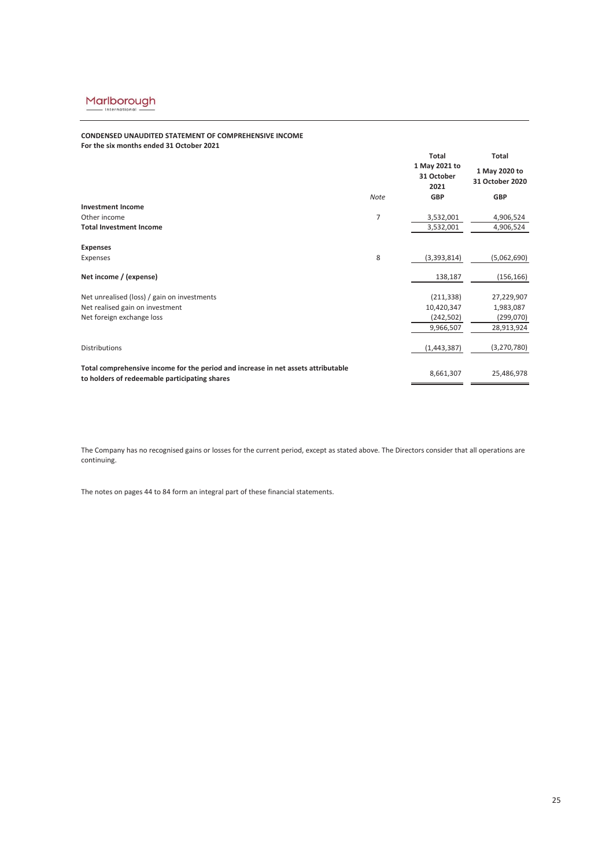## **CONDENSED UNAUDITED STATEMENT OF COMPREHENSIVE INCOME For the six months ended 31 October 2021**

| TOT the SIX INDITIIS CHUCU 31 OCTODER 2021                                                                                         |             |                                     |                                  |
|------------------------------------------------------------------------------------------------------------------------------------|-------------|-------------------------------------|----------------------------------|
|                                                                                                                                    |             | Total                               | Total                            |
|                                                                                                                                    |             | 1 May 2021 to<br>31 October<br>2021 | 1 May 2020 to<br>31 October 2020 |
|                                                                                                                                    | <b>Note</b> | <b>GBP</b>                          | <b>GBP</b>                       |
| <b>Investment Income</b>                                                                                                           |             |                                     |                                  |
| Other income                                                                                                                       | 7           | 3,532,001                           | 4,906,524                        |
| <b>Total Investment Income</b>                                                                                                     |             | 3,532,001                           | 4,906,524                        |
| <b>Expenses</b>                                                                                                                    |             |                                     |                                  |
| Expenses                                                                                                                           | 8           | (3,393,814)                         | (5,062,690)                      |
| Net income / (expense)                                                                                                             |             | 138,187                             | (156, 166)                       |
| Net unrealised (loss) / gain on investments                                                                                        |             | (211, 338)                          | 27,229,907                       |
| Net realised gain on investment                                                                                                    |             | 10,420,347                          | 1,983,087                        |
| Net foreign exchange loss                                                                                                          |             | (242, 502)                          | (299,070)                        |
|                                                                                                                                    |             | 9,966,507                           | 28,913,924                       |
| <b>Distributions</b>                                                                                                               |             | (1,443,387)                         | (3,270,780)                      |
| Total comprehensive income for the period and increase in net assets attributable<br>to holders of redeemable participating shares |             | 8,661,307                           | 25,486,978                       |

The Company has no recognised gains or losses for the current period, except as stated above. The Directors consider that all operations are continuing.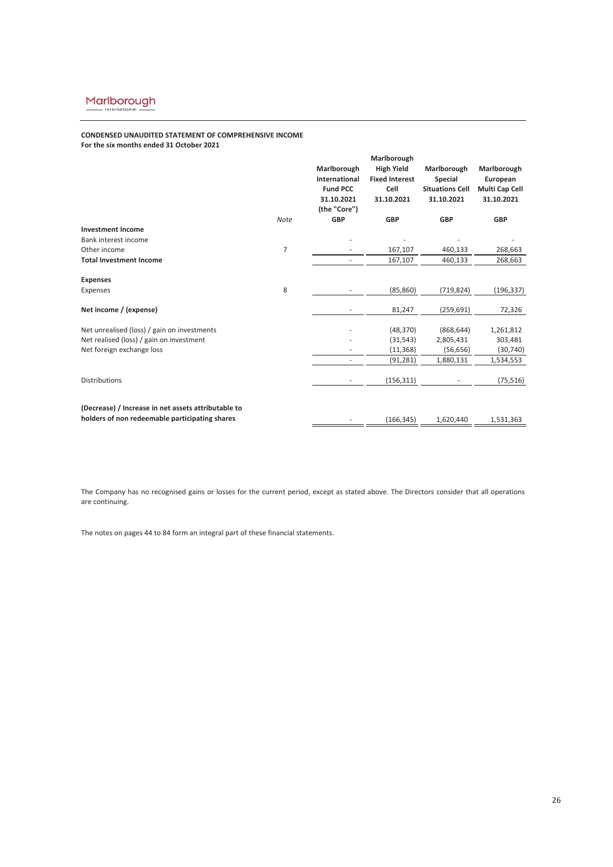# **CONDENSED UNAUDITED STATEMENT OF COMPREHENSIVE INCOME**

**For the six months ended 31 October 2021**

|                                                     |                |                          | Marlborough           |                        |                |  |
|-----------------------------------------------------|----------------|--------------------------|-----------------------|------------------------|----------------|--|
|                                                     |                | Marlborough              | <b>High Yield</b>     | Marlborough            | Marlborough    |  |
|                                                     |                | International            | <b>Fixed Interest</b> | <b>Special</b>         | European       |  |
|                                                     |                | <b>Fund PCC</b>          | Cell                  | <b>Situations Cell</b> | Multi Cap Cell |  |
|                                                     |                | 31.10.2021               | 31.10.2021            | 31.10.2021             | 31.10.2021     |  |
|                                                     |                | (the "Core")             |                       |                        |                |  |
|                                                     | <b>Note</b>    | <b>GBP</b>               | <b>GBP</b>            | <b>GBP</b>             | <b>GBP</b>     |  |
| <b>Investment Income</b>                            |                |                          |                       |                        |                |  |
| Bank interest income                                |                |                          |                       |                        |                |  |
| Other income                                        | $\overline{7}$ |                          | 167,107               | 460,133                | 268,663        |  |
| <b>Total Investment Income</b>                      |                | $\sim$                   | 167,107               | 460,133                | 268,663        |  |
| <b>Expenses</b>                                     |                |                          |                       |                        |                |  |
| Expenses                                            | 8              |                          | (85, 860)             | (719, 824)             | (196,337)      |  |
| Net income / (expense)                              |                | ٠                        | 81,247                | (259, 691)             | 72,326         |  |
| Net unrealised (loss) / gain on investments         |                |                          | (48, 370)             | (868, 644)             | 1,261,812      |  |
| Net realised (loss) / gain on investment            |                |                          | (31, 543)             | 2,805,431              | 303,481        |  |
| Net foreign exchange loss                           |                |                          | (11, 368)             | (56, 656)              | (30, 740)      |  |
|                                                     |                | ٠                        | (91, 281)             | 1,880,131              | 1,534,553      |  |
| <b>Distributions</b>                                |                | $\overline{\phantom{a}}$ | (156, 311)            |                        | (75, 516)      |  |
|                                                     |                |                          |                       |                        |                |  |
| (Decrease) / Increase in net assets attributable to |                |                          |                       |                        |                |  |
| holders of non redeemable participating shares      |                |                          | (166, 345)            | 1,620,440              | 1,531,363      |  |

The Company has no recognised gains or losses for the current period, except as stated above. The Directors consider that all operations are continuing.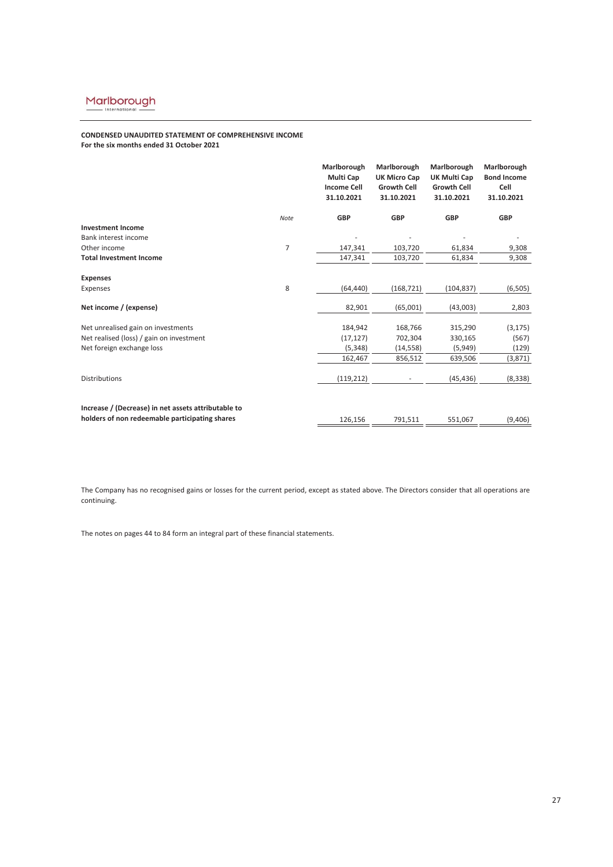# **CONDENSED UNAUDITED STATEMENT OF COMPREHENSIVE INCOME For the six months ended 31 October 2021**

|                                                     |      | Marlborough<br>Multi Cap<br><b>Income Cell</b><br>31.10.2021 | Marlborough<br><b>UK Micro Cap</b><br><b>Growth Cell</b><br>31.10.2021 | Marlborough<br>UK Multi Cap<br><b>Growth Cell</b><br>31.10.2021 | Marlborough<br><b>Bond Income</b><br>Cell<br>31.10.2021 |
|-----------------------------------------------------|------|--------------------------------------------------------------|------------------------------------------------------------------------|-----------------------------------------------------------------|---------------------------------------------------------|
|                                                     | Note | <b>GBP</b>                                                   | <b>GBP</b>                                                             | <b>GBP</b>                                                      | <b>GBP</b>                                              |
| <b>Investment Income</b>                            |      |                                                              |                                                                        |                                                                 |                                                         |
| Bank interest income                                |      |                                                              |                                                                        |                                                                 |                                                         |
| Other income                                        | 7    | 147,341                                                      | 103,720                                                                | 61,834                                                          | 9,308                                                   |
| <b>Total Investment Income</b>                      |      | 147,341                                                      | 103,720                                                                | 61,834                                                          | 9,308                                                   |
| <b>Expenses</b>                                     |      |                                                              |                                                                        |                                                                 |                                                         |
| Expenses                                            | 8    | (64, 440)                                                    | (168, 721)                                                             | (104, 837)                                                      | (6, 505)                                                |
| Net income / (expense)                              |      | 82,901                                                       | (65,001)                                                               | (43,003)                                                        | 2,803                                                   |
| Net unrealised gain on investments                  |      | 184,942                                                      | 168,766                                                                | 315,290                                                         | (3, 175)                                                |
| Net realised (loss) / gain on investment            |      | (17, 127)                                                    | 702,304                                                                | 330,165                                                         | (567)                                                   |
| Net foreign exchange loss                           |      | (5, 348)                                                     | (14, 558)                                                              | (5,949)                                                         | (129)                                                   |
|                                                     |      | 162,467                                                      | 856,512                                                                | 639,506                                                         | (3,871)                                                 |
| <b>Distributions</b>                                |      | (119, 212)                                                   |                                                                        | (45, 436)                                                       | (8, 338)                                                |
| Increase / (Decrease) in net assets attributable to |      |                                                              |                                                                        |                                                                 |                                                         |
| holders of non redeemable participating shares      |      | 126,156                                                      | 791,511                                                                | 551,067                                                         | (9,406)                                                 |

The Company has no recognised gains or losses for the current period, except as stated above. The Directors consider that all operations are continuing.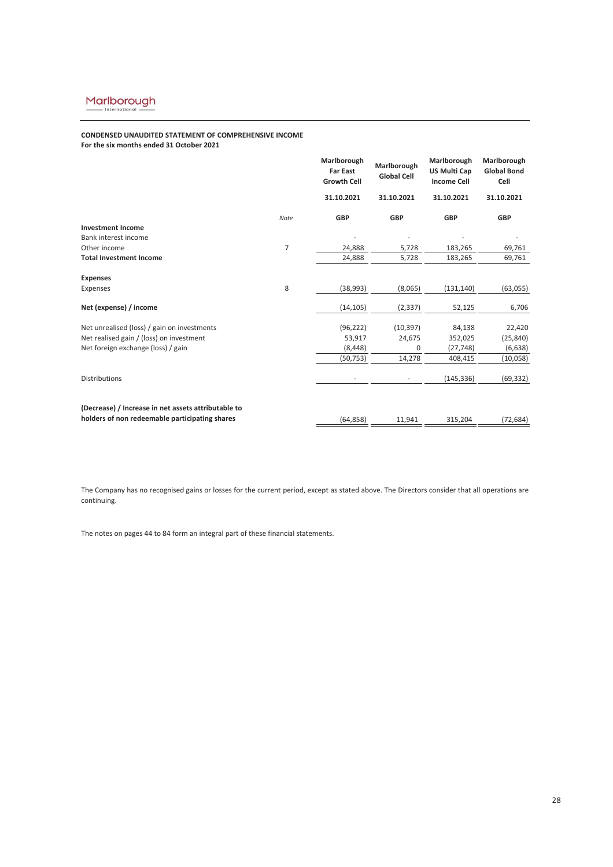# **CONDENSED UNAUDITED STATEMENT OF COMPREHENSIVE INCOME**

**For the six months ended 31 October 2021**

|                                                     |      | Marlborough<br><b>Far East</b><br><b>Growth Cell</b> | Marlborough<br><b>Global Cell</b> | Marlborough<br><b>US Multi Cap</b><br><b>Income Cell</b> | Marlborough<br><b>Global Bond</b><br>Cell |
|-----------------------------------------------------|------|------------------------------------------------------|-----------------------------------|----------------------------------------------------------|-------------------------------------------|
|                                                     |      | 31.10.2021                                           | 31.10.2021                        | 31.10.2021                                               | 31.10.2021                                |
|                                                     | Note | <b>GBP</b>                                           | <b>GBP</b>                        | <b>GBP</b>                                               | <b>GBP</b>                                |
| <b>Investment Income</b>                            |      |                                                      |                                   |                                                          |                                           |
| Bank interest income                                |      |                                                      |                                   |                                                          |                                           |
| Other income                                        | 7    | 24,888                                               | 5,728                             | 183,265                                                  | 69,761                                    |
| <b>Total Investment Income</b>                      |      | 24,888                                               | 5,728                             | 183,265                                                  | 69,761                                    |
| <b>Expenses</b>                                     |      |                                                      |                                   |                                                          |                                           |
| Expenses                                            | 8    | (38, 993)                                            | (8,065)                           | (131, 140)                                               | (63,055)                                  |
| Net (expense) / income                              |      | (14, 105)                                            | (2, 337)                          | 52,125                                                   | 6,706                                     |
| Net unrealised (loss) / gain on investments         |      | (96, 222)                                            | (10, 397)                         | 84,138                                                   | 22,420                                    |
| Net realised gain / (loss) on investment            |      | 53,917                                               | 24,675                            | 352,025                                                  | (25, 840)                                 |
| Net foreign exchange (loss) / gain                  |      | (8, 448)                                             | 0                                 | (27, 748)                                                | (6, 638)                                  |
|                                                     |      | (50, 753)                                            | 14,278                            | 408,415                                                  | (10,058)                                  |
| <b>Distributions</b>                                |      |                                                      |                                   | (145, 336)                                               | (69, 332)                                 |
| (Decrease) / Increase in net assets attributable to |      |                                                      |                                   |                                                          |                                           |
| holders of non redeemable participating shares      |      | (64, 858)                                            | 11,941                            | 315,204                                                  | (72, 684)                                 |

The Company has no recognised gains or losses for the current period, except as stated above. The Directors consider that all operations are continuing.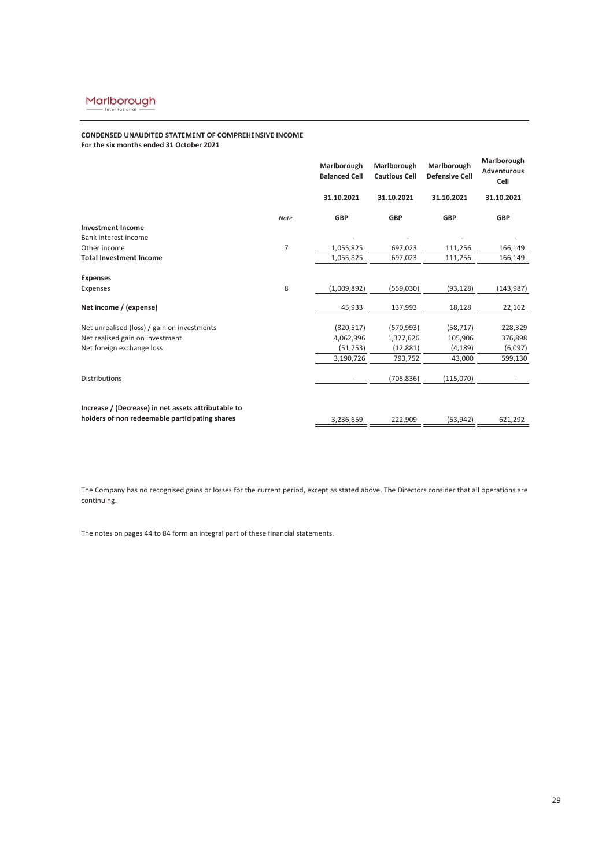# **CONDENSED UNAUDITED STATEMENT OF COMPREHENSIVE INCOME For the six months ended 31 October 2021**

|                                                     |      | Marlborough<br><b>Balanced Cell</b> | Marlborough<br><b>Cautious Cell</b> | Marlborough<br><b>Defensive Cell</b> | Marlborough<br><b>Adventurous</b><br>Cell |
|-----------------------------------------------------|------|-------------------------------------|-------------------------------------|--------------------------------------|-------------------------------------------|
|                                                     |      | 31.10.2021                          | 31.10.2021                          | 31.10.2021                           | 31.10.2021                                |
|                                                     | Note | <b>GBP</b>                          | <b>GBP</b>                          | <b>GBP</b>                           | <b>GBP</b>                                |
| <b>Investment Income</b>                            |      |                                     |                                     |                                      |                                           |
| Bank interest income                                |      |                                     |                                     |                                      |                                           |
| Other income                                        | 7    | 1,055,825                           | 697,023                             | 111,256                              | 166,149                                   |
| <b>Total Investment Income</b>                      |      | 1,055,825                           | 697,023                             | 111,256                              | 166,149                                   |
| <b>Expenses</b>                                     |      |                                     |                                     |                                      |                                           |
| Expenses                                            | 8    | (1,009,892)                         | (559,030)                           | (93, 128)                            | (143, 987)                                |
| Net income / (expense)                              |      | 45,933                              | 137,993                             | 18,128                               | 22,162                                    |
| Net unrealised (loss) / gain on investments         |      | (820, 517)                          | (570, 993)                          | (58, 717)                            | 228,329                                   |
| Net realised gain on investment                     |      | 4,062,996                           | 1,377,626                           | 105,906                              | 376,898                                   |
| Net foreign exchange loss                           |      | (51, 753)                           | (12,881)                            | (4, 189)                             | (6,097)                                   |
|                                                     |      | 3,190,726                           | 793,752                             | 43,000                               | 599,130                                   |
| <b>Distributions</b>                                |      |                                     | (708, 836)                          | (115,070)                            |                                           |
|                                                     |      |                                     |                                     |                                      |                                           |
| Increase / (Decrease) in net assets attributable to |      |                                     |                                     |                                      |                                           |
| holders of non redeemable participating shares      |      | 3,236,659                           | 222,909                             | (53, 942)                            | 621,292                                   |

The Company has no recognised gains or losses for the current period, except as stated above. The Directors consider that all operations are continuing.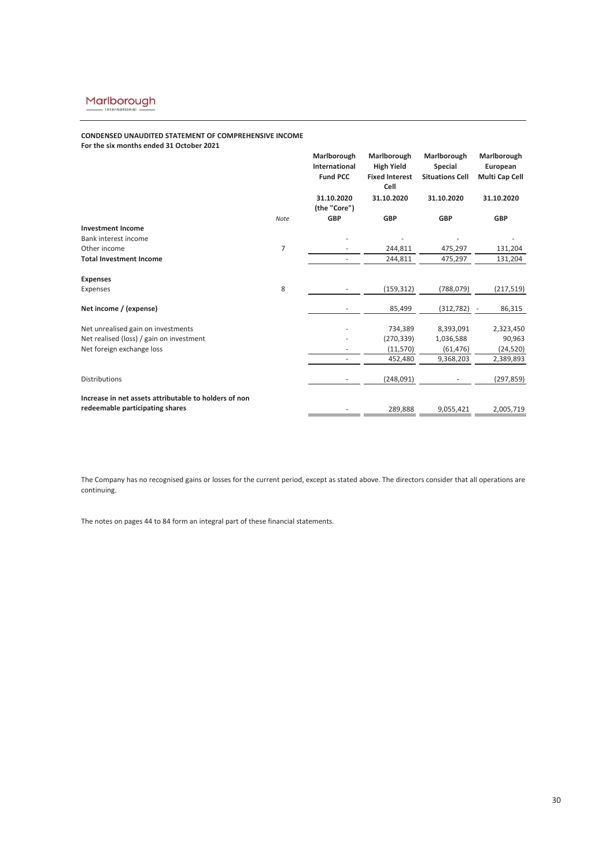# **CONDENSED UNAUDITED STATEMENT OF COMPREHENSIVE INCOME For the six months ended 31 October 2021**

|                                                                                          |                | Marlborough<br>International<br><b>Fund PCC</b> | Marlborough<br><b>High Yield</b><br><b>Fixed Interest</b><br>Cell | Marlborough<br><b>Special</b><br><b>Situations Cell</b> | Marlborough<br>European<br>Multi Cap Cell |
|------------------------------------------------------------------------------------------|----------------|-------------------------------------------------|-------------------------------------------------------------------|---------------------------------------------------------|-------------------------------------------|
|                                                                                          |                | 31.10.2020<br>(the "Core")                      | 31.10.2020                                                        | 31.10.2020                                              | 31.10.2020                                |
|                                                                                          | <b>Note</b>    | <b>GBP</b>                                      | <b>GBP</b>                                                        | <b>GBP</b>                                              | <b>GBP</b>                                |
| <b>Investment Income</b>                                                                 |                |                                                 |                                                                   |                                                         |                                           |
| Bank interest income                                                                     |                |                                                 |                                                                   |                                                         |                                           |
| Other income                                                                             | $\overline{7}$ |                                                 | 244,811                                                           | 475,297                                                 | 131,204                                   |
| <b>Total Investment Income</b>                                                           |                |                                                 | 244,811                                                           | 475,297                                                 | 131,204                                   |
| <b>Expenses</b>                                                                          |                |                                                 |                                                                   |                                                         |                                           |
| Expenses                                                                                 | 8              |                                                 | (159, 312)                                                        | (788, 079)                                              | (217, 519)                                |
| Net income / (expense)                                                                   |                |                                                 | 85,499                                                            | (312, 782)                                              | 86,315                                    |
| Net unrealised gain on investments                                                       |                |                                                 | 734,389                                                           | 8,393,091                                               | 2,323,450                                 |
| Net realised (loss) / gain on investment                                                 |                |                                                 | (270, 339)                                                        | 1,036,588                                               | 90,963                                    |
| Net foreign exchange loss                                                                |                |                                                 | (11, 570)                                                         | (61, 476)                                               | (24, 520)                                 |
|                                                                                          |                |                                                 | 452,480                                                           | 9,368,203                                               | 2,389,893                                 |
| Distributions                                                                            |                |                                                 | (248,091)                                                         |                                                         | (297, 859)                                |
| Increase in net assets attributable to holders of non<br>redeemable participating shares |                |                                                 | 289,888                                                           | 9,055,421                                               | 2,005,719                                 |

The Company has no recognised gains or losses for the current period, except as stated above. The directors consider that all operations are continuing.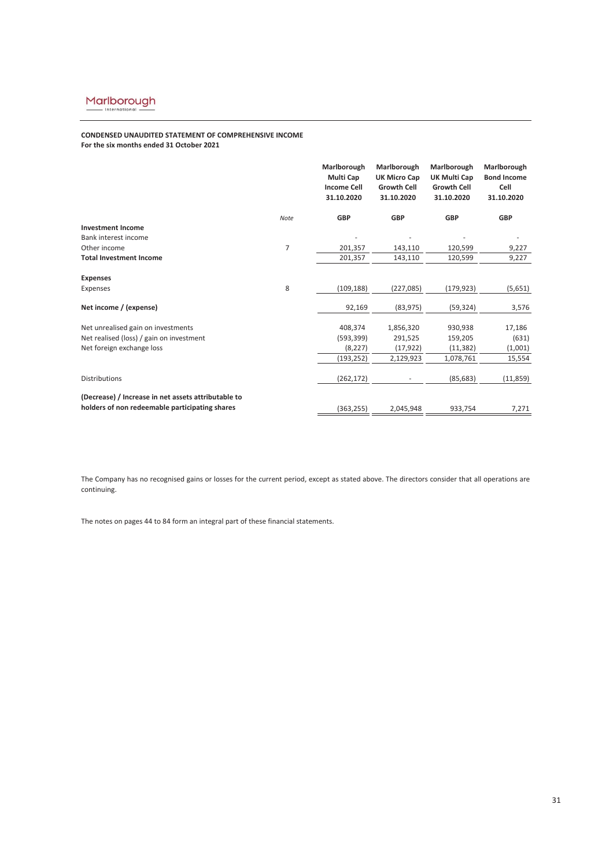# **CONDENSED UNAUDITED STATEMENT OF COMPREHENSIVE INCOME For the six months ended 31 October 2021**

|                                                     |      | Marlborough<br>Multi Cap<br><b>Income Cell</b><br>31.10.2020 | Marlborough<br><b>UK Micro Cap</b><br><b>Growth Cell</b><br>31.10.2020 | Marlborough<br><b>UK Multi Cap</b><br><b>Growth Cell</b><br>31.10.2020 | Marlborough<br><b>Bond Income</b><br>Cell<br>31.10.2020 |
|-----------------------------------------------------|------|--------------------------------------------------------------|------------------------------------------------------------------------|------------------------------------------------------------------------|---------------------------------------------------------|
|                                                     | Note | <b>GBP</b>                                                   | <b>GBP</b>                                                             | <b>GBP</b>                                                             | <b>GBP</b>                                              |
| <b>Investment Income</b>                            |      |                                                              |                                                                        |                                                                        |                                                         |
| Bank interest income                                |      |                                                              |                                                                        |                                                                        |                                                         |
| Other income                                        | 7    | 201,357                                                      | 143,110                                                                | 120,599                                                                | 9,227                                                   |
| <b>Total Investment Income</b>                      |      | 201,357                                                      | 143,110                                                                | 120,599                                                                | 9,227                                                   |
| <b>Expenses</b>                                     |      |                                                              |                                                                        |                                                                        |                                                         |
| Expenses                                            | 8    | (109, 188)                                                   | (227,085)                                                              | (179, 923)                                                             | (5,651)                                                 |
| Net income / (expense)                              |      | 92,169                                                       | (83, 975)                                                              | (59, 324)                                                              | 3,576                                                   |
| Net unrealised gain on investments                  |      | 408,374                                                      | 1,856,320                                                              | 930,938                                                                | 17,186                                                  |
| Net realised (loss) / gain on investment            |      | (593, 399)                                                   | 291,525                                                                | 159,205                                                                | (631)                                                   |
| Net foreign exchange loss                           |      | (8, 227)                                                     | (17, 922)                                                              | (11, 382)                                                              | (1,001)                                                 |
|                                                     |      | (193, 252)                                                   | 2,129,923                                                              | 1,078,761                                                              | 15,554                                                  |
| <b>Distributions</b>                                |      | (262, 172)                                                   |                                                                        | (85, 683)                                                              | (11, 859)                                               |
| (Decrease) / Increase in net assets attributable to |      |                                                              |                                                                        |                                                                        |                                                         |
| holders of non redeemable participating shares      |      | (363, 255)                                                   | 2,045,948                                                              | 933,754                                                                | 7,271                                                   |

The Company has no recognised gains or losses for the current period, except as stated above. The directors consider that all operations are continuing.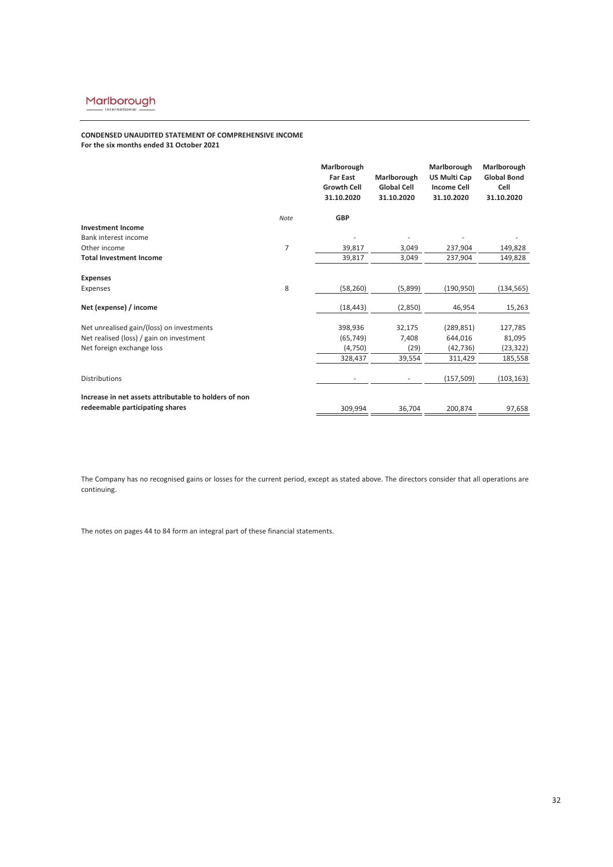# **CONDENSED UNAUDITED STATEMENT OF COMPREHENSIVE INCOME For the six months ended 31 October 2021**

|                                                                                          |      | Marlborough<br><b>Far East</b><br><b>Growth Cell</b><br>31.10.2020 | Marlborough<br><b>Global Cell</b><br>31.10.2020 | Marlborough<br><b>US Multi Cap</b><br><b>Income Cell</b><br>31.10.2020 | Marlborough<br><b>Global Bond</b><br>Cell<br>31.10.2020 |
|------------------------------------------------------------------------------------------|------|--------------------------------------------------------------------|-------------------------------------------------|------------------------------------------------------------------------|---------------------------------------------------------|
|                                                                                          | Note | <b>GBP</b>                                                         |                                                 |                                                                        |                                                         |
| <b>Investment Income</b>                                                                 |      |                                                                    |                                                 |                                                                        |                                                         |
| Bank interest income                                                                     |      |                                                                    |                                                 |                                                                        |                                                         |
| Other income                                                                             | 7    | 39,817                                                             | 3,049                                           | 237,904                                                                | 149,828                                                 |
| <b>Total Investment Income</b>                                                           |      | 39,817                                                             | 3,049                                           | 237,904                                                                | 149,828                                                 |
| <b>Expenses</b>                                                                          |      |                                                                    |                                                 |                                                                        |                                                         |
| Expenses                                                                                 | 8    | (58, 260)                                                          | (5,899)                                         | (190, 950)                                                             | (134, 565)                                              |
| Net (expense) / income                                                                   |      | (18, 443)                                                          | (2,850)                                         | 46,954                                                                 | 15,263                                                  |
| Net unrealised gain/(loss) on investments                                                |      | 398,936                                                            | 32,175                                          | (289, 851)                                                             | 127,785                                                 |
| Net realised (loss) / gain on investment                                                 |      | (65, 749)                                                          | 7,408                                           | 644,016                                                                | 81,095                                                  |
| Net foreign exchange loss                                                                |      | (4,750)                                                            | (29)                                            | (42, 736)                                                              | (23, 322)                                               |
|                                                                                          |      | 328,437                                                            | 39,554                                          | 311,429                                                                | 185,558                                                 |
| <b>Distributions</b>                                                                     |      |                                                                    | $\overline{\phantom{0}}$                        | (157, 509)                                                             | (103, 163)                                              |
| Increase in net assets attributable to holders of non<br>redeemable participating shares |      | 309,994                                                            | 36,704                                          | 200,874                                                                | 97,658                                                  |

The Company has no recognised gains or losses for the current period, except as stated above. The directors consider that all operations are continuing.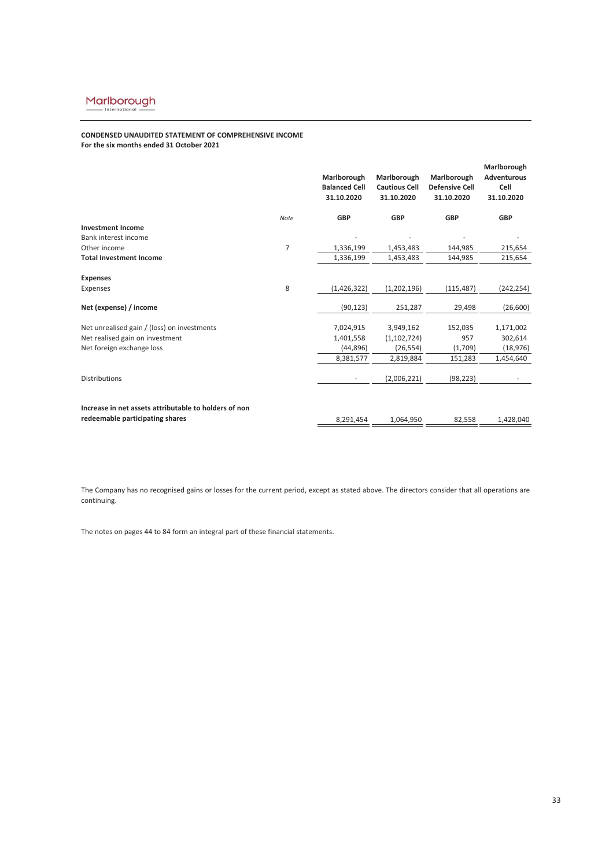# **CONDENSED UNAUDITED STATEMENT OF COMPREHENSIVE INCOME For the six months ended 31 October 2021**

|                                                       |                | Marlborough<br><b>Balanced Cell</b><br>31.10.2020 | Marlborough<br><b>Cautious Cell</b><br>31.10.2020 | Marlborough<br><b>Defensive Cell</b><br>31.10.2020 | Marlborough<br><b>Adventurous</b><br>Cell<br>31.10.2020 |
|-------------------------------------------------------|----------------|---------------------------------------------------|---------------------------------------------------|----------------------------------------------------|---------------------------------------------------------|
|                                                       | Note           | <b>GBP</b>                                        | <b>GBP</b>                                        | <b>GBP</b>                                         | <b>GBP</b>                                              |
| <b>Investment Income</b>                              |                |                                                   |                                                   |                                                    |                                                         |
| Bank interest income                                  |                |                                                   |                                                   |                                                    |                                                         |
| Other income                                          | $\overline{7}$ | 1,336,199                                         | 1,453,483                                         | 144,985                                            | 215,654                                                 |
| <b>Total Investment Income</b>                        |                | 1,336,199                                         | 1,453,483                                         | 144,985                                            | 215,654                                                 |
| <b>Expenses</b>                                       |                |                                                   |                                                   |                                                    |                                                         |
| Expenses                                              | 8              | (1,426,322)                                       | (1,202,196)                                       | (115, 487)                                         | (242, 254)                                              |
| Net (expense) / income                                |                | (90, 123)                                         | 251,287                                           | 29,498                                             | (26, 600)                                               |
| Net unrealised gain / (loss) on investments           |                | 7,024,915                                         | 3,949,162                                         | 152,035                                            | 1,171,002                                               |
| Net realised gain on investment                       |                | 1,401,558                                         | (1, 102, 724)                                     | 957                                                | 302,614                                                 |
| Net foreign exchange loss                             |                | (44, 896)                                         | (26, 554)                                         | (1,709)                                            | (18, 976)                                               |
|                                                       |                | 8,381,577                                         | 2,819,884                                         | 151,283                                            | 1,454,640                                               |
| <b>Distributions</b>                                  |                | -                                                 | (2,006,221)                                       | (98, 223)                                          |                                                         |
| Increase in net assets attributable to holders of non |                |                                                   |                                                   |                                                    |                                                         |
| redeemable participating shares                       |                | 8.291.454                                         | 1.064.950                                         | 82,558                                             | 1,428,040                                               |

The Company has no recognised gains or losses for the current period, except as stated above. The directors consider that all operations are continuing.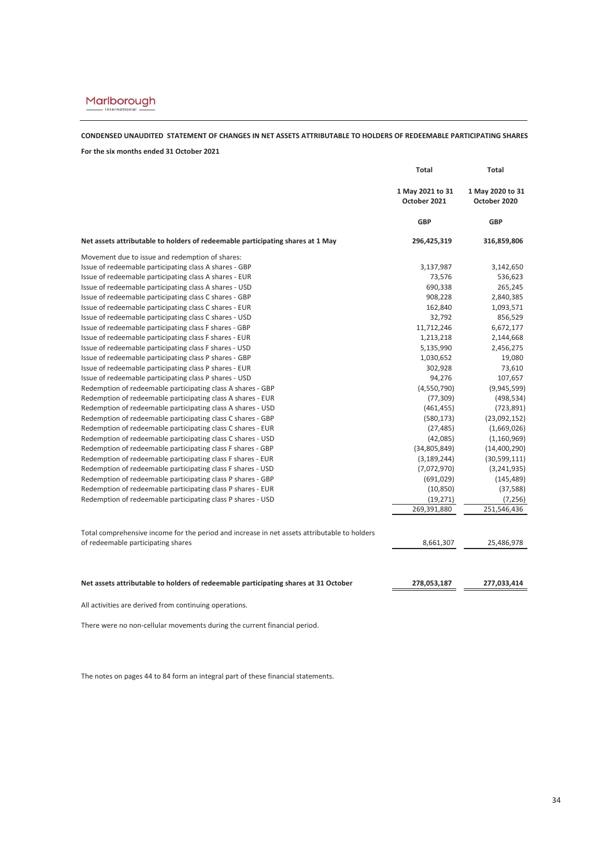# **CONDENSED UNAUDITED STATEMENT OF CHANGES IN NET ASSETS ATTRIBUTABLE TO HOLDERS OF REDEEMABLE PARTICIPATING SHARES**

# **For the six months ended 31 October 2021**

|                                                                                              | <b>Total</b>                     | <b>Total</b>                     |  |
|----------------------------------------------------------------------------------------------|----------------------------------|----------------------------------|--|
|                                                                                              | 1 May 2021 to 31<br>October 2021 | 1 May 2020 to 31<br>October 2020 |  |
|                                                                                              | <b>GBP</b>                       | <b>GBP</b>                       |  |
| Net assets attributable to holders of redeemable participating shares at 1 May               | 296,425,319                      | 316,859,806                      |  |
| Movement due to issue and redemption of shares:                                              |                                  |                                  |  |
| Issue of redeemable participating class A shares - GBP                                       | 3,137,987                        | 3,142,650                        |  |
| Issue of redeemable participating class A shares - EUR                                       | 73,576                           | 536,623                          |  |
| Issue of redeemable participating class A shares - USD                                       | 690,338                          | 265,245                          |  |
| Issue of redeemable participating class C shares - GBP                                       | 908,228                          | 2,840,385                        |  |
| Issue of redeemable participating class C shares - EUR                                       | 162,840                          | 1,093,571                        |  |
| Issue of redeemable participating class C shares - USD                                       | 32,792                           | 856,529                          |  |
| Issue of redeemable participating class F shares - GBP                                       | 11,712,246                       | 6,672,177                        |  |
| Issue of redeemable participating class F shares - EUR                                       | 1,213,218                        | 2,144,668                        |  |
| Issue of redeemable participating class F shares - USD                                       | 5,135,990                        | 2,456,275                        |  |
| Issue of redeemable participating class P shares - GBP                                       | 1,030,652                        | 19,080                           |  |
| Issue of redeemable participating class P shares - EUR                                       | 302,928                          | 73,610                           |  |
| Issue of redeemable participating class P shares - USD                                       | 94,276                           | 107,657                          |  |
| Redemption of redeemable participating class A shares - GBP                                  | (4,550,790)                      | (9,945,599)                      |  |
| Redemption of redeemable participating class A shares - EUR                                  | (77, 309)                        | (498, 534)                       |  |
| Redemption of redeemable participating class A shares - USD                                  | (461, 455)                       | (723, 891)                       |  |
| Redemption of redeemable participating class C shares - GBP                                  | (580, 173)                       | (23,092,152)                     |  |
| Redemption of redeemable participating class C shares - EUR                                  | (27, 485)                        | (1,669,026)                      |  |
| Redemption of redeemable participating class C shares - USD                                  | (42,085)                         | (1, 160, 969)                    |  |
| Redemption of redeemable participating class F shares - GBP                                  | (34,805,849)                     | (14, 400, 290)                   |  |
| Redemption of redeemable participating class F shares - EUR                                  | (3, 189, 244)                    | (30, 599, 111)                   |  |
| Redemption of redeemable participating class F shares - USD                                  | (7,072,970)                      | (3,241,935)                      |  |
| Redemption of redeemable participating class P shares - GBP                                  | (691,029)                        | (145, 489)                       |  |
| Redemption of redeemable participating class P shares - EUR                                  | (10, 850)                        | (37, 588)                        |  |
| Redemption of redeemable participating class P shares - USD                                  | (19, 271)                        | (7, 256)                         |  |
|                                                                                              | 269,391,880                      | 251,546,436                      |  |
|                                                                                              |                                  |                                  |  |
| Total comprehensive income for the period and increase in net assets attributable to holders |                                  |                                  |  |
| of redeemable participating shares                                                           | 8,661,307                        | 25,486,978                       |  |
|                                                                                              |                                  |                                  |  |
| Net assets attributable to holders of redeemable participating shares at 31 October          | 278,053,187                      | 277,033,414                      |  |

All activities are derived from continuing operations.

There were no non-cellular movements during the current financial period.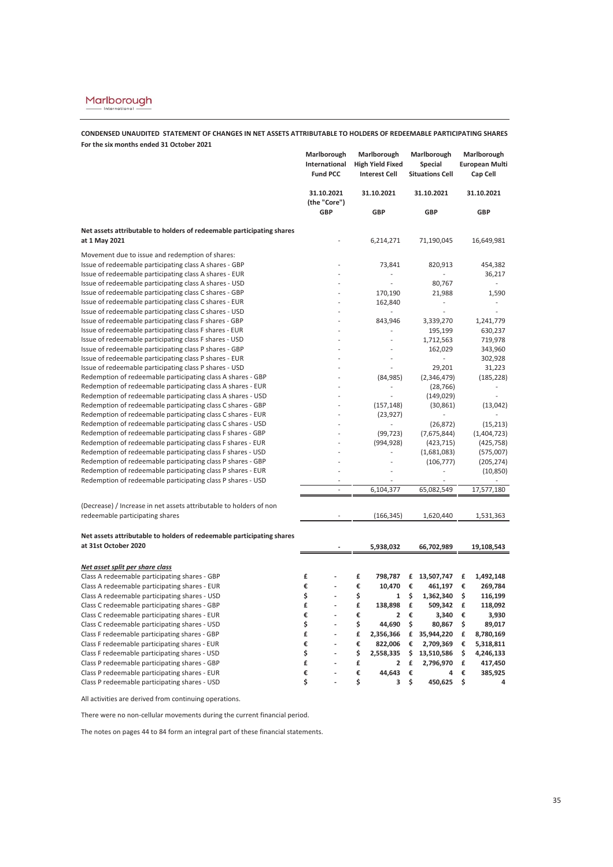**CONDENSED UNAUDITED STATEMENT OF CHANGES IN NET ASSETS ATTRIBUTABLE TO HOLDERS OF REDEEMABLE PARTICIPATING SHARES For the six months ended 31 October 2021**

|                                                                                                                            | Marlborough<br>International<br><b>Fund PCC</b> | Marlborough<br><b>High Yield Fixed</b><br><b>Interest Cell</b> | Marlborough<br>Special<br><b>Situations Cell</b> | Marlborough<br><b>European Multi</b><br>Cap Cell |
|----------------------------------------------------------------------------------------------------------------------------|-------------------------------------------------|----------------------------------------------------------------|--------------------------------------------------|--------------------------------------------------|
|                                                                                                                            | 31.10.2021<br>(the "Core")                      | 31.10.2021                                                     | 31.10.2021                                       | 31.10.2021                                       |
|                                                                                                                            | GBP                                             | <b>GBP</b>                                                     | <b>GBP</b>                                       | GBP                                              |
| Net assets attributable to holders of redeemable participating shares<br>at 1 May 2021                                     |                                                 | 6,214,271                                                      | 71,190,045                                       | 16,649,981                                       |
|                                                                                                                            |                                                 |                                                                |                                                  |                                                  |
| Movement due to issue and redemption of shares:                                                                            |                                                 |                                                                |                                                  |                                                  |
| Issue of redeemable participating class A shares - GBP<br>Issue of redeemable participating class A shares - EUR           |                                                 | 73,841                                                         | 820,913                                          | 454,382<br>36,217                                |
| Issue of redeemable participating class A shares - USD                                                                     |                                                 | Ĭ.                                                             | 80,767                                           | ä,                                               |
| Issue of redeemable participating class C shares - GBP                                                                     |                                                 | 170,190                                                        | 21,988                                           | 1,590                                            |
| Issue of redeemable participating class C shares - EUR                                                                     |                                                 | 162,840                                                        | L.                                               |                                                  |
| Issue of redeemable participating class C shares - USD                                                                     |                                                 | $\overline{a}$                                                 | ÷,                                               | ä,                                               |
| Issue of redeemable participating class F shares - GBP                                                                     |                                                 | 843,946                                                        | 3,339,270                                        | 1,241,779                                        |
| Issue of redeemable participating class F shares - EUR                                                                     |                                                 |                                                                | 195,199                                          | 630,237                                          |
| Issue of redeemable participating class F shares - USD                                                                     |                                                 |                                                                | 1,712,563                                        | 719,978                                          |
| Issue of redeemable participating class P shares - GBP                                                                     |                                                 |                                                                | 162,029                                          | 343,960                                          |
| Issue of redeemable participating class P shares - EUR                                                                     |                                                 |                                                                |                                                  | 302,928                                          |
| Issue of redeemable participating class P shares - USD                                                                     |                                                 |                                                                | 29,201                                           | 31,223                                           |
| Redemption of redeemable participating class A shares - GBP                                                                |                                                 | (84, 985)                                                      | (2,346,479)                                      | (185, 228)                                       |
| Redemption of redeemable participating class A shares - EUR                                                                |                                                 |                                                                | (28, 766)                                        |                                                  |
| Redemption of redeemable participating class A shares - USD                                                                |                                                 |                                                                | (149, 029)                                       |                                                  |
| Redemption of redeemable participating class C shares - GBP                                                                |                                                 | (157, 148)                                                     | (30, 861)                                        | (13,042)                                         |
| Redemption of redeemable participating class C shares - EUR                                                                | L,                                              | (23, 927)                                                      |                                                  |                                                  |
| Redemption of redeemable participating class C shares - USD                                                                |                                                 |                                                                | (26, 872)                                        | (15, 213)                                        |
| Redemption of redeemable participating class F shares - GBP<br>Redemption of redeemable participating class F shares - EUR | ä,                                              | (99, 723)                                                      | (7,675,844)                                      | (1,404,723)                                      |
| Redemption of redeemable participating class F shares - USD                                                                | ä,                                              | (994, 928)                                                     | (423, 715)<br>(1,681,083)                        | (425, 758)<br>(575,007)                          |
| Redemption of redeemable participating class P shares - GBP                                                                | l.                                              | L,                                                             | (106, 777)                                       | (205, 274)                                       |
| Redemption of redeemable participating class P shares - EUR                                                                | $\overline{a}$                                  |                                                                |                                                  | (10, 850)                                        |
| Redemption of redeemable participating class P shares - USD                                                                |                                                 |                                                                |                                                  |                                                  |
|                                                                                                                            | $\overline{a}$                                  | 6,104,377                                                      | 65,082,549                                       | 17,577,180                                       |
|                                                                                                                            |                                                 |                                                                |                                                  |                                                  |
| (Decrease) / Increase in net assets attributable to holders of non                                                         |                                                 |                                                                |                                                  |                                                  |
| redeemable participating shares                                                                                            |                                                 | (166, 345)                                                     | 1,620,440                                        | 1,531,363                                        |
| Net assets attributable to holders of redeemable participating shares                                                      |                                                 |                                                                |                                                  |                                                  |
| at 31st October 2020                                                                                                       |                                                 | 5,938,032                                                      | 66,702,989                                       | 19,108,543                                       |
| Net asset split per share class                                                                                            |                                                 |                                                                |                                                  |                                                  |
| Class A redeemable participating shares - GBP                                                                              | £                                               | £<br>798,787                                                   | £<br>13,507,747                                  | £<br>1,492,148                                   |
| Class A redeemable participating shares - EUR                                                                              | €                                               | €<br>10,470                                                    | €<br>461,197                                     | €<br>269,784                                     |
| Class A redeemable participating shares - USD                                                                              | \$                                              | \$<br>1                                                        | \$<br>1,362,340                                  | \$<br>116,199                                    |
| Class C redeemable participating shares - GBP                                                                              | £                                               | £<br>138,898                                                   | £<br>509,342                                     | £<br>118,092                                     |
| Class C redeemable participating shares - EUR                                                                              | €                                               | €<br>2                                                         | €<br>3,340                                       | €<br>3,930                                       |
| Class C redeemable participating shares - USD                                                                              | \$                                              | \$<br>44,690                                                   | \$<br>80,867                                     | \$<br>89,017                                     |
| Class F redeemable participating shares - GBP                                                                              | £<br>÷,                                         | £<br>2,356,366                                                 | £ 35,944,220                                     | £<br>8,780,169                                   |
| Class F redeemable participating shares - EUR                                                                              | €                                               | €<br>822,006                                                   | €<br>2,709,369                                   | €<br>5,318,811                                   |
| Class F redeemable participating shares - USD                                                                              | \$                                              | \$<br>2,558,335                                                | \$<br>13,510,586                                 | \$<br>4,246,133                                  |
| Class P redeemable participating shares - GBP                                                                              | £<br>L                                          | £<br>2                                                         | £<br>2,796,970                                   | £<br>417,450                                     |
| Class P redeemable participating shares - EUR                                                                              | €                                               | €<br>44,643                                                    | €<br>4                                           | €<br>385,925                                     |
| Class P redeemable participating shares - USD                                                                              | \$                                              | \$<br>3                                                        | \$<br>450,625                                    | \$<br>4                                          |

All activities are derived from continuing operations.

There were no non-cellular movements during the current financial period.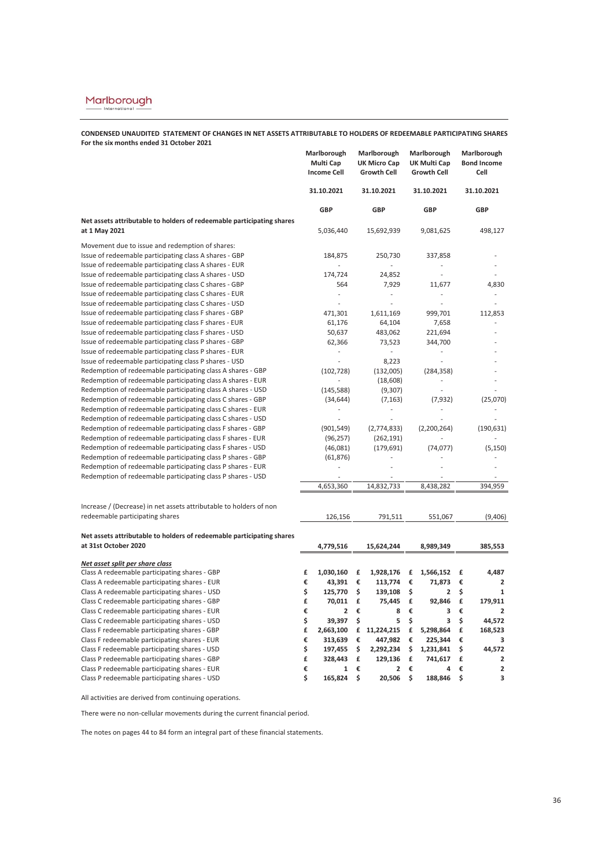**CONDENSED UNAUDITED STATEMENT OF CHANGES IN NET ASSETS ATTRIBUTABLE TO HOLDERS OF REDEEMABLE PARTICIPATING SHARES For the six months ended 31 October 2021**

|                                                                       | Marlborough<br>Multi Cap<br><b>Income Cell</b> |    | Marlborough<br><b>UK Micro Cap</b><br><b>Growth Cell</b> |    | Marlborough<br>UK Multi Cap<br><b>Growth Cell</b> |    | Marlborough<br><b>Bond Income</b><br>Cell |
|-----------------------------------------------------------------------|------------------------------------------------|----|----------------------------------------------------------|----|---------------------------------------------------|----|-------------------------------------------|
|                                                                       | 31.10.2021                                     |    | 31.10.2021                                               |    | 31.10.2021                                        |    | 31.10.2021                                |
|                                                                       | GBP                                            |    | <b>GBP</b>                                               |    | <b>GBP</b>                                        |    | <b>GBP</b>                                |
| Net assets attributable to holders of redeemable participating shares |                                                |    |                                                          |    |                                                   |    |                                           |
| at 1 May 2021                                                         | 5,036,440                                      |    | 15,692,939                                               |    | 9,081,625                                         |    | 498,127                                   |
| Movement due to issue and redemption of shares:                       |                                                |    |                                                          |    |                                                   |    |                                           |
| Issue of redeemable participating class A shares - GBP                | 184,875                                        |    | 250,730                                                  |    | 337,858                                           |    |                                           |
| Issue of redeemable participating class A shares - EUR                | L.                                             |    | ä,                                                       |    | L,                                                |    |                                           |
| Issue of redeemable participating class A shares - USD                | 174,724                                        |    | 24,852                                                   |    | $\overline{\phantom{a}}$                          |    |                                           |
| Issue of redeemable participating class C shares - GBP                | 564                                            |    | 7,929                                                    |    | 11,677                                            |    | 4,830                                     |
| Issue of redeemable participating class C shares - EUR                |                                                |    | L,                                                       |    | L,                                                |    |                                           |
| Issue of redeemable participating class C shares - USD                | ä,                                             |    | ä,                                                       |    | ä,                                                |    |                                           |
| Issue of redeemable participating class F shares - GBP                | 471,301                                        |    | 1,611,169                                                |    | 999,701                                           |    | 112,853                                   |
| Issue of redeemable participating class F shares - EUR                | 61,176                                         |    | 64,104                                                   |    | 7,658                                             |    |                                           |
| Issue of redeemable participating class F shares - USD                | 50,637                                         |    | 483,062                                                  |    | 221,694                                           |    |                                           |
| Issue of redeemable participating class P shares - GBP                | 62,366                                         |    | 73,523                                                   |    | 344,700                                           |    |                                           |
| Issue of redeemable participating class P shares - EUR                | ÷,                                             |    | ÷.                                                       |    | $\overline{a}$                                    |    |                                           |
| Issue of redeemable participating class P shares - USD                |                                                |    | 8,223                                                    |    |                                                   |    |                                           |
| Redemption of redeemable participating class A shares - GBP           | (102, 728)                                     |    | (132,005)                                                |    | (284, 358)                                        |    |                                           |
| Redemption of redeemable participating class A shares - EUR           | ÷,                                             |    | (18,608)                                                 |    |                                                   |    |                                           |
| Redemption of redeemable participating class A shares - USD           | (145, 588)                                     |    | (9,307)                                                  |    |                                                   |    |                                           |
| Redemption of redeemable participating class C shares - GBP           | (34, 644)                                      |    | (7, 163)                                                 |    | (7, 932)                                          |    | (25,070)                                  |
| Redemption of redeemable participating class C shares - EUR           | ä,                                             |    | $\frac{1}{2}$                                            |    |                                                   |    |                                           |
| Redemption of redeemable participating class C shares - USD           |                                                |    |                                                          |    |                                                   |    |                                           |
| Redemption of redeemable participating class F shares - GBP           | (901, 549)                                     |    | (2,774,833)                                              |    | (2,200,264)                                       |    | (190, 631)                                |
| Redemption of redeemable participating class F shares - EUR           | (96, 257)                                      |    | (262, 191)                                               |    |                                                   |    |                                           |
| Redemption of redeemable participating class F shares - USD           | (46,081)                                       |    | (179, 691)                                               |    | (74, 077)                                         |    | (5, 150)                                  |
| Redemption of redeemable participating class P shares - GBP           | (61, 876)                                      |    |                                                          |    |                                                   |    |                                           |
| Redemption of redeemable participating class P shares - EUR           | L,                                             |    |                                                          |    |                                                   |    |                                           |
| Redemption of redeemable participating class P shares - USD           |                                                |    |                                                          |    |                                                   |    |                                           |
|                                                                       | 4,653,360                                      |    | 14,832,733                                               |    | 8,438,282                                         |    | 394.959                                   |
| Increase / (Decrease) in net assets attributable to holders of non    |                                                |    |                                                          |    |                                                   |    |                                           |
| redeemable participating shares                                       | 126,156                                        |    | 791,511                                                  |    | 551,067                                           |    | (9,406)                                   |
|                                                                       |                                                |    |                                                          |    |                                                   |    |                                           |
| Net assets attributable to holders of redeemable participating shares |                                                |    |                                                          |    |                                                   |    |                                           |
| at 31st October 2020                                                  | 4,779,516                                      |    | 15,624,244                                               |    | 8,989,349                                         |    | 385,553                                   |
| Net asset split per share class                                       |                                                |    |                                                          |    |                                                   |    |                                           |
| Class A redeemable participating shares - GBP                         | £<br>1,030,160                                 | £  | 1,928,176                                                | £  | 1,566,152                                         | £  | 4,487                                     |
| Class A redeemable participating shares - EUR                         | €<br>43,391                                    | €  | 113,774                                                  | €  | 71,873                                            | €  | $\overline{2}$                            |
| Class A redeemable participating shares - USD                         | \$<br>125,770                                  | \$ | 139,108                                                  | \$ | 2                                                 | \$ | 1                                         |
| Class C redeemable participating shares - GBP                         | £<br>70,011                                    | £  | 75,445                                                   | £  | 92,846                                            | £  | 179,911                                   |
| Class C redeemable participating shares - EUR                         | €<br>$\overline{\mathbf{2}}$                   | €  | 8                                                        | €  | 3                                                 | €  | 2                                         |
| Class C redeemable participating shares - USD                         | \$<br>39,397                                   | \$ | 5                                                        | \$ | 3                                                 | \$ | 44,572                                    |
| Class F redeemable participating shares - GBP                         | £<br>2,663,100                                 |    | £ 11,224,215                                             | £  | 5,298,864                                         | £  | 168,523                                   |
| Class F redeemable participating shares - EUR                         | €<br>313,639                                   | €  | 447,982                                                  | €  | 225,344                                           | €  | з                                         |
| Class F redeemable participating shares - USD                         | \$<br>197,455                                  | \$ | 2,292,234                                                | \$ | 1,231,841                                         | \$ | 44,572                                    |
| Class P redeemable participating shares - GBP                         | £<br>328,443                                   | £  | 129,136                                                  | £  | 741,617                                           | £  | $\mathbf{2}$                              |
| Class P redeemable participating shares - EUR                         | €<br>1                                         | €  | 2                                                        | €  | 4                                                 | €  | $\overline{\mathbf{c}}$                   |
| Class P redeemable participating shares - USD                         | Ś<br>165,824                                   | \$ | 20,506                                                   | \$ | 188,846                                           | \$ | 3                                         |

All activities are derived from continuing operations.

There were no non-cellular movements during the current financial period.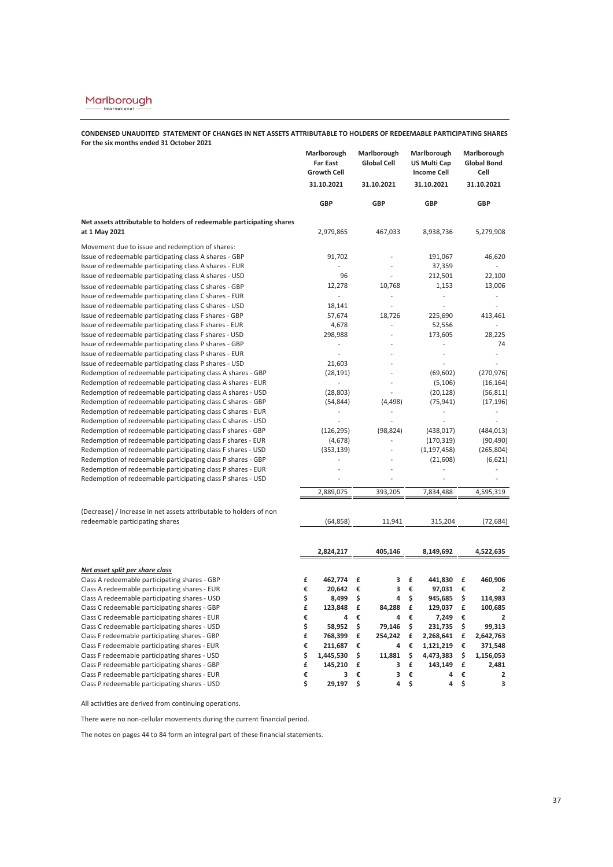**CONDENSED UNAUDITED STATEMENT OF CHANGES IN NET ASSETS ATTRIBUTABLE TO HOLDERS OF REDEEMABLE PARTICIPATING SHARES For the six months ended 31 October 2021**

|                                                                                                                            | Marlborough<br><b>Far East</b><br><b>Growth Cell</b> | Marlborough<br><b>Global Cell</b> | Marlborough<br><b>US Multi Cap</b><br><b>Income Cell</b> | Marlborough<br><b>Global Bond</b><br>Cell |
|----------------------------------------------------------------------------------------------------------------------------|------------------------------------------------------|-----------------------------------|----------------------------------------------------------|-------------------------------------------|
|                                                                                                                            | 31.10.2021                                           | 31.10.2021                        | 31.10.2021                                               | 31.10.2021                                |
|                                                                                                                            | GBP                                                  | <b>GBP</b>                        | GBP                                                      | GBP                                       |
| Net assets attributable to holders of redeemable participating shares<br>at 1 May 2021                                     | 2,979,865                                            | 467,033                           | 8,938,736                                                | 5,279,908                                 |
| Movement due to issue and redemption of shares:                                                                            |                                                      |                                   |                                                          |                                           |
| Issue of redeemable participating class A shares - GBP                                                                     | 91,702                                               | ä,                                | 191,067                                                  | 46,620                                    |
| Issue of redeemable participating class A shares - EUR                                                                     |                                                      | ÷,                                | 37,359                                                   | ä,                                        |
| Issue of redeemable participating class A shares - USD                                                                     | 96                                                   | ÷,                                | 212,501                                                  | 22,100                                    |
| Issue of redeemable participating class C shares - GBP                                                                     | 12,278                                               | 10,768                            | 1,153                                                    | 13,006                                    |
| Issue of redeemable participating class C shares - EUR                                                                     | $\overline{\phantom{a}}$                             | ÷,                                | ä,                                                       | ÷,                                        |
| Issue of redeemable participating class C shares - USD                                                                     | 18,141                                               | ÷,                                | J.                                                       |                                           |
| Issue of redeemable participating class F shares - GBP                                                                     | 57,674                                               | 18,726                            | 225,690                                                  | 413,461                                   |
| Issue of redeemable participating class F shares - EUR                                                                     | 4,678                                                | ä,                                | 52,556                                                   | L,                                        |
| Issue of redeemable participating class F shares - USD                                                                     | 298,988                                              | L,                                | 173,605                                                  | 28,225                                    |
| Issue of redeemable participating class P shares - GBP                                                                     |                                                      |                                   |                                                          | 74                                        |
| Issue of redeemable participating class P shares - EUR                                                                     | ä,                                                   |                                   | ÷,                                                       |                                           |
| Issue of redeemable participating class P shares - USD                                                                     | 21,603                                               |                                   |                                                          |                                           |
| Redemption of redeemable participating class A shares - GBP                                                                | (28, 191)                                            |                                   | (69, 602)                                                | (270, 976)                                |
| Redemption of redeemable participating class A shares - EUR                                                                | $\overline{\phantom{a}}$                             | ÷.                                | (5, 106)                                                 | (16, 164)                                 |
| Redemption of redeemable participating class A shares - USD                                                                | (28, 803)                                            |                                   | (20, 128)                                                | (56, 811)                                 |
| Redemption of redeemable participating class C shares - GBP                                                                | (54, 844)                                            | (4, 498)                          | (75, 941)                                                | (17, 196)                                 |
| Redemption of redeemable participating class C shares - EUR                                                                |                                                      |                                   | $\overline{a}$                                           | $\frac{1}{2}$                             |
| Redemption of redeemable participating class C shares - USD                                                                |                                                      |                                   |                                                          |                                           |
| Redemption of redeemable participating class F shares - GBP                                                                | (126, 295)                                           | (98, 824)                         | (438, 017)                                               | (484, 013)                                |
| Redemption of redeemable participating class F shares - EUR                                                                | (4,678)                                              | ÷,                                | (170, 319)                                               | (90, 490)<br>(265, 804)                   |
| Redemption of redeemable participating class F shares - USD<br>Redemption of redeemable participating class P shares - GBP | (353, 139)<br>ä,                                     |                                   | (1, 197, 458)<br>(21,608)                                | (6,621)                                   |
| Redemption of redeemable participating class P shares - EUR                                                                |                                                      |                                   |                                                          |                                           |
| Redemption of redeemable participating class P shares - USD                                                                |                                                      |                                   |                                                          |                                           |
|                                                                                                                            |                                                      |                                   |                                                          |                                           |
|                                                                                                                            | 2,889,075                                            | 393,205                           | 7,834,488                                                | 4,595,319                                 |
| (Decrease) / Increase in net assets attributable to holders of non                                                         |                                                      |                                   |                                                          |                                           |
| redeemable participating shares                                                                                            | (64, 858)                                            | 11,941                            | 315,204                                                  | (72, 684)                                 |
|                                                                                                                            |                                                      |                                   |                                                          |                                           |
|                                                                                                                            | 2,824,217                                            | 405,146                           | 8,149,692                                                | 4,522,635                                 |
| Net asset split per share class                                                                                            |                                                      |                                   |                                                          |                                           |
| Class A redeemable participating shares - GBP                                                                              | £<br>462,774                                         | 3<br>£                            | £<br>441,830                                             | 460,906<br>£                              |
| Class A redeemable participating shares - EUR                                                                              | €<br>20,642                                          | €<br>3                            | €<br>97,031                                              | €<br>$\overline{2}$                       |
| Class A redeemable participating shares - USD                                                                              | \$<br>8,499                                          | \$<br>4                           | \$<br>945,685                                            | \$<br>114,983                             |
| Class C redeemable participating shares - GBP                                                                              | £<br>123,848                                         | £<br>84,288                       | £<br>129,037                                             | £<br>100,685                              |
| Class C redeemable participating shares - EUR                                                                              | €<br>4                                               | €<br>4                            | €<br>7,249                                               | €<br>2                                    |
| Class C redeemable participating shares - USD                                                                              | \$<br>58,952                                         | \$<br>79,146                      | \$<br>231,735                                            | \$<br>99,313                              |
| Class F redeemable participating shares - GBP                                                                              | £<br>768,399                                         | £<br>254,242                      | £<br>2,268,641                                           | £<br>2,642,763                            |
| Class F redeemable participating shares - EUR                                                                              | €<br>211,687                                         | €<br>4                            | €<br>1,121,219                                           | €<br>371,548                              |
| Class F redeemable participating shares - USD                                                                              | \$<br>1,445,530                                      | \$<br>11,881                      | \$<br>4,473,383                                          | \$<br>1,156,053                           |
| Class P redeemable participating shares - GBP                                                                              | £<br>145,210                                         | £<br>3                            | £<br>143,149                                             | £<br>2,481                                |
| Class P redeemable participating shares - EUR                                                                              | €<br>3                                               | 3<br>€<br>4                       | €<br>4<br>4                                              | €<br>2<br>3                               |
| Class P redeemable participating shares - USD                                                                              | \$<br>29,197                                         | \$                                | \$                                                       | \$                                        |

All activities are derived from continuing operations.

There were no non-cellular movements during the current financial period.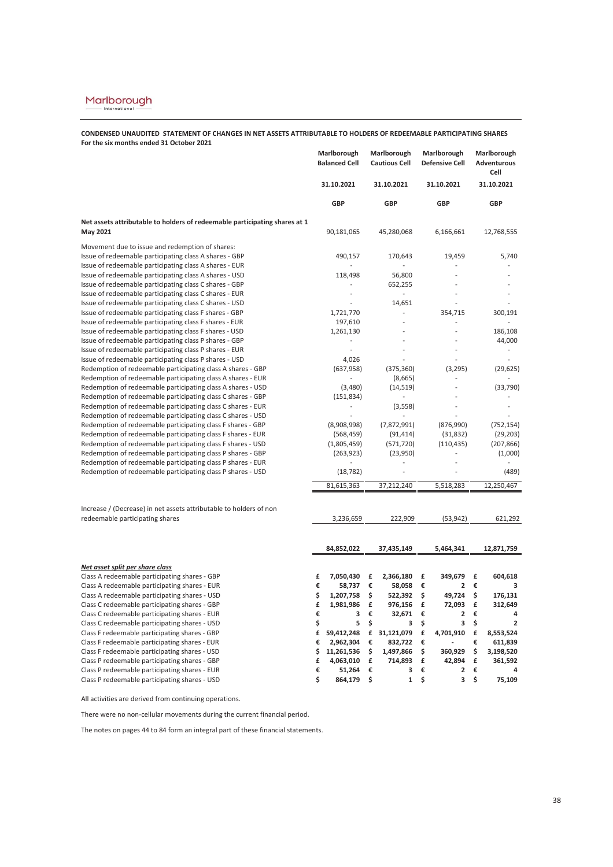### **CONDENSED UNAUDITED STATEMENT OF CHANGES IN NET ASSETS ATTRIBUTABLE TO HOLDERS OF REDEEMABLE PARTICIPATING SHARES For the six months ended 31 October 2021**

|                                                                                                                            | Marlborough<br><b>Balanced Cell</b> | Marlborough<br><b>Cautious Cell</b> | Marlborough<br><b>Defensive Cell</b> | Marlborough<br>Adventurous<br>Cell |
|----------------------------------------------------------------------------------------------------------------------------|-------------------------------------|-------------------------------------|--------------------------------------|------------------------------------|
|                                                                                                                            | 31.10.2021                          | 31.10.2021                          | 31.10.2021                           | 31.10.2021                         |
|                                                                                                                            | GBP                                 | GBP                                 | GBP                                  | GBP                                |
| Net assets attributable to holders of redeemable participating shares at 1                                                 |                                     |                                     |                                      |                                    |
| May 2021                                                                                                                   | 90,181,065                          | 45,280,068                          | 6,166,661                            | 12,768,555                         |
| Movement due to issue and redemption of shares:                                                                            |                                     |                                     |                                      |                                    |
| Issue of redeemable participating class A shares - GBP                                                                     | 490,157                             | 170,643                             | 19,459                               | 5,740                              |
| Issue of redeemable participating class A shares - EUR                                                                     |                                     | ÷,                                  |                                      |                                    |
| Issue of redeemable participating class A shares - USD                                                                     | 118,498                             | 56,800                              |                                      |                                    |
| Issue of redeemable participating class C shares - GBP<br>Issue of redeemable participating class C shares - EUR           |                                     | 652,255<br>ä,                       |                                      |                                    |
| Issue of redeemable participating class C shares - USD                                                                     |                                     | 14,651                              |                                      |                                    |
| Issue of redeemable participating class F shares - GBP                                                                     | 1,721,770                           | ä,                                  | 354,715                              | 300,191                            |
| Issue of redeemable participating class F shares - EUR                                                                     | 197,610                             | ä,                                  |                                      |                                    |
| Issue of redeemable participating class F shares - USD                                                                     | 1,261,130                           |                                     |                                      | 186,108                            |
| Issue of redeemable participating class P shares - GBP                                                                     |                                     |                                     |                                      | 44,000                             |
| Issue of redeemable participating class P shares - EUR                                                                     | $\overline{a}$                      |                                     |                                      | J.                                 |
| Issue of redeemable participating class P shares - USD                                                                     | 4,026                               |                                     |                                      |                                    |
| Redemption of redeemable participating class A shares - GBP                                                                | (637, 958)                          | (375, 360)                          | (3, 295)                             | (29, 625)                          |
| Redemption of redeemable participating class A shares - EUR                                                                |                                     | (8,665)                             |                                      |                                    |
| Redemption of redeemable participating class A shares - USD                                                                | (3,480)                             | (14, 519)                           |                                      | (33, 790)                          |
| Redemption of redeemable participating class C shares - GBP                                                                | (151, 834)                          | ä,                                  |                                      |                                    |
| Redemption of redeemable participating class C shares - EUR                                                                | L.                                  | (3,558)                             | ÷.                                   |                                    |
| Redemption of redeemable participating class C shares - USD                                                                |                                     |                                     |                                      |                                    |
| Redemption of redeemable participating class F shares - GBP<br>Redemption of redeemable participating class F shares - EUR | (8,908,998)                         | (7,872,991)                         | (876,990)                            | (752, 154)                         |
| Redemption of redeemable participating class F shares - USD                                                                | (568, 459)<br>(1,805,459)           | (91, 414)<br>(571, 720)             | (31, 832)<br>(110, 435)              | (29, 203)<br>(207, 866)            |
| Redemption of redeemable participating class P shares - GBP                                                                | (263, 923)                          | (23,950)                            |                                      | (1,000)                            |
| Redemption of redeemable participating class P shares - EUR                                                                |                                     |                                     |                                      |                                    |
| Redemption of redeemable participating class P shares - USD                                                                | (18, 782)                           |                                     |                                      | (489)                              |
|                                                                                                                            | 81,615,363                          | 37,212,240                          | 5,518,283                            | 12,250,467                         |
|                                                                                                                            |                                     |                                     |                                      |                                    |
| Increase / (Decrease) in net assets attributable to holders of non                                                         |                                     |                                     |                                      |                                    |
| redeemable participating shares                                                                                            | 3,236,659                           | 222,909                             | (53, 942)                            | 621,292                            |
|                                                                                                                            |                                     |                                     |                                      |                                    |
|                                                                                                                            | 84,852,022                          | 37,435,149                          | 5,464,341                            | 12,871,759                         |
| <u>Net asset split per share class</u>                                                                                     |                                     |                                     |                                      |                                    |
| Class A redeemable participating shares - GBP                                                                              | £<br>7,050,430                      | £<br>2,366,180                      | 349,679<br>£                         | £<br>604,618                       |
| Class A redeemable participating shares - EUR                                                                              | €<br>58,737                         | €<br>58,058                         | €<br>2                               | €<br>з                             |
| Class A redeemable participating shares - USD                                                                              | \$<br>1,207,758                     | \$<br>522,392                       | \$<br>49,724                         | \$<br>176,131                      |
| Class C redeemable participating shares - GBP                                                                              | £<br>1,981,986                      | £<br>976,156                        | £<br>72,093                          | £<br>312,649                       |
| Class C redeemable participating shares - EUR                                                                              | €<br>3                              | €<br>32,671                         | €<br>2                               | €<br>4                             |
| Class C redeemable participating shares - USD                                                                              | \$<br>5                             | \$<br>3                             | \$<br>3                              | \$<br>$\overline{2}$               |
| Class F redeemable participating shares - GBP                                                                              | £<br>59,412,248                     | £<br>31,121,079                     | £<br>4,701,910                       | £<br>8,553,524                     |
| Class F redeemable participating shares - EUR                                                                              | €<br>2,962,304                      | €<br>832,722                        | €                                    | €<br>611,839                       |
| Class F redeemable participating shares - USD                                                                              | \$<br>11,261,536<br>£<br>4,063,010  | \$<br>1,497,866<br>£<br>714,893     | \$<br>360,929<br>£<br>42,894         | \$<br>3,198,520<br>£<br>361,592    |
| Class P redeemable participating shares - GBP<br>Class P redeemable participating shares - EUR                             | €<br>51,264                         | €<br>3                              | €<br>2                               | €<br>4                             |
| Class P redeemable participating shares - USD                                                                              | \$<br>864,179                       | $\mathbf 1$<br>\$                   | \$<br>3                              | \$<br>75,109                       |

All activities are derived from continuing operations.

There were no non-cellular movements during the current financial period.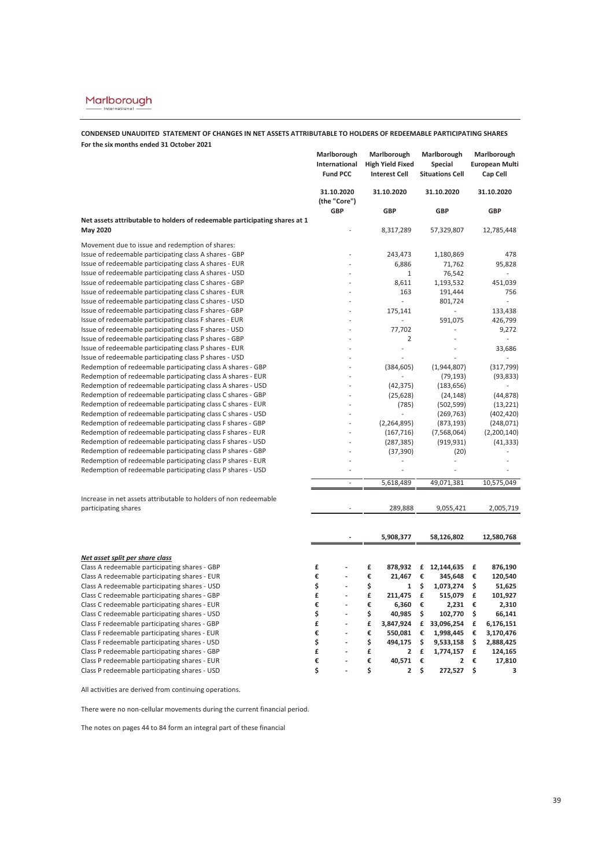### **CONDENSED UNAUDITED STATEMENT OF CHANGES IN NET ASSETS ATTRIBUTABLE TO HOLDERS OF REDEEMABLE PARTICIPATING SHARES For the six months ended 31 October 2021**

|                                                                                                                            | Marlborough<br>International | Marlborough<br><b>High Yield Fixed</b> | Marlborough<br>Special  | Marlborough<br><b>European Multi</b> |
|----------------------------------------------------------------------------------------------------------------------------|------------------------------|----------------------------------------|-------------------------|--------------------------------------|
|                                                                                                                            | <b>Fund PCC</b>              | <b>Interest Cell</b>                   | <b>Situations Cell</b>  | Cap Cell                             |
|                                                                                                                            | 31.10.2020<br>(the "Core")   | 31.10.2020                             | 31.10.2020              | 31.10.2020                           |
|                                                                                                                            | <b>GBP</b>                   | GBP                                    | <b>GBP</b>              | GBP                                  |
| Net assets attributable to holders of redeemable participating shares at 1                                                 |                              |                                        |                         |                                      |
| May 2020                                                                                                                   |                              | 8,317,289                              | 57,329,807              | 12,785,448                           |
| Movement due to issue and redemption of shares:                                                                            |                              |                                        |                         |                                      |
| Issue of redeemable participating class A shares - GBP                                                                     |                              | 243,473                                | 1,180,869               | 478                                  |
| Issue of redeemable participating class A shares - EUR                                                                     |                              | 6,886                                  | 71,762                  | 95,828                               |
| Issue of redeemable participating class A shares - USD                                                                     |                              | 1                                      | 76,542                  |                                      |
| Issue of redeemable participating class C shares - GBP                                                                     |                              | 8,611                                  | 1,193,532               | 451,039                              |
| Issue of redeemable participating class C shares - EUR                                                                     |                              | 163                                    | 191,444                 | 756                                  |
| Issue of redeemable participating class C shares - USD                                                                     |                              | ä,                                     | 801,724                 |                                      |
| Issue of redeemable participating class F shares - GBP                                                                     |                              | 175,141                                |                         | 133,438                              |
| Issue of redeemable participating class F shares - EUR                                                                     |                              |                                        | 591,075                 | 426,799                              |
| Issue of redeemable participating class F shares - USD                                                                     |                              | 77,702                                 |                         | 9,272                                |
| Issue of redeemable participating class P shares - GBP                                                                     |                              | $\overline{2}$                         |                         |                                      |
| Issue of redeemable participating class P shares - EUR                                                                     |                              | ÷,                                     |                         | 33,686                               |
| Issue of redeemable participating class P shares - USD                                                                     |                              |                                        |                         |                                      |
| Redemption of redeemable participating class A shares - GBP                                                                |                              | (384, 605)                             | (1,944,807)             | (317, 799)                           |
| Redemption of redeemable participating class A shares - EUR<br>Redemption of redeemable participating class A shares - USD |                              |                                        | (79, 193)               | (93, 833)                            |
| Redemption of redeemable participating class C shares - GBP                                                                |                              | (42, 375)<br>(25, 628)                 | (183, 656)<br>(24, 148) | (44, 878)                            |
| Redemption of redeemable participating class C shares - EUR                                                                |                              | (785)                                  | (502, 599)              | (13, 221)                            |
| Redemption of redeemable participating class C shares - USD                                                                |                              |                                        | (269, 763)              | (402, 420)                           |
| Redemption of redeemable participating class F shares - GBP                                                                |                              | (2, 264, 895)                          | (873, 193)              | (248,071)                            |
| Redemption of redeemable participating class F shares - EUR                                                                |                              | (167, 716)                             | (7,568,064)             | (2,200,140)                          |
| Redemption of redeemable participating class F shares - USD                                                                |                              | (287, 385)                             | (919, 931)              | (41, 333)                            |
| Redemption of redeemable participating class P shares - GBP                                                                |                              | (37, 390)                              | (20)                    |                                      |
| Redemption of redeemable participating class P shares - EUR                                                                |                              | ä,                                     | J.                      |                                      |
| Redemption of redeemable participating class P shares - USD                                                                |                              |                                        |                         |                                      |
|                                                                                                                            | ÷,                           | 5,618,489                              | 49,071,381              | 10,575,049                           |
|                                                                                                                            |                              |                                        |                         |                                      |
| Increase in net assets attributable to holders of non redeemable                                                           |                              |                                        |                         |                                      |
| participating shares                                                                                                       |                              | 289,888                                | 9,055,421               | 2,005,719                            |
|                                                                                                                            |                              |                                        |                         |                                      |
|                                                                                                                            |                              | 5,908,377                              | 58,126,802              | 12,580,768                           |
|                                                                                                                            |                              |                                        |                         |                                      |
| <u>Net asset split per share class</u>                                                                                     |                              |                                        |                         |                                      |
| Class A redeemable participating shares - GBP                                                                              | £                            | £<br>878,932                           | £<br>12,144,635         | £<br>876,190                         |
| Class A redeemable participating shares - EUR                                                                              | €<br>Ĭ.                      | €<br>21,467                            | €<br>345,648            | €<br>120,540                         |
| Class A redeemable participating shares - USD                                                                              | \$<br>$\overline{a}$         | \$<br>1                                | \$<br>1,073,274         | \$<br>51,625                         |
| Class C redeemable participating shares - GBP                                                                              | £<br>$\frac{1}{2}$           | £<br>211,475                           | £<br>515,079            | £<br>101,927                         |
| Class C redeemable participating shares - EUR                                                                              | €                            | €<br>6,360                             | €<br>2,231              | €<br>2,310                           |
| Class C redeemable participating shares - USD                                                                              | \$<br>$\overline{a}$         | \$<br>40,985                           | \$<br>102,770           | \$<br>66,141                         |
| Class F redeemable participating shares - GBP                                                                              | £<br>$\frac{1}{2}$           | £<br>3,847,924                         | £ 33,096,254            | £<br>6,176,151                       |
| Class F redeemable participating shares - EUR                                                                              | €<br>$\overline{a}$          | €<br>550,081                           | €<br>1,998,445          | €<br>3,170,476                       |
| Class F redeemable participating shares - USD                                                                              | \$<br>$\overline{a}$         | \$<br>494,175                          | \$<br>9,533,158         | \$<br>2,888,425                      |
| Class P redeemable participating shares - GBP                                                                              | £                            | £<br>2                                 | £<br>1,774,157          | £<br>124,165                         |
| Class P redeemable participating shares - EUR                                                                              | €<br>$\overline{a}$          | €<br>40,571                            | €<br>2                  | €<br>17,810                          |
| Class P redeemable participating shares - USD                                                                              | \$<br>$\overline{a}$         | \$<br>$\overline{2}$                   | \$<br>272,527           | \$<br>3                              |

All activities are derived from continuing operations.

There were no non-cellular movements during the current financial period.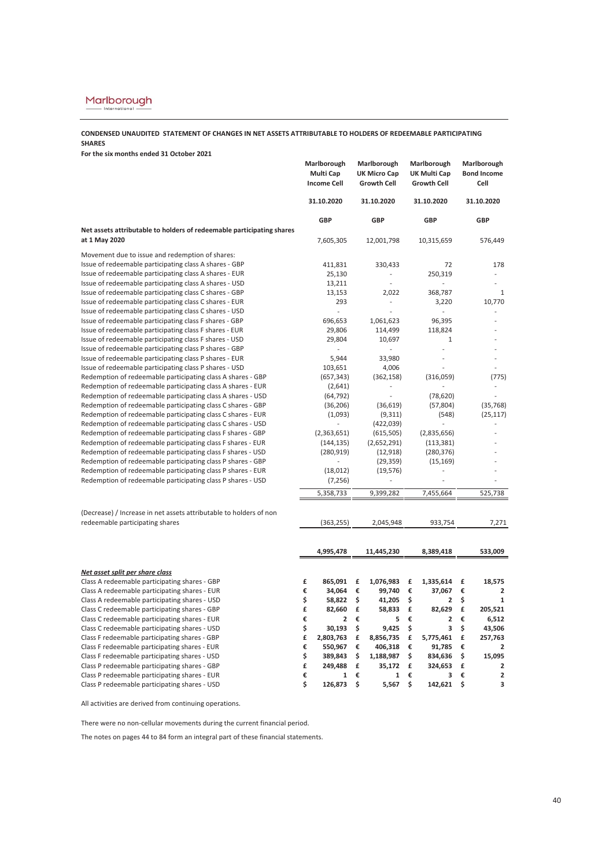### **CONDENSED UNAUDITED STATEMENT OF CHANGES IN NET ASSETS ATTRIBUTABLE TO HOLDERS OF REDEEMABLE PARTICIPATING SHARES**

**For the six months ended 31 October 2021**

|                                                                                                                            | Marlborough<br>Multi Cap<br><b>Income Cell</b> | Marlborough<br><b>UK Micro Cap</b><br><b>Growth Cell</b> | Marlborough<br><b>UK Multi Cap</b><br><b>Growth Cell</b> |                              |
|----------------------------------------------------------------------------------------------------------------------------|------------------------------------------------|----------------------------------------------------------|----------------------------------------------------------|------------------------------|
|                                                                                                                            | 31.10.2020                                     | 31.10.2020                                               | 31.10.2020                                               | 31.10.2020                   |
|                                                                                                                            | GBP                                            | GBP                                                      | <b>GBP</b>                                               | GBP                          |
| Net assets attributable to holders of redeemable participating shares<br>at 1 May 2020                                     |                                                |                                                          |                                                          |                              |
|                                                                                                                            | 7,605,305                                      | 12,001,798                                               | 10,315,659                                               | 576,449                      |
| Movement due to issue and redemption of shares:                                                                            |                                                |                                                          |                                                          |                              |
| Issue of redeemable participating class A shares - GBP                                                                     | 411,831                                        | 330,433                                                  | 72                                                       | 178                          |
| Issue of redeemable participating class A shares - EUR                                                                     | 25,130                                         | Ĭ.                                                       | 250,319                                                  |                              |
| Issue of redeemable participating class A shares - USD                                                                     | 13,211                                         | ÷,                                                       |                                                          |                              |
| Issue of redeemable participating class C shares - GBP                                                                     | 13,153                                         | 2,022                                                    | 368,787                                                  | 1                            |
| Issue of redeemable participating class C shares - EUR                                                                     | 293                                            | L,                                                       | 3,220                                                    | 10,770                       |
| Issue of redeemable participating class C shares - USD                                                                     |                                                |                                                          |                                                          |                              |
| Issue of redeemable participating class F shares - GBP                                                                     | 696,653                                        | 1,061,623                                                | 96,395                                                   |                              |
| Issue of redeemable participating class F shares - EUR                                                                     | 29,806                                         | 114,499                                                  | 118,824                                                  |                              |
| Issue of redeemable participating class F shares - USD                                                                     | 29,804                                         | 10,697                                                   | $\mathbf{1}$                                             |                              |
| Issue of redeemable participating class P shares - GBP                                                                     | ÷,                                             | $\overline{a}$                                           |                                                          |                              |
| Issue of redeemable participating class P shares - EUR                                                                     | 5,944                                          | 33,980                                                   |                                                          |                              |
| Issue of redeemable participating class P shares - USD                                                                     | 103,651                                        | 4,006                                                    |                                                          |                              |
| Redemption of redeemable participating class A shares - GBP                                                                | (657, 343)                                     | (362, 158)                                               | (316,059)                                                | (775)                        |
| Redemption of redeemable participating class A shares - EUR                                                                | (2,641)                                        | L,                                                       |                                                          |                              |
| Redemption of redeemable participating class A shares - USD                                                                | (64, 792)                                      | L,                                                       | (78, 620)                                                |                              |
| Redemption of redeemable participating class C shares - GBP                                                                | (36, 206)                                      | (36, 619)                                                | (57, 804)                                                | (35, 768)                    |
| Redemption of redeemable participating class C shares - EUR                                                                | (1,093)                                        | (9, 311)                                                 | (548)                                                    | (25, 117)                    |
| Redemption of redeemable participating class C shares - USD                                                                |                                                | (422, 039)                                               |                                                          |                              |
| Redemption of redeemable participating class F shares - GBP<br>Redemption of redeemable participating class F shares - EUR | (2,363,651)                                    | (615, 505)                                               | (2,835,656)                                              |                              |
| Redemption of redeemable participating class F shares - USD                                                                | (144, 135)                                     | (2,652,291)                                              | (113, 381)                                               |                              |
| Redemption of redeemable participating class P shares - GBP                                                                | (280, 919)<br>L,                               | (12, 918)                                                | (280, 376)                                               |                              |
| Redemption of redeemable participating class P shares - EUR                                                                | (18, 012)                                      | (29, 359)<br>(19, 576)                                   | (15, 169)                                                |                              |
| Redemption of redeemable participating class P shares - USD                                                                | (7, 256)                                       |                                                          |                                                          |                              |
|                                                                                                                            |                                                |                                                          |                                                          |                              |
|                                                                                                                            | 5,358,733                                      | 9,399,282                                                | 7,455,664                                                | 525,738                      |
| (Decrease) / Increase in net assets attributable to holders of non                                                         |                                                |                                                          |                                                          |                              |
| redeemable participating shares                                                                                            | (363, 255)                                     | 2,045,948                                                | 933,754                                                  | 7,271                        |
|                                                                                                                            |                                                |                                                          |                                                          |                              |
|                                                                                                                            |                                                |                                                          |                                                          | 533,009                      |
|                                                                                                                            | 4,995,478                                      | 11,445,230                                               | 8,389,418                                                |                              |
| Net asset split per share class                                                                                            |                                                |                                                          |                                                          |                              |
| Class A redeemable participating shares - GBP                                                                              | £<br>865,091                                   | £<br>1,076,983                                           | £<br>1,335,614                                           | £<br>18,575                  |
| Class A redeemable participating shares - EUR                                                                              | €<br>34,064                                    | €<br>99,740                                              | €<br>37,067                                              | €<br>2                       |
| Class A redeemable participating shares - USD                                                                              | \$<br>58,822                                   | \$<br>41,205                                             | \$<br>2                                                  | \$<br>1                      |
| Class C redeemable participating shares - GBP                                                                              | £<br>82,660                                    | £<br>58,833                                              | £<br>82,629                                              | £<br>205,521                 |
| Class C redeemable participating shares - EUR                                                                              | €<br>2                                         | €<br>5                                                   | €<br>$\overline{\mathbf{2}}$                             | €<br>6,512                   |
| Class C redeemable participating shares - USD                                                                              | \$<br>30,193                                   | \$<br>9,425                                              | \$<br>3                                                  | \$<br>43,506                 |
| Class F redeemable participating shares - GBP                                                                              | £<br>2,803,763                                 | £<br>8,856,735                                           | £<br>5,775,461                                           | £<br>257,763                 |
| Class F redeemable participating shares - EUR                                                                              | €<br>550,967                                   | €<br>406,318                                             | €<br>91,785                                              | €<br>$\overline{\mathbf{2}}$ |
| Class F redeemable participating shares - USD                                                                              | \$<br>389,843                                  | \$<br>1,188,987                                          | \$<br>834,636                                            | \$<br>15,095                 |
| Class P redeemable participating shares - GBP                                                                              | £<br>249,488                                   | £<br>35,172                                              | £<br>324,653                                             | £<br>2                       |
| Class P redeemable participating shares - EUR                                                                              | €<br>1                                         | €<br>1                                                   | €<br>3                                                   | €<br>$\mathbf{2}$            |
| Class P redeemable participating shares - USD                                                                              | \$<br>126,873                                  | \$<br>5,567                                              | \$<br>142,621                                            | \$<br>3                      |

All activities are derived from continuing operations.

There were no non-cellular movements during the current financial period.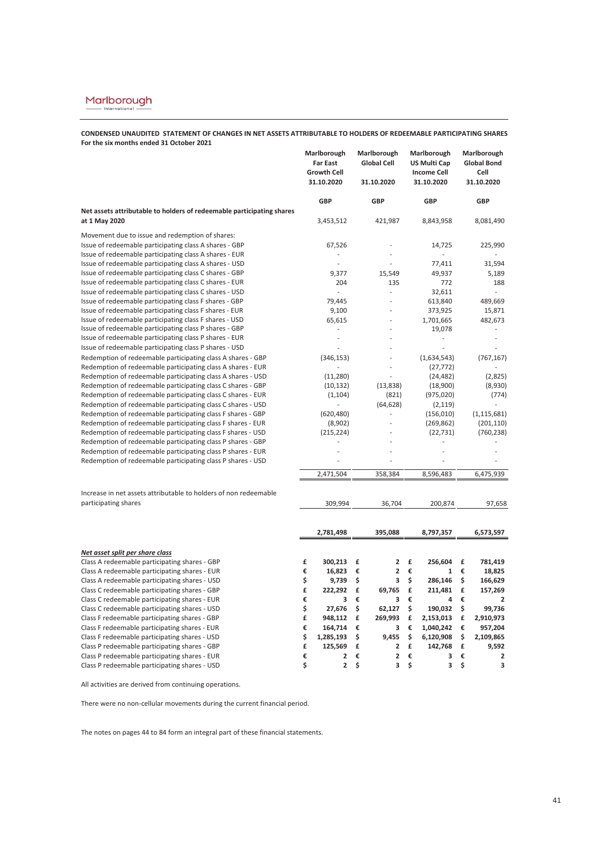**CONDENSED UNAUDITED STATEMENT OF CHANGES IN NET ASSETS ATTRIBUTABLE TO HOLDERS OF REDEEMABLE PARTICIPATING SHARES For the six months ended 31 October 2021**

|                                                                                                                            | Marlborough<br><b>Far East</b><br><b>Growth Cell</b><br>31.10.2020 | Marlborough<br><b>Global Cell</b><br>31.10.2020 | Marlborough<br><b>US Multi Cap</b><br><b>Income Cell</b><br>31.10.2020 | Marlborough<br><b>Global Bond</b><br>Cell<br>31.10.2020 |
|----------------------------------------------------------------------------------------------------------------------------|--------------------------------------------------------------------|-------------------------------------------------|------------------------------------------------------------------------|---------------------------------------------------------|
|                                                                                                                            | <b>GBP</b>                                                         | <b>GBP</b>                                      | <b>GBP</b>                                                             | GBP                                                     |
| Net assets attributable to holders of redeemable participating shares                                                      |                                                                    |                                                 |                                                                        |                                                         |
| at 1 May 2020                                                                                                              | 3,453,512                                                          | 421,987                                         | 8,843,958                                                              | 8,081,490                                               |
| Movement due to issue and redemption of shares:                                                                            |                                                                    |                                                 |                                                                        |                                                         |
| Issue of redeemable participating class A shares - GBP                                                                     | 67,526                                                             |                                                 | 14,725                                                                 | 225,990                                                 |
| Issue of redeemable participating class A shares - EUR                                                                     |                                                                    |                                                 |                                                                        |                                                         |
| Issue of redeemable participating class A shares - USD                                                                     | ä,                                                                 |                                                 | 77,411                                                                 | 31,594                                                  |
| Issue of redeemable participating class C shares - GBP                                                                     | 9,377                                                              | 15,549                                          | 49,937                                                                 | 5,189                                                   |
| Issue of redeemable participating class C shares - EUR                                                                     | 204                                                                | 135                                             | 772                                                                    | 188                                                     |
| Issue of redeemable participating class C shares - USD                                                                     | $\overline{a}$                                                     | L,                                              | 32,611                                                                 |                                                         |
| Issue of redeemable participating class F shares - GBP                                                                     | 79,445                                                             | i,                                              | 613,840                                                                | 489,669                                                 |
| Issue of redeemable participating class F shares - EUR                                                                     | 9,100                                                              | ÷.                                              | 373,925                                                                | 15,871                                                  |
| Issue of redeemable participating class F shares - USD                                                                     | 65,615                                                             |                                                 | 1,701,665                                                              | 482,673                                                 |
| Issue of redeemable participating class P shares - GBP                                                                     | L,                                                                 |                                                 | 19,078                                                                 |                                                         |
| Issue of redeemable participating class P shares - EUR                                                                     | $\overline{a}$                                                     |                                                 |                                                                        | ٠                                                       |
| Issue of redeemable participating class P shares - USD                                                                     |                                                                    |                                                 |                                                                        |                                                         |
| Redemption of redeemable participating class A shares - GBP                                                                | (346, 153)                                                         |                                                 | (1,634,543)                                                            | (767, 167)                                              |
| Redemption of redeemable participating class A shares - EUR                                                                |                                                                    | L,                                              | (27, 772)                                                              |                                                         |
| Redemption of redeemable participating class A shares - USD                                                                | (11, 280)                                                          | L,                                              | (24, 482)                                                              | (2,825)                                                 |
| Redemption of redeemable participating class C shares - GBP                                                                | (10, 132)                                                          | (13, 838)                                       | (18,900)                                                               | (8,930)                                                 |
| Redemption of redeemable participating class C shares - EUR                                                                | (1, 104)                                                           | (821)                                           | (975, 020)                                                             | (774)                                                   |
| Redemption of redeemable participating class C shares - USD                                                                | $\overline{a}$                                                     | (64, 628)                                       | (2, 119)                                                               |                                                         |
| Redemption of redeemable participating class F shares - GBP                                                                | (620, 480)                                                         |                                                 | (156, 010)                                                             | (1, 115, 681)                                           |
| Redemption of redeemable participating class F shares - EUR                                                                | (8,902)                                                            |                                                 | (269, 862)                                                             | (201, 110)                                              |
| Redemption of redeemable participating class F shares - USD<br>Redemption of redeemable participating class P shares - GBP | (215, 224)                                                         |                                                 | (22, 731)                                                              | (760, 238)                                              |
| Redemption of redeemable participating class P shares - EUR                                                                | $\overline{a}$                                                     |                                                 |                                                                        |                                                         |
| Redemption of redeemable participating class P shares - USD                                                                |                                                                    |                                                 |                                                                        |                                                         |
|                                                                                                                            |                                                                    |                                                 |                                                                        |                                                         |
|                                                                                                                            | 2,471,504                                                          | 358,384                                         | 8,596,483                                                              | 6,475,939                                               |
|                                                                                                                            |                                                                    |                                                 |                                                                        |                                                         |
| Increase in net assets attributable to holders of non redeemable                                                           |                                                                    |                                                 |                                                                        |                                                         |
| participating shares                                                                                                       | 309,994                                                            | 36,704                                          | 200,874                                                                | 97,658                                                  |
|                                                                                                                            |                                                                    |                                                 |                                                                        |                                                         |
|                                                                                                                            | 2,781,498                                                          | 395,088                                         | 8,797,357                                                              | 6,573,597                                               |
|                                                                                                                            |                                                                    |                                                 |                                                                        |                                                         |
| Net asset split per share class                                                                                            |                                                                    |                                                 |                                                                        |                                                         |
| Class A redeemable participating shares - GBP                                                                              | 300,213<br>£                                                       | $\overline{\mathbf{2}}$<br>£                    | £<br>256,604                                                           | £<br>781,419                                            |
| Class A redeemable participating shares - EUR                                                                              | €<br>16,823                                                        | €<br>$\overline{\mathbf{2}}$                    | €<br>1                                                                 | €<br>18,825                                             |
| Class A redeemable participating shares - USD                                                                              | \$<br>9,739                                                        | \$<br>3                                         | \$<br>286,146                                                          | \$<br>166,629                                           |
| Class C redeemable participating shares - GBP                                                                              | £<br>222,292                                                       | £<br>69,765                                     | £<br>211,481                                                           | £<br>157,269                                            |
| Class C redeemable participating shares - EUR                                                                              | €<br>3                                                             | €<br>3                                          | €<br>4                                                                 | €<br>$\overline{2}$                                     |
| Class C redeemable participating shares - USD                                                                              | \$<br>27,676                                                       | \$<br>62,127                                    | \$<br>190,032                                                          | \$<br>99,736                                            |
| Class F redeemable participating shares - GBP                                                                              | £<br>948,112                                                       | £<br>269,993                                    | £<br>2,153,013                                                         | £<br>2,910,973                                          |
| Class F redeemable participating shares - EUR                                                                              | €<br>164,714                                                       | €<br>з                                          | €<br>1,040,242                                                         | €<br>957,204                                            |
| Class F redeemable participating shares - USD                                                                              | \$<br>1,285,193                                                    | \$<br>9,455                                     | \$<br>6,120,908                                                        | \$<br>2,109,865                                         |
| Class P redeemable participating shares - GBP                                                                              | £<br>125,569                                                       | $\overline{\mathbf{c}}$<br>£                    | £<br>142,768                                                           | £<br>9,592                                              |
| Class P redeemable participating shares - EUR                                                                              | €<br>2                                                             | €<br>$\overline{2}$                             | €<br>3                                                                 | €<br>$\overline{\mathbf{2}}$                            |
| Class P redeemable participating shares - USD                                                                              | \$<br>2                                                            | \$<br>3                                         | \$<br>3                                                                | \$<br>3                                                 |

All activities are derived from continuing operations.

There were no non-cellular movements during the current financial period.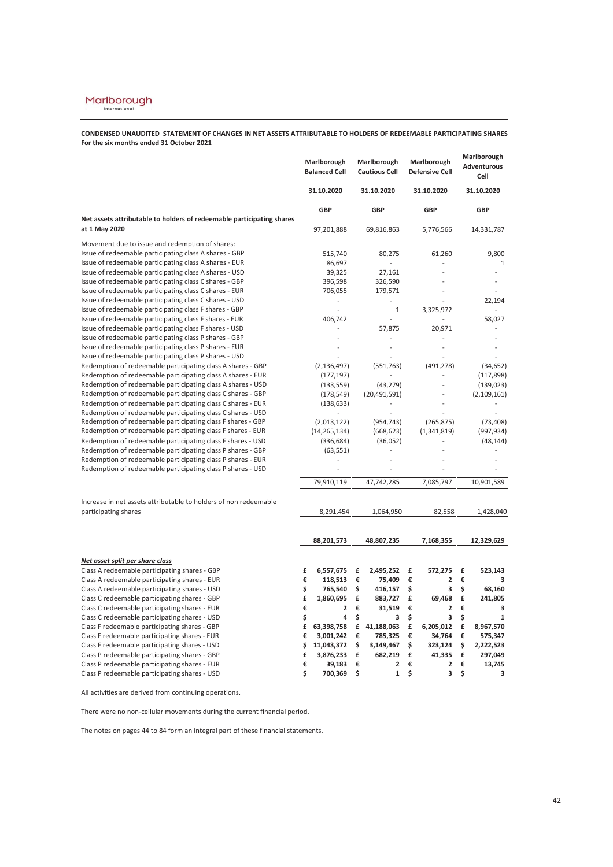**CONDENSED UNAUDITED STATEMENT OF CHANGES IN NET ASSETS ATTRIBUTABLE TO HOLDERS OF REDEEMABLE PARTICIPATING SHARES For the six months ended 31 October 2021**

|                                                                                        | Marlborough<br><b>Balanced Cell</b> | Marlborough<br><b>Cautious Cell</b> | Marlborough<br><b>Defensive Cell</b> | Marlborough<br>Adventurous<br>Cell |
|----------------------------------------------------------------------------------------|-------------------------------------|-------------------------------------|--------------------------------------|------------------------------------|
|                                                                                        | 31.10.2020                          | 31.10.2020                          | 31.10.2020                           | 31.10.2020                         |
|                                                                                        | <b>GBP</b>                          | <b>GBP</b>                          | <b>GBP</b>                           | <b>GBP</b>                         |
| Net assets attributable to holders of redeemable participating shares<br>at 1 May 2020 | 97,201,888                          | 69,816,863                          | 5,776,566                            | 14,331,787                         |
| Movement due to issue and redemption of shares:                                        |                                     |                                     |                                      |                                    |
| Issue of redeemable participating class A shares - GBP                                 | 515,740                             | 80,275                              | 61,260                               | 9,800                              |
| Issue of redeemable participating class A shares - EUR                                 | 86,697                              |                                     |                                      | 1                                  |
| Issue of redeemable participating class A shares - USD                                 | 39,325                              | 27,161                              |                                      |                                    |
| Issue of redeemable participating class C shares - GBP                                 | 396,598                             | 326,590                             |                                      |                                    |
| Issue of redeemable participating class C shares - EUR                                 | 706,055                             | 179,571                             |                                      |                                    |
| Issue of redeemable participating class C shares - USD                                 |                                     |                                     |                                      | 22,194                             |
| Issue of redeemable participating class F shares - GBP                                 |                                     | $\mathbf{1}$                        | 3,325,972                            |                                    |
| Issue of redeemable participating class F shares - EUR                                 | 406,742                             |                                     |                                      | 58,027                             |
| Issue of redeemable participating class F shares - USD                                 |                                     | 57,875                              | 20,971                               |                                    |
| Issue of redeemable participating class P shares - GBP                                 | L.                                  |                                     | J.                                   |                                    |
| Issue of redeemable participating class P shares - EUR                                 |                                     |                                     |                                      |                                    |
| Issue of redeemable participating class P shares - USD                                 |                                     |                                     | J.                                   |                                    |
| Redemption of redeemable participating class A shares - GBP                            | (2, 136, 497)                       | (551, 763)                          | (491, 278)                           | (34, 652)                          |
| Redemption of redeemable participating class A shares - EUR                            | (177, 197)                          |                                     | ÷,                                   | (117,898)                          |
| Redemption of redeemable participating class A shares - USD                            | (133, 559)                          | (43, 279)                           | ÷,                                   | (139, 023)                         |
| Redemption of redeemable participating class C shares - GBP                            | (178, 549)                          | (20, 491, 591)                      |                                      | (2, 109, 161)                      |
| Redemption of redeemable participating class C shares - EUR                            | (138, 633)                          |                                     |                                      |                                    |
| Redemption of redeemable participating class C shares - USD                            |                                     | ä,                                  | ÷.                                   | ä,                                 |
| Redemption of redeemable participating class F shares - GBP                            | (2,013,122)                         | (954, 743)                          | (265, 875)                           | (73, 408)                          |
| Redemption of redeemable participating class F shares - EUR                            | (14, 265, 134)                      | (668, 623)                          | (1, 341, 819)                        | (997, 934)                         |
| Redemption of redeemable participating class F shares - USD                            | (336, 684)                          | (36,052)                            |                                      | (48, 144)                          |
| Redemption of redeemable participating class P shares - GBP                            | (63, 551)                           |                                     |                                      |                                    |
| Redemption of redeemable participating class P shares - EUR                            |                                     |                                     |                                      |                                    |
| Redemption of redeemable participating class P shares - USD                            |                                     |                                     |                                      |                                    |
|                                                                                        | 79,910,119                          | 47.742.285                          | 7,085,797                            | 10.901.589                         |
| Increase in net assets attributable to holders of non redeemable                       |                                     |                                     |                                      |                                    |
| participating shares                                                                   | 8,291,454                           | 1,064,950                           | 82,558                               | 1,428,040                          |
|                                                                                        |                                     |                                     |                                      |                                    |
|                                                                                        | 88,201,573                          | 48,807,235                          | 7,168,355                            | 12,329,629                         |
| Net asset split per share class                                                        |                                     |                                     |                                      |                                    |
| Class A redeemable participating shares - GBP                                          | £<br>6,557,675                      | £<br>2,495,252                      | £<br>572,275                         | £<br>523,143                       |
| Class A redeemable participating shares - EUR                                          | €<br>118,513                        | €<br>75,409                         | €<br>2                               | €<br>з                             |
| Class A redeemable participating shares - USD                                          | \$<br>765,540                       | \$<br>416,157                       | \$<br>3                              | \$<br>68,160                       |
| Class C redeemable participating shares - GBP                                          | £<br>1,860,695                      | £<br>883,727                        | £<br>69,468                          | £<br>241,805                       |
| Class C redeemable participating shares - EUR                                          | €<br>2                              | €<br>31,519                         | €<br>2                               | €<br>3                             |
| Class C redeemable participating shares - USD                                          | \$<br>4                             | \$<br>3                             | \$<br>3                              | \$<br>$\mathbf 1$                  |
| Class F redeemable participating shares - GBP                                          | £<br>63,398,758                     | £<br>41,188,063                     | £<br>6,205,012                       | £<br>8,967,570                     |
| Class F redeemable participating shares - EUR                                          | €<br>3,001,242                      | €<br>785,325                        | €<br>34,764                          | €<br>575,347                       |
| Class F redeemable participating shares - USD                                          | \$<br>11,043,372                    | \$<br>3,149,467                     | \$<br>323,124                        | \$<br>2,222,523                    |
| Class P redeemable participating shares - GBP                                          | £<br>3,876,233                      | £<br>682,219                        | £<br>41,335                          | £<br>297,049                       |
| Class P redeemable participating shares - EUR                                          | €<br>39,183                         | €<br>$\overline{2}$                 | €<br>$\overline{2}$                  | €<br>13,745                        |
| Class P redeemable participating shares - USD                                          | \$<br>700,369                       | \$<br>$\mathbf{1}$                  | \$<br>3                              | \$<br>3                            |

All activities are derived from continuing operations.

There were no non-cellular movements during the current financial period.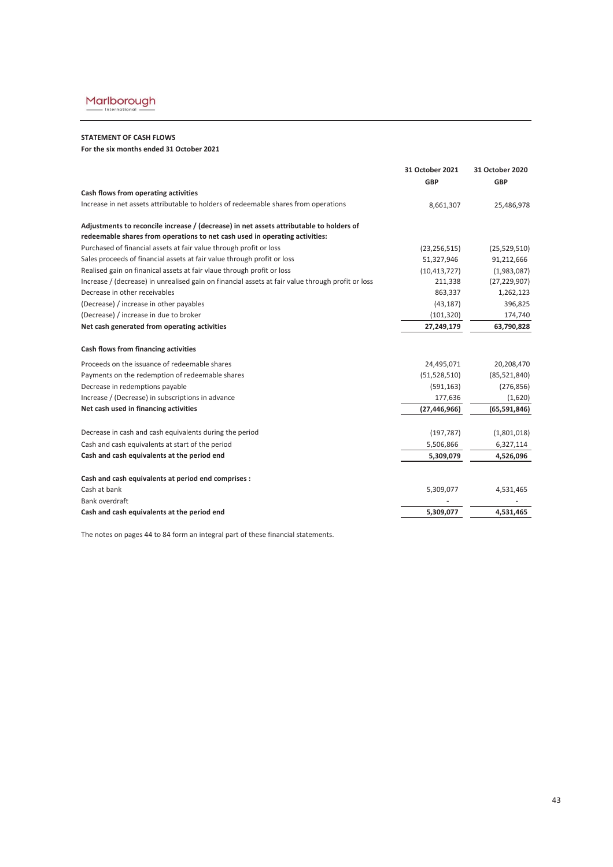

### **STATEMENT OF CASH FLOWS**

**For the six months ended 31 October 2021**

|                                                                                                                                                                        | 31 October 2021<br><b>GBP</b> | 31 October 2020<br><b>GBP</b> |
|------------------------------------------------------------------------------------------------------------------------------------------------------------------------|-------------------------------|-------------------------------|
| Cash flows from operating activities                                                                                                                                   |                               |                               |
| Increase in net assets attributable to holders of redeemable shares from operations                                                                                    | 8,661,307                     | 25,486,978                    |
| Adjustments to reconcile increase / (decrease) in net assets attributable to holders of<br>redeemable shares from operations to net cash used in operating activities: |                               |                               |
| Purchased of financial assets at fair value through profit or loss                                                                                                     | (23, 256, 515)                | (25,529,510)                  |
| Sales proceeds of financial assets at fair value through profit or loss                                                                                                | 51,327,946                    | 91,212,666                    |
| Realised gain on finanical assets at fair vlaue through profit or loss                                                                                                 | (10, 413, 727)                | (1,983,087)                   |
| Increase / (decrease) in unrealised gain on financial assets at fair value through profit or loss                                                                      | 211,338                       | (27, 229, 907)                |
| Decrease in other receivables                                                                                                                                          | 863,337                       | 1,262,123                     |
| (Decrease) / increase in other payables                                                                                                                                | (43, 187)                     | 396,825                       |
| (Decrease) / increase in due to broker                                                                                                                                 | (101, 320)                    | 174,740                       |
| Net cash generated from operating activities                                                                                                                           | 27,249,179                    | 63,790,828                    |
| Cash flows from financing activities                                                                                                                                   |                               |                               |
| Proceeds on the issuance of redeemable shares                                                                                                                          | 24,495,071                    | 20,208,470                    |
| Payments on the redemption of redeemable shares                                                                                                                        | (51, 528, 510)                | (85, 521, 840)                |
| Decrease in redemptions payable                                                                                                                                        | (591, 163)                    | (276, 856)                    |
| Increase / (Decrease) in subscriptions in advance                                                                                                                      | 177,636                       | (1,620)                       |
| Net cash used in financing activities                                                                                                                                  | (27, 446, 966)                | (65, 591, 846)                |
| Decrease in cash and cash equivalents during the period                                                                                                                | (197, 787)                    | (1,801,018)                   |
| Cash and cash equivalents at start of the period                                                                                                                       | 5,506,866                     | 6,327,114                     |
| Cash and cash equivalents at the period end                                                                                                                            | 5,309,079                     | 4,526,096                     |
| Cash and cash equivalents at period end comprises :                                                                                                                    |                               |                               |
| Cash at bank                                                                                                                                                           | 5,309,077                     | 4,531,465                     |
| Bank overdraft                                                                                                                                                         |                               |                               |
| Cash and cash equivalents at the period end                                                                                                                            | 5,309,077                     | 4,531,465                     |
|                                                                                                                                                                        |                               |                               |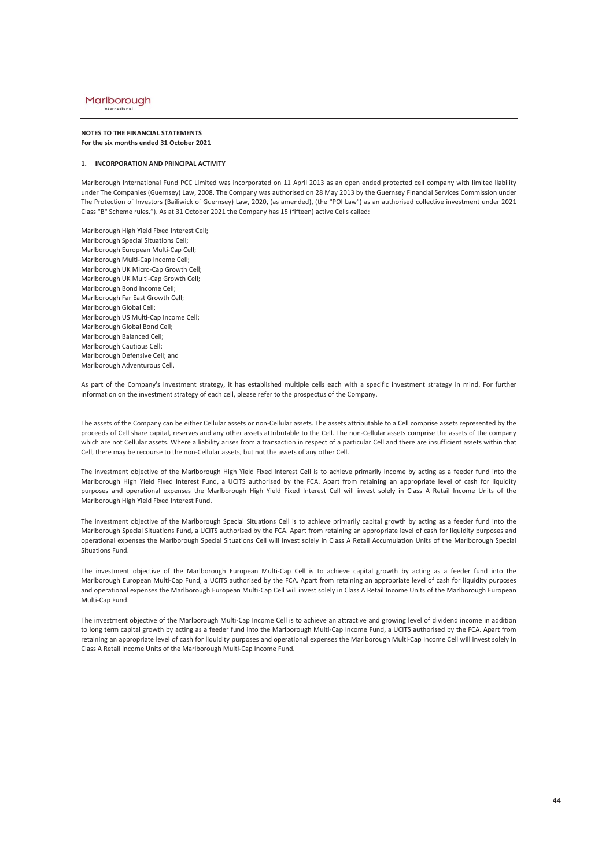#### **NOTES TO THE FINANCIAL STATEMENTS For the six months ended 31 October 2021**

#### **1. INCORPORATION AND PRINCIPAL ACTIVITY**

Marlborough International Fund PCC Limited was incorporated on 11 April 2013 as an open ended protected cell company with limited liability under The Companies (Guernsey) Law, 2008. The Company was authorised on 28 May 2013 by the Guernsey Financial Services Commission under The Protection of Investors (Bailiwick of Guernsey) Law, 2020, (as amended), (the "POI Law") as an authorised collective investment under 2021 Class "B" Scheme rules."). As at 31 October 2021 the Company has 15 (fifteen) active Cells called:

Marlborough High Yield Fixed Interest Cell; Marlborough Special Situations Cell; Marlborough European Multi-Cap Cell; Marlborough Multi-Cap Income Cell; Marlborough UK Micro-Cap Growth Cell; Marlborough UK Multi-Cap Growth Cell; Marlborough Bond Income Cell; Marlborough Far East Growth Cell; Marlborough Global Cell; Marlborough US Multi-Cap Income Cell; Marlborough Global Bond Cell; Marlborough Balanced Cell; Marlborough Cautious Cell; Marlborough Defensive Cell; and Marlborough Adventurous Cell.

As part of the Company's investment strategy, it has established multiple cells each with a specific investment strategy in mind. For further information on the investment strategy of each cell, please refer to the prospectus of the Company.

The assets of the Company can be either Cellular assets or non-Cellular assets. The assets attributable to a Cell comprise assets represented by the proceeds of Cell share capital, reserves and any other assets attributable to the Cell. The non-Cellular assets comprise the assets of the company which are not Cellular assets. Where a liability arises from a transaction in respect of a particular Cell and there are insufficient assets within that Cell, there may be recourse to the non-Cellular assets, but not the assets of any other Cell.

The investment objective of the Marlborough High Yield Fixed Interest Cell is to achieve primarily income by acting as a feeder fund into the Marlborough High Yield Fixed Interest Fund, a UCITS authorised by the FCA. Apart from retaining an appropriate level of cash for liquidity purposes and operational expenses the Marlborough High Yield Fixed Interest Cell will invest solely in Class A Retail Income Units of the Marlborough High Yield Fixed Interest Fund.

The investment objective of the Marlborough Special Situations Cell is to achieve primarily capital growth by acting as a feeder fund into the Marlborough Special Situations Fund, a UCITS authorised by the FCA. Apart from retaining an appropriate level of cash for liquidity purposes and operational expenses the Marlborough Special Situations Cell will invest solely in Class A Retail Accumulation Units of the Marlborough Special Situations Fund.

The investment objective of the Marlborough European Multi-Cap Cell is to achieve capital growth by acting as a feeder fund into the Marlborough European Multi-Cap Fund, a UCITS authorised by the FCA. Apart from retaining an appropriate level of cash for liquidity purposes and operational expenses the Marlborough European Multi-Cap Cell will invest solely in Class A Retail Income Units of the Marlborough European Multi-Cap Fund.

The investment objective of the Marlborough Multi-Cap Income Cell is to achieve an attractive and growing level of dividend income in addition to long term capital growth by acting as a feeder fund into the Marlborough Multi-Cap Income Fund, a UCITS authorised by the FCA. Apart from retaining an appropriate level of cash for liquidity purposes and operational expenses the Marlborough Multi-Cap Income Cell will invest solely in Class A Retail Income Units of the Marlborough Multi-Cap Income Fund.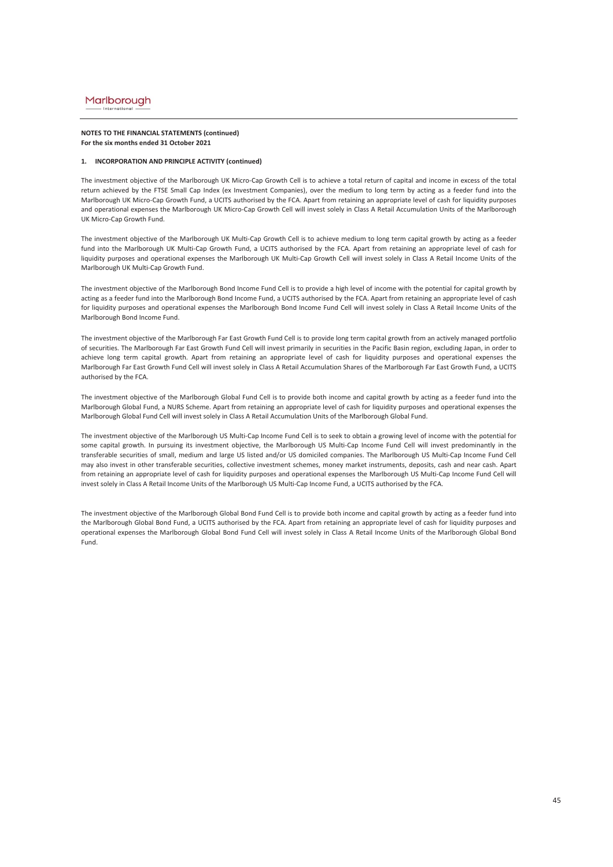#### **NOTES TO THE FINANCIAL STATEMENTS (continued) For the six months ended 31 October 2021**

### **1. INCORPORATION AND PRINCIPLE ACTIVITY (continued)**

The investment objective of the Marlborough UK Micro-Cap Growth Cell is to achieve a total return of capital and income in excess of the total return achieved by the FTSE Small Cap Index (ex Investment Companies), over the medium to long term by acting as a feeder fund into the Marlborough UK Micro-Cap Growth Fund, a UCITS authorised by the FCA. Apart from retaining an appropriate level of cash for liquidity purposes and operational expenses the Marlborough UK Micro-Cap Growth Cell will invest solely in Class A Retail Accumulation Units of the Marlborough UK Micro-Cap Growth Fund.

The investment objective of the Marlborough UK Multi-Cap Growth Cell is to achieve medium to long term capital growth by acting as a feeder fund into the Marlborough UK Multi-Cap Growth Fund, a UCITS authorised by the FCA. Apart from retaining an appropriate level of cash for liquidity purposes and operational expenses the Marlborough UK Multi-Cap Growth Cell will invest solely in Class A Retail Income Units of the Marlborough UK Multi-Cap Growth Fund.

The investment objective of the Marlborough Bond Income Fund Cell is to provide a high level of income with the potential for capital growth by acting as a feeder fund into the Marlborough Bond Income Fund, a UCITS authorised by the FCA. Apart from retaining an appropriate level of cash for liquidity purposes and operational expenses the Marlborough Bond Income Fund Cell will invest solely in Class A Retail Income Units of the Marlborough Bond Income Fund.

The investment objective of the Marlborough Far East Growth Fund Cell is to provide long term capital growth from an actively managed portfolio of securities. The Marlborough Far East Growth Fund Cell will invest primarily in securities in the Pacific Basin region, excluding Japan, in order to achieve long term capital growth. Apart from retaining an appropriate level of cash for liquidity purposes and operational expenses the Marlborough Far East Growth Fund Cell will invest solely in Class A Retail Accumulation Shares of the Marlborough Far East Growth Fund, a UCITS authorised by the FCA.

The investment objective of the Marlborough Global Fund Cell is to provide both income and capital growth by acting as a feeder fund into the Marlborough Global Fund, a NURS Scheme. Apart from retaining an appropriate level of cash for liquidity purposes and operational expenses the Marlborough Global Fund Cell will invest solely in Class A Retail Accumulation Units of the Marlborough Global Fund.

The investment objective of the Marlborough US Multi-Cap Income Fund Cell is to seek to obtain a growing level of income with the potential for some capital growth. In pursuing its investment objective, the Marlborough US Multi-Cap Income Fund Cell will invest predominantly in the transferable securities of small, medium and large US listed and/or US domiciled companies. The Marlborough US Multi-Cap Income Fund Cell may also invest in other transferable securities, collective investment schemes, money market instruments, deposits, cash and near cash. Apart from retaining an appropriate level of cash for liquidity purposes and operational expenses the Marlborough US Multi-Cap Income Fund Cell will invest solely in Class A Retail Income Units of the Marlborough US Multi-Cap Income Fund, a UCITS authorised by the FCA.

The investment objective of the Marlborough Global Bond Fund Cell is to provide both income and capital growth by acting as a feeder fund into the Marlborough Global Bond Fund, a UCITS authorised by the FCA. Apart from retaining an appropriate level of cash for liquidity purposes and operational expenses the Marlborough Global Bond Fund Cell will invest solely in Class A Retail Income Units of the Marlborough Global Bond Fund.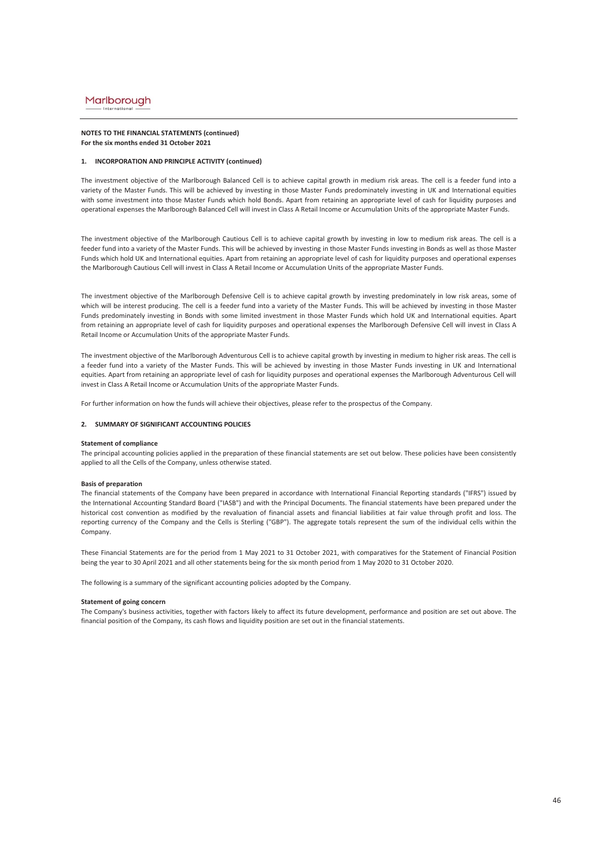#### **NOTES TO THE FINANCIAL STATEMENTS (continued) For the six months ended 31 October 2021**

### **1. INCORPORATION AND PRINCIPLE ACTIVITY (continued)**

The investment objective of the Marlborough Balanced Cell is to achieve capital growth in medium risk areas. The cell is a feeder fund into a variety of the Master Funds. This will be achieved by investing in those Master Funds predominately investing in UK and International equities with some investment into those Master Funds which hold Bonds. Apart from retaining an appropriate level of cash for liquidity purposes and operational expenses the Marlborough Balanced Cell will invest in Class A Retail Income or Accumulation Units of the appropriate Master Funds.

The investment objective of the Marlborough Cautious Cell is to achieve capital growth by investing in low to medium risk areas. The cell is a feeder fund into a variety of the Master Funds. This will be achieved by investing in those Master Funds investing in Bonds as well as those Master Funds which hold UK and International equities. Apart from retaining an appropriate level of cash for liquidity purposes and operational expenses the Marlborough Cautious Cell will invest in Class A Retail Income or Accumulation Units of the appropriate Master Funds.

The investment objective of the Marlborough Defensive Cell is to achieve capital growth by investing predominately in low risk areas, some of which will be interest producing. The cell is a feeder fund into a variety of the Master Funds. This will be achieved by investing in those Master Funds predominately investing in Bonds with some limited investment in those Master Funds which hold UK and International equities. Apart from retaining an appropriate level of cash for liquidity purposes and operational expenses the Marlborough Defensive Cell will invest in Class A Retail Income or Accumulation Units of the appropriate Master Funds.

The investment objective of the Marlborough Adventurous Cell is to achieve capital growth by investing in medium to higher risk areas. The cell is a feeder fund into a variety of the Master Funds. This will be achieved by investing in those Master Funds investing in UK and International equities. Apart from retaining an appropriate level of cash for liquidity purposes and operational expenses the Marlborough Adventurous Cell will invest in Class A Retail Income or Accumulation Units of the appropriate Master Funds.

For further information on how the funds will achieve their objectives, please refer to the prospectus of the Company.

### **2. SUMMARY OF SIGNIFICANT ACCOUNTING POLICIES**

#### **Statement of compliance**

The principal accounting policies applied in the preparation of these financial statements are set out below. These policies have been consistently applied to all the Cells of the Company, unless otherwise stated.

#### **Basis of preparation**

The financial statements of the Company have been prepared in accordance with International Financial Reporting standards ("IFRS") issued by the International Accounting Standard Board ("IASB") and with the Principal Documents. The financial statements have been prepared under the historical cost convention as modified by the revaluation of financial assets and financial liabilities at fair value through profit and loss. The reporting currency of the Company and the Cells is Sterling ("GBP"). The aggregate totals represent the sum of the individual cells within the Company.

These Financial Statements are for the period from 1 May 2021 to 31 October 2021, with comparatives for the Statement of Financial Position being the year to 30 April 2021 and all other statements being for the six month period from 1 May 2020 to 31 October 2020.

The following is a summary of the significant accounting policies adopted by the Company.

#### **Statement of going concern**

The Company's business activities, together with factors likely to affect its future development, performance and position are set out above. The financial position of the Company, its cash flows and liquidity position are set out in the financial statements.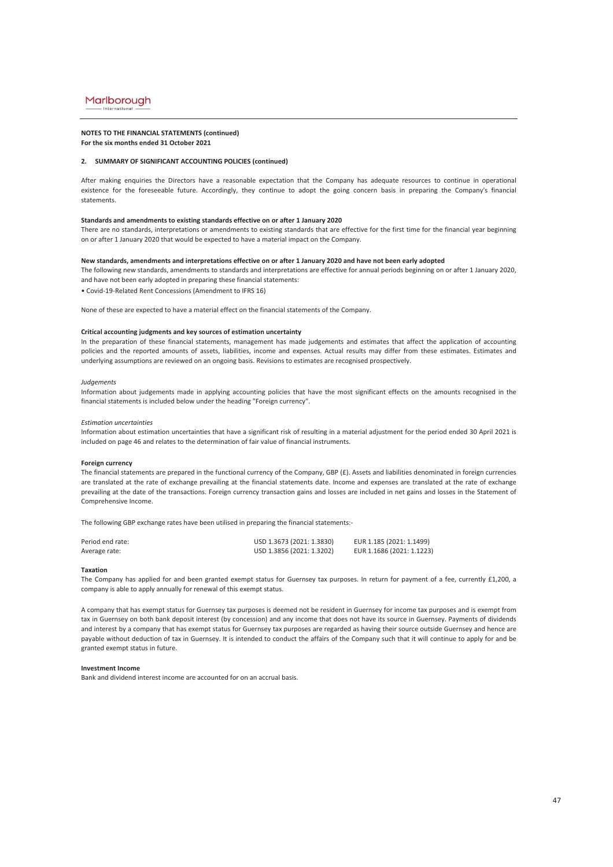### **NOTES TO THE FINANCIAL STATEMENTS (continued)**

**For the six months ended 31 October 2021**

### **2. SUMMARY OF SIGNIFICANT ACCOUNTING POLICIES (continued)**

After making enquiries the Directors have a reasonable expectation that the Company has adequate resources to continue in operational existence for the foreseeable future. Accordingly, they continue to adopt the going concern basis in preparing the Company's financial statements.

### **Standards and amendments to existing standards effective on or after 1 January 2020**

There are no standards, interpretations or amendments to existing standards that are effective for the first time for the financial year beginning on or after 1 January 2020 that would be expected to have a material impact on the Company.

#### **New standards, amendments and interpretations effective on or after 1 January 2020 and have not been early adopted**

The following new standards, amendments to standards and interpretations are effective for annual periods beginning on or after 1 January 2020, and have not been early adopted in preparing these financial statements:

• Covid-19-Related Rent Concessions (Amendment to IFRS 16)

None of these are expected to have a material effect on the financial statements of the Company.

### **Critical accounting judgments and key sources of estimation uncertainty**

In the preparation of these financial statements, management has made judgements and estimates that affect the application of accounting policies and the reported amounts of assets, liabilities, income and expenses. Actual results may differ from these estimates. Estimates and underlying assumptions are reviewed on an ongoing basis. Revisions to estimates are recognised prospectively.

#### *Judgements*

Information about judgements made in applying accounting policies that have the most significant effects on the amounts recognised in the financial statements is included below under the heading "Foreign currency".

#### *Estimation uncertainties*

Information about estimation uncertainties that have a significant risk of resulting in a material adjustment for the period ended 30 April 2021 is included on page 46 and relates to the determination of fair value of financial instruments.

#### **Foreign currency**

The financial statements are prepared in the functional currency of the Company, GBP (£). Assets and liabilities denominated in foreign currencies are translated at the rate of exchange prevailing at the financial statements date. Income and expenses are translated at the rate of exchange prevailing at the date of the transactions. Foreign currency transaction gains and losses are included in net gains and losses in the Statement of Comprehensive Income.

The following GBP exchange rates have been utilised in preparing the financial statements:-

| Period end rate: | USD 1.3673 (2021: 1.3830) | EUR 1.185 (2021: 1.1499)  |
|------------------|---------------------------|---------------------------|
| Average rate:    | USD 1.3856 (2021: 1.3202) | EUR 1.1686 (2021: 1.1223) |

#### **Taxation**

The Company has applied for and been granted exempt status for Guernsey tax purposes. In return for payment of a fee, currently £1,200, a company is able to apply annually for renewal of this exempt status.

A company that has exempt status for Guernsey tax purposes is deemed not be resident in Guernsey for income tax purposes and is exempt from tax in Guernsey on both bank deposit interest (by concession) and any income that does not have its source in Guernsey. Payments of dividends and interest by a company that has exempt status for Guernsey tax purposes are regarded as having their source outside Guernsey and hence are payable without deduction of tax in Guernsey. It is intended to conduct the affairs of the Company such that it will continue to apply for and be granted exempt status in future.

#### **Investment Income**

Bank and dividend interest income are accounted for on an accrual basis.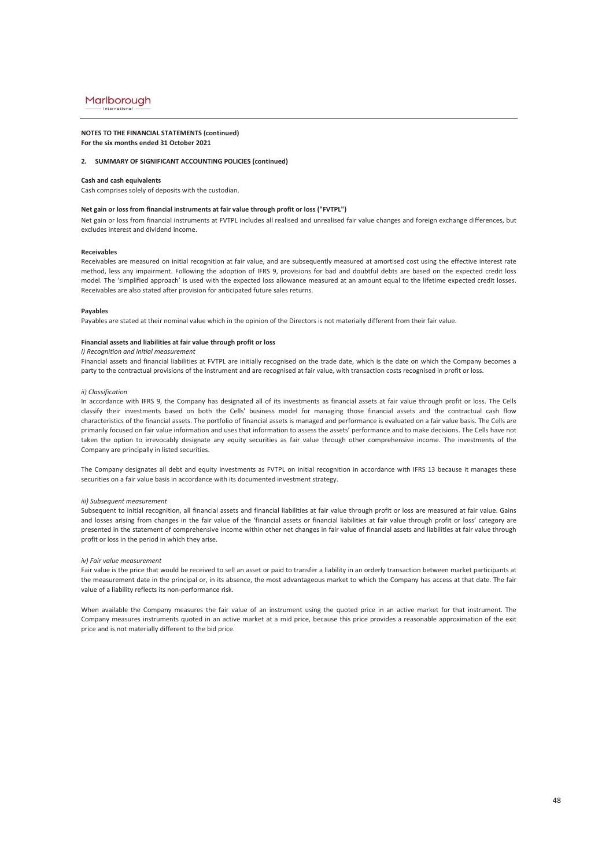#### **NOTES TO THE FINANCIAL STATEMENTS (continued) For the six months ended 31 October 2021**

### **2. SUMMARY OF SIGNIFICANT ACCOUNTING POLICIES (continued)**

#### **Cash and cash equivalents**

Cash comprises solely of deposits with the custodian.

### **Net gain or loss from financial instruments at fair value through profit or loss ("FVTPL")**

Net gain or loss from financial instruments at FVTPL includes all realised and unrealised fair value changes and foreign exchange differences, but excludes interest and dividend income.

#### **Receivables**

Receivables are measured on initial recognition at fair value, and are subsequently measured at amortised cost using the effective interest rate method, less any impairment. Following the adoption of IFRS 9, provisions for bad and doubtful debts are based on the expected credit loss model. The 'simplified approach' is used with the expected loss allowance measured at an amount equal to the lifetime expected credit losses. Receivables are also stated after provision for anticipated future sales returns.

#### **Payables**

Payables are stated at their nominal value which in the opinion of the Directors is not materially different from their fair value.

### **Financial assets and liabilities at fair value through profit or loss**

#### *i) Recognition and initial measurement*

Financial assets and financial liabilities at FVTPL are initially recognised on the trade date, which is the date on which the Company becomes a party to the contractual provisions of the instrument and are recognised at fair value, with transaction costs recognised in profit or loss.

#### *ii) Classification*

In accordance with IFRS 9, the Company has designated all of its investments as financial assets at fair value through profit or loss. The Cells classify their investments based on both the Cells' business model for managing those financial assets and the contractual cash flow characteristics of the financial assets. The portfolio of financial assets is managed and performance is evaluated on a fair value basis. The Cells are primarily focused on fair value information and uses that information to assess the assets' performance and to make decisions. The Cells have not taken the option to irrevocably designate any equity securities as fair value through other comprehensive income. The investments of the Company are principally in listed securities.

The Company designates all debt and equity investments as FVTPL on initial recognition in accordance with IFRS 13 because it manages these securities on a fair value basis in accordance with its documented investment strategy.

#### *iii) Subsequent measurement*

Subsequent to initial recognition, all financial assets and financial liabilities at fair value through profit or loss are measured at fair value. Gains and losses arising from changes in the fair value of the 'financial assets or financial liabilities at fair value through profit or loss' category are presented in the statement of comprehensive income within other net changes in fair value of financial assets and liabilities at fair value through profit or loss in the period in which they arise.

#### *iv) Fair value measurement*

Fair value is the price that would be received to sell an asset or paid to transfer a liability in an orderly transaction between market participants at the measurement date in the principal or, in its absence, the most advantageous market to which the Company has access at that date. The fair value of a liability reflects its non-performance risk.

When available the Company measures the fair value of an instrument using the quoted price in an active market for that instrument. The Company measures instruments quoted in an active market at a mid price, because this price provides a reasonable approximation of the exit price and is not materially different to the bid price.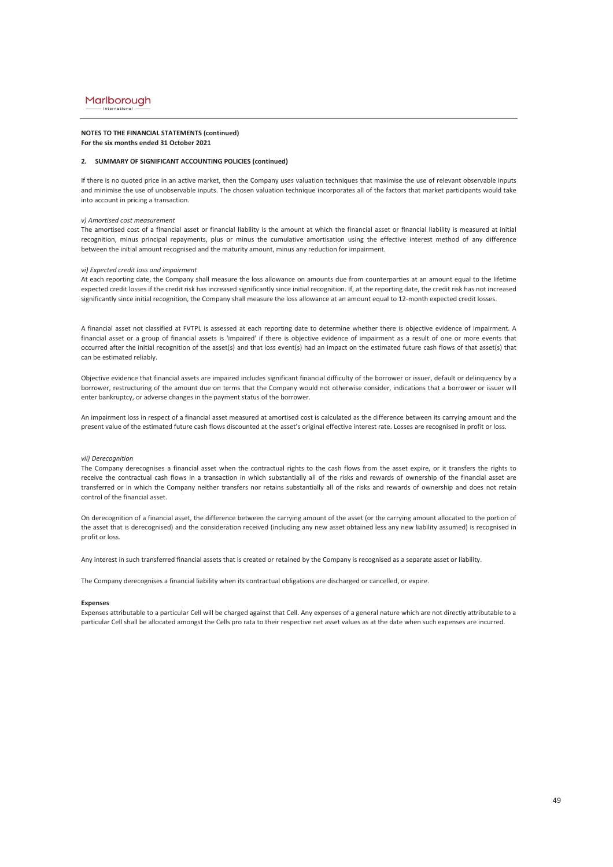#### **NOTES TO THE FINANCIAL STATEMENTS (continued) For the six months ended 31 October 2021**

### **2. SUMMARY OF SIGNIFICANT ACCOUNTING POLICIES (continued)**

If there is no quoted price in an active market, then the Company uses valuation techniques that maximise the use of relevant observable inputs and minimise the use of unobservable inputs. The chosen valuation technique incorporates all of the factors that market participants would take into account in pricing a transaction.

#### *v) Amortised cost measurement*

The amortised cost of a financial asset or financial liability is the amount at which the financial asset or financial liability is measured at initial recognition, minus principal repayments, plus or minus the cumulative amortisation using the effective interest method of any difference between the initial amount recognised and the maturity amount, minus any reduction for impairment.

#### *vi) Expected credit loss and impairment*

At each reporting date, the Company shall measure the loss allowance on amounts due from counterparties at an amount equal to the lifetime expected credit losses if the credit risk has increased significantly since initial recognition. If, at the reporting date, the credit risk has not increased significantly since initial recognition, the Company shall measure the loss allowance at an amount equal to 12-month expected credit losses.

A financial asset not classified at FVTPL is assessed at each reporting date to determine whether there is objective evidence of impairment. A financial asset or a group of financial assets is 'impaired' if there is objective evidence of impairment as a result of one or more events that occurred after the initial recognition of the asset(s) and that loss event(s) had an impact on the estimated future cash flows of that asset(s) that can be estimated reliably.

Objective evidence that financial assets are impaired includes significant financial difficulty of the borrower or issuer, default or delinquency by a borrower, restructuring of the amount due on terms that the Company would not otherwise consider, indications that a borrower or issuer will enter bankruptcy, or adverse changes in the payment status of the borrower.

An impairment loss in respect of a financial asset measured at amortised cost is calculated as the difference between its carrying amount and the present value of the estimated future cash flows discounted at the asset's original effective interest rate. Losses are recognised in profit or loss.

#### *vii) Derecognition*

The Company derecognises a financial asset when the contractual rights to the cash flows from the asset expire, or it transfers the rights to receive the contractual cash flows in a transaction in which substantially all of the risks and rewards of ownership of the financial asset are transferred or in which the Company neither transfers nor retains substantially all of the risks and rewards of ownership and does not retain control of the financial asset.

On derecognition of a financial asset, the difference between the carrying amount of the asset (or the carrying amount allocated to the portion of the asset that is derecognised) and the consideration received (including any new asset obtained less any new liability assumed) is recognised in profit or loss.

Any interest in such transferred financial assets that is created or retained by the Company is recognised as a separate asset or liability.

The Company derecognises a financial liability when its contractual obligations are discharged or cancelled, or expire.

#### **Expenses**

Expenses attributable to a particular Cell will be charged against that Cell. Any expenses of a general nature which are not directly attributable to a particular Cell shall be allocated amongst the Cells pro rata to their respective net asset values as at the date when such expenses are incurred.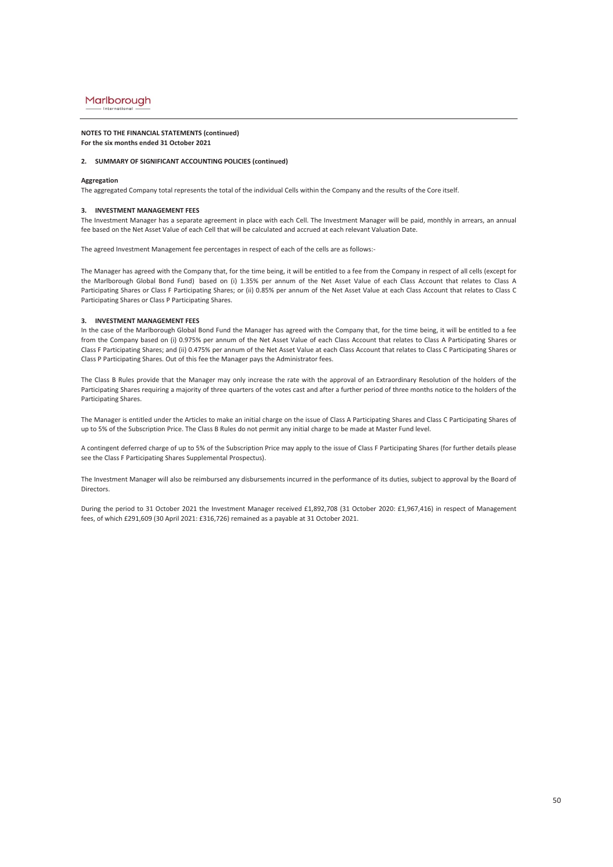## **NOTES TO THE FINANCIAL STATEMENTS (continued)**

### **For the six months ended 31 October 2021**

### **2. SUMMARY OF SIGNIFICANT ACCOUNTING POLICIES (continued)**

#### **Aggregation**

The aggregated Company total represents the total of the individual Cells within the Company and the results of the Core itself.

### **3. INVESTMENT MANAGEMENT FEES**

The Investment Manager has a separate agreement in place with each Cell. The Investment Manager will be paid, monthly in arrears, an annual fee based on the Net Asset Value of each Cell that will be calculated and accrued at each relevant Valuation Date.

The agreed Investment Management fee percentages in respect of each of the cells are as follows:-

The Manager has agreed with the Company that, for the time being, it will be entitled to a fee from the Company in respect of all cells (except for the Marlborough Global Bond Fund) based on (i) 1.35% per annum of the Net Asset Value of each Class Account that relates to Class A Participating Shares or Class F Participating Shares; or (ii) 0.85% per annum of the Net Asset Value at each Class Account that relates to Class C Participating Shares or Class P Participating Shares.

### **3. INVESTMENT MANAGEMENT FEES**

In the case of the Marlborough Global Bond Fund the Manager has agreed with the Company that, for the time being, it will be entitled to a fee from the Company based on (i) 0.975% per annum of the Net Asset Value of each Class Account that relates to Class A Participating Shares or Class F Participating Shares; and (ii) 0.475% per annum of the Net Asset Value at each Class Account that relates to Class C Participating Shares or Class P Participating Shares. Out of this fee the Manager pays the Administrator fees.

The Class B Rules provide that the Manager may only increase the rate with the approval of an Extraordinary Resolution of the holders of the Participating Shares requiring a majority of three quarters of the votes cast and after a further period of three months notice to the holders of the Participating Shares.

The Manager is entitled under the Articles to make an initial charge on the issue of Class A Participating Shares and Class C Participating Shares of up to 5% of the Subscription Price. The Class B Rules do not permit any initial charge to be made at Master Fund level.

A contingent deferred charge of up to 5% of the Subscription Price may apply to the issue of Class F Participating Shares (for further details please see the Class F Participating Shares Supplemental Prospectus).

The Investment Manager will also be reimbursed any disbursements incurred in the performance of its duties, subject to approval by the Board of Directors.

During the period to 31 October 2021 the Investment Manager received £1,892,708 (31 October 2020: £1,967,416) in respect of Management fees, of which £291,609 (30 April 2021: £316,726) remained as a payable at 31 October 2021.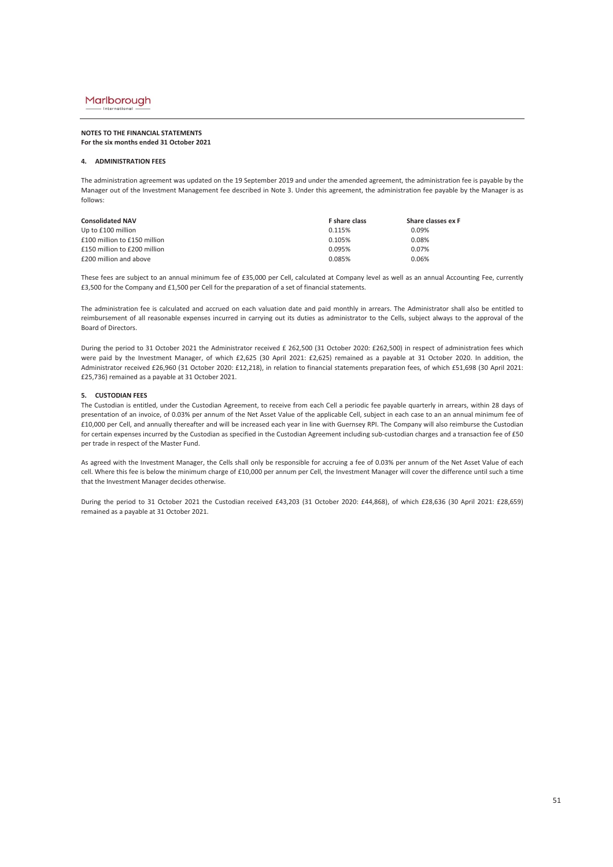#### **NOTES TO THE FINANCIAL STATEMENTS For the six months ended 31 October 2021**

#### **4. ADMINISTRATION FEES**

The administration agreement was updated on the 19 September 2019 and under the amended agreement, the administration fee is payable by the Manager out of the Investment Management fee described in Note 3. Under this agreement, the administration fee payable by the Manager is as follows:

| <b>Consolidated NAV</b>      | <b>F</b> share class | Share classes ex F |
|------------------------------|----------------------|--------------------|
| Up to £100 million           | 0.115%               | 0.09%              |
| £100 million to £150 million | 0.105%               | 0.08%              |
| £150 million to £200 million | 0.095%               | 0.07%              |
| £200 million and above       | 0.085%               | 0.06%              |

These fees are subject to an annual minimum fee of £35,000 per Cell, calculated at Company level as well as an annual Accounting Fee, currently £3,500 for the Company and £1,500 per Cell for the preparation of a set of financial statements.

The administration fee is calculated and accrued on each valuation date and paid monthly in arrears. The Administrator shall also be entitled to reimbursement of all reasonable expenses incurred in carrying out its duties as administrator to the Cells, subject always to the approval of the Board of Directors.

During the period to 31 October 2021 the Administrator received £ 262,500 (31 October 2020: £262,500) in respect of administration fees which were paid by the Investment Manager, of which £2,625 (30 April 2021: £2,625) remained as a payable at 31 October 2020. In addition, the Administrator received £26,960 (31 October 2020: £12,218), in relation to financial statements preparation fees, of which £51,698 (30 April 2021: £25,736) remained as a payable at 31 October 2021.

#### **5. CUSTODIAN FEES**

The Custodian is entitled, under the Custodian Agreement, to receive from each Cell a periodic fee payable quarterly in arrears, within 28 days of presentation of an invoice, of 0.03% per annum of the Net Asset Value of the applicable Cell, subject in each case to an an annual minimum fee of £10,000 per Cell, and annually thereafter and will be increased each year in line with Guernsey RPI. The Company will also reimburse the Custodian for certain expenses incurred by the Custodian as specified in the Custodian Agreement including sub-custodian charges and a transaction fee of £50 per trade in respect of the Master Fund.

As agreed with the Investment Manager, the Cells shall only be responsible for accruing a fee of 0.03% per annum of the Net Asset Value of each cell. Where this fee is below the minimum charge of £10,000 per annum per Cell, the Investment Manager will cover the difference until such a time that the Investment Manager decides otherwise.

During the period to 31 October 2021 the Custodian received £43,203 (31 October 2020: £44,868), of which £28,636 (30 April 2021: £28,659) remained as a payable at 31 October 2021.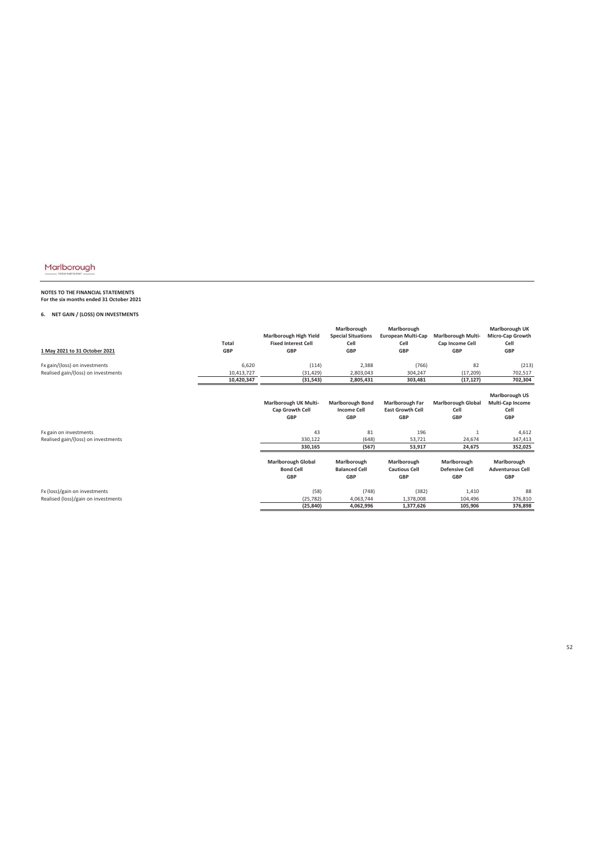# **NOTES TO THE FINANCIAL STATEMENTS For the six months ended 31 October 2021**

### **6. NET GAIN / (LOSS) ON INVESTMENTS**

| 1 May 2021 to 31 October 2021                                        | <b>Total</b><br><b>GBP</b> | Marlborough High Yield<br><b>Fixed Interest Cell</b><br><b>GBP</b> | Marlborough<br><b>Special Situations</b><br>Cell<br><b>GBP</b> | Marlborough<br><b>European Multi-Cap</b><br>Cell<br><b>GBP</b> | <b>Marlborough Multi-</b><br>Cap Income Cell<br><b>GBP</b> | Marlborough UK<br>Micro-Cap Growth<br>Cell<br><b>GBP</b>               |
|----------------------------------------------------------------------|----------------------------|--------------------------------------------------------------------|----------------------------------------------------------------|----------------------------------------------------------------|------------------------------------------------------------|------------------------------------------------------------------------|
| Fx gain/(loss) on investments<br>Realised gain/(loss) on investments | 6,620<br>10,413,727        | (114)<br>(31, 429)                                                 | 2,388<br>2,803,043                                             | (766)<br>304,247                                               | 82<br>(17, 209)                                            | (213)<br>702,517                                                       |
|                                                                      | 10,420,347                 | (31, 543)                                                          | 2,805,431                                                      | 303,481                                                        | (17, 127)                                                  | 702,304                                                                |
|                                                                      |                            | Marlborough UK Multi-<br>Cap Growth Cell<br><b>GBP</b>             | <b>Marlborough Bond</b><br><b>Income Cell</b><br><b>GBP</b>    | Marlborough Far<br><b>East Growth Cell</b><br><b>GBP</b>       | <b>Marlborough Global</b><br>Cell<br><b>GBP</b>            | <b>Marlborough US</b><br><b>Multi-Cap Income</b><br>Cell<br><b>GBP</b> |
| Fx gain on investments                                               |                            | 43                                                                 | 81                                                             | 196                                                            | $\mathbf{1}$                                               | 4,612                                                                  |
| Realised gain/(loss) on investments                                  |                            | 330,122                                                            | (648)                                                          | 53,721                                                         | 24,674                                                     | 347,413                                                                |
|                                                                      |                            | 330,165                                                            | (567)                                                          | 53,917                                                         | 24,675                                                     | 352,025                                                                |
|                                                                      |                            | <b>Marlborough Global</b><br><b>Bond Cell</b><br><b>GBP</b>        | Marlborough<br><b>Balanced Cell</b><br><b>GBP</b>              | Marlborough<br><b>Cautious Cell</b><br><b>GBP</b>              | Marlborough<br><b>Defensive Cell</b><br><b>GBP</b>         | Marlborough<br><b>Adventurous Cell</b><br><b>GBP</b>                   |
| Fx (loss)/gain on investments                                        |                            | (58)                                                               | (748)                                                          | (382)                                                          | 1,410                                                      | 88                                                                     |
| Realised (loss)/gain on investments                                  |                            | (25, 782)                                                          | 4,063,744                                                      | 1,378,008                                                      | 104,496                                                    | 376,810                                                                |
|                                                                      |                            | (25, 840)                                                          | 4,062,996                                                      | 1,377,626                                                      | 105,906                                                    | 376,898                                                                |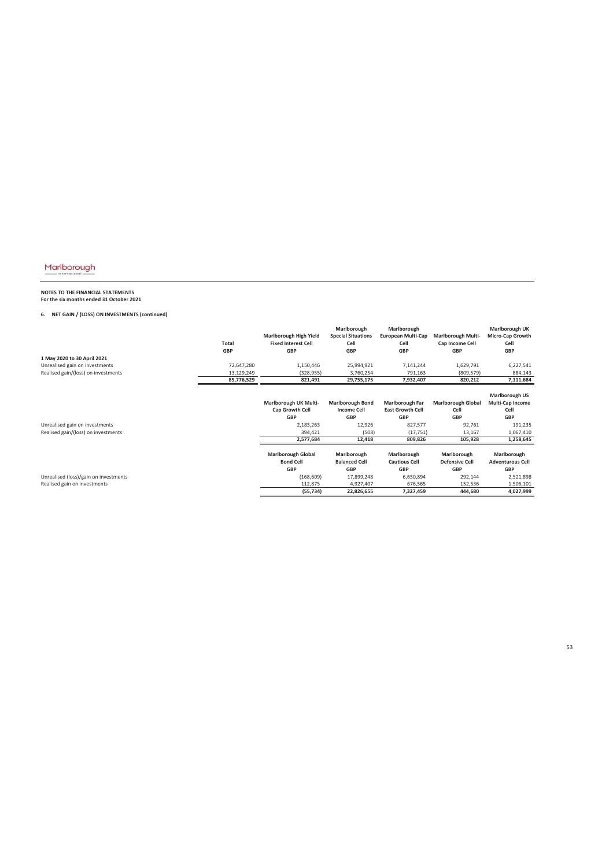# **NOTES TO THE FINANCIAL STATEMENTS For the six months ended 31 October 2021**

### **6. NET GAIN / (LOSS) ON INVESTMENTS (continued)**

|                                                                       | Total<br><b>GBP</b> | Marlborough High Yield<br><b>Fixed Interest Cell</b><br><b>GBP</b>                          | Marlborough<br><b>Special Situations</b><br>Cell<br><b>GBP</b>                           | Marlborough<br><b>European Multi-Cap</b><br>Cell<br><b>GBP</b>                                     | <b>Marlborough Multi-</b><br>Cap Income Cell<br><b>GBP</b>                     | Marlborough UK<br>Micro-Cap Growth<br>Cell<br><b>GBP</b>                                             |
|-----------------------------------------------------------------------|---------------------|---------------------------------------------------------------------------------------------|------------------------------------------------------------------------------------------|----------------------------------------------------------------------------------------------------|--------------------------------------------------------------------------------|------------------------------------------------------------------------------------------------------|
| 1 May 2020 to 30 April 2021                                           |                     |                                                                                             |                                                                                          |                                                                                                    |                                                                                |                                                                                                      |
| Unrealised gain on investments                                        | 72,647,280          | 1,150,446                                                                                   | 25,994,921                                                                               | 7,141,244                                                                                          | 1,629,791                                                                      | 6,227,541                                                                                            |
| Realised gain/(loss) on investments                                   | 13,129,249          | (328, 955)                                                                                  | 3,760,254                                                                                | 791,163                                                                                            | (809, 579)                                                                     | 884,143                                                                                              |
|                                                                       | 85,776,529          | 821,491                                                                                     | 29,755,175                                                                               | 7,932,407                                                                                          | 820,212                                                                        | 7,111,684                                                                                            |
| Unrealised gain on investments<br>Realised gain/(loss) on investments |                     | Marlborough UK Multi-<br>Cap Growth Cell<br><b>GBP</b><br>2,183,263<br>394,421<br>2,577,684 | <b>Marlborough Bond</b><br><b>Income Cell</b><br><b>GBP</b><br>12,926<br>(508)<br>12,418 | <b>Marlborough Far</b><br><b>East Growth Cell</b><br><b>GBP</b><br>827,577<br>(17, 751)<br>809,826 | <b>Marlborough Global</b><br>Cell<br><b>GBP</b><br>92,761<br>13,167<br>105,928 | <b>Marlborough US</b><br>Multi-Cap Income<br>Cell<br><b>GBP</b><br>191,235<br>1,067,410<br>1,258,645 |
|                                                                       |                     | <b>Marlborough Global</b><br><b>Bond Cell</b><br>GBP                                        | Marlborough<br><b>Balanced Cell</b><br><b>GBP</b>                                        | Marlborough<br><b>Cautious Cell</b><br><b>GBP</b>                                                  | Marlborough<br><b>Defensive Cell</b><br><b>GBP</b>                             | Marlborough<br><b>Adventurous Cell</b><br><b>GBP</b>                                                 |
| Unrealised (loss)/gain on investments                                 |                     | (168, 609)                                                                                  | 17,899,248                                                                               | 6,650,894                                                                                          | 292,144                                                                        | 2,521,898                                                                                            |
| Realised gain on investments                                          |                     | 112,875                                                                                     | 4,927,407                                                                                | 676,565                                                                                            | 152,536                                                                        | 1,506,101                                                                                            |
|                                                                       |                     | (55, 734)                                                                                   | 22,826,655                                                                               | 7,327,459                                                                                          | 444,680                                                                        | 4,027,999                                                                                            |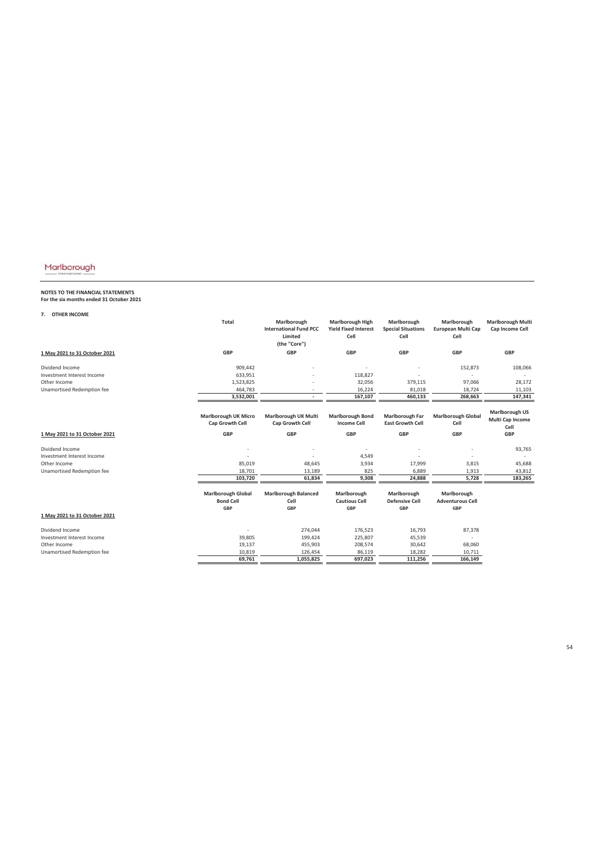# **NOTES TO THE FINANCIAL STATEMENTS For the six months ended 31 October 2021**

**7. OTHER INCOME**

|                               | <b>Total</b>                                                | Marlborough<br><b>International Fund PCC</b><br>Limited<br>(the "Core") | <b>Marlborough High</b><br><b>Yield Fixed Interest</b><br>Cell | Marlborough<br><b>Special Situations</b><br>Cell | Marlborough<br>European Multi Cap<br>Cell            | <b>Marlborough Multi</b><br>Cap Income Cell       |
|-------------------------------|-------------------------------------------------------------|-------------------------------------------------------------------------|----------------------------------------------------------------|--------------------------------------------------|------------------------------------------------------|---------------------------------------------------|
| 1 May 2021 to 31 October 2021 | <b>GBP</b>                                                  | <b>GBP</b>                                                              | GBP                                                            | GBP                                              | <b>GBP</b>                                           | GBP                                               |
| Dividend Income               | 909,442                                                     |                                                                         |                                                                |                                                  | 152,873                                              | 108,066                                           |
| Investment Interest Income    | 633,951                                                     |                                                                         | 118,827                                                        |                                                  |                                                      |                                                   |
| Other Income                  | 1,523,825                                                   |                                                                         | 32,056                                                         | 379,115                                          | 97,066                                               | 28,172                                            |
| Unamortised Redemption fee    | 464,783                                                     |                                                                         | 16,224                                                         | 81,018                                           | 18,724                                               | 11,103                                            |
|                               | 3,532,001                                                   |                                                                         | 167,107                                                        | 460,133                                          | 268,663                                              | 147,341                                           |
|                               |                                                             |                                                                         |                                                                |                                                  |                                                      |                                                   |
|                               | <b>Marlborough UK Micro</b><br>Cap Growth Cell              | Marlborough UK Multi<br>Cap Growth Cell                                 | <b>Marlborough Bond</b><br><b>Income Cell</b>                  | Marlborough Far<br><b>East Growth Cell</b>       | <b>Marlborough Global</b><br>Cell                    | <b>Marlborough US</b><br>Multi Cap Income<br>Cell |
| 1 May 2021 to 31 October 2021 | <b>GBP</b>                                                  | <b>GBP</b>                                                              | GBP                                                            | GBP                                              | <b>GBP</b>                                           | GBP                                               |
| Dividend Income               |                                                             |                                                                         | ٠                                                              |                                                  |                                                      | 93,765                                            |
| Investment Interest Income    |                                                             |                                                                         | 4,549                                                          |                                                  |                                                      |                                                   |
| Other Income                  | 85,019                                                      | 48,645                                                                  | 3,934                                                          | 17,999                                           | 3,815                                                | 45,688                                            |
| Unamortised Redemption fee    | 18,701                                                      | 13,189                                                                  | 825                                                            | 6,889                                            | 1,913                                                | 43,812                                            |
|                               | 103,720                                                     | 61,834                                                                  | 9,308                                                          | 24,888                                           | 5,728                                                | 183,265                                           |
|                               |                                                             |                                                                         |                                                                |                                                  |                                                      |                                                   |
|                               | <b>Marlborough Global</b><br><b>Bond Cell</b><br><b>GBP</b> | <b>Marlborough Balanced</b><br>Cell<br><b>GBP</b>                       | Marlborough<br><b>Cautious Cell</b><br>GBP                     | Marlborough<br><b>Defensive Cell</b><br>GBP      | Marlborough<br><b>Adventurous Cell</b><br><b>GBP</b> |                                                   |
| 1 May 2021 to 31 October 2021 |                                                             |                                                                         |                                                                |                                                  |                                                      |                                                   |
| Dividend Income               |                                                             | 274,044                                                                 | 176,523                                                        | 16,793                                           | 87,378                                               |                                                   |
| Investment Interest Income    | 39,805                                                      | 199,424                                                                 | 225,807                                                        | 45,539                                           |                                                      |                                                   |
| Other Income                  | 19,137                                                      | 455,903                                                                 | 208,574                                                        | 30,642                                           | 68,060                                               |                                                   |
| Unamortised Redemption fee    | 10,819                                                      | 126,454                                                                 | 86,119                                                         | 18,282                                           | 10,711                                               |                                                   |
|                               | 69.761                                                      | 1,055,825                                                               | 697.023                                                        | 111,256                                          | 166,149                                              |                                                   |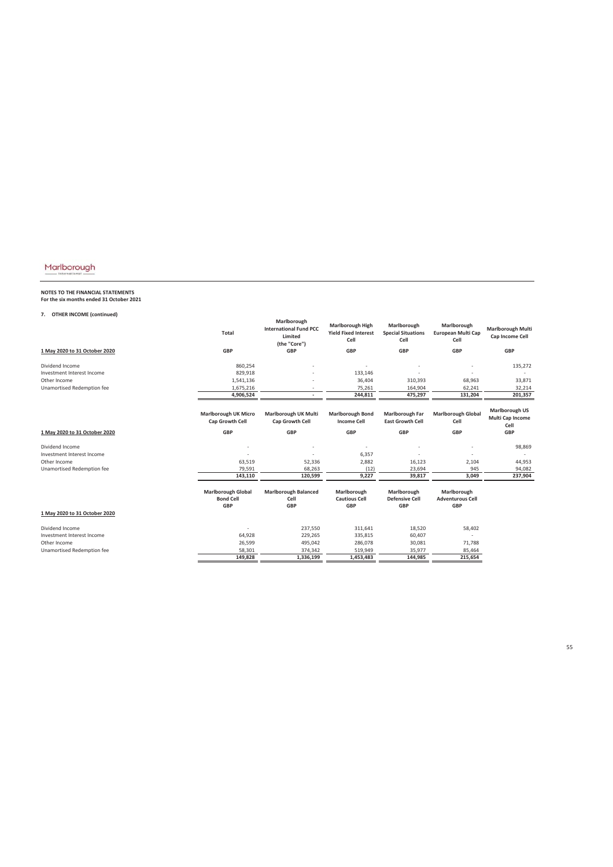# **NOTES TO THE FINANCIAL STATEMENTS For the six months ended 31 October 2021**

### **7. OTHER INCOME (continued)**

|                               | <b>Total</b>                                                | Marlborough<br><b>International Fund PCC</b><br>Limited<br>(the "Core") | <b>Marlborough High</b><br><b>Yield Fixed Interest</b><br>Cell | Marlborough<br><b>Special Situations</b><br>Cell   | Marlborough<br>European Multi Cap<br>Cell            | <b>Marlborough Multi</b><br>Cap Income Cell       |
|-------------------------------|-------------------------------------------------------------|-------------------------------------------------------------------------|----------------------------------------------------------------|----------------------------------------------------|------------------------------------------------------|---------------------------------------------------|
| 1 May 2020 to 31 October 2020 | GBP                                                         | <b>GBP</b>                                                              | <b>GBP</b>                                                     | <b>GBP</b>                                         | <b>GBP</b>                                           | <b>GBP</b>                                        |
| Dividend Income               | 860,254                                                     |                                                                         |                                                                |                                                    |                                                      | 135,272                                           |
| Investment Interest Income    | 829,918                                                     |                                                                         | 133,146                                                        |                                                    |                                                      |                                                   |
| Other Income                  | 1,541,136                                                   |                                                                         | 36,404                                                         | 310,393                                            | 68,963                                               | 33,871                                            |
| Unamortised Redemption fee    | 1,675,216                                                   | ٠                                                                       | 75,261                                                         | 164,904                                            | 62,241                                               | 32,214                                            |
|                               | 4,906,524                                                   | ٠                                                                       | 244,811                                                        | 475,297                                            | 131,204                                              | 201,357                                           |
|                               |                                                             |                                                                         |                                                                |                                                    |                                                      |                                                   |
|                               | <b>Marlborough UK Micro</b><br>Cap Growth Cell              | Marlborough UK Multi<br>Cap Growth Cell                                 | <b>Marlborough Bond</b><br><b>Income Cell</b>                  | <b>Marlborough Far</b><br><b>East Growth Cell</b>  | <b>Marlborough Global</b><br>Cell                    | <b>Marlborough US</b><br>Multi Cap Income<br>Cell |
| 1 May 2020 to 31 October 2020 | <b>GBP</b>                                                  | <b>GBP</b>                                                              | <b>GBP</b>                                                     | <b>GBP</b>                                         | <b>GBP</b>                                           | GBP                                               |
| Dividend Income               |                                                             |                                                                         |                                                                |                                                    |                                                      | 98,869                                            |
| Investment Interest Income    |                                                             |                                                                         | 6,357                                                          |                                                    |                                                      |                                                   |
| Other Income                  | 63,519                                                      | 52,336                                                                  | 2,882                                                          | 16,123                                             | 2,104                                                | 44,953                                            |
| Unamortised Redemption fee    | 79,591                                                      | 68,263                                                                  | (12)                                                           | 23,694                                             | 945                                                  | 94,082                                            |
|                               | 143,110                                                     | 120,599                                                                 | 9,227                                                          | 39,817                                             | 3,049                                                | 237,904                                           |
|                               | <b>Marlborough Global</b><br><b>Bond Cell</b><br><b>GBP</b> | <b>Marlborough Balanced</b><br>Cell<br><b>GBP</b>                       | Marlborough<br><b>Cautious Cell</b><br><b>GBP</b>              | Marlborough<br><b>Defensive Cell</b><br><b>GBP</b> | Marlborough<br><b>Adventurous Cell</b><br><b>GBP</b> |                                                   |
| 1 May 2020 to 31 October 2020 |                                                             |                                                                         |                                                                |                                                    |                                                      |                                                   |
| Dividend Income               |                                                             | 237,550                                                                 | 311,641                                                        | 18,520                                             | 58,402                                               |                                                   |
| Investment Interest Income    | 64,928                                                      | 229,265                                                                 | 335,815                                                        | 60,407                                             |                                                      |                                                   |
| Other Income                  | 26,599                                                      | 495,042                                                                 | 286,078                                                        | 30,081                                             | 71,788                                               |                                                   |
| Unamortised Redemption fee    | 58,301                                                      | 374,342                                                                 | 519,949                                                        | 35,977                                             | 85,464                                               |                                                   |
|                               | 149.828                                                     | 1,336,199                                                               | 1,453,483                                                      | 144.985                                            | 215,654                                              |                                                   |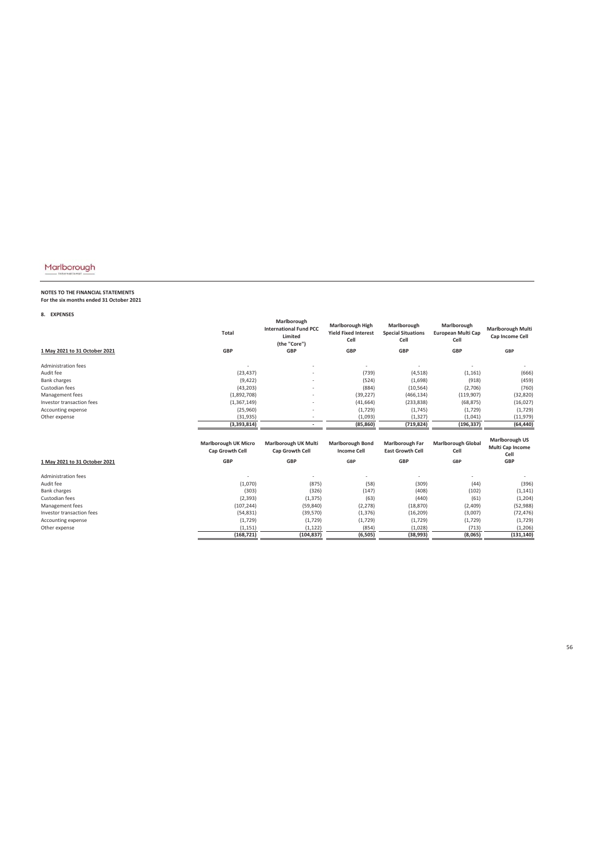**NOTES TO THE FINANCIAL STATEMENTS For the six months ended 31 October 2021**

**8. EXPENSES**

|                               | <b>Total</b>                                   | Marlborough<br><b>International Fund PCC</b><br>Limited<br>(the "Core") | Marlborough High<br><b>Yield Fixed Interest</b><br>Cell | Marlborough<br><b>Special Situations</b><br>Cell  | Marlborough<br>European Multi Cap<br>Cell | <b>Marlborough Multi</b><br>Cap Income Cell       |
|-------------------------------|------------------------------------------------|-------------------------------------------------------------------------|---------------------------------------------------------|---------------------------------------------------|-------------------------------------------|---------------------------------------------------|
| 1 May 2021 to 31 October 2021 | <b>GBP</b>                                     | <b>GBP</b>                                                              | <b>GBP</b>                                              | <b>GBP</b>                                        | <b>GBP</b>                                | GBP                                               |
| <b>Administration fees</b>    |                                                |                                                                         |                                                         |                                                   |                                           |                                                   |
| Audit fee                     | (23, 437)                                      |                                                                         | (739)                                                   | (4,518)                                           | (1, 161)                                  | (666)                                             |
| <b>Bank charges</b>           | (9,422)                                        |                                                                         | (524)                                                   | (1,698)                                           | (918)                                     | (459)                                             |
| Custodian fees                | (43, 203)                                      |                                                                         | (884)                                                   | (10, 564)                                         | (2,706)                                   | (760)                                             |
| Management fees               | (1,892,708)                                    |                                                                         | (39, 227)                                               | (466, 134)                                        | (119,907)                                 | (32, 820)                                         |
| Investor transaction fees     | (1,367,149)                                    | ٠                                                                       | (41, 664)                                               | (233, 838)                                        | (68, 875)                                 | (16, 027)                                         |
| Accounting expense            | (25,960)                                       |                                                                         | (1,729)                                                 | (1,745)                                           | (1,729)                                   | (1,729)                                           |
| Other expense                 | (31, 935)                                      | $\overline{\phantom{a}}$                                                | (1,093)                                                 | (1, 327)                                          | (1,041)                                   | (11, 979)                                         |
|                               | (3,393,814)                                    |                                                                         | (85, 860)                                               | (719, 824)                                        | (196, 337)                                | (64, 440)                                         |
|                               | <b>Marlborough UK Micro</b><br>Cap Growth Cell | Marlborough UK Multi<br>Cap Growth Cell                                 | <b>Marlborough Bond</b><br><b>Income Cell</b>           | <b>Marlborough Far</b><br><b>East Growth Cell</b> | <b>Marlborough Global</b><br>Cell         | <b>Marlborough US</b><br>Multi Cap Income<br>Cell |
| 1 May 2021 to 31 October 2021 | <b>GBP</b>                                     | <b>GBP</b>                                                              | <b>GBP</b>                                              | <b>GBP</b>                                        | <b>GBP</b>                                | <b>GBP</b>                                        |
| <b>Administration fees</b>    |                                                |                                                                         |                                                         |                                                   |                                           |                                                   |
| Audit fee                     | (1,070)                                        | (875)                                                                   | (58)                                                    | (309)                                             | (44)                                      | (396)                                             |
| <b>Bank charges</b>           | (303)                                          | (326)                                                                   | (147)                                                   | (408)                                             | (102)                                     | (1, 141)                                          |
| Custodian fees                | (2, 393)                                       | (1, 375)                                                                | (63)                                                    | (440)                                             | (61)                                      | (1, 204)                                          |
| Management fees               | (107, 244)                                     | (59, 840)                                                               | (2, 278)                                                | (18, 870)                                         | (2,409)                                   | (52, 988)                                         |
| Investor transaction fees     | (54, 831)                                      | (39, 570)                                                               | (1, 376)                                                | (16, 209)                                         | (3,007)                                   | (72, 476)                                         |
| Accounting expense            |                                                |                                                                         |                                                         |                                                   |                                           |                                                   |
|                               | (1,729)                                        | (1, 729)                                                                | (1,729)                                                 | (1, 729)                                          | (1,729)                                   | (1,729)                                           |
| Other expense                 | (1, 151)                                       | (1, 122)                                                                | (854)                                                   | (1,028)<br>(38, 993)                              | (713)                                     | (1, 206)                                          |

56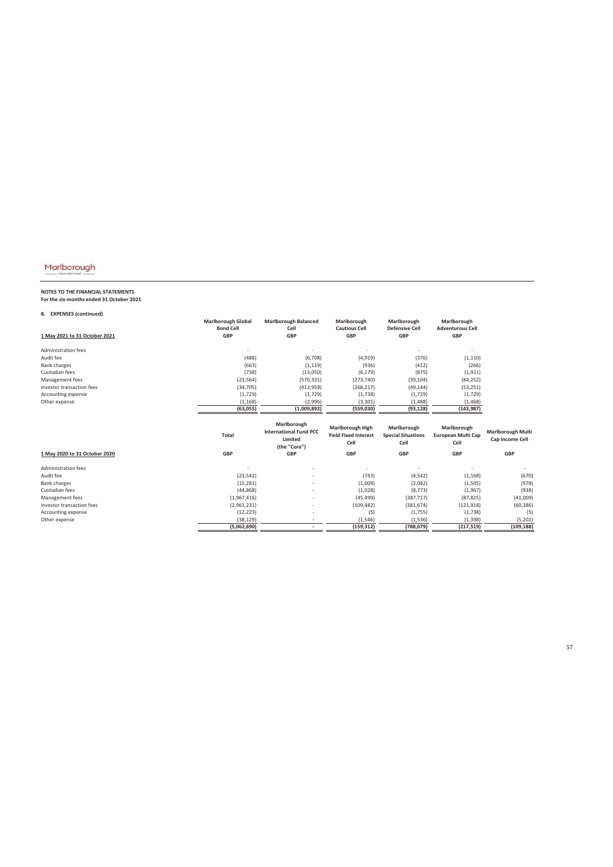# **NOTES TO THE FINANCIAL STATEMENTS For the six months ended 31 October 2021**

### **8. EXPENSES (continued)**

| 1 May 2021 to 31 October 2021 | <b>Marlborough Global</b><br><b>Bond Cell</b><br><b>GBP</b> | <b>Marlborough Balanced</b><br>Cell<br><b>GBP</b>                       | Marlborough<br><b>Cautious Cell</b><br><b>GBP</b>              | Marlborough<br><b>Defensive Cell</b><br><b>GBP</b> | Marlborough<br><b>Adventurous Cell</b><br><b>GBP</b> |                                             |
|-------------------------------|-------------------------------------------------------------|-------------------------------------------------------------------------|----------------------------------------------------------------|----------------------------------------------------|------------------------------------------------------|---------------------------------------------|
| Administration fees           |                                                             |                                                                         |                                                                |                                                    |                                                      |                                             |
| Audit fee                     | (488)                                                       | (6,708)                                                                 | (4, 919)                                                       | (376)                                              | (1, 110)                                             |                                             |
| <b>Bank charges</b>           | (663)                                                       | (1, 119)                                                                | (936)                                                          | (412)                                              | (266)                                                |                                             |
| Custodian fees                | (738)                                                       | (13,050)                                                                | (6, 179)                                                       | (875)                                              | (1, 911)                                             |                                             |
| Management fees               | (23, 564)                                                   | (570, 331)                                                              | (273, 740)                                                     | (39, 104)                                          | (84, 252)                                            |                                             |
| Investor transaction fees     | (34, 705)                                                   | (413,959)                                                               | (268, 217)                                                     | (49, 144)                                          | (53, 251)                                            |                                             |
| Accounting expense            | (1,729)                                                     | (1,729)                                                                 | (1,738)                                                        | (1,729)                                            | (1,729)                                              |                                             |
| Other expense                 | (1, 168)                                                    | (2,996)                                                                 | (3, 301)                                                       | (1,488)                                            | (1, 468)                                             |                                             |
|                               | (63, 055)                                                   | (1,009,892)                                                             | (559,030)                                                      | (93, 128)                                          | (143, 987)                                           |                                             |
|                               | <b>Total</b>                                                | Marlborough<br><b>International Fund PCC</b><br>Limited<br>(the "Core") | <b>Marlborough High</b><br><b>Yield Fixed Interest</b><br>Cell | Marlborough<br><b>Special Situations</b><br>Cell   | Marlborough<br>European Multi Cap<br>Cell            | <b>Marlborough Multi</b><br>Cap Income Cell |
| 1 May 2020 to 31 October 2020 | <b>GBP</b>                                                  | <b>GBP</b>                                                              | <b>GBP</b>                                                     | <b>GBP</b>                                         | <b>GBP</b>                                           | <b>GBP</b>                                  |
| Administration fees           |                                                             |                                                                         |                                                                |                                                    |                                                      |                                             |
| Audit fee                     | (23, 542)                                                   |                                                                         | (743)                                                          | (4, 542)                                           | (1, 168)                                             | (670)                                       |
| <b>Bank charges</b>           | (15, 281)                                                   | $\overline{a}$                                                          | (1,009)                                                        | (2,082)                                            | (1,505)                                              | (978)                                       |
| Custodian fees                | (44, 868)                                                   |                                                                         | (1,028)                                                        | (8, 773)                                           | (1,967)                                              | (938)                                       |
| Management fees               | (1,967,416)                                                 |                                                                         | (45, 499)                                                      | (387, 717)                                         | (87, 825)                                            | (41,009)                                    |
| Investor transaction fees     | (2,961,231)                                                 | ÷                                                                       | (109, 482)                                                     | (381, 674)                                         | (121, 918)                                           | (60, 386)                                   |
| Accounting expense            | (12, 223)                                                   | ٠                                                                       | (5)                                                            | (1,755)                                            | (1,738)                                              | (5)                                         |
| Other expense                 | (38, 129)                                                   | ٠                                                                       | (1, 546)                                                       | (1,536)                                            | (1, 398)                                             | (5, 202)                                    |
|                               | (5,062,690)                                                 | ٠                                                                       | (159, 312)                                                     | (788, 079)                                         | (217, 519)                                           | (109, 188)                                  |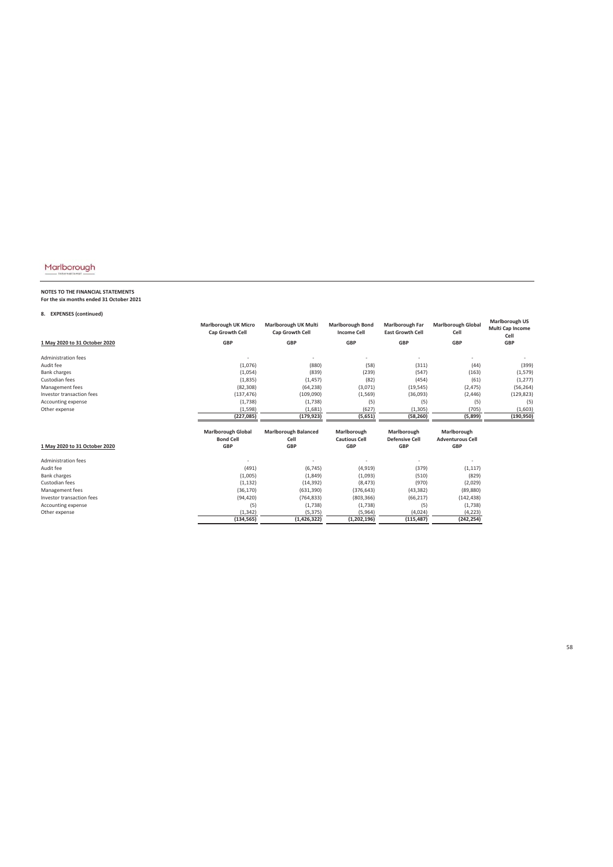# **NOTES TO THE FINANCIAL STATEMENTS For the six months ended 31 October 2021**

### **8. EXPENSES (continued)**

| ο.<br>LAFLIVJLJ (LUIILIIIUCU) |                                                |                                         |                                               |                                                   |                                   |                                                   |
|-------------------------------|------------------------------------------------|-----------------------------------------|-----------------------------------------------|---------------------------------------------------|-----------------------------------|---------------------------------------------------|
|                               | <b>Marlborough UK Micro</b><br>Cap Growth Cell | Marlborough UK Multi<br>Cap Growth Cell | <b>Marlborough Bond</b><br><b>Income Cell</b> | <b>Marlborough Far</b><br><b>East Growth Cell</b> | <b>Marlborough Global</b><br>Cell | <b>Marlborough US</b><br>Multi Cap Income<br>Cell |
| 1 May 2020 to 31 October 2020 | GBP                                            | <b>GBP</b>                              | <b>GBP</b>                                    | <b>GBP</b>                                        | <b>GBP</b>                        | <b>GBP</b>                                        |
| Administration fees           |                                                |                                         |                                               |                                                   |                                   |                                                   |
| Audit fee                     | (1,076)                                        | (880)                                   | (58)                                          | (311)                                             | (44)                              | (399)                                             |
| <b>Bank charges</b>           | (1,054)                                        | (839)                                   | (239)                                         | (547)                                             | (163)                             | (1, 579)                                          |
| Custodian fees                | (1,835)                                        | (1, 457)                                | (82)                                          | (454)                                             | (61)                              | (1, 277)                                          |
| Management fees               | (82, 308)                                      | (64, 238)                               | (3,071)                                       | (19, 545)                                         | (2, 475)                          | (56, 264)                                         |
| Investor transaction fees     | (137, 476)                                     | (109,090)                               | (1, 569)                                      | (36,093)                                          | (2, 446)                          | (129, 823)                                        |
| Accounting expense            | (1,738)                                        | (1,738)                                 | (5)                                           | (5)                                               | (5)                               | (5)                                               |
| Other expense                 | (1, 598)                                       | (1,681)                                 | (627)                                         | (1, 305)                                          | (705)                             | (1,603)                                           |
|                               | (227, 085)                                     | (179, 923)                              | (5,651)                                       | (58, 260)                                         | (5,899)                           | (190, 950)                                        |
|                               | <b>Marlborough Global</b>                      | <b>Marlborough Balanced</b>             | Marlborough                                   | Marlborough                                       | Marlborough                       |                                                   |
|                               | <b>Bond Cell</b>                               | Cell                                    | <b>Cautious Cell</b>                          | <b>Defensive Cell</b>                             | <b>Adventurous Cell</b>           |                                                   |
| 1 May 2020 to 31 October 2020 | <b>GBP</b>                                     | <b>GBP</b>                              | <b>GBP</b>                                    | <b>GBP</b>                                        | <b>GBP</b>                        |                                                   |
| Administration fees           |                                                |                                         |                                               |                                                   |                                   |                                                   |
| Audit fee                     | (491)                                          | (6, 745)                                | (4, 919)                                      | (379)                                             | (1, 117)                          |                                                   |
| <b>Bank charges</b>           | (1,005)                                        | (1, 849)                                | (1,093)                                       | (510)                                             | (829)                             |                                                   |
| Custodian fees                | (1, 132)                                       | (14, 392)                               | (8, 473)                                      | (970)                                             | (2,029)                           |                                                   |
| Management fees               | (36, 170)                                      | (631, 390)                              | (376, 643)                                    | (43, 382)                                         | (89, 880)                         |                                                   |
| Investor transaction fees     | (94, 420)                                      | (764, 833)                              | (803, 366)                                    | (66, 217)                                         | (142, 438)                        |                                                   |
| Accounting expense            | (5)                                            | (1,738)                                 | (1,738)                                       | (5)                                               | (1,738)                           |                                                   |
| Other expense                 | (1, 342)                                       | (5, 375)                                | (5,964)                                       | (4,024)                                           | (4, 223)                          |                                                   |
|                               | (134, 565)                                     | (1, 426, 322)                           | (1, 202, 196)                                 | (115, 487)                                        | (242, 254)                        |                                                   |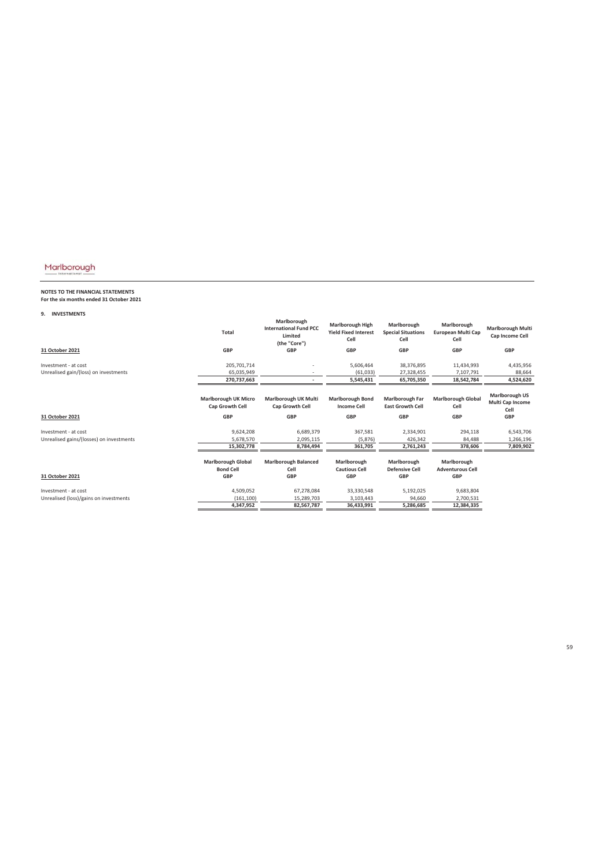# **NOTES TO THE FINANCIAL STATEMENTS For the six months ended 31 October 2021**

### **9. INVESTMENTS**

|                                          | <b>Total</b>                                          | Marlborough<br><b>International Fund PCC</b><br>Limited<br>(the "Core") | <b>Marlborough High</b><br><b>Yield Fixed Interest</b><br>Cell | Marlborough<br><b>Special Situations</b><br>Cell | Marlborough<br><b>European Multi Cap</b><br>Cell | <b>Marlborough Multi</b><br>Cap Income Cell       |
|------------------------------------------|-------------------------------------------------------|-------------------------------------------------------------------------|----------------------------------------------------------------|--------------------------------------------------|--------------------------------------------------|---------------------------------------------------|
| 31 October 2021                          | <b>GBP</b>                                            | <b>GBP</b>                                                              | <b>GBP</b>                                                     | <b>GBP</b>                                       | <b>GBP</b>                                       | <b>GBP</b>                                        |
| Investment - at cost                     | 205,701,714                                           |                                                                         | 5,606,464                                                      | 38,376,895                                       | 11,434,993                                       | 4,435,956                                         |
| Unrealised gain/(loss) on investments    | 65.035.949                                            |                                                                         | (61,033)                                                       | 27,328,455                                       | 7,107,791                                        | 88,664                                            |
|                                          | 270,737,663                                           |                                                                         | 5,545,431                                                      | 65,705,350                                       | 18,542,784                                       | 4,524,620                                         |
|                                          | <b>Marlborough UK Micro</b><br><b>Cap Growth Cell</b> | Marlborough UK Multi<br><b>Cap Growth Cell</b>                          | <b>Marlborough Bond</b><br><b>Income Cell</b>                  | Marlborough Far<br><b>East Growth Cell</b>       | <b>Marlborough Global</b><br>Cell                | <b>Marlborough US</b><br>Multi Cap Income<br>Cell |
| 31 October 2021                          | <b>GBP</b>                                            | <b>GBP</b>                                                              | <b>GBP</b>                                                     | <b>GBP</b>                                       | <b>GBP</b>                                       | <b>GBP</b>                                        |
| Investment - at cost                     | 9,624,208                                             | 6,689,379                                                               | 367,581                                                        | 2,334,901                                        | 294,118                                          | 6,543,706                                         |
| Unrealised gains/(losses) on investments | 5,678,570                                             | 2,095,115                                                               | (5,876)                                                        | 426,342                                          | 84,488                                           | 1,266,196                                         |
|                                          | 15,302,778                                            | 8,784,494                                                               | 361,705                                                        | 2,761,243                                        | 378,606                                          | 7,809,902                                         |
|                                          | <b>Marlborough Global</b><br><b>Bond Cell</b>         | <b>Marlborough Balanced</b><br>Cell                                     | Marlborough<br><b>Cautious Cell</b>                            | Marlborough<br><b>Defensive Cell</b>             | Marlborough<br><b>Adventurous Cell</b>           |                                                   |
| 31 October 2021                          | <b>GBP</b>                                            | <b>GBP</b>                                                              | <b>GBP</b>                                                     | <b>GBP</b>                                       | <b>GBP</b>                                       |                                                   |
| Investment - at cost                     | 4,509,052                                             | 67,278,084                                                              | 33,330,548                                                     | 5,192,025                                        | 9,683,804                                        |                                                   |
| Unrealised (loss)/gains on investments   | (161, 100)                                            | 15,289,703                                                              | 3,103,443                                                      | 94,660                                           | 2,700,531                                        |                                                   |
|                                          | 4,347,952                                             | 82,567,787                                                              | 36,433,991                                                     | 5,286,685                                        | 12,384,335                                       |                                                   |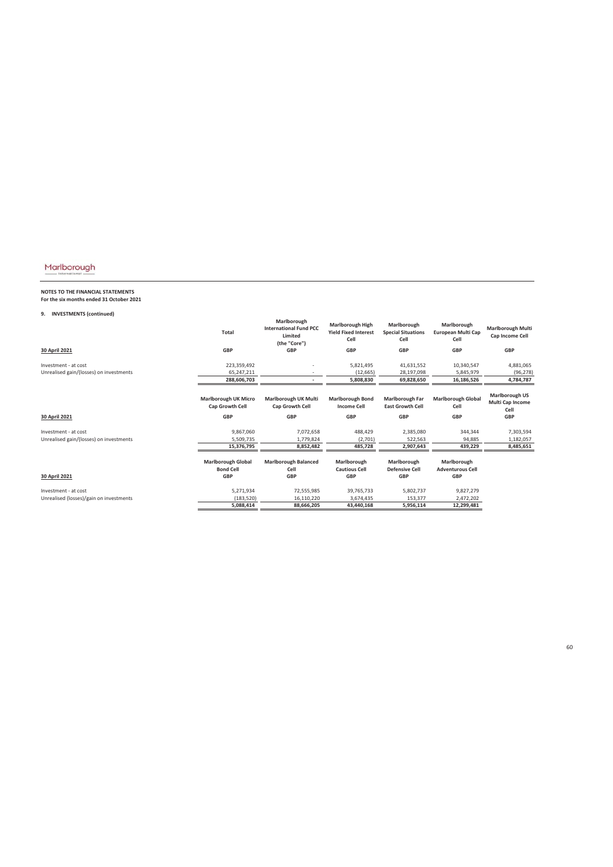# **NOTES TO THE FINANCIAL STATEMENTS For the six months ended 31 October 2021**

### **9. INVESTMENTS (continued)**

|                                         | <b>Total</b>                                                        | Marlborough<br><b>International Fund PCC</b><br>Limited<br>(the "Core") | <b>Marlborough High</b><br><b>Yield Fixed Interest</b><br>Cell | Marlborough<br><b>Special Situations</b><br>Cell         | Marlborough<br><b>European Multi Cap</b><br>Cell | <b>Marlborough Multi</b><br>Cap Income Cell                     |
|-----------------------------------------|---------------------------------------------------------------------|-------------------------------------------------------------------------|----------------------------------------------------------------|----------------------------------------------------------|--------------------------------------------------|-----------------------------------------------------------------|
| 30 April 2021                           | <b>GBP</b>                                                          | <b>GBP</b>                                                              | <b>GBP</b>                                                     | <b>GBP</b>                                               | <b>GBP</b>                                       | <b>GBP</b>                                                      |
| Investment - at cost                    | 223,359,492                                                         |                                                                         | 5,821,495                                                      | 41,631,552                                               | 10,340,547                                       | 4,881,065                                                       |
| Unrealised gain/(losses) on investments | 65.247.211                                                          |                                                                         | (12, 665)                                                      | 28,197,098                                               | 5,845,979                                        | (96, 278)                                                       |
|                                         | 288,606,703                                                         |                                                                         | 5,808,830                                                      | 69,828,650                                               | 16,186,526                                       | 4,784,787                                                       |
|                                         | <b>Marlborough UK Micro</b><br><b>Cap Growth Cell</b><br><b>GBP</b> | Marlborough UK Multi<br><b>Cap Growth Cell</b><br><b>GBP</b>            | <b>Marlborough Bond</b><br><b>Income Cell</b><br><b>GBP</b>    | Marlborough Far<br><b>East Growth Cell</b><br><b>GBP</b> | <b>Marlborough Global</b><br>Cell<br><b>GBP</b>  | <b>Marlborough US</b><br>Multi Cap Income<br>Cell<br><b>GBP</b> |
| 30 April 2021                           |                                                                     |                                                                         |                                                                |                                                          |                                                  |                                                                 |
| Investment - at cost                    | 9,867,060                                                           | 7,072,658                                                               | 488,429                                                        | 2,385,080                                                | 344,344                                          | 7,303,594                                                       |
| Unrealised gain/(losses) on investments | 5,509,735                                                           | 1,779,824                                                               | (2,701)                                                        | 522,563                                                  | 94,885                                           | 1,182,057                                                       |
|                                         | 15,376,795                                                          | 8,852,482                                                               | 485,728                                                        | 2,907,643                                                | 439,229                                          | 8,485,651                                                       |
|                                         | <b>Marlborough Global</b><br><b>Bond Cell</b>                       | <b>Marlborough Balanced</b><br>Cell                                     | Marlborough<br><b>Cautious Cell</b>                            | Marlborough<br><b>Defensive Cell</b>                     | Marlborough<br><b>Adventurous Cell</b>           |                                                                 |
| 30 April 2021                           | <b>GBP</b>                                                          | <b>GBP</b>                                                              | <b>GBP</b>                                                     | <b>GBP</b>                                               | <b>GBP</b>                                       |                                                                 |
| Investment - at cost                    | 5,271,934                                                           | 72,555,985                                                              | 39,765,733                                                     | 5,802,737                                                | 9,827,279                                        |                                                                 |
| Unrealised (losses)/gain on investments | (183, 520)                                                          | 16,110,220                                                              | 3,674,435                                                      | 153,377                                                  | 2,472,202                                        |                                                                 |
|                                         | 5,088,414                                                           | 88,666,205                                                              | 43,440,168                                                     | 5,956,114                                                | 12,299,481                                       |                                                                 |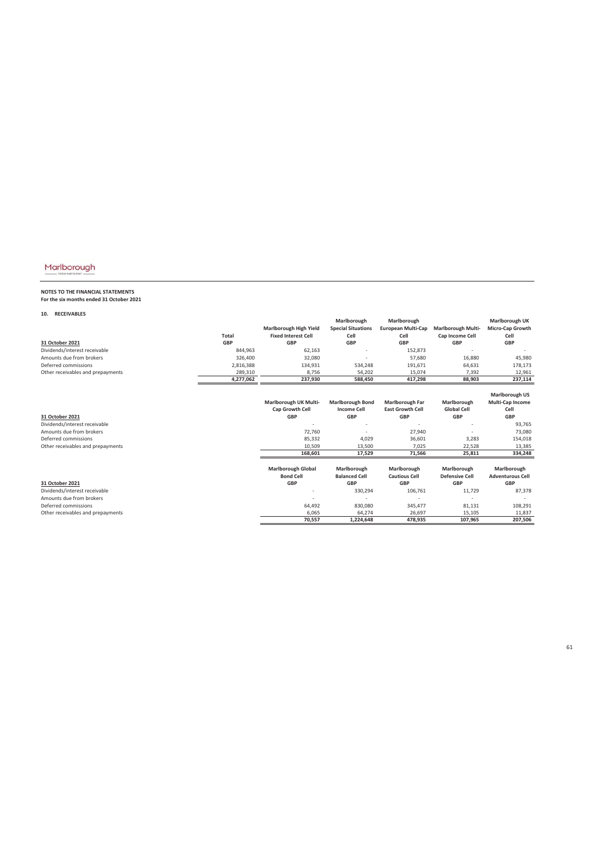# **NOTES TO THE FINANCIAL STATEMENTS For the six months ended 31 October 2021**

**10. RECEIVABLES**

|                                   |              |                            | Marlborough               | Marlborough               |                           | Marlborough UK          |
|-----------------------------------|--------------|----------------------------|---------------------------|---------------------------|---------------------------|-------------------------|
|                                   |              | Marlborough High Yield     | <b>Special Situations</b> | <b>European Multi-Cap</b> | <b>Marlborough Multi-</b> | Micro-Cap Growth        |
|                                   | <b>Total</b> | <b>Fixed Interest Cell</b> | Cell                      | Cell                      | Cap Income Cell           | Cell                    |
| 31 October 2021                   | <b>GBP</b>   | <b>GBP</b>                 | <b>GBP</b>                | <b>GBP</b>                | <b>GBP</b>                | <b>GBP</b>              |
| Dividends/interest receivable     | 844,963      | 62,163                     |                           | 152,873                   |                           |                         |
| Amounts due from brokers          | 326,400      | 32,080                     |                           | 57,680                    | 16,880                    | 45,980                  |
| Deferred commissions              | 2,816,388    | 134,931                    | 534,248                   | 191,671                   | 64,631                    | 178,173                 |
| Other receivables and prepayments | 289,310      | 8,756                      | 54,202                    | 15,074                    | 7,392                     | 12,961                  |
|                                   | 4,277,062    | 237,930                    | 588,450                   | 417,298                   | 88,903                    | 237,114                 |
|                                   |              |                            |                           |                           |                           |                         |
|                                   |              |                            |                           |                           |                           | <b>Marlborough US</b>   |
|                                   |              | Marlborough UK Multi-      | <b>Marlborough Bond</b>   | <b>Marlborough Far</b>    | Marlborough               | Multi-Cap Income        |
|                                   |              | Cap Growth Cell            | <b>Income Cell</b>        | <b>East Growth Cell</b>   | <b>Global Cell</b>        | Cell                    |
| 31 October 2021                   |              | <b>GBP</b>                 | <b>GBP</b>                | <b>GBP</b>                | <b>GBP</b>                | <b>GBP</b>              |
| Dividends/interest receivable     |              |                            |                           |                           |                           | 93,765                  |
| Amounts due from brokers          |              | 72,760                     |                           | 27,940                    |                           | 73,080                  |
| Deferred commissions              |              | 85,332                     | 4,029                     | 36,601                    | 3,283                     | 154,018                 |
| Other receivables and prepayments |              | 10,509                     | 13,500                    | 7,025                     | 22,528                    | 13,385                  |
|                                   |              | 168,601                    | 17,529                    | 71,566                    | 25,811                    | 334,248                 |
|                                   |              | <b>Marlborough Global</b>  | Marlborough               | Marlborough               | Marlborough               | Marlborough             |
|                                   |              | <b>Bond Cell</b>           | <b>Balanced Cell</b>      | <b>Cautious Cell</b>      | <b>Defensive Cell</b>     | <b>Adventurous Cell</b> |
| 31 October 2021                   |              | <b>GBP</b>                 | <b>GBP</b>                | <b>GBP</b>                | <b>GBP</b>                | <b>GBP</b>              |
| Dividends/interest receivable     |              |                            | 330,294                   | 106,761                   | 11,729                    | 87,378                  |
| Amounts due from brokers          |              |                            |                           |                           |                           |                         |
| Deferred commissions              |              | 64,492                     | 830,080                   | 345,477                   | 81,131                    | 108,291                 |
| Other receivables and prepayments |              | 6,065                      | 64,274                    | 26,697                    | 15,105                    | 11,837                  |
|                                   |              | 70,557                     | 1,224,648                 | 478,935                   | 107,965                   | 207,506                 |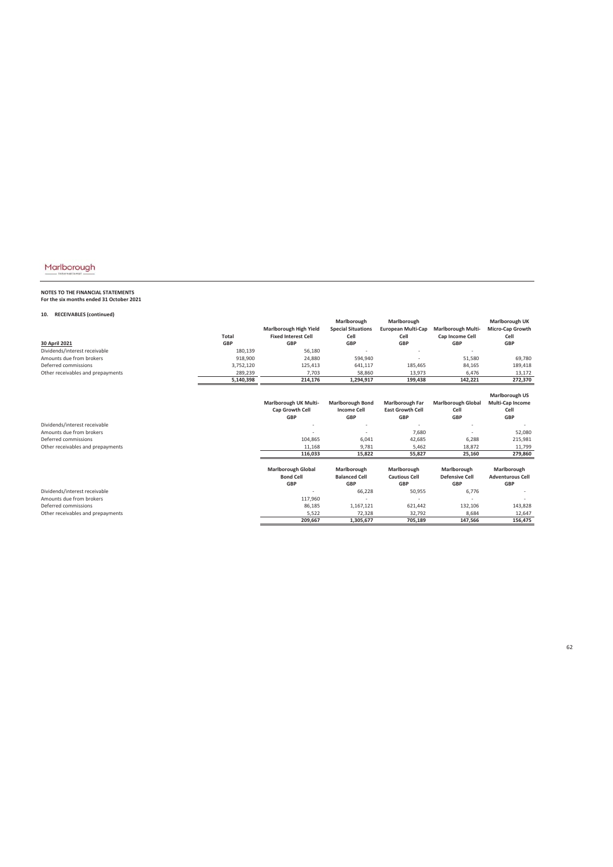# **NOTES TO THE FINANCIAL STATEMENTS For the six months ended 31 October 2021**

### **10. RECEIVABLES (continued)**

| Marlborough High Yield<br><b>Special Situations</b><br><b>European Multi-Cap</b><br><b>Marlborough Multi-</b><br>Micro-Cap Growth<br><b>Fixed Interest Cell</b><br><b>Total</b><br>Cell<br>Cell<br>Cap Income Cell<br>Cell<br><b>GBP</b><br><b>GBP</b><br><b>GBP</b><br><b>GBP</b><br><b>GBP</b><br><b>GBP</b><br>30 April 2021<br>Dividends/interest receivable<br>56,180<br>180,139<br>Amounts due from brokers<br>918.900<br>51,580<br>69,780<br>24,880<br>594,940<br>Deferred commissions<br>3,752,120<br>125,413<br>84,165<br>641,117<br>185,465<br>189,418<br>Other receivables and prepayments<br>289,239<br>7.703<br>58,860<br>13.973<br>6,476<br>13,172<br>5,140,398<br>214,176<br>1,294,917<br>142,221<br>272,370<br>199,438<br>Marlborough US<br>Marlborough UK Multi-<br><b>Marlborough Bond</b><br>Multi-Cap Income<br><b>Marlborough Far</b><br><b>Marlborough Global</b><br>Cap Growth Cell<br><b>East Growth Cell</b><br><b>Income Cell</b><br>Cell<br>Cell<br><b>GBP</b><br><b>GBP</b><br><b>GBP</b><br><b>GBP</b><br><b>GBP</b><br>Dividends/interest receivable<br>Amounts due from brokers<br>7,680<br>52,080<br>Deferred commissions<br>104,865<br>42,685<br>6,288<br>6,041<br>215,981<br>11.168<br>9.781<br>5.462<br>18.872<br>Other receivables and prepayments<br>11,799<br>116,033<br>15,822<br>55,827<br>25,160<br>279,860<br><b>Marlborough Global</b><br>Marlborough<br>Marlborough<br>Marlborough<br>Marlborough<br><b>Bond Cell</b><br><b>Balanced Cell</b><br><b>Cautious Cell</b><br><b>Defensive Cell</b><br><b>Adventurous Cell</b> |  | Marlborough | Marlborough | Marlborough UK |
|-----------------------------------------------------------------------------------------------------------------------------------------------------------------------------------------------------------------------------------------------------------------------------------------------------------------------------------------------------------------------------------------------------------------------------------------------------------------------------------------------------------------------------------------------------------------------------------------------------------------------------------------------------------------------------------------------------------------------------------------------------------------------------------------------------------------------------------------------------------------------------------------------------------------------------------------------------------------------------------------------------------------------------------------------------------------------------------------------------------------------------------------------------------------------------------------------------------------------------------------------------------------------------------------------------------------------------------------------------------------------------------------------------------------------------------------------------------------------------------------------------------------------------------------------------------------------|--|-------------|-------------|----------------|
|                                                                                                                                                                                                                                                                                                                                                                                                                                                                                                                                                                                                                                                                                                                                                                                                                                                                                                                                                                                                                                                                                                                                                                                                                                                                                                                                                                                                                                                                                                                                                                       |  |             |             |                |
|                                                                                                                                                                                                                                                                                                                                                                                                                                                                                                                                                                                                                                                                                                                                                                                                                                                                                                                                                                                                                                                                                                                                                                                                                                                                                                                                                                                                                                                                                                                                                                       |  |             |             |                |
|                                                                                                                                                                                                                                                                                                                                                                                                                                                                                                                                                                                                                                                                                                                                                                                                                                                                                                                                                                                                                                                                                                                                                                                                                                                                                                                                                                                                                                                                                                                                                                       |  |             |             |                |
|                                                                                                                                                                                                                                                                                                                                                                                                                                                                                                                                                                                                                                                                                                                                                                                                                                                                                                                                                                                                                                                                                                                                                                                                                                                                                                                                                                                                                                                                                                                                                                       |  |             |             |                |
|                                                                                                                                                                                                                                                                                                                                                                                                                                                                                                                                                                                                                                                                                                                                                                                                                                                                                                                                                                                                                                                                                                                                                                                                                                                                                                                                                                                                                                                                                                                                                                       |  |             |             |                |
|                                                                                                                                                                                                                                                                                                                                                                                                                                                                                                                                                                                                                                                                                                                                                                                                                                                                                                                                                                                                                                                                                                                                                                                                                                                                                                                                                                                                                                                                                                                                                                       |  |             |             |                |
|                                                                                                                                                                                                                                                                                                                                                                                                                                                                                                                                                                                                                                                                                                                                                                                                                                                                                                                                                                                                                                                                                                                                                                                                                                                                                                                                                                                                                                                                                                                                                                       |  |             |             |                |
|                                                                                                                                                                                                                                                                                                                                                                                                                                                                                                                                                                                                                                                                                                                                                                                                                                                                                                                                                                                                                                                                                                                                                                                                                                                                                                                                                                                                                                                                                                                                                                       |  |             |             |                |
|                                                                                                                                                                                                                                                                                                                                                                                                                                                                                                                                                                                                                                                                                                                                                                                                                                                                                                                                                                                                                                                                                                                                                                                                                                                                                                                                                                                                                                                                                                                                                                       |  |             |             |                |
|                                                                                                                                                                                                                                                                                                                                                                                                                                                                                                                                                                                                                                                                                                                                                                                                                                                                                                                                                                                                                                                                                                                                                                                                                                                                                                                                                                                                                                                                                                                                                                       |  |             |             |                |
|                                                                                                                                                                                                                                                                                                                                                                                                                                                                                                                                                                                                                                                                                                                                                                                                                                                                                                                                                                                                                                                                                                                                                                                                                                                                                                                                                                                                                                                                                                                                                                       |  |             |             |                |
|                                                                                                                                                                                                                                                                                                                                                                                                                                                                                                                                                                                                                                                                                                                                                                                                                                                                                                                                                                                                                                                                                                                                                                                                                                                                                                                                                                                                                                                                                                                                                                       |  |             |             |                |
|                                                                                                                                                                                                                                                                                                                                                                                                                                                                                                                                                                                                                                                                                                                                                                                                                                                                                                                                                                                                                                                                                                                                                                                                                                                                                                                                                                                                                                                                                                                                                                       |  |             |             |                |
|                                                                                                                                                                                                                                                                                                                                                                                                                                                                                                                                                                                                                                                                                                                                                                                                                                                                                                                                                                                                                                                                                                                                                                                                                                                                                                                                                                                                                                                                                                                                                                       |  |             |             |                |
|                                                                                                                                                                                                                                                                                                                                                                                                                                                                                                                                                                                                                                                                                                                                                                                                                                                                                                                                                                                                                                                                                                                                                                                                                                                                                                                                                                                                                                                                                                                                                                       |  |             |             |                |
|                                                                                                                                                                                                                                                                                                                                                                                                                                                                                                                                                                                                                                                                                                                                                                                                                                                                                                                                                                                                                                                                                                                                                                                                                                                                                                                                                                                                                                                                                                                                                                       |  |             |             |                |
|                                                                                                                                                                                                                                                                                                                                                                                                                                                                                                                                                                                                                                                                                                                                                                                                                                                                                                                                                                                                                                                                                                                                                                                                                                                                                                                                                                                                                                                                                                                                                                       |  |             |             |                |
|                                                                                                                                                                                                                                                                                                                                                                                                                                                                                                                                                                                                                                                                                                                                                                                                                                                                                                                                                                                                                                                                                                                                                                                                                                                                                                                                                                                                                                                                                                                                                                       |  |             |             |                |
|                                                                                                                                                                                                                                                                                                                                                                                                                                                                                                                                                                                                                                                                                                                                                                                                                                                                                                                                                                                                                                                                                                                                                                                                                                                                                                                                                                                                                                                                                                                                                                       |  |             |             |                |
|                                                                                                                                                                                                                                                                                                                                                                                                                                                                                                                                                                                                                                                                                                                                                                                                                                                                                                                                                                                                                                                                                                                                                                                                                                                                                                                                                                                                                                                                                                                                                                       |  |             |             |                |
| <b>GBP</b><br><b>GBP</b><br><b>GBP</b><br><b>GBP</b><br><b>GBP</b>                                                                                                                                                                                                                                                                                                                                                                                                                                                                                                                                                                                                                                                                                                                                                                                                                                                                                                                                                                                                                                                                                                                                                                                                                                                                                                                                                                                                                                                                                                    |  |             |             |                |
| Dividends/interest receivable<br>66,228<br>50,955<br>6,776                                                                                                                                                                                                                                                                                                                                                                                                                                                                                                                                                                                                                                                                                                                                                                                                                                                                                                                                                                                                                                                                                                                                                                                                                                                                                                                                                                                                                                                                                                            |  |             |             |                |
| Amounts due from brokers<br>117,960                                                                                                                                                                                                                                                                                                                                                                                                                                                                                                                                                                                                                                                                                                                                                                                                                                                                                                                                                                                                                                                                                                                                                                                                                                                                                                                                                                                                                                                                                                                                   |  |             |             |                |
| Deferred commissions                                                                                                                                                                                                                                                                                                                                                                                                                                                                                                                                                                                                                                                                                                                                                                                                                                                                                                                                                                                                                                                                                                                                                                                                                                                                                                                                                                                                                                                                                                                                                  |  |             |             |                |
| 86,185<br>1,167,121<br>621,442<br>132,106<br>143,828                                                                                                                                                                                                                                                                                                                                                                                                                                                                                                                                                                                                                                                                                                                                                                                                                                                                                                                                                                                                                                                                                                                                                                                                                                                                                                                                                                                                                                                                                                                  |  |             |             |                |
| 5,522<br>72,328<br>32,792<br>8,684<br>12,647<br>Other receivables and prepayments<br>156,475<br>209.667<br>1,305,677<br>705,189<br>147,566                                                                                                                                                                                                                                                                                                                                                                                                                                                                                                                                                                                                                                                                                                                                                                                                                                                                                                                                                                                                                                                                                                                                                                                                                                                                                                                                                                                                                            |  |             |             |                |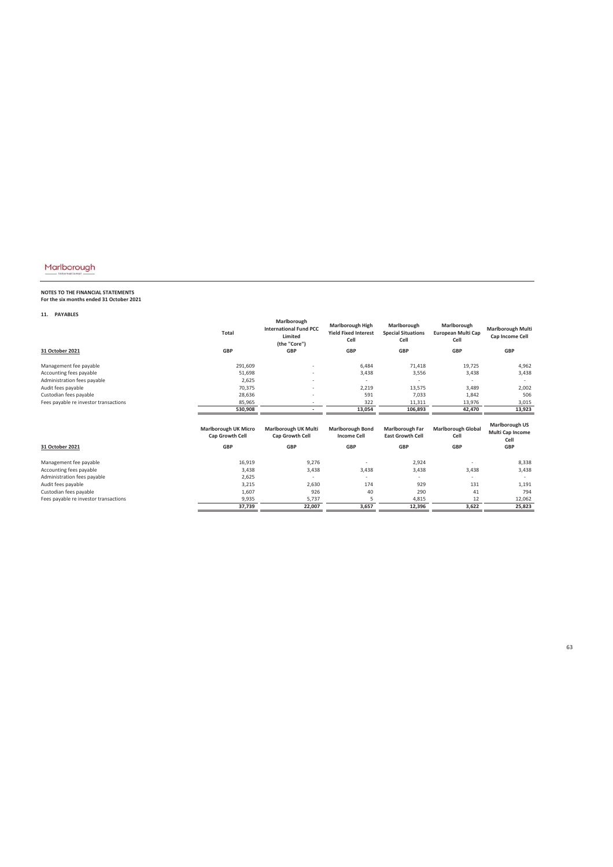# **NOTES TO THE FINANCIAL STATEMENTS For the six months ended 31 October 2021**

**11. PAYABLES**

|                                       | <b>Total</b>                                   | Marlborough<br><b>International Fund PCC</b><br>Limited<br>(the "Core") | <b>Marlborough High</b><br><b>Yield Fixed Interest</b><br>Cell | Marlborough<br><b>Special Situations</b><br>Cell | Marlborough<br>European Multi Cap<br>Cell | <b>Marlborough Multi</b><br>Cap Income Cell       |
|---------------------------------------|------------------------------------------------|-------------------------------------------------------------------------|----------------------------------------------------------------|--------------------------------------------------|-------------------------------------------|---------------------------------------------------|
| 31 October 2021                       | <b>GBP</b>                                     | <b>GBP</b>                                                              | <b>GBP</b>                                                     | <b>GBP</b>                                       | <b>GBP</b>                                | <b>GBP</b>                                        |
| Management fee payable                | 291,609                                        |                                                                         | 6,484                                                          | 71,418                                           | 19,725                                    | 4,962                                             |
| Accounting fees payable               | 51,698                                         |                                                                         | 3,438                                                          | 3,556                                            | 3,438                                     | 3,438                                             |
| Administration fees payable           | 2,625                                          | $\overline{\phantom{a}}$                                                | ٠                                                              |                                                  |                                           |                                                   |
| Audit fees payable                    | 70,375                                         |                                                                         | 2,219                                                          | 13,575                                           | 3,489                                     | 2,002                                             |
| Custodian fees payable                | 28,636                                         |                                                                         | 591                                                            | 7,033                                            | 1,842                                     | 506                                               |
| Fees payable re investor transactions | 85,965                                         |                                                                         | 322                                                            | 11,311                                           | 13,976                                    | 3,015                                             |
|                                       | 530,908                                        |                                                                         | 13,054                                                         | 106,893                                          | 42,470                                    | 13,923                                            |
|                                       | <b>Marlborough UK Micro</b><br>Cap Growth Cell | Marlborough UK Multi<br>Cap Growth Cell                                 | <b>Marlborough Bond</b><br><b>Income Cell</b>                  | Marlborough Far<br><b>East Growth Cell</b>       | <b>Marlborough Global</b><br>Cell         | <b>Marlborough US</b><br>Multi Cap Income<br>Cell |
| 31 October 2021                       | <b>GBP</b>                                     | <b>GBP</b>                                                              | <b>GBP</b>                                                     | <b>GBP</b>                                       | <b>GBP</b>                                | <b>GBP</b>                                        |
| Management fee payable                | 16,919                                         | 9.276                                                                   |                                                                | 2,924                                            |                                           | 8,338                                             |
| Accounting fees payable               | 3,438                                          | 3,438                                                                   | 3,438                                                          | 3,438                                            | 3,438                                     | 3,438                                             |
| Administration fees payable           | 2,625                                          | $\overline{\phantom{a}}$                                                |                                                                | $\overline{\phantom{a}}$                         |                                           |                                                   |
| Audit fees payable                    | 3,215                                          | 2,630                                                                   | 174                                                            | 929                                              | 131                                       | 1,191                                             |
| Custodian fees payable                | 1,607                                          | 926                                                                     | 40                                                             | 290                                              | 41                                        | 794                                               |
|                                       |                                                |                                                                         |                                                                |                                                  |                                           |                                                   |
| Fees payable re investor transactions | 9,935                                          | 5,737                                                                   | 5                                                              | 4,815                                            | 12                                        | 12,062                                            |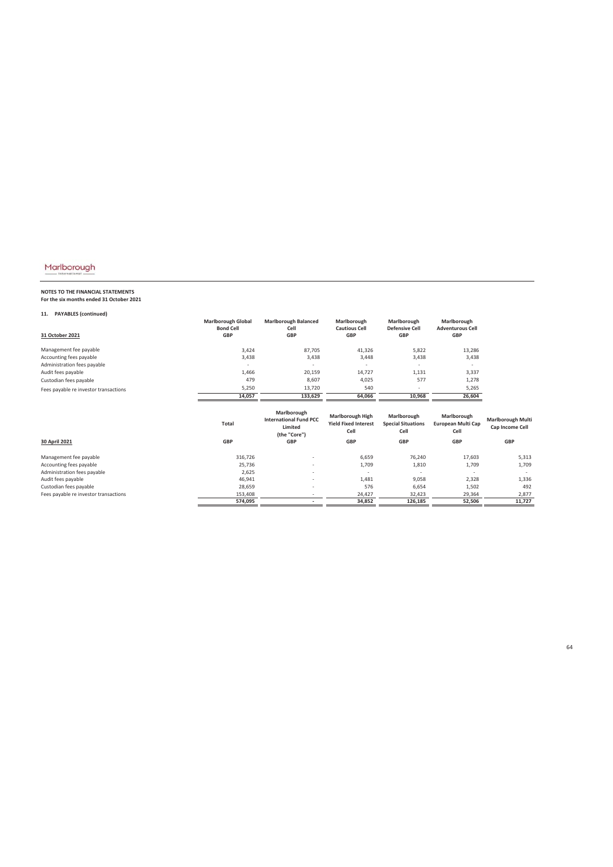# **NOTES TO THE FINANCIAL STATEMENTS For the six months ended 31 October 2021**

### **11. PAYABLES (continued)**

| 31 October 2021                       | <b>Marlborough Global</b><br><b>Bond Cell</b><br><b>GBP</b> | <b>Marlborough Balanced</b><br>Cell<br><b>GBP</b>              | Marlborough<br><b>Cautious Cell</b><br><b>GBP</b>      | Marlborough<br><b>Defensive Cell</b><br><b>GBP</b> | Marlborough<br><b>Adventurous Cell</b><br><b>GBP</b> |                                             |
|---------------------------------------|-------------------------------------------------------------|----------------------------------------------------------------|--------------------------------------------------------|----------------------------------------------------|------------------------------------------------------|---------------------------------------------|
| Management fee payable                | 3,424                                                       | 87,705                                                         | 41,326                                                 | 5,822                                              | 13,286                                               |                                             |
| Accounting fees payable               | 3,438                                                       | 3,438                                                          | 3,448                                                  | 3,438                                              | 3,438                                                |                                             |
| Administration fees payable           |                                                             |                                                                |                                                        |                                                    |                                                      |                                             |
| Audit fees payable                    | 1,466                                                       | 20,159                                                         | 14,727                                                 | 1,131                                              | 3,337                                                |                                             |
| Custodian fees payable                | 479                                                         | 8,607                                                          | 4,025                                                  | 577                                                | 1,278                                                |                                             |
| Fees payable re investor transactions | 5,250                                                       | 13,720                                                         | 540                                                    | $\overline{\phantom{a}}$                           | 5,265                                                |                                             |
|                                       | 14.057                                                      | 133.629                                                        | 64.066                                                 | 10,968                                             | 26,604                                               |                                             |
|                                       | Total                                                       | Marlborough<br><b>International Fund PCC</b><br><b>Limitad</b> | <b>Marlborough High</b><br><b>Yield Fixed Interest</b> | Marlborough<br><b>Special Situations</b>           | Marlborough<br>European Multi Cap                    | <b>Marlborough Multi</b><br>Can Income Cell |

|                                       | ιυιαι      | Limited<br>(the "Core")  | <b>TICIA LIVER ILITELEST</b><br>Cell | <b>Special Situations</b><br>Cell | Lui Opean Iviuiti Cap<br>Cell | Cap Income Cell          |
|---------------------------------------|------------|--------------------------|--------------------------------------|-----------------------------------|-------------------------------|--------------------------|
| 30 April 2021                         | <b>GBP</b> | <b>GBP</b>               | <b>GBP</b>                           | <b>GBP</b>                        | <b>GBP</b>                    | GBP                      |
| Management fee payable                | 316,726    | $\overline{\phantom{a}}$ | 6,659                                | 76,240                            | 17,603                        | 5,313                    |
| Accounting fees payable               | 25,736     | $\overline{\phantom{a}}$ | 1,709                                | 1,810                             | 1,709                         | 1,709                    |
| Administration fees payable           | 2,625      | $\overline{\phantom{a}}$ |                                      |                                   | $\overline{\phantom{a}}$      | $\overline{\phantom{a}}$ |
| Audit fees payable                    | 46,941     | $\overline{\phantom{a}}$ | 1,481                                | 9,058                             | 2,328                         | 1,336                    |
| Custodian fees payable                | 28,659     | $\overline{\phantom{a}}$ | 576                                  | 6,654                             | 1,502                         | 492                      |
| Fees payable re investor transactions | 153,408    |                          | 24,427                               | 32,423                            | 29,364                        | 2.877                    |
|                                       | 574,095    | ۰                        | 34,852                               | 126.185                           | 52,506                        | 11.727                   |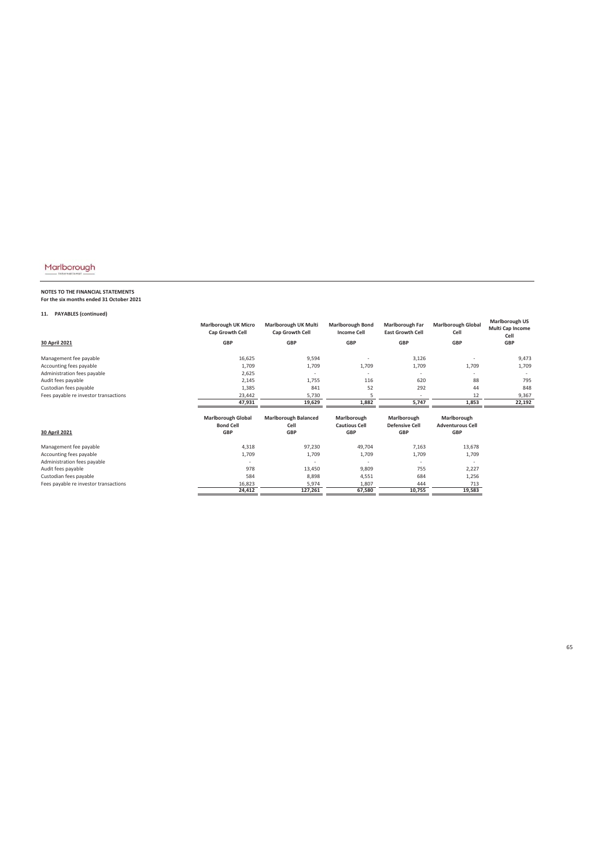# **NOTES TO THE FINANCIAL STATEMENTS For the six months ended 31 October 2021**

### **11. PAYABLES (continued)**

| 11.<br><b>PAYABLES (continued)</b>    |                                                |                                         |                                               |                                            |                                        |                                                   |
|---------------------------------------|------------------------------------------------|-----------------------------------------|-----------------------------------------------|--------------------------------------------|----------------------------------------|---------------------------------------------------|
|                                       | <b>Marlborough UK Micro</b><br>Cap Growth Cell | Marlborough UK Multi<br>Cap Growth Cell | <b>Marlborough Bond</b><br><b>Income Cell</b> | Marlborough Far<br><b>East Growth Cell</b> | <b>Marlborough Global</b><br>Cell      | <b>Marlborough US</b><br>Multi Cap Income<br>Cell |
| 30 April 2021                         | <b>GBP</b>                                     | <b>GBP</b>                              | <b>GBP</b>                                    | <b>GBP</b>                                 | <b>GBP</b>                             | GBP                                               |
| Management fee payable                | 16,625                                         | 9,594                                   |                                               | 3,126                                      |                                        | 9,473                                             |
| Accounting fees payable               | 1,709                                          | 1,709                                   | 1,709                                         | 1,709                                      | 1,709                                  | 1,709                                             |
| Administration fees payable           | 2,625                                          |                                         |                                               |                                            |                                        |                                                   |
| Audit fees payable                    | 2,145                                          | 1,755                                   | 116                                           | 620                                        | 88                                     | 795                                               |
| Custodian fees payable                | 1,385                                          | 841                                     | 52                                            | 292                                        | 44                                     | 848                                               |
| Fees payable re investor transactions | 23,442                                         | 5,730                                   | 5                                             | ٠                                          | 12                                     | 9,367                                             |
|                                       | 47,931                                         | 19,629                                  | 1,882                                         | 5,747                                      | 1,853                                  | 22,192                                            |
|                                       | <b>Marlborough Global</b><br><b>Bond Cell</b>  | <b>Marlborough Balanced</b><br>Cell     | Marlborough<br><b>Cautious Cell</b>           | Marlborough<br><b>Defensive Cell</b>       | Marlborough<br><b>Adventurous Cell</b> |                                                   |
| 30 April 2021                         | <b>GBP</b>                                     | <b>GBP</b>                              | GBP                                           | <b>GBP</b>                                 | GBP                                    |                                                   |
| Management fee payable                | 4,318                                          | 97,230                                  | 49,704                                        | 7,163                                      | 13,678                                 |                                                   |
| Accounting fees payable               | 1,709                                          | 1,709                                   | 1,709                                         | 1,709                                      | 1,709                                  |                                                   |
| Administration fees payable           |                                                |                                         |                                               |                                            |                                        |                                                   |
| Audit fees payable                    | 978                                            | 13,450                                  | 9,809                                         | 755                                        | 2,227                                  |                                                   |
| Custodian fees payable                | 584                                            | 8,898                                   | 4,551                                         | 684                                        | 1,256                                  |                                                   |
| Fees payable re investor transactions | 16,823                                         | 5,974                                   | 1,807                                         | 444                                        | 713                                    |                                                   |
|                                       | 24,412                                         | 127,261                                 | 67,580                                        | 10,755                                     | 19,583                                 |                                                   |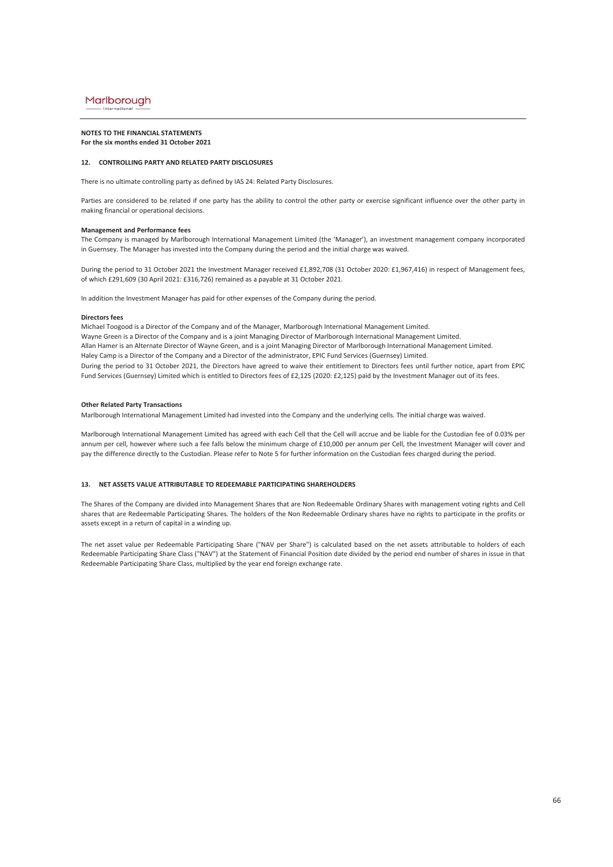#### **NOTES TO THE FINANCIAL STATEMENTS For the six months ended 31 October 2021**

### **12. CONTROLLING PARTY AND RELATED PARTY DISCLOSURES**

There is no ultimate controlling party as defined by IAS 24: Related Party Disclosures.

Parties are considered to be related if one party has the ability to control the other party or exercise significant influence over the other party in making financial or operational decisions.

### **Management and Performance fees**

The Company is managed by Marlborough International Management Limited (the 'Manager'), an investment management company incorporated in Guernsey. The Manager has invested into the Company during the period and the initial charge was waived.

During the period to 31 October 2021 the Investment Manager received £1,892,708 (31 October 2020: £1,967,416) in respect of Management fees, of which £291,609 (30 April 2021: £316,726) remained as a payable at 31 October 2021.

In addition the Investment Manager has paid for other expenses of the Company during the period.

#### **Directors fees**

Haley Camp is a Director of the Company and a Director of the administrator, EPIC Fund Services (Guernsey) Limited. Michael Toogood is a Director of the Company and of the Manager, Marlborough International Management Limited. Wayne Green is a Director of the Company and is a joint Managing Director of Marlborough International Management Limited. During the period to 31 October 2021, the Directors have agreed to waive their entitlement to Directors fees until further notice, apart from EPIC Fund Services (Guernsey) Limited which is entitled to Directors fees of £2,125 (2020: £2,125) paid by the Investment Manager out of its fees. Allan Hamer is an Alternate Director of Wayne Green, and is a joint Managing Director of Marlborough International Management Limited.

#### **Other Related Party Transactions**

Marlborough International Management Limited had invested into the Company and the underlying cells. The initial charge was waived.

Marlborough International Management Limited has agreed with each Cell that the Cell will accrue and be liable for the Custodian fee of 0.03% per annum per cell, however where such a fee falls below the minimum charge of £10,000 per annum per Cell, the Investment Manager will cover and pay the difference directly to the Custodian. Please refer to Note 5 for further information on the Custodian fees charged during the period.

#### **13. NET ASSETS VALUE ATTRIBUTABLE TO REDEEMABLE PARTICIPATING SHAREHOLDERS**

The Shares of the Company are divided into Management Shares that are Non Redeemable Ordinary Shares with management voting rights and Cell shares that are Redeemable Participating Shares. The holders of the Non Redeemable Ordinary shares have no rights to participate in the profits or assets except in a return of capital in a winding up.

The net asset value per Redeemable Participating Share ("NAV per Share") is calculated based on the net assets attributable to holders of each Redeemable Participating Share Class ("NAV") at the Statement of Financial Position date divided by the period end number of shares in issue in that Redeemable Participating Share Class, multiplied by the year end foreign exchange rate.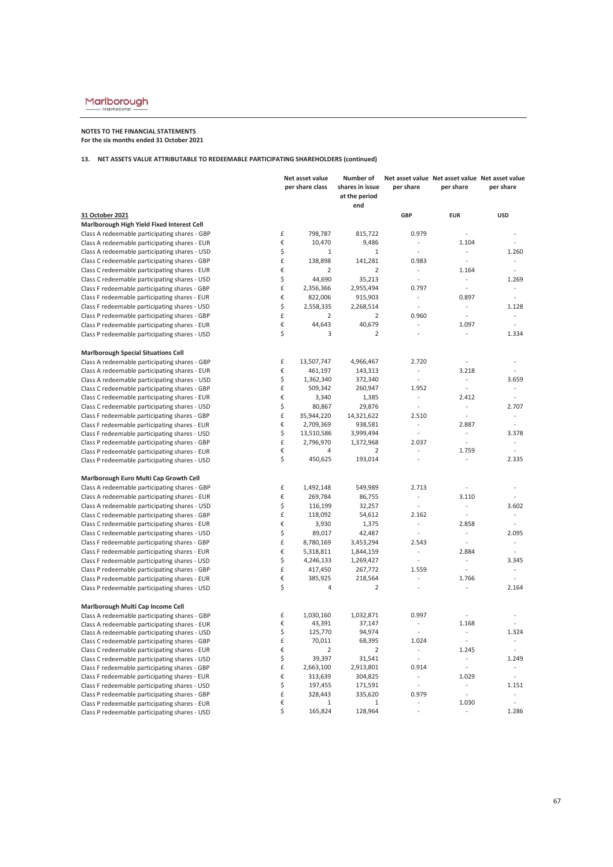### **NOTES TO THE FINANCIAL STATEMENTS For the six months ended 31 October 2021**

|                                               | Net asset value |                 | Number of                        |                                                      |                                                      | Net asset value Net asset value Net asset value |
|-----------------------------------------------|-----------------|-----------------|----------------------------------|------------------------------------------------------|------------------------------------------------------|-------------------------------------------------|
|                                               |                 | per share class | shares in issue<br>at the period | per share                                            | per share                                            | per share                                       |
|                                               |                 |                 | end                              |                                                      |                                                      |                                                 |
| 31 October 2021                               |                 |                 |                                  | <b>GBP</b>                                           | <b>EUR</b>                                           | <b>USD</b>                                      |
| Marlborough High Yield Fixed Interest Cell    |                 |                 |                                  |                                                      |                                                      |                                                 |
| Class A redeemable participating shares - GBP | £               | 798,787         | 815,722                          | 0.979                                                | $\overline{\phantom{a}}$                             |                                                 |
| Class A redeemable participating shares - EUR | €               | 10,470          | 9,486                            | $\overline{\phantom{a}}$                             | 1.104                                                | L.                                              |
| Class A redeemable participating shares - USD | \$              | $1\,$           | $\,1\,$                          | $\overline{\phantom{a}}$                             | $\overline{\phantom{a}}$                             | 1.260                                           |
| Class C redeemable participating shares - GBP | £               | 138,898         | 141,281                          | 0.983                                                | $\overline{\phantom{a}}$                             | ÷.                                              |
| Class C redeemable participating shares - EUR | €               | $\overline{2}$  | $\overline{2}$                   | $\overline{\phantom{a}}$                             | 1.164                                                | $\sim$                                          |
| Class C redeemable participating shares - USD | \$              | 44,690          | 35,213                           | $\sim$                                               | $\mathcal{L}_{\mathcal{A}}$                          | 1.269                                           |
| Class F redeemable participating shares - GBP | £               | 2,356,366       | 2,955,494                        | 0.797                                                | $\overline{\phantom{a}}$                             | ÷                                               |
| Class F redeemable participating shares - EUR | €               | 822,006         | 915,903                          | $\overline{\phantom{a}}$                             | 0.897                                                | $\overline{a}$                                  |
| Class F redeemable participating shares - USD | \$              | 2,558,335       | 2,268,514                        | $\overline{\phantom{a}}$                             | $\overline{\phantom{a}}$                             | 1.128                                           |
| Class P redeemable participating shares - GBP | £               | $\overline{2}$  | $\overline{2}$                   | 0.960                                                | $\sim$                                               | ÷                                               |
| Class P redeemable participating shares - EUR | €               | 44,643          | 40,679                           | $\overline{\phantom{a}}$                             | 1.097                                                | ÷                                               |
| Class P redeemable participating shares - USD | \$              | 3               | $\overline{2}$                   |                                                      |                                                      | 1.334                                           |
| <b>Marlborough Special Situations Cell</b>    |                 |                 |                                  |                                                      |                                                      |                                                 |
| Class A redeemable participating shares - GBP | £               | 13,507,747      | 4,966,467                        | 2.720                                                | $\overline{\phantom{a}}$                             | $\sim$                                          |
| Class A redeemable participating shares - EUR | €               | 461,197         | 143,313                          | $\overline{\phantom{a}}$                             | 3.218                                                |                                                 |
| Class A redeemable participating shares - USD | \$              | 1,362,340       | 372,340                          | $\overline{\phantom{a}}$                             | ÷                                                    | 3.659                                           |
| Class C redeemable participating shares - GBP | £               | 509,342         | 260,947                          | 1.952                                                | $\overline{\phantom{a}}$                             | $\overline{\phantom{a}}$                        |
| Class C redeemable participating shares - EUR | €               | 3,340           | 1,385                            | $\overline{\phantom{a}}$                             | 2.412                                                | $\sim$                                          |
| Class C redeemable participating shares - USD | \$              | 80,867          | 29,876                           | $\overline{\phantom{a}}$                             | $\overline{\phantom{a}}$                             | 2.707                                           |
| Class F redeemable participating shares - GBP | £               | 35,944,220      | 14,321,622                       | 2.510                                                | $\omega$                                             | $\overline{\phantom{a}}$                        |
| Class F redeemable participating shares - EUR | €               | 2,709,369       | 938,581                          | $\overline{\phantom{a}}$                             | 2.887                                                | $\sim$                                          |
| Class F redeemable participating shares - USD | \$              | 13,510,586      | 3,999,494                        | $\sim$                                               | $\mathcal{L}_{\mathcal{A}}$                          | 3.378                                           |
| Class P redeemable participating shares - GBP | £               | 2,796,970       | 1,372,968                        | 2.037                                                | $\sim$                                               | $\sim$                                          |
| Class P redeemable participating shares - EUR | €               | 4               | 2                                |                                                      | 1.759                                                | ÷,                                              |
| Class P redeemable participating shares - USD | \$              | 450,625         | 193,014                          |                                                      | ÷,                                                   | 2.335                                           |
| Marlborough Euro Multi Cap Growth Cell        |                 |                 |                                  |                                                      |                                                      |                                                 |
| Class A redeemable participating shares - GBP | £               | 1,492,148       | 549,989                          | 2.713                                                | $\overline{\phantom{a}}$                             |                                                 |
| Class A redeemable participating shares - EUR | €               | 269,784         | 86,755                           | $\overline{\phantom{a}}$                             | 3.110                                                |                                                 |
| Class A redeemable participating shares - USD | \$              | 116,199         | 32,257                           | $\sim$                                               | $\overline{\phantom{a}}$                             | 3.602                                           |
| Class C redeemable participating shares - GBP | £               | 118,092         | 54,612                           | 2.162                                                | $\overline{\phantom{a}}$                             | $\overline{\phantom{a}}$                        |
| Class C redeemable participating shares - EUR | €               | 3,930           | 1,375                            | $\overline{\phantom{a}}$                             | 2.858                                                | $\sim$                                          |
| Class C redeemable participating shares - USD | \$              | 89,017          | 42,487                           | $\overline{\phantom{a}}$                             | $\sim$                                               | 2.095                                           |
| Class F redeemable participating shares - GBP | £               | 8,780,169       | 3,453,294                        | 2.543                                                | $\overline{\phantom{a}}$                             | ÷,                                              |
| Class F redeemable participating shares - EUR | €               | 5,318,811       | 1,844,159                        | $\overline{\phantom{a}}$                             | 2.884                                                | ÷.                                              |
| Class F redeemable participating shares - USD | \$              | 4,246,133       | 1,269,427                        | $\overline{\phantom{a}}$                             | $\sim$                                               | 3.345                                           |
| Class P redeemable participating shares - GBP | £               | 417,450         | 267,772                          | 1.559                                                | $\overline{\phantom{a}}$                             | $\sim$                                          |
| Class P redeemable participating shares - EUR | €               | 385,925         | 218,564                          | $\overline{a}$                                       | 1.766                                                | ÷.                                              |
| Class P redeemable participating shares - USD | \$              | 4               | $\overline{2}$                   | $\overline{\phantom{a}}$                             | $\overline{a}$                                       | 2.164                                           |
| Marlborough Multi Cap Income Cell             |                 |                 |                                  |                                                      |                                                      |                                                 |
| Class A redeemable participating shares - GBP | £               | 1,030,160       | 1,032,871                        | 0.997                                                |                                                      |                                                 |
| Class A redeemable participating shares - EUR | €               | 43,391          | 37,147                           |                                                      | 1.168                                                |                                                 |
| Class A redeemable participating shares - USD | \$              | 125,770         | 94,974                           |                                                      | ÷                                                    | 1.324                                           |
| Class C redeemable participating shares - GBP | £               | 70,011          | 68,395                           | 1.024                                                | $\overline{\phantom{a}}$                             | $\overline{\phantom{a}}$                        |
| Class C redeemable participating shares - EUR | €               | $\overline{2}$  | $\overline{2}$                   | $\overline{\phantom{a}}$                             | 1.245                                                | $\sim$                                          |
| Class C redeemable participating shares - USD | \$              | 39,397          | 31,541                           | $\overline{\phantom{a}}$                             | ÷                                                    | 1.249                                           |
| Class F redeemable participating shares - GBP | £               | 2,663,100       | 2,913,801                        | 0.914                                                | $\Box$                                               | ÷                                               |
| Class F redeemable participating shares - EUR | €               | 313,639         | 304,825                          | $\overline{\phantom{a}}$<br>$\overline{\phantom{a}}$ | 1.029                                                | $\overline{\phantom{a}}$                        |
| Class F redeemable participating shares - USD | \$              | 197,455         | 171,591                          |                                                      | $\overline{\phantom{a}}$<br>$\overline{\phantom{a}}$ | 1.151                                           |
| Class P redeemable participating shares - GBP | £<br>€          | 328,443<br>1    | 335,620<br>$\mathbf{1}$          | 0.979                                                | 1.030                                                | $\overline{\phantom{a}}$                        |
| Class P redeemable participating shares - EUR | \$              | 165,824         | 128,964                          | $\overline{\phantom{a}}$                             | $\overline{\phantom{a}}$                             | 1.286                                           |
| Class P redeemable participating shares - USD |                 |                 |                                  |                                                      |                                                      |                                                 |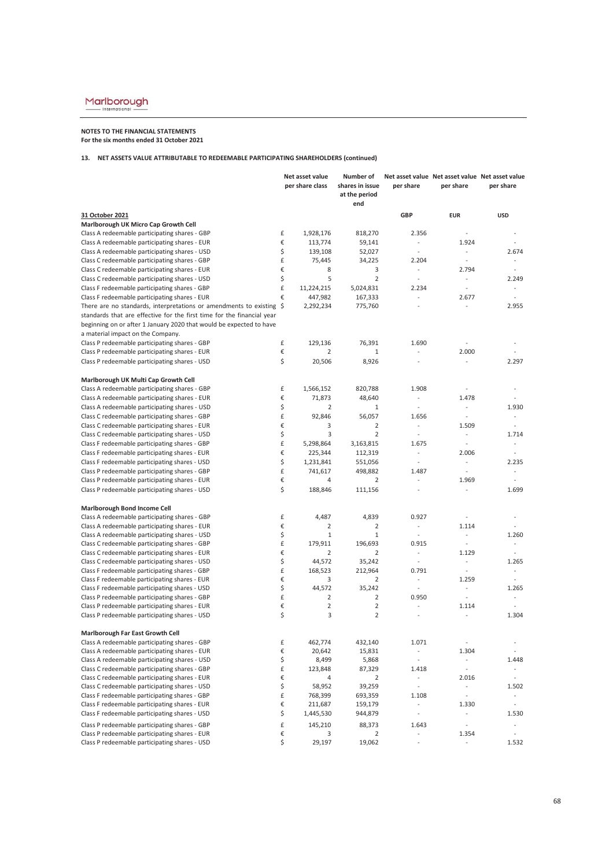### **NOTES TO THE FINANCIAL STATEMENTS For the six months ended 31 October 2021**

|                                                                                                | Net asset value |                     | Number of                               |                                   |                             | Net asset value Net asset value Net asset value |  |
|------------------------------------------------------------------------------------------------|-----------------|---------------------|-----------------------------------------|-----------------------------------|-----------------------------|-------------------------------------------------|--|
|                                                                                                |                 | per share class     | shares in issue<br>at the period<br>end | per share                         | per share                   | per share                                       |  |
|                                                                                                |                 |                     |                                         | <b>GBP</b>                        |                             |                                                 |  |
| 31 October 2021                                                                                |                 |                     |                                         |                                   | <b>EUR</b>                  | <b>USD</b>                                      |  |
| Marlborough UK Micro Cap Growth Cell                                                           | £               | 1,928,176           | 818,270                                 | 2.356                             | ÷                           |                                                 |  |
| Class A redeemable participating shares - GBP                                                  | €               |                     |                                         | $\sim$                            | 1.924                       | $\overline{a}$                                  |  |
| Class A redeemable participating shares - EUR                                                  | \$              | 113,774             | 59,141                                  | L.                                | $\sim$                      |                                                 |  |
| Class A redeemable participating shares - USD                                                  | £               | 139,108             | 52,027                                  |                                   | $\overline{\phantom{a}}$    | 2.674<br>÷                                      |  |
| Class C redeemable participating shares - GBP                                                  |                 | 75,445              | 34,225                                  | 2.204<br>$\overline{\phantom{a}}$ |                             | ÷,                                              |  |
| Class C redeemable participating shares - EUR                                                  | €               | 8<br>5              | 3<br>$\overline{2}$                     | $\sim$                            | 2.794                       |                                                 |  |
| Class C redeemable participating shares - USD                                                  | \$              |                     |                                         |                                   | $\sim$                      | 2.249                                           |  |
| Class F redeemable participating shares - GBP                                                  | £               | 11,224,215          | 5,024,831                               | 2.234                             | $\sim$                      |                                                 |  |
| Class F redeemable participating shares - EUR                                                  | €               | 447,982             | 167,333                                 | $\overline{\phantom{a}}$          | 2.677                       |                                                 |  |
| There are no standards, interpretations or amendments to existing \$                           |                 | 2,292,234           | 775,760                                 | $\sim$                            | ÷                           | 2.955                                           |  |
| standards that are effective for the first time for the financial year                         |                 |                     |                                         |                                   |                             |                                                 |  |
| beginning on or after 1 January 2020 that would be expected to have                            |                 |                     |                                         |                                   |                             |                                                 |  |
| a material impact on the Company.                                                              |                 |                     |                                         |                                   |                             |                                                 |  |
| Class P redeemable participating shares - GBP                                                  | £               | 129,136             | 76,391                                  | 1.690                             |                             |                                                 |  |
| Class P redeemable participating shares - EUR                                                  | €               | $\overline{2}$      | $\mathbf{1}$                            | ÷                                 | 2.000                       |                                                 |  |
| Class P redeemable participating shares - USD                                                  | \$              | 20,506              | 8,926                                   | $\overline{\phantom{a}}$          | $\sim$                      | 2.297                                           |  |
| Marlborough UK Multi Cap Growth Cell                                                           |                 |                     |                                         |                                   |                             |                                                 |  |
| Class A redeemable participating shares - GBP                                                  | £               | 1,566,152           | 820,788                                 | 1.908                             | ÷                           |                                                 |  |
| Class A redeemable participating shares - EUR                                                  | €               | 71,873              | 48,640                                  | $\omega$                          | 1.478                       | $\overline{a}$                                  |  |
| Class A redeemable participating shares - USD                                                  | \$              | $\overline{2}$      | $1\,$                                   |                                   | $\sim$                      | 1.930                                           |  |
| Class C redeemable participating shares - GBP                                                  | £               | 92,846              | 56,057                                  | 1.656                             | $\overline{\phantom{a}}$    | $\sim$                                          |  |
| Class C redeemable participating shares - EUR                                                  | €               | 3                   | 2                                       | $\mathcal{L}_{\mathcal{A}}$       | 1.509                       | $\sim$                                          |  |
| Class C redeemable participating shares - USD                                                  | \$              | 3                   | $\overline{2}$                          | $\overline{\phantom{a}}$          | $\overline{\phantom{a}}$    | 1.714                                           |  |
| Class F redeemable participating shares - GBP                                                  | £               | 5,298,864           | 3,163,815                               | 1.675                             | $\sim$                      | $\overline{a}$                                  |  |
| Class F redeemable participating shares - EUR                                                  | €               | 225,344             | 112,319                                 | $\overline{\phantom{a}}$          | 2.006                       | ÷,                                              |  |
| Class F redeemable participating shares - USD                                                  | \$              | 1,231,841           | 551,056                                 | $\overline{a}$                    | $\omega$                    | 2.235                                           |  |
| Class P redeemable participating shares - GBP                                                  | £               | 741,617             | 498,882                                 | 1.487                             | $\sim$                      | ÷                                               |  |
| Class P redeemable participating shares - EUR                                                  | €               | $\overline{4}$      | 2                                       | $\overline{a}$                    | 1.969                       |                                                 |  |
| Class P redeemable participating shares - USD                                                  | \$              | 188,846             | 111,156                                 | ÷,                                | $\overline{\phantom{a}}$    | 1.699                                           |  |
| Marlborough Bond Income Cell                                                                   |                 |                     |                                         |                                   |                             |                                                 |  |
| Class A redeemable participating shares - GBP                                                  | £               | 4,487               | 4,839                                   | 0.927                             |                             | ÷,                                              |  |
| Class A redeemable participating shares - EUR                                                  | €               | $\overline{2}$      | $\overline{2}$                          | $\sim$                            | 1.114                       |                                                 |  |
| Class A redeemable participating shares - USD                                                  | \$              | $1\,$               | $\mathbf 1$                             | $\overline{\phantom{a}}$          | $\overline{\phantom{a}}$    | 1.260                                           |  |
| Class C redeemable participating shares - GBP                                                  | £               | 179,911             | 196,693                                 | 0.915                             | $\sim$                      | ÷.                                              |  |
| Class C redeemable participating shares - EUR                                                  | €               | $\overline{2}$      | $\overline{2}$                          | $\overline{\phantom{a}}$          | 1.129                       | ÷.                                              |  |
| Class C redeemable participating shares - USD                                                  | \$              | 44,572              | 35,242                                  | ÷                                 | $\mathcal{L}_{\mathcal{A}}$ | 1.265                                           |  |
| Class F redeemable participating shares - GBP                                                  | £               | 168,523             | 212,964                                 | 0.791                             | $\overline{\phantom{a}}$    | $\overline{\phantom{a}}$                        |  |
| Class F redeemable participating shares - EUR                                                  | €               | 3                   | 2                                       | $\overline{\phantom{a}}$          | 1.259                       |                                                 |  |
| Class F redeemable participating shares - USD                                                  | \$              | 44,572              | 35,242                                  | $\mathcal{L}$                     | $\sim$                      | 1.265                                           |  |
| Class P redeemable participating shares - GBP                                                  | £               | $\overline{2}$      | 2                                       | 0.950                             | $\sim$                      |                                                 |  |
| Class P redeemable participating shares - EUR<br>Class P redeemable participating shares - USD | €<br>\$         | $\overline{2}$<br>3 | $\overline{2}$<br>$\overline{2}$        | $\overline{\phantom{a}}$<br>÷,    | 1.114<br>$\overline{a}$     | 1.304                                           |  |
|                                                                                                |                 |                     |                                         |                                   |                             |                                                 |  |
| <b>Marlborough Far East Growth Cell</b>                                                        |                 |                     |                                         |                                   |                             |                                                 |  |
| Class A redeemable participating shares - GBP                                                  | £               | 462,774             | 432,140                                 | 1.071                             | $\overline{\phantom{a}}$    |                                                 |  |
| Class A redeemable participating shares - EUR                                                  | €               | 20,642              | 15,831                                  | $\overline{\phantom{a}}$          | 1.304                       | $\overline{a}$                                  |  |
| Class A redeemable participating shares - USD                                                  | \$              | 8,499               | 5,868                                   | $\overline{\phantom{a}}$          | $\overline{\phantom{a}}$    | 1.448                                           |  |
| Class C redeemable participating shares - GBP                                                  | £               | 123,848             | 87,329                                  | 1.418                             | $\mathbb{Z}^2$              |                                                 |  |
| Class C redeemable participating shares - EUR                                                  | €               | 4                   | $\overline{2}$                          | $\overline{\phantom{a}}$          | 2.016                       | $\overline{\phantom{a}}$                        |  |
| Class C redeemable participating shares - USD                                                  | \$              | 58,952              | 39,259                                  | $\mathbb{Z}^2$                    | $\sim$                      | 1.502                                           |  |
| Class F redeemable participating shares - GBP                                                  | £               | 768,399             | 693,359                                 | 1.108                             | $\bar{\gamma}$              |                                                 |  |
| Class F redeemable participating shares - EUR                                                  | €               | 211,687             | 159,179                                 | $\overline{\phantom{a}}$          | 1.330                       | $\overline{\phantom{a}}$                        |  |
| Class F redeemable participating shares - USD                                                  | \$              | 1,445,530           | 944,879                                 | $\Box$                            | $\bar{\phantom{a}}$         | 1.530                                           |  |
| Class P redeemable participating shares - GBP                                                  | £               | 145,210             | 88,373                                  | 1.643                             | $\sim$                      | $\qquad \qquad \blacksquare$                    |  |
| Class P redeemable participating shares - EUR                                                  | €               | 3                   | 2                                       | $\overline{a}$                    | 1.354                       |                                                 |  |
| Class P redeemable participating shares - USD                                                  | \$              | 29,197              | 19,062                                  | $\Box$                            | $\overline{\phantom{a}}$    | 1.532                                           |  |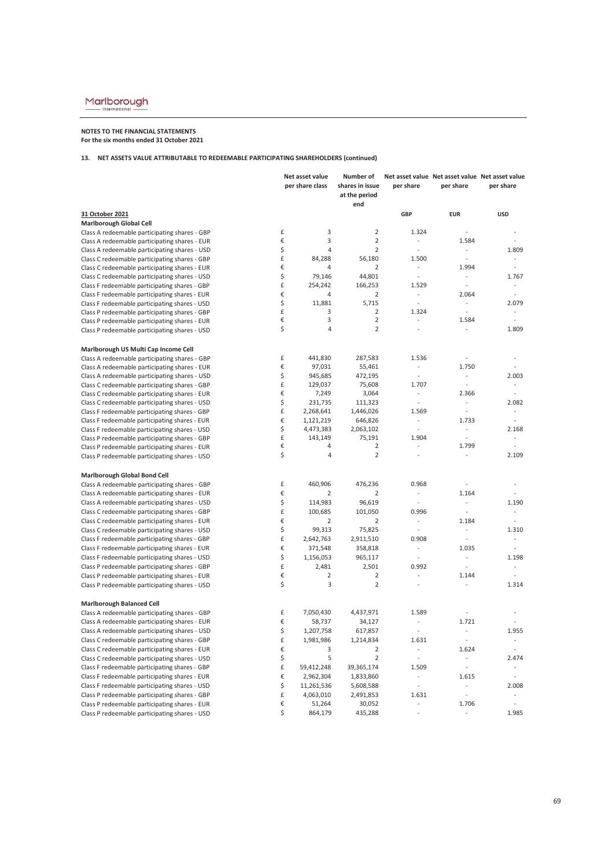### **NOTES TO THE FINANCIAL STATEMENTS For the six months ended 31 October 2021**

|                                                                                                | Net asset value    |                 | Number of                        |                                    |                                                          | Net asset value Net asset value Net asset value |
|------------------------------------------------------------------------------------------------|--------------------|-----------------|----------------------------------|------------------------------------|----------------------------------------------------------|-------------------------------------------------|
|                                                                                                |                    | per share class | shares in issue<br>at the period | per share                          | per share                                                | per share                                       |
|                                                                                                |                    |                 | end                              |                                    |                                                          |                                                 |
| 31 October 2021                                                                                |                    |                 |                                  | <b>GBP</b>                         | <b>EUR</b>                                               | <b>USD</b>                                      |
| Marlborough Global Cell                                                                        | £                  | 3               | $\overline{2}$                   | 1.324                              | $\overline{\phantom{a}}$                                 | $\overline{a}$                                  |
| Class A redeemable participating shares - GBP                                                  | €                  | 3               | $\overline{2}$                   | $\overline{\phantom{a}}$           | 1.584                                                    |                                                 |
| Class A redeemable participating shares - EUR                                                  | \$                 | 4               | $\overline{2}$                   | $\overline{\phantom{a}}$           | $\bar{\phantom{a}}$                                      | 1.809                                           |
| Class A redeemable participating shares - USD<br>Class C redeemable participating shares - GBP | £                  | 84,288          | 56,180                           | 1.500                              | $\overline{\phantom{a}}$                                 | $\blacksquare$                                  |
| Class C redeemable participating shares - EUR                                                  | €                  | 4               | $\overline{2}$                   | $\overline{\phantom{a}}$           | 1.994                                                    | $\overline{\phantom{a}}$                        |
| Class C redeemable participating shares - USD                                                  | \$                 | 79,146          | 44,801                           | $\blacksquare$                     | $\sim$                                                   | 1.767                                           |
| Class F redeemable participating shares - GBP                                                  | £                  | 254,242         | 166,253                          | 1.529                              | $\overline{\phantom{a}}$                                 | $\overline{\phantom{a}}$                        |
| Class F redeemable participating shares - EUR                                                  | €                  | 4               | $\overline{2}$                   | $\overline{\phantom{a}}$           | 2.064                                                    | $\sim$                                          |
| Class F redeemable participating shares - USD                                                  | \$                 | 11,881          | 5,715                            | $\sim$                             | $\mathcal{L}_{\mathcal{A}}$                              | 2.079                                           |
| Class P redeemable participating shares - GBP                                                  | £                  | 3               | $\overline{2}$                   | 1.324                              | $\sim$                                                   | $\overline{\phantom{a}}$                        |
| Class P redeemable participating shares - EUR                                                  | €                  | 3               | $\overline{2}$                   |                                    | 1.584                                                    | ÷,                                              |
| Class P redeemable participating shares - USD                                                  | \$                 | 4               | $\overline{2}$                   | $\sim$                             | $\sim$                                                   | 1.809                                           |
|                                                                                                |                    |                 |                                  |                                    |                                                          |                                                 |
| Marlborough US Multi Cap Income Cell                                                           |                    |                 |                                  |                                    |                                                          |                                                 |
| Class A redeemable participating shares - GBP                                                  | £                  | 441,830         | 287,583                          | 1.536                              |                                                          | ÷,                                              |
| Class A redeemable participating shares - EUR                                                  | €                  | 97,031          | 55,461                           | $\blacksquare$                     | 1.750                                                    | $\sim$                                          |
| Class A redeemable participating shares - USD                                                  | \$                 | 945,685         | 472,195                          | $\overline{\phantom{a}}$           | $\overline{\phantom{a}}$                                 | 2.003                                           |
| Class C redeemable participating shares - GBP                                                  | £                  | 129,037         | 75,608                           | 1.707                              | $\omega$                                                 | $\overline{\phantom{a}}$                        |
| Class C redeemable participating shares - EUR                                                  | €                  | 7,249           | 3,064                            | $\overline{\phantom{a}}$           | 2.366                                                    | ÷.                                              |
| Class C redeemable participating shares - USD                                                  | \$                 | 231,735         | 111,323                          | $\overline{\phantom{a}}$           | $\sim$                                                   | 2.082                                           |
| Class F redeemable participating shares - GBP                                                  | £                  | 2,268,641       | 1,446,026                        | 1.569                              | $\overline{\phantom{a}}$                                 | $\overline{\phantom{a}}$                        |
| Class F redeemable participating shares - EUR                                                  | €                  | 1,121,219       | 646,826                          | $\sim$                             | 1.733                                                    | ÷                                               |
| Class F redeemable participating shares - USD                                                  | \$                 | 4,473,383       | 2,063,102                        | $\omega$                           | $\overline{\phantom{a}}$                                 | 2.168                                           |
| Class P redeemable participating shares - GBP                                                  | £                  | 143,149         | 75,191                           | 1.904                              |                                                          |                                                 |
| Class P redeemable participating shares - EUR                                                  | €                  | 4               | $\overline{2}$                   | $\overline{\phantom{a}}$           | 1.799                                                    | L.                                              |
| Class P redeemable participating shares - USD                                                  | \$                 | 4               | $\overline{2}$                   | $\overline{\phantom{a}}$           | $\overline{\phantom{a}}$                                 | 2.109                                           |
| Marlborough Global Bond Cell                                                                   |                    |                 |                                  |                                    |                                                          |                                                 |
| Class A redeemable participating shares - GBP                                                  | £                  | 460,906         | 476,236                          | 0.968                              | $\overline{\phantom{a}}$                                 | $\overline{\phantom{a}}$                        |
| Class A redeemable participating shares - EUR                                                  | €                  | $\overline{2}$  | $\overline{2}$                   | $\overline{\phantom{a}}$           | 1.164                                                    |                                                 |
| Class A redeemable participating shares - USD                                                  | \$                 | 114,983         | 96,619                           | $\overline{\phantom{a}}$           | $\overline{\phantom{a}}$                                 | 1.190                                           |
| Class C redeemable participating shares - GBP                                                  | £                  | 100,685         | 101,050                          | 0.996                              | $\overline{\phantom{a}}$                                 | $\frac{1}{2}$                                   |
| Class C redeemable participating shares - EUR                                                  | €                  | $\overline{2}$  | $\overline{2}$                   | $\overline{\phantom{a}}$           | 1.184                                                    | $\overline{\phantom{a}}$                        |
| Class C redeemable participating shares - USD                                                  | \$                 | 99,313          | 75,825                           | $\overline{\phantom{a}}$           | $\sim$                                                   | 1.310                                           |
| Class F redeemable participating shares - GBP                                                  | £                  | 2,642,763       | 2,911,510                        | 0.908                              | $\omega$                                                 | $\overline{\phantom{a}}$                        |
| Class F redeemable participating shares - EUR                                                  | €                  | 371,548         | 358,818                          | $\overline{\phantom{a}}$           | 1.035                                                    | $\overline{\phantom{a}}$                        |
| Class F redeemable participating shares - USD                                                  | \$                 | 1,156,053       | 965,117                          | $\overline{\phantom{a}}$           | $\omega$                                                 | 1.198                                           |
| Class P redeemable participating shares - GBP                                                  | £                  | 2,481           | 2,501                            | 0.992                              | $\overline{\phantom{a}}$                                 | $\overline{\phantom{a}}$                        |
| Class P redeemable participating shares - EUR                                                  | €                  | $\overline{2}$  | $\overline{2}$                   | ÷                                  | 1.144                                                    | $\overline{a}$                                  |
| Class P redeemable participating shares - USD                                                  | \$                 | 3               | $\overline{2}$                   | $\sim$                             | $\overline{a}$                                           | 1.314                                           |
| <b>Marlborough Balanced Cell</b>                                                               |                    |                 |                                  |                                    |                                                          |                                                 |
| Class A redeemable participating shares - GBP                                                  | £                  | 7,050,430       | 4,437,971                        | 1.589                              |                                                          |                                                 |
| Class A redeemable participating shares - EUR                                                  | €                  | 58,737          | 34,127                           | $\blacksquare$                     | 1.721                                                    |                                                 |
| Class A redeemable participating shares - USD                                                  | \$                 | 1,207,758       | 617,857                          | $\overline{a}$                     | $\overline{a}$                                           | 1.955                                           |
| Class C redeemable participating shares - GBP                                                  | $\pmb{\mathsf{f}}$ |                 |                                  |                                    | $\overline{\phantom{a}}$                                 | $\overline{\phantom{a}}$                        |
| Class C redeemable participating shares - EUR                                                  | $\epsilon$         | 1,981,986<br>3  | 1,214,834<br>$\overline{2}$      | 1.631                              | 1.624                                                    | ÷,                                              |
| Class C redeemable participating shares - USD                                                  | \$                 | 5               | $\overline{2}$                   | $\overline{\phantom{a}}$<br>$\Box$ |                                                          | 2.474                                           |
|                                                                                                | £                  |                 | 39,365,174                       |                                    | $\qquad \qquad \blacksquare$<br>$\overline{\phantom{a}}$ |                                                 |
| Class F redeemable participating shares - GBP                                                  |                    | 59,412,248      |                                  | 1.509                              |                                                          |                                                 |
| Class F redeemable participating shares - EUR                                                  | €                  | 2,962,304       | 1,833,860                        | $\overline{\phantom{a}}$           | 1.615                                                    | $\overline{\phantom{a}}$                        |
| Class F redeemable participating shares - USD                                                  | \$                 | 11,261,536      | 5,608,588                        | $\overline{\phantom{a}}$           | $\overline{\phantom{a}}$                                 | 2.008                                           |
| Class P redeemable participating shares - GBP                                                  | £<br>€             | 4,063,010       | 2,491,853                        | 1.631                              | $\mathbb{Z}^2$                                           | ÷,                                              |
| Class P redeemable participating shares - EUR                                                  |                    | 51,264          | 30,052                           |                                    | 1.706                                                    |                                                 |
| Class P redeemable participating shares - USD                                                  | \$                 | 864,179         | 435,288                          | $\overline{\phantom{a}}$           | $\overline{\phantom{a}}$                                 | 1.985                                           |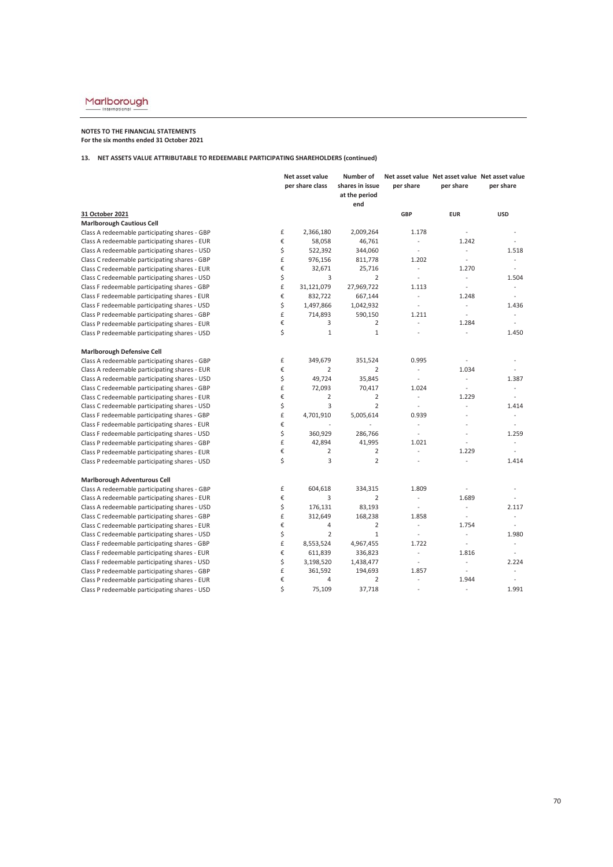### **NOTES TO THE FINANCIAL STATEMENTS For the six months ended 31 October 2021**

|                                               |    | Net asset value<br>per share class | Number of<br>shares in issue<br>at the period<br>end | per share                | Net asset value Net asset value Net asset value<br>per share | per share                |
|-----------------------------------------------|----|------------------------------------|------------------------------------------------------|--------------------------|--------------------------------------------------------------|--------------------------|
| 31 October 2021                               |    |                                    |                                                      | GBP                      | <b>EUR</b>                                                   | <b>USD</b>               |
| <b>Marlborough Cautious Cell</b>              |    |                                    |                                                      |                          |                                                              |                          |
| Class A redeemable participating shares - GBP | £  | 2,366,180                          | 2,009,264                                            | 1.178                    | $\overline{\phantom{a}}$                                     | ÷,                       |
| Class A redeemable participating shares - EUR | €  | 58,058                             | 46,761                                               | $\overline{\phantom{a}}$ | 1.242                                                        |                          |
| Class A redeemable participating shares - USD | \$ | 522,392                            | 344,060                                              | $\overline{a}$           | $\mathcal{L}$                                                | 1.518                    |
| Class C redeemable participating shares - GBP | £  | 976,156                            | 811,778                                              | 1.202                    | $\overline{\phantom{a}}$                                     | $\overline{\phantom{a}}$ |
| Class C redeemable participating shares - EUR | €  | 32,671                             | 25,716                                               | $\mathcal{L}$            | 1.270                                                        | $\overline{\phantom{a}}$ |
| Class C redeemable participating shares - USD | \$ | 3                                  | $\overline{2}$                                       | $\overline{\phantom{a}}$ | $\sim$                                                       | 1.504                    |
| Class F redeemable participating shares - GBP | £  | 31,121,079                         | 27,969,722                                           | 1.113                    | $\Box$                                                       | $\omega$                 |
| Class F redeemable participating shares - EUR | €  | 832,722                            | 667,144                                              | ÷,                       | 1.248                                                        | $\overline{a}$           |
| Class F redeemable participating shares - USD | \$ | 1,497,866                          | 1,042,932                                            | $\sim$                   | ÷.                                                           | 1.436                    |
| Class P redeemable participating shares - GBP | £  | 714,893                            | 590,150                                              | 1.211                    | $\mathcal{L}$                                                | $\sim$                   |
| Class P redeemable participating shares - EUR | €  | 3                                  | $\overline{2}$                                       | ÷.                       | 1.284                                                        | $\sim$                   |
| Class P redeemable participating shares - USD | \$ | $\mathbf{1}$                       | $\mathbf{1}$                                         |                          | $\overline{\phantom{a}}$                                     | 1.450                    |
| <b>Marlborough Defensive Cell</b>             |    |                                    |                                                      |                          |                                                              |                          |
| Class A redeemable participating shares - GBP | £  | 349,679                            | 351,524                                              | 0.995                    | $\sim$                                                       | $\overline{\phantom{a}}$ |
| Class A redeemable participating shares - EUR | €  | $\overline{2}$                     | $\overline{2}$                                       | $\overline{\phantom{a}}$ | 1.034                                                        | $\overline{a}$           |
| Class A redeemable participating shares - USD | \$ | 49,724                             | 35,845                                               | $\overline{a}$           | $\mathcal{L}^{\mathcal{A}}$                                  | 1.387                    |
| Class C redeemable participating shares - GBP | £  | 72,093                             | 70,417                                               | 1.024                    | $\overline{\phantom{a}}$                                     | $\overline{\phantom{a}}$ |
| Class C redeemable participating shares - EUR | €  | $\overline{2}$                     | $\overline{2}$                                       | $\overline{\phantom{a}}$ | 1.229                                                        | ÷                        |
| Class C redeemable participating shares - USD | \$ | 3                                  | $\overline{2}$                                       | $\overline{\phantom{a}}$ | $\overline{a}$                                               | 1.414                    |
| Class F redeemable participating shares - GBP | £  | 4,701,910                          | 5,005,614                                            | 0.939                    | L.                                                           | $\overline{a}$           |
| Class F redeemable participating shares - EUR | €  |                                    |                                                      | $\overline{a}$           |                                                              |                          |
| Class F redeemable participating shares - USD | \$ | 360,929                            | 286,766                                              | $\overline{\phantom{a}}$ | $\overline{a}$                                               | 1.259                    |
| Class P redeemable participating shares - GBP | £  | 42,894                             | 41,995                                               | 1.021                    |                                                              | ÷,                       |
| Class P redeemable participating shares - EUR | €  | $\overline{2}$                     | $\overline{2}$                                       | $\overline{a}$           | 1.229                                                        | ÷,                       |
| Class P redeemable participating shares - USD | \$ | 3                                  | $\overline{2}$                                       | ÷,                       |                                                              | 1.414                    |
| Marlborough Adventurous Cell                  |    |                                    |                                                      |                          |                                                              |                          |
| Class A redeemable participating shares - GBP | £  | 604,618                            | 334,315                                              | 1.809                    | $\overline{\phantom{a}}$                                     | $\overline{a}$           |
| Class A redeemable participating shares - EUR | €  | 3                                  | $\overline{2}$                                       | $\overline{\phantom{a}}$ | 1.689                                                        |                          |
| Class A redeemable participating shares - USD | \$ | 176,131                            | 83,193                                               | $\overline{\phantom{a}}$ | $\sim$                                                       | 2.117                    |
| Class C redeemable participating shares - GBP | £  | 312,649                            | 168,238                                              | 1.858                    | $\sim$                                                       | ÷.                       |
| Class C redeemable participating shares - EUR | €  | $\sqrt{4}$                         | $\overline{2}$                                       | $\overline{\phantom{a}}$ | 1.754                                                        | $\sim$                   |
| Class C redeemable participating shares - USD | \$ | $\overline{2}$                     | $\mathbf{1}$                                         | $\overline{\phantom{a}}$ | $\overline{\phantom{a}}$                                     | 1.980                    |
| Class F redeemable participating shares - GBP | £  | 8,553,524                          | 4,967,455                                            | 1.722                    | $\sim$                                                       | $\overline{a}$           |
| Class F redeemable participating shares - EUR | €  | 611,839                            | 336,823                                              | $\overline{a}$           | 1.816                                                        |                          |
| Class F redeemable participating shares - USD | \$ | 3,198,520                          | 1,438,477                                            | $\overline{\phantom{a}}$ | ÷                                                            | 2.224                    |
| Class P redeemable participating shares - GBP | £  | 361,592                            | 194,693                                              | 1.857                    | $\overline{\phantom{a}}$                                     |                          |
| Class P redeemable participating shares - EUR | €  | 4                                  | $\overline{2}$                                       | $\sim$                   | 1.944                                                        |                          |
| Class P redeemable participating shares - USD | Ś  | 75,109                             | 37,718                                               | $\overline{a}$           | $\overline{a}$                                               | 1.991                    |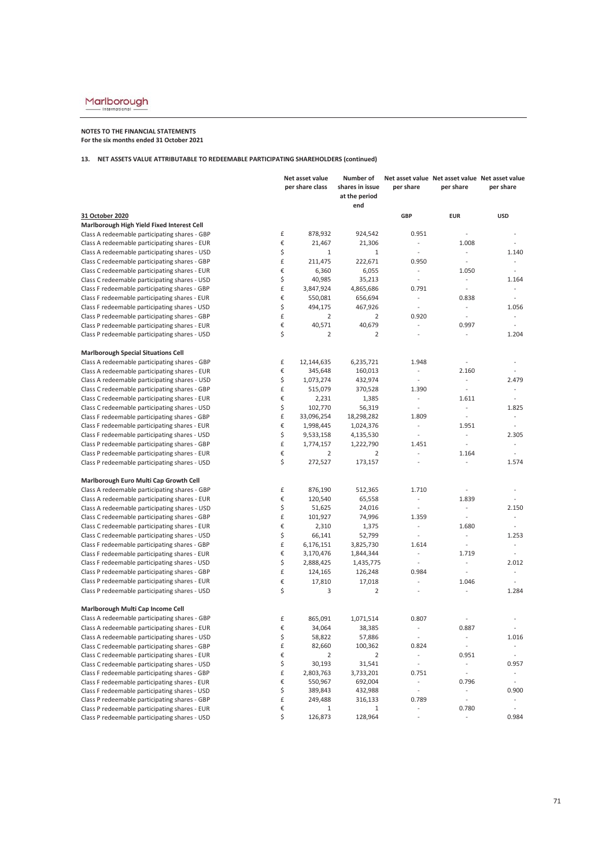### **NOTES TO THE FINANCIAL STATEMENTS For the six months ended 31 October 2021**

|                                               |    | Net asset value<br>per share class | Number of<br>shares in issue<br>at the period | per share                   | Net asset value Net asset value Net asset value<br>per share | per share                |
|-----------------------------------------------|----|------------------------------------|-----------------------------------------------|-----------------------------|--------------------------------------------------------------|--------------------------|
|                                               |    |                                    | end                                           |                             |                                                              |                          |
| 31 October 2020                               |    |                                    |                                               | <b>GBP</b>                  | <b>EUR</b>                                                   | <b>USD</b>               |
| Marlborough High Yield Fixed Interest Cell    |    |                                    |                                               |                             |                                                              |                          |
| Class A redeemable participating shares - GBP | £  | 878,932                            | 924,542                                       | 0.951                       |                                                              |                          |
| Class A redeemable participating shares - EUR | €  | 21,467                             | 21,306                                        | $\blacksquare$              | 1.008                                                        | ÷,                       |
| Class A redeemable participating shares - USD | \$ | $1\,$                              | $\,1\,$                                       | $\frac{1}{2}$               | $\Box$                                                       | 1.140                    |
| Class C redeemable participating shares - GBP | £  | 211,475                            | 222,671                                       | 0.950                       | $\omega$                                                     | ÷                        |
| Class C redeemable participating shares - EUR | €  | 6,360                              | 6,055                                         | $\overline{\phantom{a}}$    | 1.050                                                        | ÷,                       |
| Class C redeemable participating shares - USD | \$ | 40,985                             | 35,213                                        | $\bar{\phantom{a}}$         | $\mathcal{L}_{\mathcal{A}}$                                  | 1.164                    |
| Class F redeemable participating shares - GBP | £  | 3,847,924                          | 4,865,686                                     | 0.791                       | ÷,                                                           | $\overline{\phantom{a}}$ |
| Class F redeemable participating shares - EUR | €  | 550,081                            | 656,694                                       | ÷.                          | 0.838                                                        | L.                       |
| Class F redeemable participating shares - USD | \$ | 494,175                            | 467,926                                       | $\overline{\phantom{a}}$    | $\overline{\phantom{a}}$                                     | 1.056                    |
| Class P redeemable participating shares - GBP | £  | $\overline{2}$                     | $\overline{2}$                                | 0.920                       | $\sim$                                                       | $\overline{\phantom{a}}$ |
| Class P redeemable participating shares - EUR | €  | 40,571                             | 40,679                                        | $\overline{a}$              | 0.997                                                        | $\overline{\phantom{a}}$ |
| Class P redeemable participating shares - USD | \$ | $\overline{2}$                     | $\overline{2}$                                | $\overline{a}$              | $\sim$                                                       | 1.204                    |
| <b>Marlborough Special Situations Cell</b>    |    |                                    |                                               |                             |                                                              |                          |
| Class A redeemable participating shares - GBP | £  | 12,144,635                         | 6,235,721                                     | 1.948                       | $\overline{\phantom{a}}$                                     | $\overline{\phantom{a}}$ |
| Class A redeemable participating shares - EUR | €  | 345,648                            | 160,013                                       | $\overline{\phantom{a}}$    | 2.160                                                        |                          |
| Class A redeemable participating shares - USD | \$ | 1,073,274                          | 432,974                                       | $\mathcal{L}$               | $\overline{\phantom{a}}$                                     | 2.479                    |
| Class C redeemable participating shares - GBP | £  | 515,079                            | 370,528                                       | 1.390                       | $\overline{\phantom{a}}$                                     | ÷                        |
| Class C redeemable participating shares - EUR | €  | 2,231                              | 1,385                                         | $\overline{\phantom{a}}$    | 1.611                                                        | ÷,                       |
| Class C redeemable participating shares - USD | \$ | 102,770                            | 56,319                                        | $\frac{1}{2}$               | $\omega$                                                     | 1.825                    |
| Class F redeemable participating shares - GBP | £  | 33,096,254                         | 18,298,282                                    | 1.809                       | $\overline{\phantom{a}}$                                     | $\overline{\phantom{a}}$ |
| Class F redeemable participating shares - EUR | €  | 1,998,445                          | 1,024,376                                     | $\overline{\phantom{a}}$    | 1.951                                                        | $\overline{\phantom{a}}$ |
| Class F redeemable participating shares - USD | \$ | 9,533,158                          | 4,135,530                                     | $\overline{\phantom{a}}$    | $\overline{\phantom{a}}$                                     | 2.305                    |
| Class P redeemable participating shares - GBP | £  | 1,774,157                          | 1,222,790                                     | 1.451                       | ÷.                                                           | $\overline{\phantom{a}}$ |
| Class P redeemable participating shares - EUR | €  | 2                                  | 2                                             | $\overline{\phantom{a}}$    | 1.164                                                        | $\sim$                   |
| Class P redeemable participating shares - USD | \$ | 272,527                            | 173,157                                       | $\overline{a}$              | ÷,                                                           | 1.574                    |
| Marlborough Euro Multi Cap Growth Cell        |    |                                    |                                               |                             |                                                              |                          |
| Class A redeemable participating shares - GBP | £  | 876,190                            | 512,365                                       | 1.710                       | $\sim$                                                       |                          |
| Class A redeemable participating shares - EUR | €  | 120,540                            | 65,558                                        | $\overline{\phantom{a}}$    | 1.839                                                        | ÷,                       |
| Class A redeemable participating shares - USD | \$ | 51,625                             | 24,016                                        | $\overline{\phantom{a}}$    | $\omega$                                                     | 2.150                    |
| Class C redeemable participating shares - GBP | £  | 101,927                            | 74,996                                        | 1.359                       | $\overline{\phantom{a}}$                                     | $\overline{\phantom{a}}$ |
| Class C redeemable participating shares - EUR | €  | 2,310                              | 1,375                                         | $\mathcal{L}_{\mathcal{A}}$ | 1.680                                                        | $\overline{\phantom{a}}$ |
| Class C redeemable participating shares - USD | \$ | 66,141                             | 52,799                                        | $\overline{\phantom{a}}$    | $\sim$                                                       | 1.253                    |
| Class F redeemable participating shares - GBP | £  | 6,176,151                          | 3,825,730                                     | 1.614                       | $\sim$                                                       | $\sim$                   |
| Class F redeemable participating shares - EUR | €  | 3,170,476                          | 1,844,344                                     | $\overline{\phantom{a}}$    | 1.719                                                        | $\overline{a}$           |
| Class F redeemable participating shares - USD | \$ | 2,888,425                          | 1,435,775                                     | $\sim$                      | ÷                                                            | 2.012                    |
| Class P redeemable participating shares - GBP | £  | 124,165                            | 126,248                                       | 0.984                       | $\overline{\phantom{a}}$                                     | $\overline{a}$           |
| Class P redeemable participating shares - EUR | €  | 17,810                             | 17,018                                        | $\overline{a}$              | 1.046                                                        |                          |
| Class P redeemable participating shares - USD | \$ | 3                                  | $\overline{2}$                                | $\frac{1}{2}$               |                                                              | 1.284                    |
| Marlborough Multi Cap Income Cell             |    |                                    |                                               |                             |                                                              |                          |
| Class A redeemable participating shares - GBP | £  | 865,091                            | 1,071,514                                     | 0.807                       |                                                              |                          |
| Class A redeemable participating shares - EUR | €  | 34,064                             | 38,385                                        | $\overline{a}$              | 0.887                                                        |                          |
| Class A redeemable participating shares - USD | Ş  | 58,822                             | 57,886                                        | $\overline{\phantom{a}}$    | $\overline{\phantom{a}}$                                     | 1.016                    |
| Class C redeemable participating shares - GBP | £  | 82,660                             | 100,362                                       | 0.824                       | $\overline{\phantom{a}}$                                     | $\overline{\phantom{a}}$ |
| Class C redeemable participating shares - EUR | €  | $\overline{2}$                     | $\overline{2}$                                | $\overline{\phantom{a}}$    | 0.951                                                        | $\overline{\phantom{a}}$ |
| Class C redeemable participating shares - USD | \$ | 30,193                             | 31,541                                        | $\Box$                      | $\overline{\phantom{a}}$                                     | 0.957                    |
| Class F redeemable participating shares - GBP | £  | 2,803,763                          | 3,733,201                                     | 0.751                       | $\overline{\phantom{a}}$                                     | ۰                        |
| Class F redeemable participating shares - EUR | €  | 550,967                            | 692,004                                       | $\overline{\phantom{a}}$    | 0.796                                                        | $\overline{\phantom{a}}$ |
| Class F redeemable participating shares - USD | \$ | 389,843                            | 432,988                                       | $\frac{1}{2}$               | $\overline{\phantom{a}}$                                     | 0.900                    |
| Class P redeemable participating shares - GBP | £  | 249,488                            | 316,133                                       | 0.789                       | $\mathbb{L}$                                                 |                          |
| Class P redeemable participating shares - EUR | €  | 1                                  | $\mathbf 1$                                   | $\overline{\phantom{a}}$    | 0.780                                                        |                          |
| Class P redeemable participating shares - USD | \$ | 126,873                            | 128,964                                       | $\overline{\phantom{a}}$    | $\overline{\phantom{a}}$                                     | 0.984                    |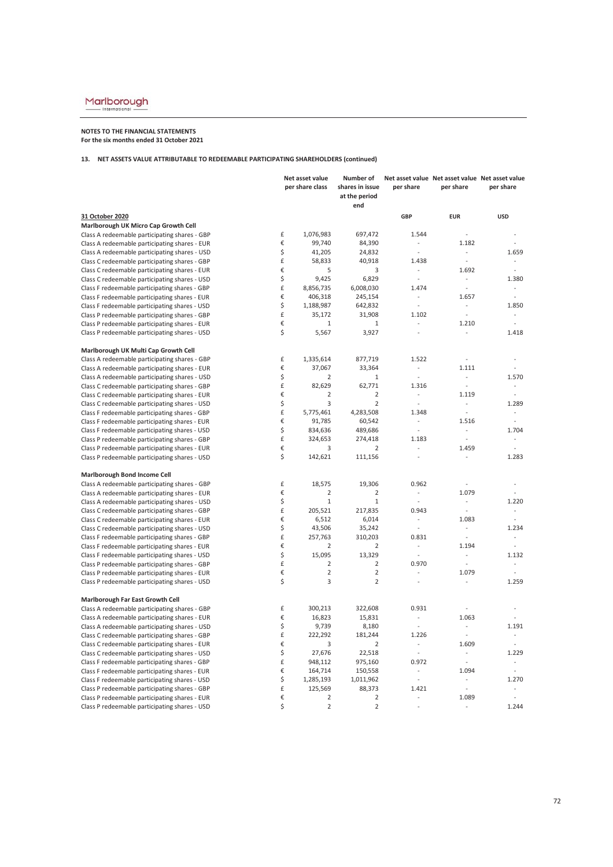# $\underbrace{\text{Marlborough}}_{\text{International}}$

## **NOTES TO THE FINANCIAL STATEMENTS For the six months ended 31 October 2021**

## **13. NET ASSETS VALUE ATTRIBUTABLE TO REDEEMABLE PARTICIPATING SHAREHOLDERS (continued)**

|                                               | Net asset value |                 | Number of                        |                          |                          | Net asset value Net asset value Net asset value |  |
|-----------------------------------------------|-----------------|-----------------|----------------------------------|--------------------------|--------------------------|-------------------------------------------------|--|
|                                               |                 | per share class | shares in issue<br>at the period | per share                | per share                | per share                                       |  |
|                                               |                 |                 | end                              |                          |                          |                                                 |  |
| 31 October 2020                               |                 |                 |                                  | GBP                      | <b>EUR</b>               | <b>USD</b>                                      |  |
| Marlborough UK Micro Cap Growth Cell          |                 |                 |                                  |                          |                          |                                                 |  |
| Class A redeemable participating shares - GBP | £               | 1,076,983       | 697,472                          | 1.544                    | ÷,                       |                                                 |  |
| Class A redeemable participating shares - EUR | €               | 99,740          | 84,390                           |                          | 1.182                    | $\overline{a}$                                  |  |
| Class A redeemable participating shares - USD | \$              | 41,205          | 24,832                           | $\overline{a}$           |                          | 1.659                                           |  |
| Class C redeemable participating shares - GBP | £               | 58,833          | 40,918                           | 1.438                    | ÷,                       | $\overline{a}$                                  |  |
| Class C redeemable participating shares - EUR | €               | 5               | 3                                |                          | 1.692                    | $\overline{\phantom{a}}$                        |  |
| Class C redeemable participating shares - USD | \$              | 9,425           | 6,829                            | $\overline{a}$           | $\overline{\phantom{a}}$ | 1.380                                           |  |
| Class F redeemable participating shares - GBP | £               | 8,856,735       | 6,008,030                        | 1.474                    | $\overline{a}$           | ÷,                                              |  |
| Class F redeemable participating shares - EUR | €               | 406,318         | 245,154                          | $\sim$                   | 1.657                    | ÷.                                              |  |
| Class F redeemable participating shares - USD | \$              | 1,188,987       | 642,832                          | ÷,                       |                          | 1.850                                           |  |
| Class P redeemable participating shares - GBP | £               | 35,172          | 31,908                           | 1.102                    | $\bar{\phantom{a}}$      | $\overline{\phantom{a}}$                        |  |
| Class P redeemable participating shares - EUR | €               | $\mathbf{1}$    | 1                                |                          | 1.210                    | ÷,                                              |  |
| Class P redeemable participating shares - USD | \$              | 5,567           | 3,927                            | $\overline{a}$           | $\overline{a}$           | 1.418                                           |  |
| Marlborough UK Multi Cap Growth Cell          |                 |                 |                                  |                          |                          |                                                 |  |
| Class A redeemable participating shares - GBP | £               | 1,335,614       | 877,719                          | 1.522                    | $\overline{a}$           |                                                 |  |
| Class A redeemable participating shares - EUR | €               | 37,067          | 33,364                           | $\sim$                   | 1.111                    | ÷,                                              |  |
| Class A redeemable participating shares - USD | \$              | $\overline{2}$  | $1\,$                            | $\overline{a}$           | ÷,                       | 1.570                                           |  |
| Class C redeemable participating shares - GBP | £               | 82,629          | 62,771                           | 1.316                    | $\overline{\phantom{a}}$ | $\overline{\phantom{a}}$                        |  |
| Class C redeemable participating shares - EUR | €               | $\overline{2}$  | $\overline{2}$                   | $\overline{\phantom{a}}$ | 1.119                    | $\overline{a}$                                  |  |
| Class C redeemable participating shares - USD | \$              | 3               | $\overline{2}$                   |                          | $\sim$                   | 1.289                                           |  |
| Class F redeemable participating shares - GBP | £               | 5,775,461       | 4,283,508                        | 1.348                    | $\overline{\phantom{a}}$ |                                                 |  |
| Class F redeemable participating shares - EUR | €               | 91,785          | 60,542                           | $\frac{1}{2}$            | 1.516                    | ÷,                                              |  |
| Class F redeemable participating shares - USD | \$              | 834,636         | 489,686                          | $\frac{1}{2}$            | $\sim$                   | 1.704                                           |  |
| Class P redeemable participating shares - GBP | £               | 324,653         | 274,418                          | 1.183                    | $\overline{\phantom{a}}$ |                                                 |  |
| Class P redeemable participating shares - EUR | €               | 3               | $\overline{2}$                   | $\overline{a}$           | 1.459                    |                                                 |  |
| Class P redeemable participating shares - USD | \$              | 142,621         | 111,156                          | $\overline{a}$           |                          | 1.283                                           |  |
| Marlborough Bond Income Cell                  |                 |                 |                                  |                          |                          |                                                 |  |
| Class A redeemable participating shares - GBP | £               | 18,575          | 19,306                           | 0.962                    | $\overline{a}$           |                                                 |  |
| Class A redeemable participating shares - EUR | €               | $\overline{2}$  | $\overline{2}$                   | $\overline{a}$           | 1.079                    |                                                 |  |
| Class A redeemable participating shares - USD | \$              | $\mathbf{1}$    | $\mathbf{1}$                     | $\overline{a}$           | $\overline{\phantom{a}}$ | 1.220                                           |  |
| Class C redeemable participating shares - GBP | £               | 205,521         | 217,835                          | 0.943                    | $\overline{a}$           | ÷,                                              |  |
| Class C redeemable participating shares - EUR | €               | 6,512           | 6,014                            | $\overline{a}$           | 1.083                    |                                                 |  |
| Class C redeemable participating shares - USD | \$              | 43,506          | 35,242                           | $\overline{a}$           |                          | 1.234                                           |  |
| Class F redeemable participating shares - GBP | £               | 257,763         | 310,203                          | 0.831                    | $\sim$                   | ÷.                                              |  |
| Class F redeemable participating shares - EUR | €               | $\overline{2}$  | $\overline{2}$                   | ÷,                       | 1.194                    |                                                 |  |
| Class F redeemable participating shares - USD | \$              | 15,095          | 13,329                           | $\overline{\phantom{a}}$ | $\sim$                   | 1.132                                           |  |
| Class P redeemable participating shares - GBP | £               | $\overline{2}$  | $\overline{2}$                   | 0.970                    | $\overline{a}$           |                                                 |  |
| Class P redeemable participating shares - EUR | €               | $\overline{2}$  | $\overline{2}$                   |                          | 1.079                    | ÷,                                              |  |
| Class P redeemable participating shares - USD | \$              | 3               | $\overline{2}$                   | $\overline{a}$           |                          | 1.259                                           |  |
| Marlborough Far East Growth Cell              |                 |                 |                                  |                          |                          |                                                 |  |
| Class A redeemable participating shares - GBP | £               | 300,213         | 322,608                          | 0.931                    | ÷,                       | ÷,                                              |  |
| Class A redeemable participating shares - EUR | €               | 16,823          | 15,831                           | $\overline{a}$           | 1.063                    |                                                 |  |
| Class A redeemable participating shares - USD | \$              | 9,739           | 8,180                            | $\overline{\phantom{a}}$ | $\overline{\phantom{a}}$ | 1.191                                           |  |
| Class C redeemable participating shares - GBP | £               | 222,292         | 181,244                          | 1.226                    |                          |                                                 |  |
| Class C redeemable participating shares - EUR | €               | 3               | $\overline{2}$                   | $\overline{a}$           | 1.609                    | $\overline{\phantom{a}}$                        |  |
| Class C redeemable participating shares - USD | \$              | 27,676          | 22,518                           | $\overline{\phantom{a}}$ | ÷.                       | 1.229                                           |  |
| Class F redeemable participating shares - GBP | £               | 948,112         | 975,160                          | 0.972                    |                          |                                                 |  |
| Class F redeemable participating shares - EUR | €               | 164,714         | 150,558                          | $\overline{\phantom{a}}$ | 1.094                    | $\overline{a}$                                  |  |
| Class F redeemable participating shares - USD | \$              | 1,285,193       | 1,011,962                        | ÷,                       |                          | 1.270                                           |  |
| Class P redeemable participating shares - GBP | £               | 125,569         | 88,373                           | 1.421                    | ÷,                       | ÷,                                              |  |
| Class P redeemable participating shares - EUR | €               | $\overline{2}$  | $\overline{2}$                   |                          | 1.089                    |                                                 |  |
| Class P redeemable participating shares - USD | \$              | $\overline{2}$  | $\overline{2}$                   | $\overline{a}$           | $\sim$                   | 1.244                                           |  |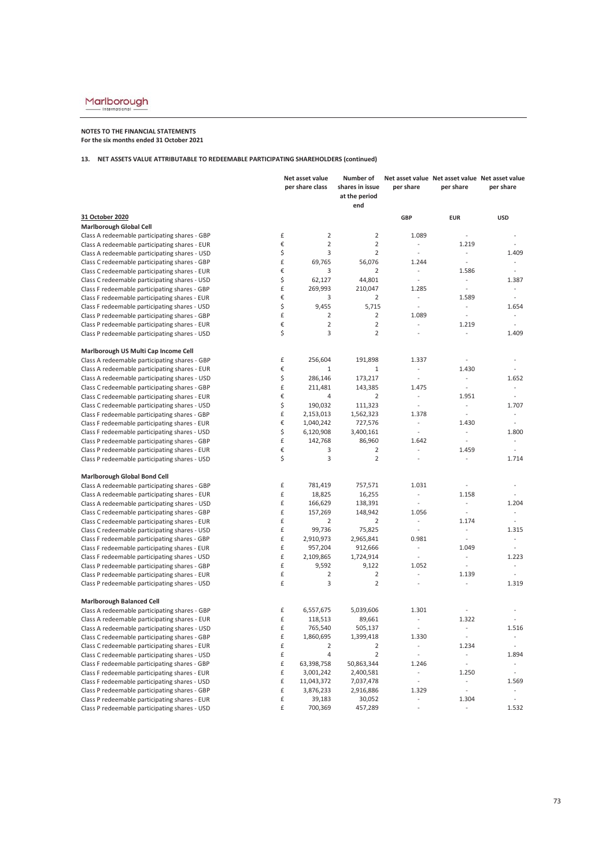## **NOTES TO THE FINANCIAL STATEMENTS For the six months ended 31 October 2021**

## **13. NET ASSETS VALUE ATTRIBUTABLE TO REDEEMABLE PARTICIPATING SHAREHOLDERS (continued)**

|                                               |    | Net asset value<br>per share class | Number of<br>shares in issue<br>at the period<br>end | per share                | Net asset value Net asset value Net asset value<br>per share | per share                |
|-----------------------------------------------|----|------------------------------------|------------------------------------------------------|--------------------------|--------------------------------------------------------------|--------------------------|
| 31 October 2020                               |    |                                    |                                                      | GBP                      | <b>EUR</b>                                                   | <b>USD</b>               |
| <b>Marlborough Global Cell</b>                |    |                                    |                                                      |                          |                                                              |                          |
| Class A redeemable participating shares - GBP | £  | $\overline{2}$                     | $\overline{2}$                                       | 1.089                    | $\overline{a}$                                               |                          |
| Class A redeemable participating shares - EUR | €  | $\overline{2}$                     | $\overline{2}$                                       | $\overline{\phantom{a}}$ | 1.219                                                        |                          |
| Class A redeemable participating shares - USD | \$ | 3                                  | $\overline{2}$                                       | $\overline{\phantom{a}}$ | ÷.                                                           | 1.409                    |
| Class C redeemable participating shares - GBP | £  | 69,765                             | 56,076                                               | 1.244                    | $\overline{\phantom{a}}$                                     |                          |
| Class C redeemable participating shares - EUR | €  | 3                                  | $\overline{2}$                                       |                          | 1.586                                                        | $\overline{a}$           |
| Class C redeemable participating shares - USD | \$ | 62,127                             | 44,801                                               | $\overline{a}$           | $\overline{\phantom{a}}$                                     | 1.387                    |
| Class F redeemable participating shares - GBP | £  | 269,993                            | 210,047                                              | 1.285                    | ÷,                                                           | $\sim$                   |
| Class F redeemable participating shares - EUR | €  | 3                                  | $\overline{2}$                                       |                          | 1.589                                                        | $\overline{a}$           |
| Class F redeemable participating shares - USD | \$ | 9,455                              | 5,715                                                | $\overline{\phantom{a}}$ | $\overline{\phantom{a}}$                                     | 1.654                    |
| Class P redeemable participating shares - GBP | £  | $\mathbf 2$                        | $\overline{2}$                                       | 1.089                    | $\overline{\phantom{a}}$                                     |                          |
| Class P redeemable participating shares - EUR | €  | $\overline{2}$                     | $\overline{2}$                                       | ÷                        | 1.219                                                        | ÷,                       |
| Class P redeemable participating shares - USD | \$ | 3                                  | $\overline{2}$                                       |                          |                                                              | 1.409                    |
| Marlborough US Multi Cap Income Cell          |    |                                    |                                                      |                          |                                                              |                          |
| Class A redeemable participating shares - GBP | £  | 256,604                            | 191,898                                              | 1.337                    |                                                              |                          |
| Class A redeemable participating shares - EUR | €  | 1                                  | 1                                                    | $\overline{a}$           | 1.430                                                        |                          |
| Class A redeemable participating shares - USD | \$ | 286,146                            | 173,217                                              | $\overline{\phantom{a}}$ | $\overline{\phantom{a}}$                                     | 1.652                    |
| Class C redeemable participating shares - GBP | £  | 211,481                            | 143,385                                              | 1.475                    | $\overline{a}$                                               |                          |
| Class C redeemable participating shares - EUR | €  | 4                                  | $\overline{2}$                                       | $\sim$                   | 1.951                                                        | $\overline{a}$           |
| Class C redeemable participating shares - USD | \$ | 190,032                            | 111,323                                              | ÷,                       | ÷                                                            | 1.707                    |
| Class F redeemable participating shares - GBP | £  | 2,153,013                          | 1,562,323                                            | 1.378                    | $\overline{\phantom{a}}$                                     | $\overline{\phantom{a}}$ |
| Class F redeemable participating shares - EUR | €  | 1,040,242                          | 727,576                                              | $\sim$                   | 1.430                                                        | $\overline{a}$           |
| Class F redeemable participating shares - USD | \$ | 6,120,908                          | 3,400,161                                            | ÷,                       | ÷.                                                           | 1.800                    |
| Class P redeemable participating shares - GBP | £  | 142,768                            | 86,960                                               | 1.642                    | $\overline{\phantom{a}}$                                     |                          |
| Class P redeemable participating shares - EUR | €  | 3                                  | $\overline{2}$                                       |                          | 1.459                                                        | $\overline{a}$           |
| Class P redeemable participating shares - USD | \$ | 3                                  | $\overline{2}$                                       | $\overline{\phantom{a}}$ |                                                              | 1.714                    |
| Marlborough Global Bond Cell                  |    |                                    |                                                      |                          |                                                              |                          |
| Class A redeemable participating shares - GBP | £  | 781,419                            | 757,571                                              | 1.031                    | $\sim$                                                       |                          |
| Class A redeemable participating shares - EUR | £  | 18,825                             | 16,255                                               | $\frac{1}{2}$            | 1.158                                                        |                          |
| Class A redeemable participating shares - USD | £  | 166,629                            | 138,391                                              |                          |                                                              | 1.204                    |
| Class C redeemable participating shares - GBP | £  | 157,269                            | 148,942                                              | 1.056                    | $\bar{\phantom{a}}$                                          | ÷,                       |
| Class C redeemable participating shares - EUR | £  | $\overline{2}$                     | $\overline{2}$                                       | $\overline{\phantom{a}}$ | 1.174                                                        | ÷,                       |
| Class C redeemable participating shares - USD | £  | 99,736                             | 75,825                                               | $\overline{\phantom{a}}$ | $\overline{\phantom{a}}$                                     | 1.315                    |
| Class F redeemable participating shares - GBP | £  | 2,910,973                          | 2,965,841                                            | 0.981                    | ÷.                                                           |                          |
| Class F redeemable participating shares - EUR | £  | 957,204                            | 912,666                                              | ÷                        | 1.049                                                        | ÷,                       |
| Class F redeemable participating shares - USD | £  | 2,109,865                          | 1,724,914                                            | $\overline{a}$           |                                                              | 1.223                    |
| Class P redeemable participating shares - GBP | £  | 9,592                              | 9,122                                                | 1.052                    | $\overline{\phantom{a}}$                                     | $\overline{a}$           |
| Class P redeemable participating shares - EUR | £  | $\overline{2}$                     | $\overline{2}$                                       |                          | 1.139                                                        |                          |
| Class P redeemable participating shares - USD | £  | 3                                  | $\overline{2}$                                       | $\overline{a}$           | ÷.                                                           | 1.319                    |
| <b>Marlborough Balanced Cell</b>              |    |                                    |                                                      |                          |                                                              |                          |
| Class A redeemable participating shares - GBP | £  | 6,557,675                          | 5,039,606                                            | 1.301                    | ÷.                                                           | ÷,                       |
| Class A redeemable participating shares - EUR | £  | 118,513                            | 89,661                                               | $\overline{\phantom{a}}$ | 1.322                                                        |                          |
| Class A redeemable participating shares - USD | £  | 765,540                            | 505,137                                              | $\overline{\phantom{a}}$ | $\overline{\phantom{a}}$                                     | 1.516                    |
| Class C redeemable participating shares - GBP | £  | 1,860,695                          | 1,399,418                                            | 1.330                    | $\sim$                                                       |                          |
| Class C redeemable participating shares - EUR | £  | $\overline{2}$                     | $\overline{2}$                                       | $\overline{\phantom{a}}$ | 1.234                                                        |                          |
| Class C redeemable participating shares - USD | £  | 4                                  | $\overline{2}$                                       | $\overline{\phantom{a}}$ |                                                              | 1.894                    |
| Class F redeemable participating shares - GBP | £  | 63,398,758                         | 50,863,344                                           | 1.246                    | ÷,                                                           | ÷,                       |
| Class F redeemable participating shares - EUR | £  | 3,001,242                          | 2,400,581                                            | ÷,                       | 1.250                                                        | ÷,                       |
| Class F redeemable participating shares - USD | £  | 11,043,372                         | 7,037,478                                            | $\overline{\phantom{a}}$ | $\overline{\phantom{a}}$                                     | 1.569                    |
| Class P redeemable participating shares - GBP | £  | 3,876,233                          | 2,916,886                                            | 1.329                    |                                                              |                          |
| Class P redeemable participating shares - EUR | £  | 39,183                             | 30,052                                               | ÷                        | 1.304                                                        | ÷,                       |
| Class P redeemable participating shares - USD | £  | 700,369                            | 457,289                                              | L.                       | ÷.                                                           | 1.532                    |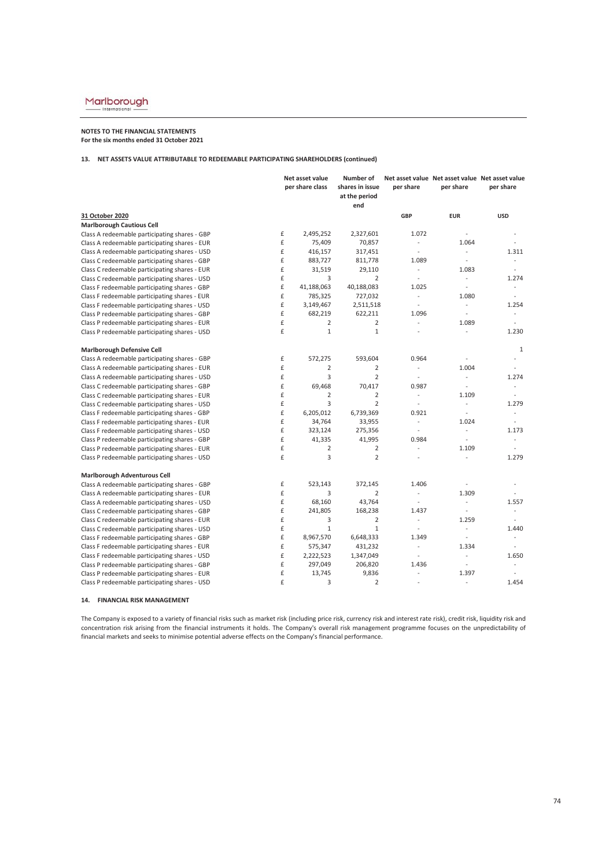# $\underbrace{\text{Marlborough}}_{\text{International}}$

### **NOTES TO THE FINANCIAL STATEMENTS For the six months ended 31 October 2021**

#### **13. NET ASSETS VALUE ATTRIBUTABLE TO REDEEMABLE PARTICIPATING SHAREHOLDERS (continued)**

|                                               |   | Net asset value<br>per share class | Number of<br>shares in issue<br>at the period<br>end | per share                | Net asset value Net asset value Net asset value<br>per share | per share                |
|-----------------------------------------------|---|------------------------------------|------------------------------------------------------|--------------------------|--------------------------------------------------------------|--------------------------|
| 31 October 2020                               |   |                                    |                                                      | <b>GBP</b>               | <b>EUR</b>                                                   | <b>USD</b>               |
| <b>Marlborough Cautious Cell</b>              |   |                                    |                                                      |                          |                                                              |                          |
| Class A redeemable participating shares - GBP | £ | 2,495,252                          | 2,327,601                                            | 1.072                    | $\sim$                                                       |                          |
| Class A redeemable participating shares - EUR | £ | 75,409                             | 70,857                                               | $\overline{\phantom{a}}$ | 1.064                                                        |                          |
| Class A redeemable participating shares - USD | £ | 416,157                            | 317,451                                              | $\frac{1}{2}$            | $\blacksquare$                                               | 1.311                    |
| Class C redeemable participating shares - GBP | £ | 883,727                            | 811,778                                              | 1.089                    |                                                              | ÷.                       |
| Class C redeemable participating shares - EUR | £ | 31,519                             | 29,110                                               | $\overline{\phantom{a}}$ | 1.083                                                        | $\overline{a}$           |
| Class C redeemable participating shares - USD | £ | 3                                  | $\overline{2}$                                       | $\sim$                   | ÷.                                                           | 1.274                    |
| Class F redeemable participating shares - GBP | £ | 41,188,063                         | 40,188,083                                           | 1.025                    | ÷.                                                           | $\overline{\phantom{a}}$ |
| Class F redeemable participating shares - EUR | £ | 785,325                            | 727,032                                              | $\overline{\phantom{a}}$ | 1.080                                                        | ÷.                       |
| Class F redeemable participating shares - USD | £ | 3,149,467                          | 2,511,518                                            | $\overline{\phantom{a}}$ | $\sim$                                                       | 1.254                    |
| Class P redeemable participating shares - GBP | £ | 682,219                            | 622,211                                              | 1.096                    | $\mathcal{L}$                                                | ÷.                       |
| Class P redeemable participating shares - EUR | £ | $\overline{2}$                     | $\overline{2}$                                       | ÷,                       | 1.089                                                        | $\overline{a}$           |
| Class P redeemable participating shares - USD | £ | $\mathbf{1}$                       | $\mathbf{1}$                                         |                          | ÷.                                                           | 1.230                    |
| <b>Marlborough Defensive Cell</b>             |   |                                    |                                                      |                          |                                                              | $1\,$                    |
| Class A redeemable participating shares - GBP | £ | 572,275                            | 593,604                                              | 0.964                    | $\overline{\phantom{a}}$                                     | $\overline{\phantom{a}}$ |
| Class A redeemable participating shares - EUR | £ | $\overline{2}$                     | $\overline{2}$                                       | $\overline{a}$           | 1.004                                                        | $\sim$                   |
| Class A redeemable participating shares - USD | £ | 3                                  | $\overline{2}$                                       | $\overline{\phantom{a}}$ | $\omega$                                                     | 1.274                    |
| Class C redeemable participating shares - GBP | £ | 69,468                             | 70,417                                               | 0.987                    | $\overline{\phantom{a}}$                                     | $\overline{\phantom{a}}$ |
| Class C redeemable participating shares - EUR | £ | $\overline{2}$                     | $\overline{2}$                                       | $\mathcal{L}$            | 1.109                                                        | $\overline{a}$           |
| Class C redeemable participating shares - USD | £ | $\overline{3}$                     | $\overline{2}$                                       | $\sim$                   | $\overline{\phantom{a}}$                                     | 1.279                    |
| Class F redeemable participating shares - GBP | £ | 6,205,012                          | 6,739,369                                            | 0.921                    | $\sim$                                                       | $\sim$                   |
| Class F redeemable participating shares - EUR | £ | 34,764                             | 33,955                                               | $\overline{\phantom{a}}$ | 1.024                                                        | $\overline{\phantom{a}}$ |
| Class F redeemable participating shares - USD | £ | 323,124                            | 275,356                                              | $\overline{\phantom{a}}$ | $\mathcal{L}^{\mathcal{L}}$                                  | 1.173                    |
| Class P redeemable participating shares - GBP | £ | 41,335                             | 41,995                                               | 0.984                    | $\overline{\phantom{a}}$                                     | ÷                        |
| Class P redeemable participating shares - EUR | £ | $\overline{2}$                     | $\overline{2}$                                       |                          | 1.109                                                        |                          |
| Class P redeemable participating shares - USD | £ | 3                                  | $\overline{2}$                                       | $\sim$                   | $\sim$                                                       | 1.279                    |
| <b>Marlborough Adventurous Cell</b>           |   |                                    |                                                      |                          |                                                              |                          |
| Class A redeemable participating shares - GBP | £ | 523,143                            | 372,145                                              | 1.406                    |                                                              |                          |
| Class A redeemable participating shares - EUR | £ | 3                                  | $\overline{2}$                                       | $\overline{\phantom{a}}$ | 1.309                                                        |                          |
| Class A redeemable participating shares - USD | £ | 68,160                             | 43,764                                               | $\overline{\phantom{a}}$ | $\overline{\phantom{a}}$                                     | 1.557                    |
| Class C redeemable participating shares - GBP | £ | 241,805                            | 168,238                                              | 1.437                    | $\sim$                                                       |                          |
| Class C redeemable participating shares - EUR | £ | 3                                  | $\overline{2}$                                       | $\overline{\phantom{a}}$ | 1.259                                                        | $\overline{a}$           |
| Class C redeemable participating shares - USD | £ | $\,1\,$                            | $\mathbf{1}$                                         | $\sim$                   | ÷.                                                           | 1.440                    |
| Class F redeemable participating shares - GBP | £ | 8,967,570                          | 6,648,333                                            | 1.349                    | $\overline{\phantom{a}}$                                     | $\overline{a}$           |
| Class F redeemable participating shares - EUR | £ | 575,347                            | 431,232                                              | $\overline{\phantom{a}}$ | 1.334                                                        |                          |
| Class F redeemable participating shares - USD | £ | 2,222,523                          | 1,347,049                                            | $\sim$                   | $\sim$                                                       | 1.650                    |
| Class P redeemable participating shares - GBP | £ | 297,049                            | 206,820                                              | 1.436                    | $\overline{\phantom{a}}$                                     | $\overline{a}$           |
| Class P redeemable participating shares - EUR | £ | 13,745                             | 9,836                                                | $\overline{a}$           | 1.397                                                        |                          |
| Class P redeemable participating shares - USD | £ | 3                                  | $\overline{2}$                                       | $\overline{a}$           | ÷.                                                           | 1.454                    |

#### **14. FINANCIAL RISK MANAGEMENT**

The Company is exposed to a variety of financial risks such as market risk (including price risk, currency risk and interest rate risk), credit risk, liquidity risk and concentration risk arising from the financial instruments it holds. The Company's overall risk management programme focuses on the unpredictability of financial markets and seeks to minimise potential adverse effects on the Company's financial performance.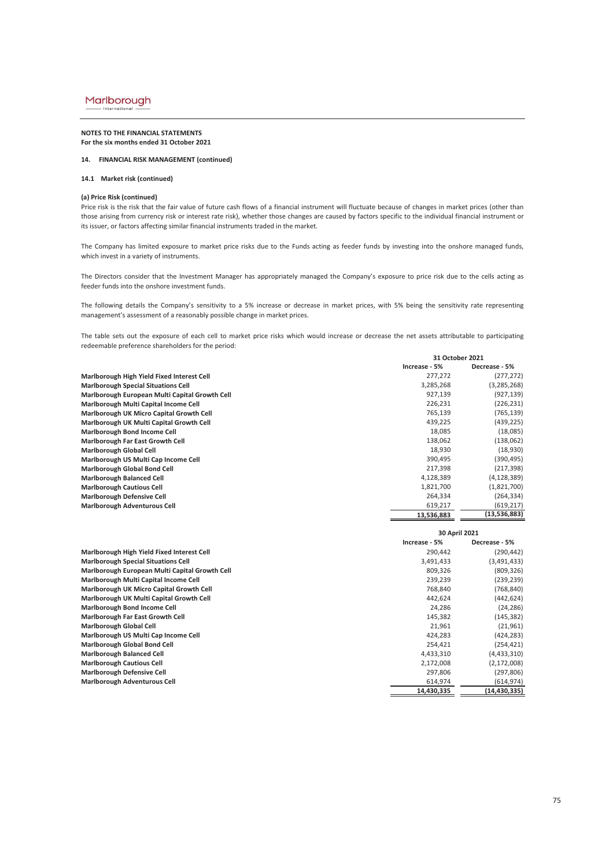#### Marlborough Internat

#### **NOTES TO THE FINANCIAL STATEMENTS For the six months ended 31 October 2021**

#### **14. FINANCIAL RISK MANAGEMENT (continued)**

#### **14.1 Market risk (continued)**

### **(a) Price Risk (continued)**

Price risk is the risk that the fair value of future cash flows of a financial instrument will fluctuate because of changes in market prices (other than those arising from currency risk or interest rate risk), whether those changes are caused by factors specific to the individual financial instrument or its issuer, or factors affecting similar financial instruments traded in the market.

The Company has limited exposure to market price risks due to the Funds acting as feeder funds by investing into the onshore managed funds, which invest in a variety of instruments.

The Directors consider that the Investment Manager has appropriately managed the Company's exposure to price risk due to the cells acting as feeder funds into the onshore investment funds.

The following details the Company's sensitivity to a 5% increase or decrease in market prices, with 5% being the sensitivity rate representing management's assessment of a reasonably possible change in market prices.

The table sets out the exposure of each cell to market price risks which would increase or decrease the net assets attributable to participating redeemable preference shareholders for the period:

|                                                |               | 31 October 2021 |  |  |
|------------------------------------------------|---------------|-----------------|--|--|
|                                                | Increase - 5% | Decrease - 5%   |  |  |
| Marlborough High Yield Fixed Interest Cell     | 277,272       | (277, 272)      |  |  |
| <b>Marlborough Special Situations Cell</b>     | 3,285,268     | (3, 285, 268)   |  |  |
| Marlborough European Multi Capital Growth Cell | 927,139       | (927,139)       |  |  |
| Marlborough Multi Capital Income Cell          | 226,231       | (226,231)       |  |  |
| Marlborough UK Micro Capital Growth Cell       | 765,139       | (765,139)       |  |  |
| Marlborough UK Multi Capital Growth Cell       | 439,225       | (439,225)       |  |  |
| <b>Marlborough Bond Income Cell</b>            | 18,085        | (18,085)        |  |  |
| Marlborough Far East Growth Cell               | 138,062       | (138,062)       |  |  |
| <b>Marlborough Global Cell</b>                 | 18,930        | (18,930)        |  |  |
| Marlborough US Multi Cap Income Cell           | 390,495       | (390,495)       |  |  |
| <b>Marlborough Global Bond Cell</b>            | 217,398       | (217,398)       |  |  |
| <b>Marlborough Balanced Cell</b>               | 4,128,389     | (4, 128, 389)   |  |  |
| <b>Marlborough Cautious Cell</b>               | 1,821,700     | (1,821,700)     |  |  |
| <b>Marlborough Defensive Cell</b>              | 264,334       | (264,334)       |  |  |
| <b>Marlborough Adventurous Cell</b>            | 619,217       | (619, 217)      |  |  |
|                                                | 13,536,883    | (13, 536, 883)  |  |  |

|                                                | 30 April 2021 |               |  |
|------------------------------------------------|---------------|---------------|--|
|                                                | Increase - 5% | Decrease - 5% |  |
| Marlborough High Yield Fixed Interest Cell     | 290,442       | (290,442)     |  |
| <b>Marlborough Special Situations Cell</b>     | 3,491,433     | (3,491,433)   |  |
| Marlborough European Multi Capital Growth Cell | 809,326       | (809, 326)    |  |
| Marlborough Multi Capital Income Cell          | 239,239       | (239, 239)    |  |
| Marlborough UK Micro Capital Growth Cell       | 768,840       | (768,840)     |  |
| Marlborough UK Multi Capital Growth Cell       | 442,624       | (442,624)     |  |
| <b>Marlborough Bond Income Cell</b>            | 24,286        | (24, 286)     |  |
| Marlborough Far East Growth Cell               | 145,382       | (145, 382)    |  |
| <b>Marlborough Global Cell</b>                 | 21,961        | (21,961)      |  |
| Marlborough US Multi Cap Income Cell           | 424,283       | (424,283)     |  |
| <b>Marlborough Global Bond Cell</b>            | 254,421       | (254,421)     |  |
| <b>Marlborough Balanced Cell</b>               | 4,433,310     | (4,433,310)   |  |
| <b>Marlborough Cautious Cell</b>               | 2,172,008     | (2, 172, 008) |  |
| <b>Marlborough Defensive Cell</b>              | 297,806       | (297,806)     |  |
| <b>Marlborough Adventurous Cell</b>            | 614,974       | (614, 974)    |  |
|                                                | 14,430,335    | (14,430,335)  |  |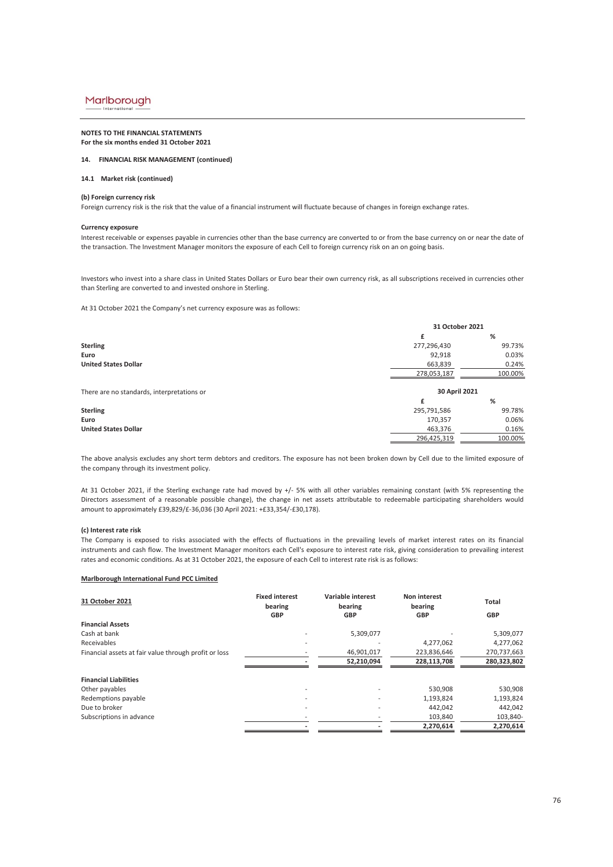#### **NOTES TO THE FINANCIAL STATEMENTS For the six months ended 31 October 2021**

#### **14. FINANCIAL RISK MANAGEMENT (continued)**

#### **14.1 Market risk (continued)**

#### **(b) Foreign currency risk**

Foreign currency risk is the risk that the value of a financial instrument will fluctuate because of changes in foreign exchange rates.

#### **Currency exposure**

Interest receivable or expenses payable in currencies other than the base currency are converted to or from the base currency on or near the date of the transaction. The Investment Manager monitors the exposure of each Cell to foreign currency risk on an on going basis.

Investors who invest into a share class in United States Dollars or Euro bear their own currency risk, as all subscriptions received in currencies other than Sterling are converted to and invested onshore in Sterling.

At 31 October 2021 the Company's net currency exposure was as follows:

|                                            | 31 October 2021 |         |  |  |
|--------------------------------------------|-----------------|---------|--|--|
|                                            |                 | %       |  |  |
| <b>Sterling</b>                            | 277,296,430     | 99.73%  |  |  |
| Euro                                       | 92,918          | 0.03%   |  |  |
| <b>United States Dollar</b>                | 663,839         | 0.24%   |  |  |
|                                            | 278,053,187     | 100.00% |  |  |
| There are no standards, interpretations or | 30 April 2021   |         |  |  |
|                                            | f               | %       |  |  |
| <b>Sterling</b>                            | 295,791,586     | 99.78%  |  |  |
| Euro                                       | 170,357         | 0.06%   |  |  |
| <b>United States Dollar</b>                | 463,376         | 0.16%   |  |  |
|                                            | 296.425.319     | 100.00% |  |  |

The above analysis excludes any short term debtors and creditors. The exposure has not been broken down by Cell due to the limited exposure of the company through its investment policy.

At 31 October 2021, if the Sterling exchange rate had moved by +/- 5% with all other variables remaining constant (with 5% representing the Directors assessment of a reasonable possible change), the change in net assets attributable to redeemable participating shareholders would amount to approximately £39,829/£-36,036 (30 April 2021: +£33,354/-£30,178).

#### **(c) Interest rate risk**

The Company is exposed to risks associated with the effects of fluctuations in the prevailing levels of market interest rates on its financial instruments and cash flow. The Investment Manager monitors each Cell's exposure to interest rate risk, giving consideration to prevailing interest rates and economic conditions. As at 31 October 2021, the exposure of each Cell to interest rate risk is as follows:

#### **Marlborough International Fund PCC Limited**

| 31 October 2021                                       | <b>Fixed interest</b><br>bearing | Variable interest<br>bearing | Non interest<br>bearing | Total       |
|-------------------------------------------------------|----------------------------------|------------------------------|-------------------------|-------------|
|                                                       | <b>GBP</b>                       | <b>GBP</b>                   | <b>GBP</b>              | GBP         |
| <b>Financial Assets</b>                               |                                  |                              |                         |             |
| Cash at bank                                          |                                  | 5,309,077                    |                         | 5,309,077   |
| Receivables                                           |                                  |                              | 4,277,062               | 4,277,062   |
| Financial assets at fair value through profit or loss |                                  | 46,901,017                   | 223,836,646             | 270,737,663 |
|                                                       |                                  | 52,210,094                   | 228,113,708             | 280,323,802 |
| <b>Financial Liabilities</b>                          |                                  |                              |                         |             |
| Other payables                                        |                                  |                              | 530,908                 | 530,908     |
| Redemptions payable                                   |                                  |                              | 1,193,824               | 1,193,824   |
| Due to broker                                         |                                  |                              | 442,042                 | 442,042     |
| Subscriptions in advance                              |                                  |                              | 103,840                 | 103,840-    |
|                                                       |                                  |                              | 2,270,614               | 2,270,614   |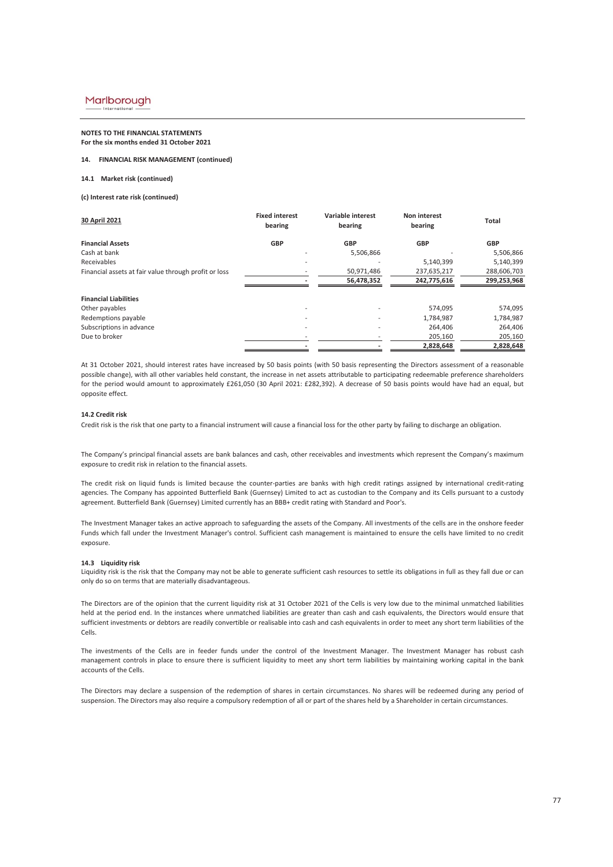#### **NOTES TO THE FINANCIAL STATEMENTS For the six months ended 31 October 2021**

#### **14. FINANCIAL RISK MANAGEMENT (continued)**

#### **14.1 Market risk (continued)**

**(c) Interest rate risk (continued)**

| 30 April 2021                                         | <b>Fixed interest</b><br>bearing | Variable interest<br>bearing | Non interest<br>bearing | Total       |
|-------------------------------------------------------|----------------------------------|------------------------------|-------------------------|-------------|
| <b>Financial Assets</b>                               | <b>GBP</b>                       | <b>GBP</b>                   | <b>GBP</b>              | <b>GBP</b>  |
| Cash at bank                                          |                                  | 5,506,866                    |                         | 5,506,866   |
| Receivables                                           |                                  | ۰                            | 5,140,399               | 5,140,399   |
| Financial assets at fair value through profit or loss |                                  | 50,971,486                   | 237,635,217             | 288,606,703 |
|                                                       |                                  | 56,478,352                   | 242,775,616             | 299,253,968 |
| <b>Financial Liabilities</b>                          |                                  |                              |                         |             |
| Other payables                                        |                                  |                              | 574,095                 | 574,095     |
| Redemptions payable                                   |                                  |                              | 1,784,987               | 1,784,987   |
| Subscriptions in advance                              |                                  |                              | 264.406                 | 264,406     |
| Due to broker                                         |                                  |                              | 205,160                 | 205,160     |
|                                                       |                                  |                              | 2,828,648               | 2,828,648   |

At 31 October 2021, should interest rates have increased by 50 basis points (with 50 basis representing the Directors assessment of a reasonable possible change), with all other variables held constant, the increase in net assets attributable to participating redeemable preference shareholders for the period would amount to approximately £261,050 (30 April 2021: £282,392). A decrease of 50 basis points would have had an equal, but opposite effect.

#### **14.2 Credit risk**

Credit risk is the risk that one party to a financial instrument will cause a financial loss for the other party by failing to discharge an obligation.

The Company's principal financial assets are bank balances and cash, other receivables and investments which represent the Company's maximum exposure to credit risk in relation to the financial assets.

The credit risk on liquid funds is limited because the counter-parties are banks with high credit ratings assigned by international credit-rating agencies. The Company has appointed Butterfield Bank (Guernsey) Limited to act as custodian to the Company and its Cells pursuant to a custody agreement. Butterfield Bank (Guernsey) Limited currently has an BBB+ credit rating with Standard and Poor's.

The Investment Manager takes an active approach to safeguarding the assets of the Company. All investments of the cells are in the onshore feeder Funds which fall under the Investment Manager's control. Sufficient cash management is maintained to ensure the cells have limited to no credit exposure.

#### **14.3 Liquidity risk**

Liquidity risk is the risk that the Company may not be able to generate sufficient cash resources to settle its obligations in full as they fall due or can only do so on terms that are materially disadvantageous.

The Directors are of the opinion that the current liquidity risk at 31 October 2021 of the Cells is very low due to the minimal unmatched liabilities held at the period end. In the instances where unmatched liabilities are greater than cash and cash equivalents, the Directors would ensure that sufficient investments or debtors are readily convertible or realisable into cash and cash equivalents in order to meet any short term liabilities of the Cells.

The investments of the Cells are in feeder funds under the control of the Investment Manager. The Investment Manager has robust cash management controls in place to ensure there is sufficient liquidity to meet any short term liabilities by maintaining working capital in the bank accounts of the Cells.

The Directors may declare a suspension of the redemption of shares in certain circumstances. No shares will be redeemed during any period of suspension. The Directors may also require a compulsory redemption of all or part of the shares held by a Shareholder in certain circumstances.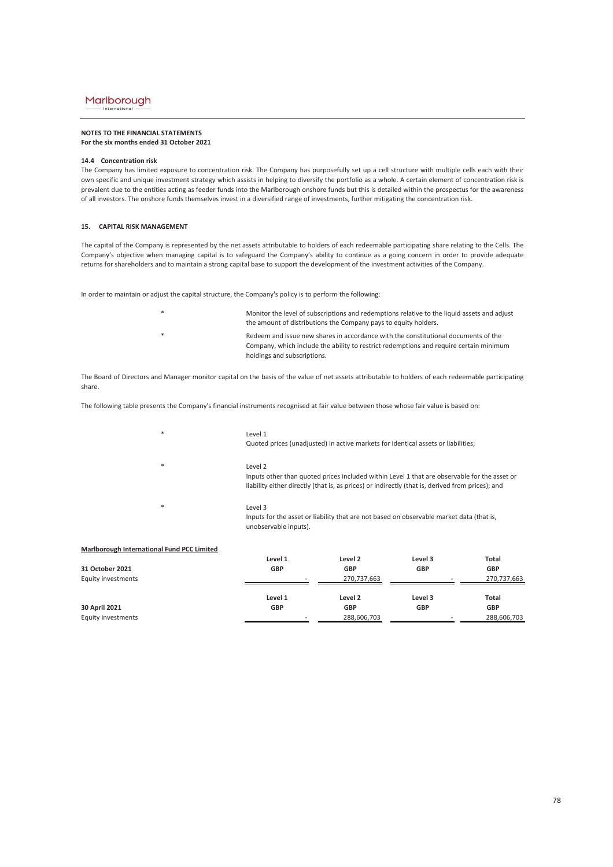#### **NOTES TO THE FINANCIAL STATEMENTS For the six months ended 31 October 2021**

#### **14.4 Concentration risk**

The Company has limited exposure to concentration risk. The Company has purposefully set up a cell structure with multiple cells each with their own specific and unique investment strategy which assists in helping to diversify the portfolio as a whole. A certain element of concentration risk is prevalent due to the entities acting as feeder funds into the Marlborough onshore funds but this is detailed within the prospectus for the awareness of all investors. The onshore funds themselves invest in a diversified range of investments, further mitigating the concentration risk.

#### **15. CAPITAL RISK MANAGEMENT**

The capital of the Company is represented by the net assets attributable to holders of each redeemable participating share relating to the Cells. The Company's objective when managing capital is to safeguard the Company's ability to continue as a going concern in order to provide adequate returns for shareholders and to maintain a strong capital base to support the development of the investment activities of the Company.

In order to maintain or adjust the capital structure, the Company's policy is to perform the following:

- \* \* Monitor the level of subscriptions and redemptions relative to the liquid assets and adjust the amount of distributions the Company pays to equity holders. Redeem and issue new shares in accordance with the constitutional documents of the Company, which include the ability to restrict redemptions and require certain minimum
- holdings and subscriptions.

The Board of Directors and Manager monitor capital on the basis of the value of net assets attributable to holders of each redeemable participating share.

The following table presents the Company's financial instruments recognised at fair value between those whose fair value is based on:

| $\ast$ | Level 1<br>Quoted prices (unadjusted) in active markets for identical assets or liabilities;                                                                                                                |
|--------|-------------------------------------------------------------------------------------------------------------------------------------------------------------------------------------------------------------|
| $\ast$ | Level 2<br>Inputs other than quoted prices included within Level 1 that are observable for the asset or<br>liability either directly (that is, as prices) or indirectly (that is, derived from prices); and |
| $\ast$ | Level 3<br>Inputs for the asset or liability that are not based on observable market data (that is,<br>unobservable inputs).                                                                                |

| Marlborough International Fund PCC Limited |            |             |            |             |
|--------------------------------------------|------------|-------------|------------|-------------|
|                                            | Level 1    | Level 2     | Level 3    | Total       |
| 31 October 2021                            | <b>GBP</b> | GBP         | <b>GBP</b> | <b>GBP</b>  |
| <b>Equity investments</b>                  |            | 270,737,663 |            | 270,737,663 |
|                                            |            |             |            |             |
|                                            | Level 1    | Level 2     | Level 3    | Total       |
| 30 April 2021                              | <b>GBP</b> | GBP         | <b>GBP</b> | <b>GBP</b>  |
| Equity investments                         |            | 288,606,703 |            | 288,606,703 |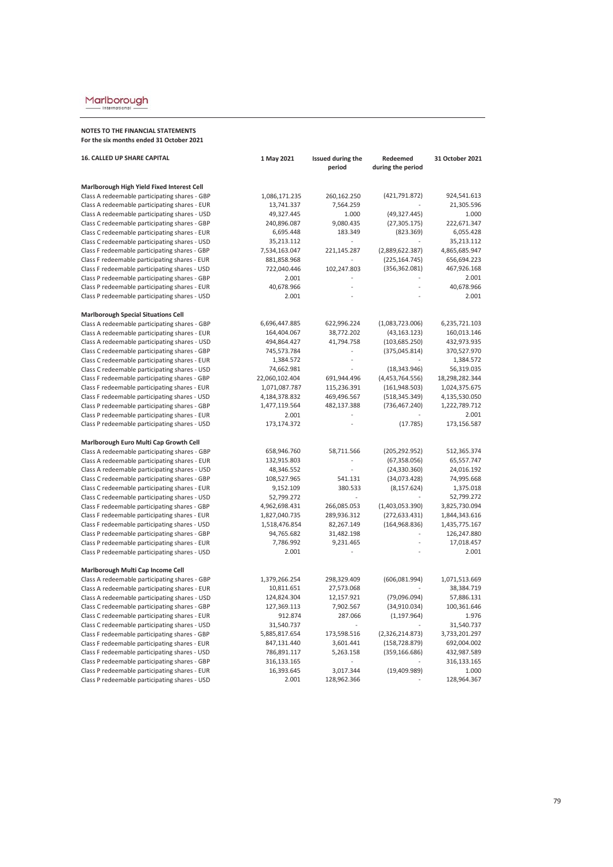Internationa

| <b>16. CALLED UP SHARE CAPITAL</b>                                                             | 1 May 2021                  | Issued during the       | Redeemed          | 31 October 2021           |
|------------------------------------------------------------------------------------------------|-----------------------------|-------------------------|-------------------|---------------------------|
|                                                                                                |                             | period                  | during the period |                           |
|                                                                                                |                             |                         |                   |                           |
| Marlborough High Yield Fixed Interest Cell<br>Class A redeemable participating shares - GBP    | 1,086,171.235               | 260,162.250             | (421, 791.872)    | 924,541.613               |
| Class A redeemable participating shares - EUR                                                  | 13,741.337                  | 7,564.259               |                   | 21,305.596                |
| Class A redeemable participating shares - USD                                                  | 49,327.445                  | 1.000                   | (49, 327.445)     | 1.000                     |
| Class C redeemable participating shares - GBP                                                  | 240,896.087                 | 9,080.435               | (27, 305.175)     | 222,671.347               |
| Class C redeemable participating shares - EUR                                                  | 6,695.448                   | 183.349                 | (823.369)         | 6,055.428                 |
| Class C redeemable participating shares - USD                                                  | 35,213.112                  |                         |                   | 35,213.112                |
| Class F redeemable participating shares - GBP                                                  | 7,534,163.047               | 221,145.287             | (2,889,622.387)   | 4,865,685.947             |
| Class F redeemable participating shares - EUR                                                  | 881,858.968                 |                         | (225, 164.745)    | 656,694.223               |
| Class F redeemable participating shares - USD                                                  | 722,040.446                 | 102,247.803             | (356, 362.081)    | 467,926.168               |
| Class P redeemable participating shares - GBP                                                  | 2.001                       |                         |                   | 2.001                     |
| Class P redeemable participating shares - EUR                                                  | 40,678.966                  |                         |                   | 40,678.966                |
| Class P redeemable participating shares - USD                                                  | 2.001                       |                         |                   | 2.001                     |
|                                                                                                |                             |                         |                   |                           |
| <b>Marlborough Special Situations Cell</b>                                                     |                             |                         |                   |                           |
| Class A redeemable participating shares - GBP                                                  | 6,696,447.885               | 622,996.224             | (1,083,723.006)   | 6,235,721.103             |
| Class A redeemable participating shares - EUR                                                  | 164,404.067                 | 38,772.202              | (43, 163.123)     | 160,013.146               |
| Class A redeemable participating shares - USD                                                  | 494,864.427                 | 41,794.758              | (103, 685.250)    | 432,973.935               |
| Class C redeemable participating shares - GBP                                                  | 745,573.784                 |                         | (375,045.814)     | 370,527.970               |
| Class C redeemable participating shares - EUR                                                  | 1,384.572                   |                         |                   | 1,384.572                 |
| Class C redeemable participating shares - USD                                                  | 74,662.981                  |                         | (18, 343.946)     | 56,319.035                |
| Class F redeemable participating shares - GBP                                                  | 22,060,102.404              | 691,944.496             | (4,453,764.556)   | 18,298,282.344            |
| Class F redeemable participating shares - EUR                                                  | 1,071,087.787               | 115,236.391             | (161,948.503)     | 1,024,375.675             |
| Class F redeemable participating shares - USD                                                  | 4,184,378.832               | 469,496.567             | (518, 345.349)    | 4,135,530.050             |
| Class P redeemable participating shares - GBP                                                  | 1,477,119.564               | 482,137.388             | (736, 467.240)    | 1,222,789.712             |
| Class P redeemable participating shares - EUR                                                  | 2.001                       |                         |                   | 2.001                     |
| Class P redeemable participating shares - USD                                                  | 173,174.372                 |                         | (17.785)          | 173,156.587               |
| Marlborough Euro Multi Cap Growth Cell                                                         |                             |                         |                   |                           |
| Class A redeemable participating shares - GBP                                                  | 658,946.760                 | 58,711.566              | (205, 292.952)    | 512,365.374               |
| Class A redeemable participating shares - EUR                                                  | 132,915.803                 |                         | (67, 358.056)     | 65,557.747                |
| Class A redeemable participating shares - USD                                                  | 48,346.552                  | $\overline{a}$          | (24, 330.360)     | 24,016.192                |
| Class C redeemable participating shares - GBP                                                  | 108,527.965                 | 541.131                 | (34,073.428)      | 74,995.668                |
| Class C redeemable participating shares - EUR                                                  | 9,152.109                   | 380.533                 | (8, 157.624)      | 1,375.018                 |
| Class C redeemable participating shares - USD                                                  | 52,799.272                  |                         |                   | 52,799.272                |
| Class F redeemable participating shares - GBP                                                  | 4,962,698.431               | 266,085.053             | (1,403,053.390)   | 3,825,730.094             |
| Class F redeemable participating shares - EUR                                                  | 1,827,040.735               | 289,936.312             | (272, 633.431)    | 1,844,343.616             |
|                                                                                                |                             |                         |                   |                           |
| Class F redeemable participating shares - USD                                                  | 1,518,476.854<br>94,765.682 | 82,267.149              | (164, 968.836)    | 1,435,775.167             |
| Class P redeemable participating shares - GBP                                                  |                             | 31,482.198<br>9,231.465 |                   | 126,247.880<br>17,018.457 |
| Class P redeemable participating shares - EUR<br>Class P redeemable participating shares - USD | 7,786.992<br>2.001          |                         |                   | 2.001                     |
|                                                                                                |                             |                         |                   |                           |
| Marlborough Multi Cap Income Cell                                                              |                             |                         |                   |                           |
| Class A redeemable participating shares - GBP                                                  | 1,379,266.254               | 298,329.409             | (606, 081.994)    | 1,071,513.669             |
| Class A redeemable participating shares - EUR                                                  | 10,811.651                  | 27,573.068              |                   | 38,384.719                |
| Class A redeemable participating shares - USD                                                  | 124,824.304                 | 12,157.921              | (79,096.094)      | 57,886.131                |
| Class C redeemable participating shares - GBP                                                  | 127,369.113                 | 7,902.567               | (34,910.034)      | 100,361.646               |
| Class C redeemable participating shares - EUR                                                  | 912.874                     | 287.066                 | (1, 197.964)      | 1.976                     |
| Class C redeemable participating shares - USD                                                  | 31,540.737                  | $\overline{a}$          |                   | 31,540.737                |
| Class F redeemable participating shares - GBP                                                  | 5,885,817.654               | 173,598.516             | (2,326,214.873)   | 3,733,201.297             |
| Class F redeemable participating shares - EUR                                                  | 847,131.440                 | 3,601.441               | (158, 728.879)    | 692,004.002               |
| Class F redeemable participating shares - USD                                                  | 786,891.117                 | 5,263.158               | (359, 166.686)    | 432,987.589               |
| Class P redeemable participating shares - GBP                                                  | 316,133.165                 |                         |                   | 316,133.165               |
| Class P redeemable participating shares - EUR                                                  | 16,393.645                  | 3,017.344               | (19,409.989)      | 1.000                     |
| Class P redeemable participating shares - USD                                                  | 2.001                       | 128,962.366             |                   | 128,964.367               |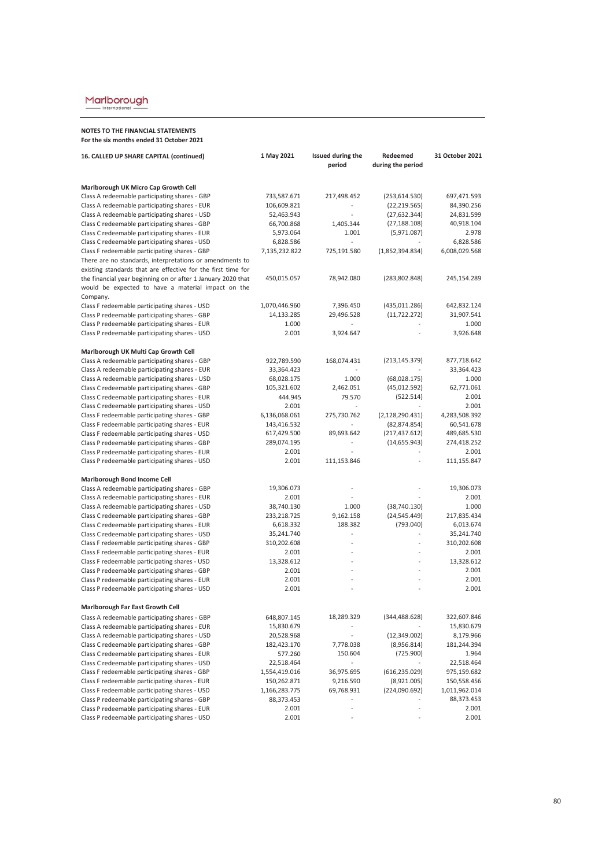Internationa

| 16. CALLED UP SHARE CAPITAL (continued)                      | 1 May 2021               | Issued during the | Redeemed          | 31 October 2021           |
|--------------------------------------------------------------|--------------------------|-------------------|-------------------|---------------------------|
|                                                              |                          | period            | during the period |                           |
| Marlborough UK Micro Cap Growth Cell                         |                          |                   |                   |                           |
| Class A redeemable participating shares - GBP                | 733,587.671              | 217,498.452       | (253, 614.530)    | 697,471.593               |
| Class A redeemable participating shares - EUR                | 106,609.821              |                   | (22, 219.565)     | 84,390.256                |
| Class A redeemable participating shares - USD                | 52,463.943               | $\overline{a}$    | (27, 632.344)     | 24,831.599                |
| Class C redeemable participating shares - GBP                | 66,700.868               | 1,405.344         | (27, 188.108)     | 40,918.104                |
| Class C redeemable participating shares - EUR                | 5,973.064                | 1.001             | (5,971.087)       | 2.978                     |
| Class C redeemable participating shares - USD                | 6,828.586                | $\overline{a}$    |                   | 6,828.586                 |
| Class F redeemable participating shares - GBP                | 7,135,232.822            | 725,191.580       | (1,852,394.834)   | 6,008,029.568             |
| There are no standards, interpretations or amendments to     |                          |                   |                   |                           |
| existing standards that are effective for the first time for |                          |                   |                   |                           |
| the financial year beginning on or after 1 January 2020 that | 450,015.057              | 78,942.080        | (283, 802.848)    | 245,154.289               |
| would be expected to have a material impact on the           |                          |                   |                   |                           |
| Company.                                                     |                          |                   |                   |                           |
| Class F redeemable participating shares - USD                | 1,070,446.960            | 7,396.450         | (435,011.286)     | 642,832.124<br>31,907.541 |
| Class P redeemable participating shares - GBP                | 14,133.285               | 29,496.528        | (11, 722.272)     |                           |
| Class P redeemable participating shares - EUR                | 1.000                    |                   |                   | 1.000                     |
| Class P redeemable participating shares - USD                | 2.001                    | 3,924.647         |                   | 3,926.648                 |
| Marlborough UK Multi Cap Growth Cell                         |                          |                   |                   |                           |
| Class A redeemable participating shares - GBP                | 922,789.590              | 168,074.431       | (213, 145.379)    | 877,718.642               |
| Class A redeemable participating shares - EUR                | 33,364.423               |                   |                   | 33,364.423                |
| Class A redeemable participating shares - USD                | 68,028.175               | 1.000             | (68,028.175)      | 1.000                     |
| Class C redeemable participating shares - GBP                | 105,321.602              | 2,462.051         | (45, 012.592)     | 62,771.061                |
| Class C redeemable participating shares - EUR                | 444.945                  | 79.570            | (522.514)         | 2.001                     |
| Class C redeemable participating shares - USD                | 2.001                    | $\sim$            |                   | 2.001                     |
| Class F redeemable participating shares - GBP                | 6,136,068.061            | 275,730.762       | (2, 128, 290.431) | 4,283,508.392             |
| Class F redeemable participating shares - EUR                | 143,416.532              | $\overline{a}$    | (82, 874.854)     | 60,541.678                |
| Class F redeemable participating shares - USD                | 617,429.500              | 89,693.642        | (217, 437.612)    | 489,685.530               |
| Class P redeemable participating shares - GBP                | 289,074.195              | $\overline{a}$    | (14, 655.943)     | 274,418.252               |
| Class P redeemable participating shares - EUR                | 2.001                    |                   |                   | 2.001                     |
| Class P redeemable participating shares - USD                | 2.001                    | 111,153.846       |                   | 111,155.847               |
| <b>Marlborough Bond Income Cell</b>                          |                          |                   |                   |                           |
| Class A redeemable participating shares - GBP                | 19,306.073               |                   |                   | 19,306.073                |
| Class A redeemable participating shares - EUR                | 2.001                    |                   |                   | 2.001                     |
| Class A redeemable participating shares - USD                | 38,740.130               | 1.000             | (38, 740.130)     | 1.000                     |
| Class C redeemable participating shares - GBP                | 233,218.725              | 9,162.158         | (24, 545.449)     | 217,835.434               |
| Class C redeemable participating shares - EUR                | 6,618.332                | 188.382           | (793.040)         | 6,013.674                 |
| Class C redeemable participating shares - USD                | 35,241.740               |                   |                   | 35,241.740                |
| Class F redeemable participating shares - GBP                | 310,202.608              | L.                | $\frac{1}{2}$     | 310,202.608               |
| Class F redeemable participating shares - EUR                | 2.001                    |                   |                   | 2.001                     |
| Class F redeemable participating shares - USD                | 13,328.612               |                   |                   | 13,328.612                |
| Class P redeemable participating shares - GBP                | 2.001                    |                   |                   | 2.001                     |
| Class P redeemable participating shares - EUR                | 2.001                    | $\overline{a}$    |                   | 2.001                     |
| Class P redeemable participating shares - USD                | 2.001                    | L.                |                   | 2.001                     |
| Marlborough Far East Growth Cell                             |                          |                   |                   |                           |
| Class A redeemable participating shares - GBP                | 648,807.145              | 18,289.329        | (344, 488.628)    | 322,607.846               |
| Class A redeemable participating shares - EUR                |                          |                   |                   | 15,830.679                |
| Class A redeemable participating shares - USD                | 15,830.679<br>20,528.968 |                   | (12,349.002)      | 8,179.966                 |
| Class C redeemable participating shares - GBP                | 182,423.170              | 7,778.038         | (8,956.814)       | 181,244.394               |
| Class C redeemable participating shares - EUR                | 577.260                  | 150.604           | (725.900)         | 1.964                     |
| Class C redeemable participating shares - USD                | 22,518.464               |                   |                   | 22,518.464                |
| Class F redeemable participating shares - GBP                | 1,554,419.016            | 36,975.695        | (616, 235.029)    | 975,159.682               |
| Class F redeemable participating shares - EUR                | 150,262.871              | 9,216.590         | (8,921.005)       | 150,558.456               |
| Class F redeemable participating shares - USD                | 1,166,283.775            | 69,768.931        | (224,090.692)     | 1,011,962.014             |
| Class P redeemable participating shares - GBP                | 88,373.453               |                   |                   | 88,373.453                |
| Class P redeemable participating shares - EUR                | 2.001                    |                   |                   | 2.001                     |
| Class P redeemable participating shares - USD                | 2.001                    |                   |                   | 2.001                     |
|                                                              |                          |                   |                   |                           |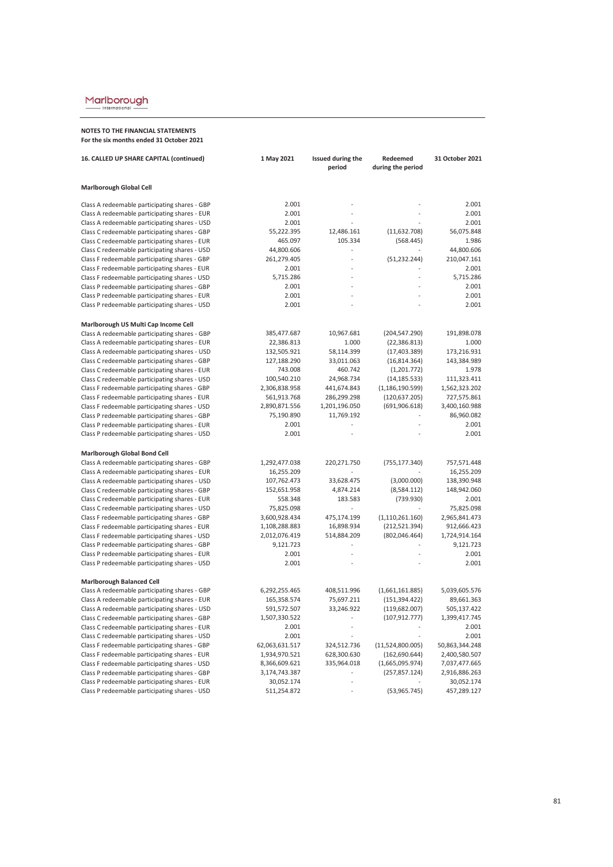International

| 16. CALLED UP SHARE CAPITAL (continued)       | 1 May 2021     | Issued during the<br>period | Redeemed<br>during the period | 31 October 2021 |
|-----------------------------------------------|----------------|-----------------------------|-------------------------------|-----------------|
|                                               |                |                             |                               |                 |
| <b>Marlborough Global Cell</b>                |                |                             |                               |                 |
| Class A redeemable participating shares - GBP | 2.001          |                             |                               | 2.001           |
| Class A redeemable participating shares - EUR | 2.001          |                             |                               | 2.001           |
| Class A redeemable participating shares - USD | 2.001          |                             |                               | 2.001           |
| Class C redeemable participating shares - GBP | 55,222.395     | 12,486.161                  | (11,632.708)                  | 56,075.848      |
| Class C redeemable participating shares - EUR | 465.097        | 105.334                     | (568.445)                     | 1.986           |
| Class C redeemable participating shares - USD | 44,800.606     |                             |                               | 44,800.606      |
| Class F redeemable participating shares - GBP | 261,279.405    |                             | (51, 232.244)                 | 210,047.161     |
| Class F redeemable participating shares - EUR | 2.001          |                             |                               | 2.001           |
| Class F redeemable participating shares - USD | 5,715.286      |                             |                               | 5,715.286       |
| Class P redeemable participating shares - GBP | 2.001          | $\overline{a}$              |                               | 2.001           |
| Class P redeemable participating shares - EUR | 2.001          |                             |                               | 2.001           |
| Class P redeemable participating shares - USD | 2.001          |                             |                               | 2.001           |
| Marlborough US Multi Cap Income Cell          |                |                             |                               |                 |
| Class A redeemable participating shares - GBP | 385,477.687    | 10,967.681                  | (204, 547.290)                | 191,898.078     |
| Class A redeemable participating shares - EUR | 22,386.813     | 1.000                       | (22, 386.813)                 | 1.000           |
| Class A redeemable participating shares - USD | 132,505.921    | 58,114.399                  | (17, 403.389)                 | 173,216.931     |
| Class C redeemable participating shares - GBP | 127,188.290    | 33,011.063                  | (16, 814.364)                 | 143,384.989     |
| Class C redeemable participating shares - EUR | 743.008        | 460.742                     | (1,201.772)                   | 1.978           |
| Class C redeemable participating shares - USD | 100,540.210    | 24,968.734                  | (14, 185.533)                 | 111,323.411     |
| Class F redeemable participating shares - GBP | 2,306,838.958  | 441,674.843                 | (1, 186, 190.599)             | 1,562,323.202   |
| Class F redeemable participating shares - EUR | 561,913.768    | 286,299.298                 | (120, 637.205)                | 727,575.861     |
| Class F redeemable participating shares - USD | 2,890,871.556  | 1,201,196.050               | (691, 906.618)                | 3,400,160.988   |
| Class P redeemable participating shares - GBP | 75,190.890     | 11,769.192                  |                               | 86,960.082      |
| Class P redeemable participating shares - EUR | 2.001          |                             |                               | 2.001           |
| Class P redeemable participating shares - USD | 2.001          |                             |                               | 2.001           |
| Marlborough Global Bond Cell                  |                |                             |                               |                 |
| Class A redeemable participating shares - GBP | 1,292,477.038  | 220,271.750                 | (755, 177.340)                | 757,571.448     |
| Class A redeemable participating shares - EUR | 16,255.209     |                             |                               | 16,255.209      |
| Class A redeemable participating shares - USD | 107,762.473    | 33,628.475                  | (3,000.000)                   | 138,390.948     |
| Class C redeemable participating shares - GBP | 152,651.958    | 4,874.214                   | (8,584.112)                   | 148,942.060     |
| Class C redeemable participating shares - EUR | 558.348        | 183.583                     | (739.930)                     | 2.001           |
| Class C redeemable participating shares - USD | 75,825.098     |                             |                               | 75,825.098      |
| Class F redeemable participating shares - GBP | 3,600,928.434  | 475,174.199                 | (1, 110, 261.160)             | 2,965,841.473   |
| Class F redeemable participating shares - EUR | 1,108,288.883  | 16,898.934                  | (212, 521.394)                | 912,666.423     |
| Class F redeemable participating shares - USD | 2,012,076.419  | 514,884.209                 | (802, 046.464)                | 1,724,914.164   |
| Class P redeemable participating shares - GBP | 9,121.723      |                             |                               | 9,121.723       |
| Class P redeemable participating shares - EUR | 2.001          |                             |                               | 2.001           |
| Class P redeemable participating shares - USD | 2.001          |                             |                               | 2.001           |
| <b>Marlborough Balanced Cell</b>              |                |                             |                               |                 |
| Class A redeemable participating shares - GBP | 6,292,255.465  | 408,511.996                 | (1,661,161.885)               | 5,039,605.576   |
| Class A redeemable participating shares - EUR | 165,358.574    | 75,697.211                  | (151, 394.422)                | 89,661.363      |
| Class A redeemable participating shares - USD | 591,572.507    | 33,246.922                  | (119, 682.007)                | 505,137.422     |
| Class C redeemable participating shares - GBP | 1,507,330.522  |                             | (107, 912.777)                | 1,399,417.745   |
| Class C redeemable participating shares - EUR | 2.001          |                             |                               | 2.001           |
| Class C redeemable participating shares - USD | 2.001          |                             |                               | 2.001           |
| Class F redeemable participating shares - GBP | 62,063,631.517 | 324,512.736                 | (11,524,800.005)              | 50,863,344.248  |
| Class F redeemable participating shares - EUR | 1,934,970.521  | 628,300.630                 | (162, 690.644)                | 2,400,580.507   |
| Class F redeemable participating shares - USD | 8,366,609.621  | 335,964.018                 | (1,665,095.974)               | 7,037,477.665   |
| Class P redeemable participating shares - GBP | 3,174,743.387  |                             | (257, 857.124)                | 2,916,886.263   |
| Class P redeemable participating shares - EUR | 30,052.174     |                             |                               | 30,052.174      |
| Class P redeemable participating shares - USD | 511,254.872    |                             | (53,965.745)                  | 457,289.127     |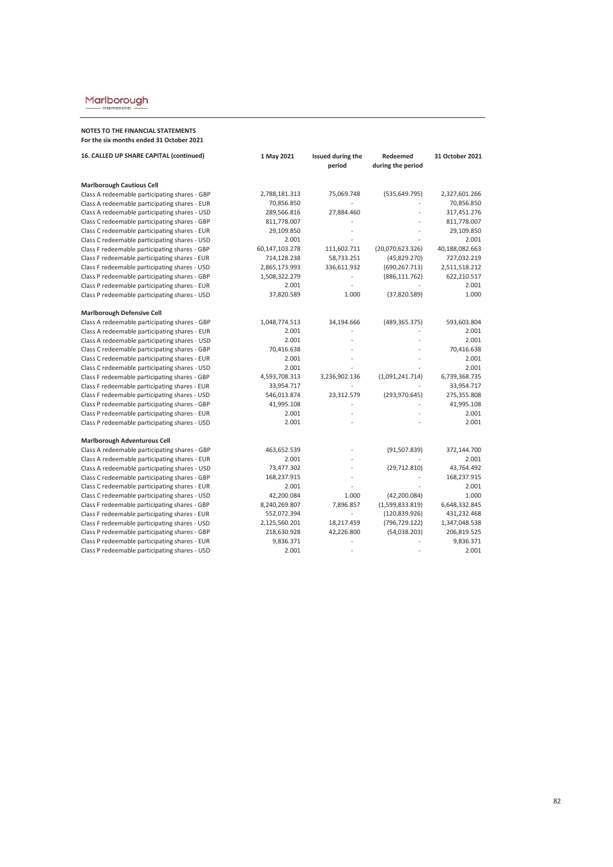International

| 16. CALLED UP SHARE CAPITAL (continued)       | 1 May 2021     | Issued during the<br>period | Redeemed<br>during the period | 31 October 2021 |
|-----------------------------------------------|----------------|-----------------------------|-------------------------------|-----------------|
| <b>Marlborough Cautious Cell</b>              |                |                             |                               |                 |
| Class A redeemable participating shares - GBP | 2,788,181.313  | 75,069.748                  | (535, 649.795)                | 2,327,601.266   |
| Class A redeemable participating shares - EUR | 70,856.850     |                             |                               | 70,856.850      |
| Class A redeemable participating shares - USD | 289,566.816    | 27,884.460                  |                               | 317,451.276     |
| Class C redeemable participating shares - GBP | 811,778.007    |                             |                               | 811,778.007     |
| Class C redeemable participating shares - EUR | 29,109.850     |                             |                               | 29,109.850      |
| Class C redeemable participating shares - USD | 2.001          |                             |                               | 2.001           |
| Class F redeemable participating shares - GBP | 60,147,103.278 | 111,602.711                 | (20,070,623.326)              | 40,188,082.663  |
| Class F redeemable participating shares - EUR | 714,128.238    | 58,733.251                  | (45,829.270)                  | 727,032.219     |
| Class F redeemable participating shares - USD | 2,865,173.993  | 336,611.932                 | (690, 267.713)                | 2,511,518.212   |
| Class P redeemable participating shares - GBP | 1,508,322.279  |                             | (886, 111.762)                | 622,210.517     |
| Class P redeemable participating shares - EUR | 2.001          |                             |                               | 2.001           |
| Class P redeemable participating shares - USD | 37,820.589     | 1.000                       | (37,820.589)                  | 1.000           |
| <b>Marlborough Defensive Cell</b>             |                |                             |                               |                 |
| Class A redeemable participating shares - GBP | 1,048,774.513  | 34,194.666                  | (489, 365.375)                | 593,603.804     |
| Class A redeemable participating shares - EUR | 2.001          |                             |                               | 2.001           |
| Class A redeemable participating shares - USD | 2.001          |                             |                               | 2.001           |
| Class C redeemable participating shares - GBP | 70,416.638     |                             |                               | 70,416.638      |
| Class C redeemable participating shares - EUR | 2.001          |                             |                               | 2.001           |
| Class C redeemable participating shares - USD | 2.001          |                             |                               | 2.001           |
| Class F redeemable participating shares - GBP | 4,593,708.313  | 3,236,902.136               | (1,091,241.714)               | 6,739,368.735   |
| Class F redeemable participating shares - EUR | 33,954.717     |                             |                               | 33,954.717      |
| Class F redeemable participating shares - USD | 546,013.874    | 23,312.579                  | (293, 970.645)                | 275,355.808     |
| Class P redeemable participating shares - GBP | 41,995.108     |                             |                               | 41,995.108      |
| Class P redeemable participating shares - EUR | 2.001          |                             |                               | 2.001           |
| Class P redeemable participating shares - USD | 2.001          |                             |                               | 2.001           |
| Marlborough Adventurous Cell                  |                |                             |                               |                 |
| Class A redeemable participating shares - GBP | 463,652.539    |                             | (91, 507.839)                 | 372,144.700     |
| Class A redeemable participating shares - EUR | 2.001          |                             |                               | 2.001           |
| Class A redeemable participating shares - USD | 73,477.302     |                             | (29, 712.810)                 | 43,764.492      |
| Class C redeemable participating shares - GBP | 168,237.915    |                             |                               | 168,237.915     |
| Class C redeemable participating shares - EUR | 2.001          |                             |                               | 2.001           |
| Class C redeemable participating shares - USD | 42,200.084     | 1.000                       | (42, 200.084)                 | 1.000           |
| Class F redeemable participating shares - GBP | 8,240,269.807  | 7,896.857                   | (1,599,833.819)               | 6,648,332.845   |
| Class F redeemable participating shares - EUR | 552,072.394    |                             | (120, 839.926)                | 431,232.468     |
| Class F redeemable participating shares - USD | 2,125,560.201  | 18,217.459                  | (796, 729.122)                | 1,347,048.538   |
| Class P redeemable participating shares - GBP | 218,630.928    | 42,226.800                  | (54,038.203)                  | 206,819.525     |
| Class P redeemable participating shares - EUR | 9,836.371      |                             |                               | 9,836.371       |
| Class P redeemable participating shares - USD | 2.001          |                             |                               | 2.001           |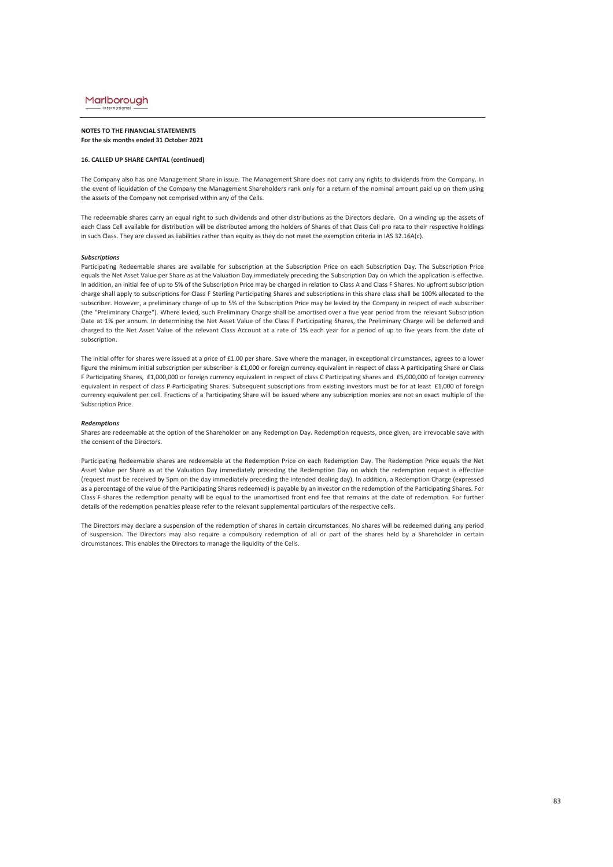#### **NOTES TO THE FINANCIAL STATEMENTS For the six months ended 31 October 2021**

#### **16. CALLED UP SHARE CAPITAL (continued)**

The Company also has one Management Share in issue. The Management Share does not carry any rights to dividends from the Company. In the event of liquidation of the Company the Management Shareholders rank only for a return of the nominal amount paid up on them using the assets of the Company not comprised within any of the Cells.

The redeemable shares carry an equal right to such dividends and other distributions as the Directors declare. On a winding up the assets of each Class Cell available for distribution will be distributed among the holders of Shares of that Class Cell pro rata to their respective holdings in such Class. They are classed as liabilities rather than equity as they do not meet the exemption criteria in IAS 32.16A(c).

#### *Subscriptions*

Participating Redeemable shares are available for subscription at the Subscription Price on each Subscription Day. The Subscription Price equals the Net Asset Value per Share as at the Valuation Day immediately preceding the Subscription Day on which the application is effective. In addition, an initial fee of up to 5% of the Subscription Price may be charged in relation to Class A and Class F Shares. No upfront subscription charge shall apply to subscriptions for Class F Sterling Participating Shares and subscriptions in this share class shall be 100% allocated to the subscriber. However, a preliminary charge of up to 5% of the Subscription Price may be levied by the Company in respect of each subscriber (the "Preliminary Charge"). Where levied, such Preliminary Charge shall be amortised over a five year period from the relevant Subscription Date at 1% per annum. In determining the Net Asset Value of the Class F Participating Shares, the Preliminary Charge will be deferred and charged to the Net Asset Value of the relevant Class Account at a rate of 1% each year for a period of up to five years from the date of subscription.

The initial offer for shares were issued at a price of £1.00 per share. Save where the manager, in exceptional circumstances, agrees to a lower figure the minimum initial subscription per subscriber is £1,000 or foreign currency equivalent in respect of class A participating Share or Class F Participating Shares, £1,000,000 or foreign currency equivalent in respect of class C Participating shares and £5,000,000 of foreign currency equivalent in respect of class P Participating Shares. Subsequent subscriptions from existing investors must be for at least £1,000 of foreign currency equivalent per cell. Fractions of a Participating Share will be issued where any subscription monies are not an exact multiple of the Subscription Price.

#### *Redemptions*

Shares are redeemable at the option of the Shareholder on any Redemption Day. Redemption requests, once given, are irrevocable save with the consent of the Directors.

Participating Redeemable shares are redeemable at the Redemption Price on each Redemption Day. The Redemption Price equals the Net Asset Value per Share as at the Valuation Day immediately preceding the Redemption Day on which the redemption request is effective (request must be received by 5pm on the day immediately preceding the intended dealing day). In addition, a Redemption Charge (expressed as a percentage of the value of the Participating Shares redeemed) is payable by an investor on the redemption of the Participating Shares. For Class F shares the redemption penalty will be equal to the unamortised front end fee that remains at the date of redemption. For further details of the redemption penalties please refer to the relevant supplemental particulars of the respective cells.

The Directors may declare a suspension of the redemption of shares in certain circumstances. No shares will be redeemed during any period of suspension. The Directors may also require a compulsory redemption of all or part of the shares held by a Shareholder in certain circumstances. This enables the Directors to manage the liquidity of the Cells.